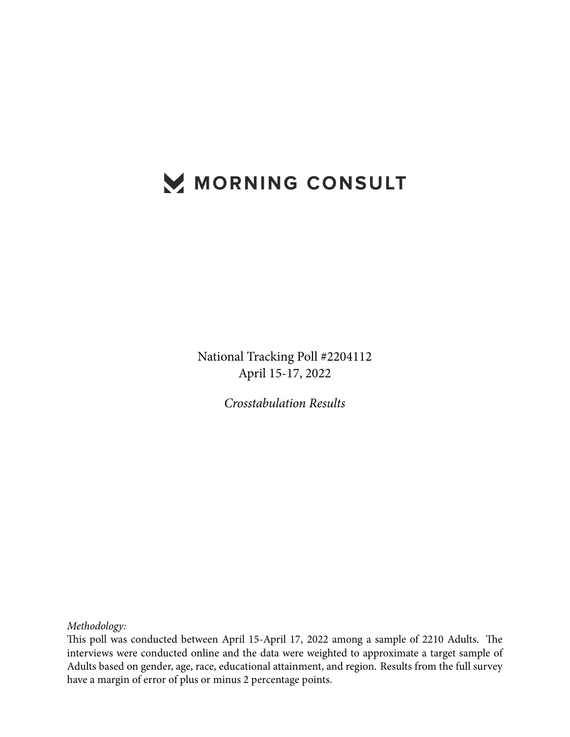## MORNING CONSULT

National Tracking Poll #2204112 April 15-17, 2022

*Crosstabulation Results*

*Methodology:*

This poll was conducted between April 15-April 17, 2022 among a sample of 2210 Adults. The interviews were conducted online and the data were weighted to approximate a target sample of Adults based on gender, age, race, educational attainment, and region. Results from the full survey have a margin of error of plus or minus 2 percentage points.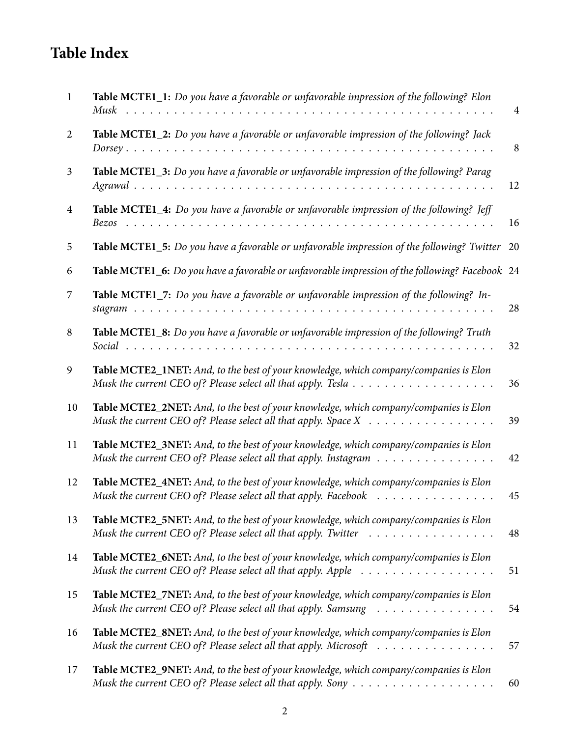## **Table Index**

| $\mathbf{1}$ | Table MCTE1_1: Do you have a favorable or unfavorable impression of the following? Elon                                                                                                 | $\overline{4}$ |
|--------------|-----------------------------------------------------------------------------------------------------------------------------------------------------------------------------------------|----------------|
| 2            | Table MCTE1_2: Do you have a favorable or unfavorable impression of the following? Jack                                                                                                 | 8              |
| 3            | Table MCTE1_3: Do you have a favorable or unfavorable impression of the following? Parag                                                                                                | 12             |
| 4            | <b>Table MCTE1_4:</b> Do you have a favorable or unfavorable impression of the following? Jeff                                                                                          | 16             |
| 5            | Table MCTE1_5: Do you have a favorable or unfavorable impression of the following? Twitter                                                                                              | 20             |
| 6            | Table MCTE1_6: Do you have a favorable or unfavorable impression of the following? Facebook 24                                                                                          |                |
| 7            | Table MCTE1_7: Do you have a favorable or unfavorable impression of the following? In-                                                                                                  | 28             |
| 8            | Table MCTE1_8: Do you have a favorable or unfavorable impression of the following? Truth                                                                                                | 32             |
| 9            | Table MCTE2_1NET: And, to the best of your knowledge, which company/companies is Elon                                                                                                   | 36             |
| 10           | Table MCTE2_2NET: And, to the best of your knowledge, which company/companies is Elon<br>Musk the current CEO of? Please select all that apply. Space $X \dots \dots \dots \dots \dots$ | 39             |
| 11           | Table MCTE2_3NET: And, to the best of your knowledge, which company/companies is Elon<br>Musk the current CEO of? Please select all that apply. Instagram                               | 42             |
| 12           | Table MCTE2_4NET: And, to the best of your knowledge, which company/companies is Elon<br>Musk the current CEO of? Please select all that apply. Facebook                                | 45             |
| 13           | Table MCTE2_5NET: And, to the best of your knowledge, which company/companies is Elon<br>Musk the current CEO of? Please select all that apply. Twitter                                 | 48             |
| 14           | Table MCTE2_6NET: And, to the best of your knowledge, which company/companies is Elon                                                                                                   | 51             |
| 15           | Table MCTE2_7NET: And, to the best of your knowledge, which company/companies is Elon<br>Musk the current CEO of? Please select all that apply. Samsung                                 | 54             |
| 16           | Table MCTE2_8NET: And, to the best of your knowledge, which company/companies is Elon<br>Musk the current CEO of? Please select all that apply. Microsoft                               | 57             |
| 17           | Table MCTE2_9NET: And, to the best of your knowledge, which company/companies is Elon                                                                                                   | 60             |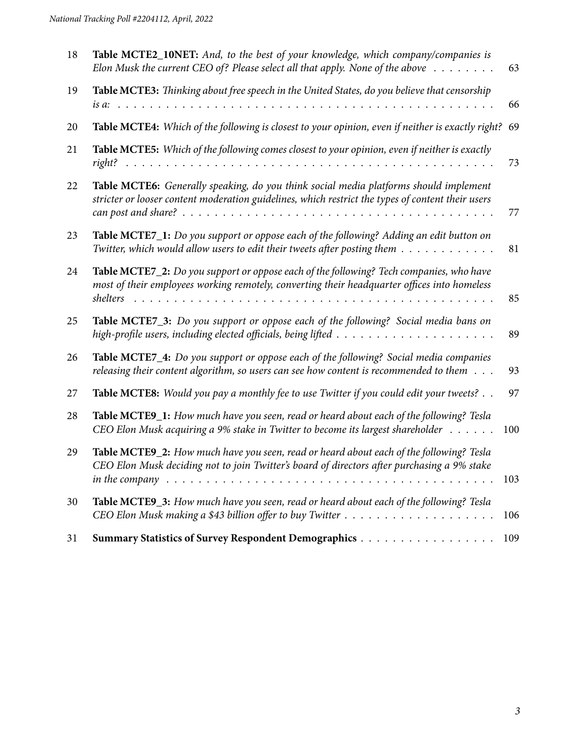| 18 | Table MCTE2_10NET: And, to the best of your knowledge, which company/companies is<br>Elon Musk the current CEO of? Please select all that apply. None of the above $\dots \dots$                                                                                                                                       | 63  |
|----|------------------------------------------------------------------------------------------------------------------------------------------------------------------------------------------------------------------------------------------------------------------------------------------------------------------------|-----|
| 19 | Table MCTE3: Thinking about free speech in the United States, do you believe that censorship<br>.                                                                                                                                                                                                                      | 66  |
| 20 | Table MCTE4: Which of the following is closest to your opinion, even if neither is exactly right?                                                                                                                                                                                                                      | 69  |
| 21 | Table MCTE5: Which of the following comes closest to your opinion, even if neither is exactly                                                                                                                                                                                                                          | 73  |
| 22 | Table MCTE6: Generally speaking, do you think social media platforms should implement<br>stricter or looser content moderation guidelines, which restrict the types of content their users                                                                                                                             | 77  |
| 23 | Table MCTE7_1: Do you support or oppose each of the following? Adding an edit button on<br>Twitter, which would allow users to edit their tweets after posting them                                                                                                                                                    | 81  |
| 24 | Table MCTE7_2: Do you support or oppose each of the following? Tech companies, who have<br>most of their employees working remotely, converting their headquarter offices into homeless<br>shelters<br>a di serie de la caractería de la caractería de la caractería de la caractería de la caractería de la caracterí | 85  |
| 25 | Table MCTE7_3: Do you support or oppose each of the following? Social media bans on                                                                                                                                                                                                                                    | 89  |
| 26 | Table MCTE7_4: Do you support or oppose each of the following? Social media companies<br>releasing their content algorithm, so users can see how content is recommended to them                                                                                                                                        | 93  |
| 27 | Table MCTE8: Would you pay a monthly fee to use Twitter if you could edit your tweets?                                                                                                                                                                                                                                 | 97  |
| 28 | Table MCTE9_1: How much have you seen, read or heard about each of the following? Tesla<br>CEO Elon Musk acquiring a 9% stake in Twitter to become its largest shareholder                                                                                                                                             | 100 |
| 29 | Table MCTE9_2: How much have you seen, read or heard about each of the following? Tesla<br>CEO Elon Musk deciding not to join Twitter's board of directors after purchasing a 9% stake<br>in the company $\dots \dots \dots \dots \dots \dots \dots \dots \dots \dots \dots \dots \dots \dots \dots$                   | 103 |
| 30 | <b>Table MCTE9_3:</b> How much have you seen, read or heard about each of the following? Tesla                                                                                                                                                                                                                         | 106 |
| 31 |                                                                                                                                                                                                                                                                                                                        | 109 |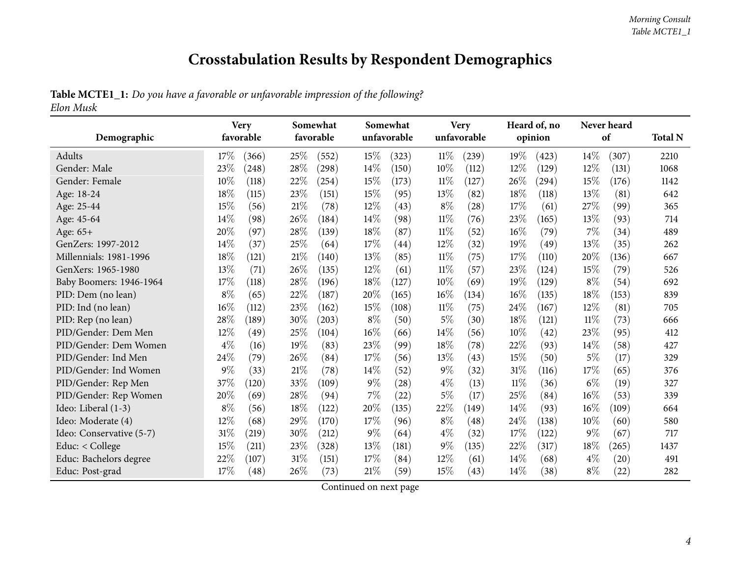## **Crosstabulation Results by Respondent Demographics**

## Table MCTE1\_1: Do you have a favorable or unfavorable impression of the following?

*Elon Musk*

<span id="page-3-0"></span>

|                          | <b>Very</b><br>favorable |       |      | Somewhat<br>favorable |        | Somewhat    |        | <b>Very</b> | Heard of, no<br>opinion |       | Never heard<br>of |       |                |
|--------------------------|--------------------------|-------|------|-----------------------|--------|-------------|--------|-------------|-------------------------|-------|-------------------|-------|----------------|
| Demographic              |                          |       |      |                       |        | unfavorable |        | unfavorable |                         |       |                   |       | <b>Total N</b> |
| Adults                   | 17%                      | (366) | 25%  | (552)                 | 15\%   | (323)       | $11\%$ | (239)       | 19%                     | (423) | 14%               | (307) | 2210           |
| Gender: Male             | 23%                      | (248) | 28\% | (298)                 | 14\%   | (150)       | 10%    | (112)       | 12%                     | (129) | 12%               | (131) | 1068           |
| Gender: Female           | 10%                      | (118) | 22%  | (254)                 | 15%    | (173)       | $11\%$ | (127)       | 26%                     | (294) | 15%               | (176) | 1142           |
| Age: 18-24               | 18%                      | (115) | 23%  | (151)                 | 15%    | (95)        | 13%    | (82)        | 18%                     | (118) | 13%               | (81)  | 642            |
| Age: 25-44               | 15%                      | (56)  | 21%  | (78)                  | 12%    | (43)        | $8\%$  | (28)        | 17%                     | (61)  | 27\%              | (99)  | 365            |
| Age: 45-64               | 14%                      | (98)  | 26%  | (184)                 | 14%    | (98)        | $11\%$ | (76)        | 23%                     | (165) | 13%               | (93)  | 714            |
| Age: 65+                 | 20%                      | (97)  | 28%  | (139)                 | 18%    | (87)        | $11\%$ | (52)        | 16%                     | (79)  | 7%                | (34)  | 489            |
| GenZers: 1997-2012       | 14%                      | (37)  | 25%  | (64)                  | 17%    | (44)        | 12%    | (32)        | 19%                     | (49)  | 13%               | (35)  | 262            |
| Millennials: 1981-1996   | 18%                      | (121) | 21%  | (140)                 | 13%    | (85)        | 11%    | (75)        | 17%                     | (110) | 20%               | (136) | 667            |
| GenXers: 1965-1980       | 13%                      | (71)  | 26%  | (135)                 | 12%    | (61)        | $11\%$ | (57)        | 23%                     | (124) | 15%               | (79)  | 526            |
| Baby Boomers: 1946-1964  | 17%                      | (118) | 28%  | (196)                 | 18%    | (127)       | 10%    | (69)        | 19%                     | (129) | $8\%$             | (54)  | 692            |
| PID: Dem (no lean)       | $8\%$                    | (65)  | 22%  | (187)                 | 20%    | (165)       | 16%    | (134)       | 16%                     | (135) | 18%               | (153) | 839            |
| PID: Ind (no lean)       | $16\%$                   | (112) | 23%  | (162)                 | 15%    | (108)       | $11\%$ | (75)        | 24%                     | (167) | 12%               | (81)  | 705            |
| PID: Rep (no lean)       | 28%                      | (189) | 30%  | (203)                 | $8\%$  | (50)        | $5\%$  | (30)        | 18%                     | (121) | $11\%$            | (73)  | 666            |
| PID/Gender: Dem Men      | 12%                      | (49)  | 25\% | (104)                 | $16\%$ | (66)        | 14%    | (56)        | 10%                     | (42)  | 23%               | (95)  | 412            |
| PID/Gender: Dem Women    | $4\%$                    | (16)  | 19%  | (83)                  | 23\%   | (99)        | 18%    | (78)        | 22%                     | (93)  | 14%               | (58)  | 427            |
| PID/Gender: Ind Men      | 24%                      | (79)  | 26%  | (84)                  | 17%    | (56)        | $13\%$ | (43)        | 15%                     | (50)  | 5%                | (17)  | 329            |
| PID/Gender: Ind Women    | 9%                       | (33)  | 21%  | (78)                  | $14\%$ | (52)        | $9\%$  | (32)        | 31%                     | (116) | 17%               | (65)  | 376            |
| PID/Gender: Rep Men      | 37%                      | (120) | 33%  | (109)                 | $9\%$  | (28)        | $4\%$  | (13)        | $11\%$                  | (36)  | $6\%$             | (19)  | 327            |
| PID/Gender: Rep Women    | 20%                      | (69)  | 28%  | (94)                  | $7\%$  | (22)        | $5\%$  | (17)        | 25%                     | (84)  | 16%               | (53)  | 339            |
| Ideo: Liberal (1-3)      | $8\%$                    | (56)  | 18%  | (122)                 | 20%    | (135)       | 22%    | (149)       | 14%                     | (93)  | 16%               | (109) | 664            |
| Ideo: Moderate (4)       | 12%                      | (68)  | 29%  | (170)                 | 17%    | (96)        | $8\%$  | (48)        | 24%                     | (138) | 10%               | (60)  | 580            |
| Ideo: Conservative (5-7) | 31%                      | (219) | 30%  | (212)                 | $9\%$  | (64)        | $4\%$  | (32)        | 17%                     | (122) | $9\%$             | (67)  | 717            |
| Educ: < College          | 15%                      | (211) | 23\% | (328)                 | 13%    | (181)       | $9\%$  | (135)       | 22%                     | (317) | 18%               | (265) | 1437           |
| Educ: Bachelors degree   | 22%                      | (107) | 31%  | (151)                 | 17%    | (84)        | 12\%   | (61)        | 14%                     | (68)  | $4\%$             | (20)  | 491            |
| Educ: Post-grad          | 17%                      | (48)  | 26%  | (73)                  | 21%    | (59)        | 15%    | (43)        | 14%                     | (38)  | $8\%$             | (22)  | 282            |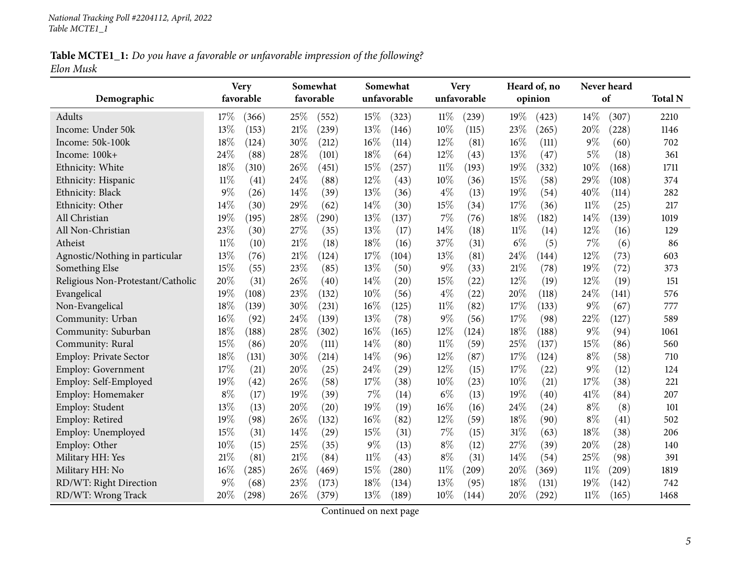Table MCTE1\_1: Do you have a favorable or unfavorable impression of the following? *Elon Musk*

| Demographic                       | <b>Very</b><br>favorable | Somewhat<br>favorable | Somewhat<br>unfavorable | <b>Very</b><br>unfavorable | Heard of, no<br>opinion | Never heard<br>of | <b>Total N</b> |
|-----------------------------------|--------------------------|-----------------------|-------------------------|----------------------------|-------------------------|-------------------|----------------|
|                                   |                          |                       |                         |                            |                         |                   |                |
| Adults                            | 17%<br>(366)             | 25%<br>(552)          | 15%<br>(323)            | $11\%$<br>(239)            | 19%<br>(423)            | 14%<br>(307)      | 2210           |
| Income: Under 50k                 | 13%<br>(153)             | 21%<br>(239)          | 13%<br>(146)            | 10%<br>(115)               | 23%<br>(265)            | 20%<br>(228)      | 1146           |
| Income: 50k-100k                  | 18%<br>(124)             | 30%<br>(212)          | 16%<br>(114)            | 12%<br>(81)                | 16%<br>(111)            | $9\%$<br>(60)     | 702            |
| Income: 100k+                     | 24%<br>(88)              | 28%<br>(101)          | 18%<br>(64)             | 12%<br>(43)                | 13%<br>(47)             | 5%<br>(18)        | 361            |
| Ethnicity: White                  | 18%<br>(310)             | 26\%<br>(451)         | 15%<br>(257)            | $11\%$<br>(193)            | 19%<br>(332)            | 10%<br>(168)      | 1711           |
| Ethnicity: Hispanic               | $11\%$<br>(41)           | 24%<br>(88)           | 12%<br>(43)             | 10%<br>(36)                | 15%<br>(58)             | 29%<br>(108)      | 374            |
| Ethnicity: Black                  | 9%<br>(26)               | 14%<br>(39)           | 13%<br>(36)             | $4\%$<br>(13)              | 19%<br>(54)             | 40%<br>(114)      | 282            |
| Ethnicity: Other                  | 14%<br>(30)              | 29%<br>(62)           | 14%<br>(30)             | 15%<br>(34)                | 17%<br>(36)             | $11\%$<br>(25)    | 217            |
| All Christian                     | 19%<br>(195)             | 28%<br>(290)          | 13%<br>(137)            | 7%<br>(76)                 | 18%<br>(182)            | 14%<br>(139)      | 1019           |
| All Non-Christian                 | 23%<br>(30)              | 27\%<br>(35)          | 13%<br>(17)             | 14%<br>(18)                | $11\%$<br>(14)          | 12%<br>(16)       | 129            |
| Atheist                           | $11\%$<br>(10)           | 21%<br>(18)           | 18%<br>(16)             | 37%<br>(31)                | $6\%$<br>(5)            | 7%<br>(6)         | 86             |
| Agnostic/Nothing in particular    | 13%<br>(76)              | 21%<br>(124)          | 17%<br>(104)            | 13%<br>(81)                | 24%<br>(144)            | 12%<br>(73)       | 603            |
| Something Else                    | 15%<br>(55)              | 23%<br>(85)           | 13%<br>(50)             | $9\%$<br>(33)              | 21%<br>(78)             | 19%<br>(72)       | 373            |
| Religious Non-Protestant/Catholic | 20%<br>(31)              | 26%<br>(40)           | 14%<br>(20)             | 15%<br>(22)                | 12%<br>(19)             | 12%<br>(19)       | 151            |
| Evangelical                       | 19%<br>(108)             | 23%<br>(132)          | 10%<br>(56)             | $4\%$<br>(22)              | 20%<br>(118)            | 24%<br>(141)      | 576            |
| Non-Evangelical                   | 18%<br>(139)             | 30%<br>(231)          | $16\%$<br>(125)         | $11\%$<br>(82)             | 17%<br>(133)            | $9\%$<br>(67)     | 777            |
| Community: Urban                  | 16%<br>(92)              | 24%<br>(139)          | 13%<br>(78)             | $9\%$<br>(56)              | 17%<br>(98)             | 22%<br>(127)      | 589            |
| Community: Suburban               | 18%<br>(188)             | 28%<br>(302)          | $16\%$<br>(165)         | 12%<br>(124)               | 18%<br>(188)            | $9\%$<br>(94)     | 1061           |
| Community: Rural                  | 15%<br>(86)              | 20%<br>(111)          | 14%<br>(80)             | $11\%$<br>(59)             | 25%<br>(137)            | 15%<br>(86)       | 560            |
| Employ: Private Sector            | 18%<br>(131)             | 30%<br>(214)          | 14%<br>(96)             | 12%<br>(87)                | 17%<br>(124)            | $8\%$<br>(58)     | 710            |
| <b>Employ: Government</b>         | 17%<br>(21)              | 20%<br>(25)           | 24%<br>(29)             | 12%<br>(15)                | 17%<br>(22)             | 9%<br>(12)        | 124            |
| Employ: Self-Employed             | 19%<br>(42)              | 26%<br>(58)           | 17%<br>(38)             | 10%<br>(23)                | 10%<br>(21)             | 17%<br>(38)       | 221            |
| Employ: Homemaker                 | $8\%$<br>(17)            | 19%<br>(39)           | 7%<br>(14)              | $6\%$<br>(13)              | 19%<br>(40)             | 41\%<br>(84)      | 207            |
| Employ: Student                   | 13%<br>(13)              | 20%<br>(20)           | 19%<br>(19)             | 16%<br>(16)                | 24%<br>(24)             | $8\%$<br>(8)      | 101            |
| Employ: Retired                   | 19%<br>(98)              | 26%<br>(132)          | 16%<br>(82)             | $12\%$<br>(59)             | 18%<br>(90)             | $8\%$<br>(41)     | 502            |
| Employ: Unemployed                | 15%<br>(31)              | 14%<br>(29)           | 15%<br>(31)             | 7%<br>(15)                 | 31%<br>(63)             | 18%<br>(38)       | 206            |
| Employ: Other                     | 10%<br>(15)              | 25%<br>(35)           | $9\%$<br>(13)           | $8\%$<br>(12)              | 27%<br>(39)             | 20%<br>(28)       | 140            |
| Military HH: Yes                  | 21%<br>(81)              | 21%<br>(84)           | $11\%$<br>(43)          | $8\%$<br>(31)              | 14%<br>(54)             | 25%<br>(98)       | 391            |
| Military HH: No                   | 16%<br>(285)             | 26%<br>(469)          | 15%<br>(280)            | $11\%$<br>(209)            | 20%<br>(369)            | $11\%$<br>(209)   | 1819           |
| RD/WT: Right Direction            | 9%<br>(68)               | 23%<br>(173)          | 18%<br>(134)            | 13%<br>(95)                | 18%<br>(131)            | 19%<br>(142)      | 742            |
| RD/WT: Wrong Track                | 20%<br>(298)             | 26%<br>(379)          | 13%<br>(189)            | 10%<br>(144)               | 20%<br>(292)            | $11\%$<br>(165)   | 1468           |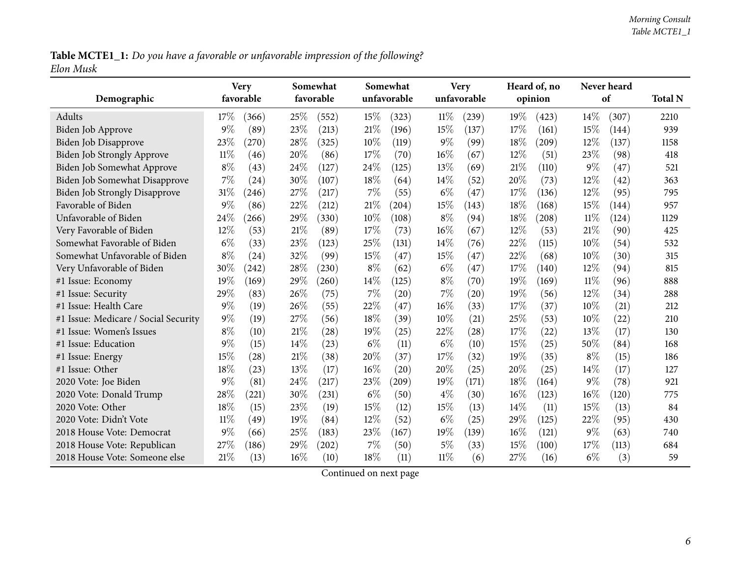Table MCTE1\_1: Do you have a favorable or unfavorable impression of the following? *Elon Musk*

|                                      | <b>Very</b>    |        | Somewhat            |        | Somewhat    |        | <b>Very</b> |      | Heard of, no |        | Never heard |                |
|--------------------------------------|----------------|--------|---------------------|--------|-------------|--------|-------------|------|--------------|--------|-------------|----------------|
| Demographic                          | favorable      |        | favorable           |        | unfavorable |        | unfavorable |      | opinion      |        | of          | <b>Total N</b> |
| Adults                               | 17%<br>(366)   | 25%    | (552)               | 15%    | (323)       | $11\%$ | (239)       | 19%  | (423)        | $14\%$ | (307)       | 2210           |
| Biden Job Approve                    | 9%<br>(89)     | 23%    | (213)               | 21%    | (196)       | 15%    | (137)       | 17%  | (161)        | 15%    | (144)       | 939            |
| Biden Job Disapprove                 | 23%<br>(270)   | 28%    | (325)               | 10%    | (119)       | $9\%$  | (99)        | 18%  | (209)        | 12%    | (137)       | 1158           |
| Biden Job Strongly Approve           | $11\%$<br>(46) | 20%    | (86)                | 17%    | (70)        | 16%    | (67)        | 12%  | (51)         | 23%    | (98)        | 418            |
| Biden Job Somewhat Approve           | $8\%$<br>(43)  | 24%    | (127)               | 24\%   | (125)       | 13%    | (69)        | 21%  | (110)        | $9\%$  | (47)        | 521            |
| Biden Job Somewhat Disapprove        | 7%<br>(24)     | 30%    | (107)               | 18%    | (64)        | 14%    | (52)        | 20%  | (73)         | $12\%$ | (42)        | 363            |
| <b>Biden Job Strongly Disapprove</b> | 31%<br>(246)   | 27\%   | (217)               | 7%     | (55)        | $6\%$  | (47)        | 17%  | (136)        | 12%    | (95)        | 795            |
| Favorable of Biden                   | $9\%$<br>(86)  | 22%    | (212)               | 21%    | (204)       | 15%    | (143)       | 18%  | (168)        | 15%    | (144)       | 957            |
| Unfavorable of Biden                 | 24%<br>(266)   | 29%    | (330)               | 10%    | (108)       | $8\%$  | (94)        | 18%  | (208)        | $11\%$ | (124)       | 1129           |
| Very Favorable of Biden              | 12%<br>(53)    | 21%    | (89)                | 17%    | (73)        | $16\%$ | (67)        | 12%  | (53)         | 21%    | (90)        | 425            |
| Somewhat Favorable of Biden          | $6\%$<br>(33)  | 23%    | (123)               | 25%    | (131)       | 14%    | (76)        | 22%  | (115)        | 10%    | (54)        | 532            |
| Somewhat Unfavorable of Biden        | $8\%$<br>(24)  | 32%    | (99)                | 15%    | (47)        | 15%    | (47)        | 22%  | (68)         | $10\%$ | (30)        | 315            |
| Very Unfavorable of Biden            | 30%<br>(242)   | 28%    | (230)               | $8\%$  | (62)        | $6\%$  | (47)        | 17%  | (140)        | 12%    | (94)        | 815            |
| #1 Issue: Economy                    | 19%<br>(169)   | 29%    | (260)               | 14%    | (125)       | $8\%$  | (70)        | 19%  | (169)        | 11%    | (96)        | 888            |
| #1 Issue: Security                   | 29%<br>(83)    | 26%    | (75)                | 7%     | (20)        | $7\%$  | (20)        | 19%  | (56)         | 12%    | (34)        | 288            |
| #1 Issue: Health Care                | $9\%$<br>(19)  | 26%    | (55)                | 22%    | (47)        | 16%    | (33)        | 17%  | (37)         | 10%    | (21)        | 212            |
| #1 Issue: Medicare / Social Security | $9\%$<br>(19)  | 27\%   | (56)                | 18%    | (39)        | 10%    | (21)        | 25%  | (53)         | 10%    | (22)        | 210            |
| #1 Issue: Women's Issues             | $8\%$<br>(10)  | 21%    | (28)                | 19%    | (25)        | 22%    | (28)        | 17%  | (22)         | 13%    | (17)        | 130            |
| #1 Issue: Education                  | $9\%$<br>(15)  | 14%    | (23)                | $6\%$  | (11)        | $6\%$  | (10)        | 15%  | (25)         | 50%    | (84)        | 168            |
| #1 Issue: Energy                     | 15%<br>(28)    | $21\%$ | (38)                | 20%    | (37)        | 17%    | (32)        | 19%  | (35)         | $8\%$  | (15)        | 186            |
| #1 Issue: Other                      | 18%<br>(23)    | 13%    | (17)                | $16\%$ | (20)        | 20%    | (25)        | 20%  | (25)         | $14\%$ | (17)        | 127            |
| 2020 Vote: Joe Biden                 | $9\%$<br>(81)  | 24%    | (217)               | 23%    | (209)       | 19%    | (171)       | 18%  | (164)        | $9\%$  | (78)        | 921            |
| 2020 Vote: Donald Trump              | 28%<br>(221)   | 30%    | (231)               | $6\%$  | (50)        | $4\%$  | (30)        | 16%  | (123)        | 16%    | (120)       | 775            |
| 2020 Vote: Other                     | 18%<br>(15)    | 23%    | (19)                | 15%    | (12)        | 15%    | (13)        | 14%  | (11)         | 15%    | (13)        | 84             |
| 2020 Vote: Didn't Vote               | $11\%$<br>(49) | 19%    | (84)                | 12%    | (52)        | $6\%$  | (25)        | 29%  | (125)        | 22%    | (95)        | 430            |
| 2018 House Vote: Democrat            | 9%<br>(66)     | 25%    | (183)               | 23%    | (167)       | 19%    | (139)       | 16%  | (121)        | 9%     | (63)        | 740            |
| 2018 House Vote: Republican          | 27%<br>(186)   | 29%    | $\left( 202\right)$ | 7%     | (50)        | $5\%$  | (33)        | 15%  | (100)        | 17%    | (113)       | 684            |
| 2018 House Vote: Someone else        | 21%<br>(13)    | 16%    | (10)                | 18%    | (11)        | $11\%$ | (6)         | 27\% | (16)         | $6\%$  | (3)         | 59             |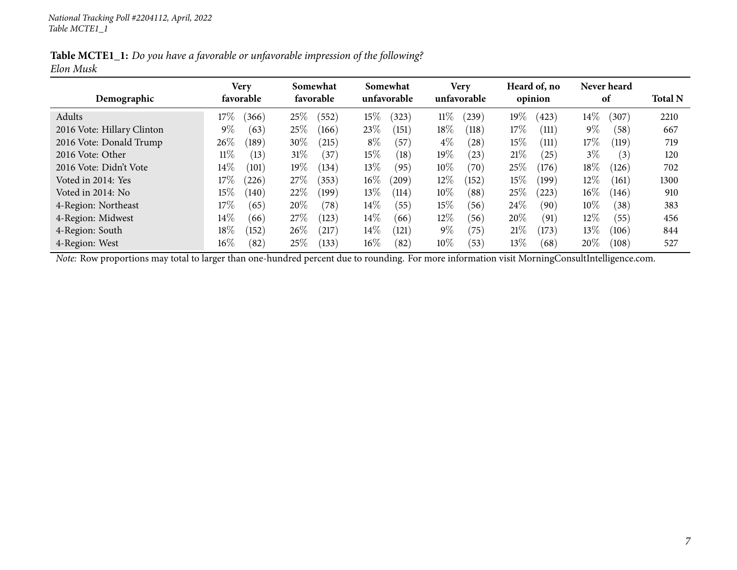Table MCTE1\_1: Do you have a favorable or unfavorable impression of the following? *Elon Musk*

| Demographic                | Verv<br>favorable | Somewhat<br>favorable | Somewhat<br>unfavorable | <b>Very</b><br>unfavorable | Heard of, no<br>opinion | Never heard<br>of | <b>Total N</b> |
|----------------------------|-------------------|-----------------------|-------------------------|----------------------------|-------------------------|-------------------|----------------|
| Adults                     | 17%<br>(366)      | 25%<br>(552)          | $15\%$<br>(323)         | $11\%$<br>$^{(239)}$       | 19%<br>(423)            | $14\%$<br>(307)   | 2210           |
| 2016 Vote: Hillary Clinton | $9\%$<br>(63)     | 25%<br>(166)          | 23%<br>(151)            | $18\%$<br>(118)            | 17%<br>(111)            | $9\%$<br>(58)     | 667            |
| 2016 Vote: Donald Trump    | 26%<br>(189)      | 30%<br>(215)          | $8\%$<br>(57)           | $4\%$<br>(28)              | $15\%$<br>(111)         | $17\%$<br>(119)   | 719            |
| 2016 Vote: Other           | $11\%$<br>(13)    | 31%<br>(37)           | $15\%$<br>(18)          | 19%<br>(23)                | 21%<br>(25)             | $3\%$<br>(3)      | 120            |
| 2016 Vote: Didn't Vote     | $14\%$<br>(101)   | 19%<br>(134)          | $13\%$<br>(95)          | $10\%$<br>(70)             | 25%<br>(176)            | $18\%$<br>(126)   | 702            |
| Voted in 2014: Yes         | 17%<br>(226)      | 27%<br>(353)          | $16\%$<br>(209)         | $12\%$<br>(152)            | 15%<br>(199)            | $12\%$<br>(161)   | 1300           |
| Voted in 2014: No          | $15\%$<br>(140)   | 22%<br>(199)          | $13\%$<br>(114)         | $10\%$<br>(88)             | 25%<br>(223)            | $16\%$<br>(146)   | 910            |
| 4-Region: Northeast        | $17\%$<br>(65)    | 20%<br>(78)           | $14\%$<br>(55)          | $15\%$<br>(56)             | 24\%<br>(90)            | $10\%$<br>(38)    | 383            |
| 4-Region: Midwest          | $14\%$<br>(66)    | 27\%<br>(123)         | $14\%$<br>(66)          | $12\%$<br>(56)             | 20%<br>(91)             | $12\%$<br>(55)    | 456            |
| 4-Region: South            | $18\%$<br>(152)   | 26\%<br>$^{'}217$     | $14\%$<br>(121)         | $9\%$<br>(75)              | 21%<br>(173)            | $13\%$<br>(106)   | 844            |
| 4-Region: West             | $16\%$<br>(82)    | $25\%$<br>(133)       | $16\%$<br>(82)          | $10\%$<br>(53)             | 13%<br>(68)             | $20\%$<br>(108)   | 527            |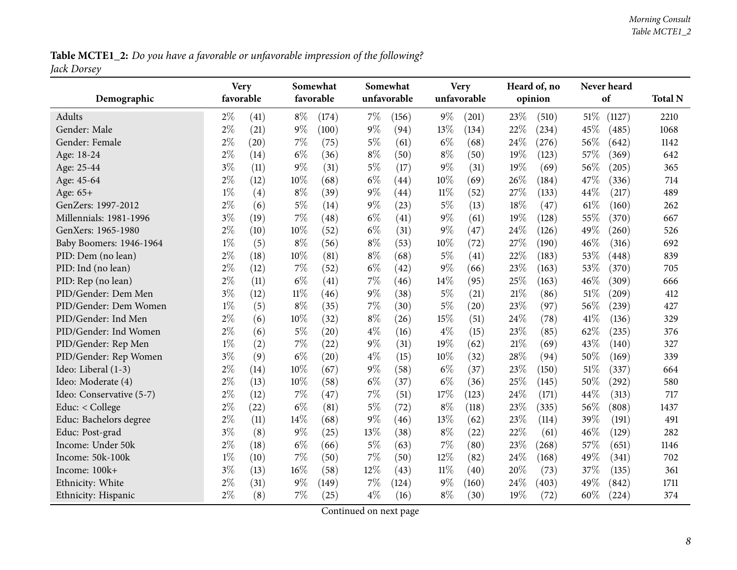Table MCTE1\_2: Do you have a favorable or unfavorable impression of the following? *Jack Dorsey*

<span id="page-7-0"></span>

| Demographic              | <b>Very</b><br>favorable |      |        | Somewhat<br>favorable |        | Somewhat<br>unfavorable |        | <b>Very</b><br>unfavorable |     | Heard of, no<br>opinion |        | Never heard<br>of | <b>Total N</b> |
|--------------------------|--------------------------|------|--------|-----------------------|--------|-------------------------|--------|----------------------------|-----|-------------------------|--------|-------------------|----------------|
| Adults                   | $2\%$                    | (41) | $8\%$  | (174)                 | $7\%$  | (156)                   | $9\%$  | (201)                      | 23% | (510)                   | $51\%$ | (1127)            | 2210           |
| Gender: Male             | $2\%$                    | (21) | $9\%$  | (100)                 | $9\%$  | (94)                    | 13%    | (134)                      | 22% | (234)                   | 45%    | (485)             | 1068           |
| Gender: Female           | $2\%$                    | (20) | 7%     | (75)                  | $5\%$  | (61)                    | $6\%$  | (68)                       | 24% | (276)                   | 56\%   | (642)             | 1142           |
| Age: 18-24               | $2\%$                    | (14) | $6\%$  | (36)                  | $8\%$  | (50)                    | $8\%$  | (50)                       | 19% | (123)                   | 57%    | (369)             | 642            |
| Age: 25-44               | $3\%$                    | (11) | $9\%$  | (31)                  | $5\%$  | (17)                    | $9\%$  | (31)                       | 19% | (69)                    | 56%    | (205)             | 365            |
| Age: 45-64               | $2\%$                    | (12) | 10%    | (68)                  | $6\%$  | (44)                    | 10%    | (69)                       | 26% | (184)                   | 47%    | (336)             | 714            |
| Age: 65+                 | $1\%$                    | (4)  | $8\%$  | (39)                  | $9\%$  | (44)                    | $11\%$ | (52)                       | 27% | (133)                   | 44%    | (217)             | 489            |
| GenZers: 1997-2012       | $2\%$                    | (6)  | $5\%$  | (14)                  | $9\%$  | (23)                    | $5\%$  | (13)                       | 18% | (47)                    | 61\%   | (160)             | 262            |
| Millennials: 1981-1996   | $3\%$                    | (19) | 7%     | (48)                  | $6\%$  | (41)                    | $9\%$  | (61)                       | 19% | (128)                   | 55%    | (370)             | 667            |
| GenXers: 1965-1980       | $2\%$                    | (10) | 10%    | (52)                  | $6\%$  | (31)                    | $9\%$  | (47)                       | 24% | (126)                   | 49%    | (260)             | 526            |
| Baby Boomers: 1946-1964  | $1\%$                    | (5)  | $8\%$  | (56)                  | $8\%$  | (53)                    | 10%    | (72)                       | 27% | (190)                   | 46%    | (316)             | 692            |
| PID: Dem (no lean)       | $2\%$                    | (18) | 10%    | (81)                  | $8\%$  | (68)                    | $5\%$  | (41)                       | 22% | (183)                   | 53%    | (448)             | 839            |
| PID: Ind (no lean)       | $2\%$                    | (12) | $7\%$  | (52)                  | $6\%$  | (42)                    | $9\%$  | (66)                       | 23% | (163)                   | 53%    | (370)             | 705            |
| PID: Rep (no lean)       | $2\%$                    | (11) | $6\%$  | (41)                  | $7\%$  | (46)                    | 14%    | (95)                       | 25% | (163)                   | 46%    | (309)             | 666            |
| PID/Gender: Dem Men      | $3\%$                    | (12) | $11\%$ | (46)                  | $9\%$  | (38)                    | $5\%$  | (21)                       | 21% | (86)                    | 51%    | (209)             | 412            |
| PID/Gender: Dem Women    | $1\%$                    | (5)  | $8\%$  | (35)                  | 7%     | (30)                    | $5\%$  | (20)                       | 23% | (97)                    | 56%    | (239)             | 427            |
| PID/Gender: Ind Men      | $2\%$                    | (6)  | 10%    | (32)                  | $8\%$  | (26)                    | 15%    | (51)                       | 24% | (78)                    | 41\%   | (136)             | 329            |
| PID/Gender: Ind Women    | $2\%$                    | (6)  | $5\%$  | (20)                  | $4\%$  | (16)                    | $4\%$  | (15)                       | 23% | (85)                    | 62%    | (235)             | 376            |
| PID/Gender: Rep Men      | $1\%$                    | (2)  | 7%     | (22)                  | $9\%$  | (31)                    | 19%    | (62)                       | 21% | (69)                    | 43%    | (140)             | 327            |
| PID/Gender: Rep Women    | $3\%$                    | (9)  | $6\%$  | (20)                  | $4\%$  | (15)                    | 10%    | (32)                       | 28% | (94)                    | 50%    | (169)             | 339            |
| Ideo: Liberal (1-3)      | $2\%$                    | (14) | 10%    | (67)                  | $9\%$  | (58)                    | $6\%$  | (37)                       | 23% | (150)                   | 51%    | (337)             | 664            |
| Ideo: Moderate (4)       | $2\%$                    | (13) | 10%    | (58)                  | $6\%$  | (37)                    | $6\%$  | (36)                       | 25% | (145)                   | 50%    | (292)             | 580            |
| Ideo: Conservative (5-7) | $2\%$                    | (12) | 7%     | (47)                  | $7\%$  | (51)                    | 17%    | (123)                      | 24% | (171)                   | 44%    | (313)             | 717            |
| Educ: < College          | $2\%$                    | (22) | $6\%$  | (81)                  | $5\%$  | (72)                    | $8\%$  | (118)                      | 23% | (335)                   | 56%    | (808)             | 1437           |
| Educ: Bachelors degree   | $2\%$                    | (11) | 14%    | (68)                  | $9\%$  | (46)                    | 13%    | (62)                       | 23% | (114)                   | 39%    | (191)             | 491            |
| Educ: Post-grad          | $3\%$                    | (8)  | $9\%$  | (25)                  | 13%    | (38)                    | $8\%$  | (22)                       | 22% | (61)                    | 46%    | (129)             | 282            |
| Income: Under 50k        | $2\%$                    | (18) | $6\%$  | (66)                  | $5\%$  | (63)                    | 7%     | (80)                       | 23% | (268)                   | 57%    | (651)             | 1146           |
| Income: 50k-100k         | $1\%$                    | (10) | 7%     | (50)                  | $7\%$  | (50)                    | 12%    | (82)                       | 24% | (168)                   | 49%    | (341)             | 702            |
| Income: 100k+            | $3\%$                    | (13) | 16%    | (58)                  | $12\%$ | (43)                    | 11%    | (40)                       | 20% | (73)                    | 37%    | (135)             | 361            |
| Ethnicity: White         | $2\%$                    | (31) | $9\%$  | (149)                 | 7%     | (124)                   | $9\%$  | (160)                      | 24% | (403)                   | 49%    | (842)             | 1711           |
| Ethnicity: Hispanic      | $2\%$                    | (8)  | 7%     | (25)                  | $4\%$  | (16)                    | $8\%$  | (30)                       | 19% | (72)                    | 60%    | (224)             | 374            |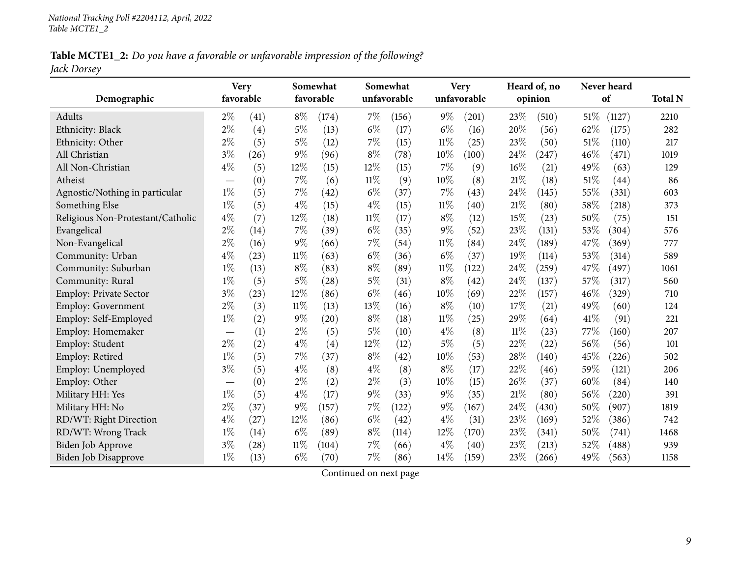Table MCTE1\_2: Do you have a favorable or unfavorable impression of the following? *Jack Dorsey*

|                                   | Somewhat<br><b>Very</b><br>favorable<br>favorable |      |        | Somewhat<br>unfavorable |        |       | <b>Very</b> | Heard of, no<br>opinion |        |       | Never heard |        |                |
|-----------------------------------|---------------------------------------------------|------|--------|-------------------------|--------|-------|-------------|-------------------------|--------|-------|-------------|--------|----------------|
| Demographic                       |                                                   |      |        |                         |        |       |             | unfavorable             |        |       |             | of     | <b>Total N</b> |
| Adults                            | $2\%$                                             | (41) | $8\%$  | (174)                   | 7%     | (156) | $9\%$       | (201)                   | 23%    | (510) | 51\%        | (1127) | 2210           |
| Ethnicity: Black                  | $2\%$                                             | (4)  | $5\%$  | (13)                    | $6\%$  | (17)  | $6\%$       | (16)                    | 20%    | (56)  | 62%         | (175)  | 282            |
| Ethnicity: Other                  | $2\%$                                             | (5)  | $5\%$  | (12)                    | 7%     | (15)  | $11\%$      | (25)                    | 23%    | (50)  | 51%         | (110)  | 217            |
| All Christian                     | $3\%$                                             | (26) | 9%     | (96)                    | $8\%$  | (78)  | $10\%$      | (100)                   | 24%    | (247) | 46%         | (471)  | 1019           |
| All Non-Christian                 | $4\%$                                             | (5)  | $12\%$ | (15)                    | 12%    | (15)  | $7\%$       | (9)                     | 16%    | (21)  | 49%         | (63)   | 129            |
| Atheist                           | $\overline{\phantom{0}}$                          | (0)  | 7%     | (6)                     | $11\%$ | (9)   | 10%         | (8)                     | 21%    | (18)  | 51%         | (44)   | 86             |
| Agnostic/Nothing in particular    | $1\%$                                             | (5)  | $7\%$  | (42)                    | $6\%$  | (37)  | 7%          | (43)                    | 24%    | (145) | 55%         | (331)  | 603            |
| Something Else                    | $1\%$                                             | (5)  | $4\%$  | (15)                    | $4\%$  | (15)  | $11\%$      | (40)                    | 21%    | (80)  | 58%         | (218)  | 373            |
| Religious Non-Protestant/Catholic | $4\%$                                             | (7)  | 12%    | (18)                    | 11%    | (17)  | $8\%$       | (12)                    | 15%    | (23)  | 50%         | (75)   | 151            |
| Evangelical                       | $2\%$                                             | (14) | 7%     | (39)                    | $6\%$  | (35)  | $9\%$       | (52)                    | 23%    | (131) | 53%         | (304)  | 576            |
| Non-Evangelical                   | $2\%$                                             | (16) | 9%     | (66)                    | 7%     | (54)  | $11\%$      | (84)                    | 24%    | (189) | 47%         | (369)  | 777            |
| Community: Urban                  | $4\%$                                             | (23) | $11\%$ | (63)                    | $6\%$  | (36)  | $6\%$       | (37)                    | 19%    | (114) | 53%         | (314)  | 589            |
| Community: Suburban               | $1\%$                                             | (13) | $8\%$  | (83)                    | $8\%$  | (89)  | $11\%$      | (122)                   | 24%    | (259) | 47%         | (497)  | 1061           |
| Community: Rural                  | $1\%$                                             | (5)  | $5\%$  | (28)                    | $5\%$  | (31)  | $8\%$       | (42)                    | 24%    | (137) | 57%         | (317)  | 560            |
| Employ: Private Sector            | $3\%$                                             | (23) | 12%    | (86)                    | $6\%$  | (46)  | 10%         | (69)                    | 22%    | (157) | 46%         | (329)  | 710            |
| <b>Employ: Government</b>         | $2\%$                                             | (3)  | $11\%$ | (13)                    | 13%    | (16)  | $8\%$       | (10)                    | 17%    | (21)  | 49%         | (60)   | 124            |
| Employ: Self-Employed             | $1\%$                                             | (2)  | $9\%$  | (20)                    | $8\%$  | (18)  | $11\%$      | (25)                    | 29\%   | (64)  | 41%         | (91)   | 221            |
| Employ: Homemaker                 |                                                   | (1)  | $2\%$  | (5)                     | 5%     | (10)  | $4\%$       | (8)                     | $11\%$ | (23)  | 77%         | (160)  | 207            |
| Employ: Student                   | $2\%$                                             | (2)  | $4\%$  | (4)                     | 12%    | (12)  | $5\%$       | (5)                     | 22%    | (22)  | 56%         | (56)   | 101            |
| Employ: Retired                   | $1\%$                                             | (5)  | 7%     | (37)                    | $8\%$  | (42)  | $10\%$      | (53)                    | 28%    | (140) | 45%         | (226)  | 502            |
| Employ: Unemployed                | $3\%$                                             | (5)  | $4\%$  | (8)                     | $4\%$  | (8)   | $8\%$       | (17)                    | 22%    | (46)  | 59%         | (121)  | 206            |
| Employ: Other                     |                                                   | (0)  | $2\%$  | (2)                     | $2\%$  | (3)   | 10%         | (15)                    | 26%    | (37)  | 60%         | (84)   | 140            |
| Military HH: Yes                  | $1\%$                                             | (5)  | $4\%$  | (17)                    | $9\%$  | (33)  | $9\%$       | (35)                    | 21%    | (80)  | 56%         | (220)  | 391            |
| Military HH: No                   | $2\%$                                             | (37) | 9%     | (157)                   | 7%     | (122) | $9\%$       | (167)                   | 24%    | (430) | 50%         | (907)  | 1819           |
| RD/WT: Right Direction            | $4\%$                                             | (27) | 12%    | (86)                    | $6\%$  | (42)  | $4\%$       | (31)                    | 23%    | (169) | 52%         | (386)  | 742            |
| RD/WT: Wrong Track                | $1\%$                                             | (14) | $6\%$  | (89)                    | $8\%$  | (114) | 12%         | (170)                   | 23%    | (341) | 50%         | (741)  | 1468           |
| <b>Biden Job Approve</b>          | $3\%$                                             | (28) | $11\%$ | (104)                   | 7%     | (66)  | $4\%$       | (40)                    | 23%    | (213) | 52%         | (488)  | 939            |
| Biden Job Disapprove              | $1\%$                                             | (13) | $6\%$  | (70)                    | 7%     | (86)  | 14\%        | (159)                   | 23%    | (266) | 49%         | (563)  | 1158           |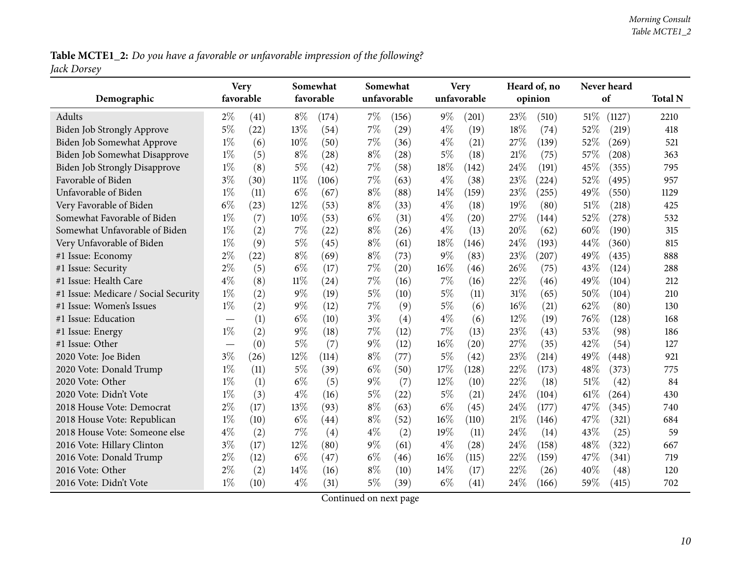Table MCTE1\_2: Do you have a favorable or unfavorable impression of the following? *Jack Dorsey*

| Demographic                          |                                  | <b>Very</b><br>Somewhat<br>favorable<br>favorable |        |       | Somewhat<br>unfavorable |                    | <b>Very</b><br>unfavorable | Heard of, no<br>opinion |        | Never heard<br>of |      | <b>Total N</b> |      |
|--------------------------------------|----------------------------------|---------------------------------------------------|--------|-------|-------------------------|--------------------|----------------------------|-------------------------|--------|-------------------|------|----------------|------|
| Adults                               | $2\%$                            | (41)                                              | $8\%$  | (174) | $7\%$                   | (156)              | $9\%$                      | (201)                   | 23%    | (510)             | 51\% | (1127)         | 2210 |
| Biden Job Strongly Approve           | $5\%$                            | (22)                                              | 13\%   | (54)  | $7\%$                   | (29)               | $4\%$                      | (19)                    | 18%    | (74)              | 52%  | (219)          | 418  |
| Biden Job Somewhat Approve           | $1\%$                            | (6)                                               | $10\%$ | (50)  | $7\%$                   | (36)               | $4\%$                      | (21)                    | 27\%   | (139)             | 52%  | (269)          | 521  |
| Biden Job Somewhat Disapprove        | $1\%$                            | (5)                                               | $8\%$  | (28)  | $8\%$                   | (28)               | $5\%$                      | (18)                    | 21%    | (75)              | 57%  | (208)          | 363  |
| <b>Biden Job Strongly Disapprove</b> | $1\%$                            | (8)                                               | $5\%$  | (42)  | 7%                      | (58)               | 18%                        | (142)                   | 24%    | (191)             | 45%  | (355)          | 795  |
| Favorable of Biden                   | $3\%$                            | (30)                                              | $11\%$ | (106) | 7%                      | (63)               | $4\%$                      | (38)                    | 23%    | (224)             | 52%  | (495)          | 957  |
| Unfavorable of Biden                 | $1\%$                            | (11)                                              | $6\%$  | (67)  | $8\%$                   | (88)               | 14\%                       | (159)                   | 23%    | (255)             | 49%  | (550)          | 1129 |
| Very Favorable of Biden              | $6\%$                            | (23)                                              | 12%    | (53)  | $8\%$                   | (33)               | $4\%$                      | (18)                    | 19%    | (80)              | 51%  | (218)          | 425  |
| Somewhat Favorable of Biden          | $1\%$                            | (7)                                               | $10\%$ | (53)  | $6\%$                   | (31)               | $4\%$                      | (20)                    | 27%    | (144)             | 52%  | (278)          | 532  |
| Somewhat Unfavorable of Biden        | $1\%$                            | (2)                                               | $7\%$  | (22)  | $8\%$                   | (26)               | $4\%$                      | (13)                    | 20%    | (62)              | 60%  | (190)          | 315  |
| Very Unfavorable of Biden            | $1\%$                            | (9)                                               | $5\%$  | (45)  | $8\%$                   | (61)               | $18\%$                     | (146)                   | 24%    | (193)             | 44%  | (360)          | 815  |
| #1 Issue: Economy                    | $2\%$                            | (22)                                              | $8\%$  | (69)  | $8\%$                   | (73)               | $9\%$                      | (83)                    | 23\%   | (207)             | 49%  | (435)          | 888  |
| #1 Issue: Security                   | $2\%$                            | (5)                                               | $6\%$  | (17)  | $7\%$                   | $\left( 20\right)$ | 16%                        | (46)                    | 26%    | (75)              | 43%  | (124)          | 288  |
| #1 Issue: Health Care                | $4\%$                            | (8)                                               | $11\%$ | (24)  | 7%                      | (16)               | 7%                         | (16)                    | 22%    | (46)              | 49%  | (104)          | 212  |
| #1 Issue: Medicare / Social Security | $1\%$                            | (2)                                               | $9\%$  | (19)  | $5\%$                   | (10)               | $5\%$                      | (11)                    | $31\%$ | (65)              | 50%  | (104)          | 210  |
| #1 Issue: Women's Issues             | $1\%$                            | (2)                                               | $9\%$  | (12)  | $7\%$                   | (9)                | $5\%$                      | (6)                     | $16\%$ | (21)              | 62%  | (80)           | 130  |
| #1 Issue: Education                  |                                  | (1)                                               | $6\%$  | (10)  | $3\%$                   | (4)                | $4\%$                      | (6)                     | 12%    | (19)              | 76%  | (128)          | 168  |
| #1 Issue: Energy                     | $1\%$                            | (2)                                               | 9%     | (18)  | $7\%$                   | (12)               | 7%                         | (13)                    | 23\%   | (43)              | 53%  | (98)           | 186  |
| #1 Issue: Other                      | $\overbrace{\phantom{12322111}}$ | (0)                                               | $5\%$  | (7)   | $9\%$                   | (12)               | 16%                        | (20)                    | 27%    | (35)              | 42%  | (54)           | 127  |
| 2020 Vote: Joe Biden                 | $3\%$                            | (26)                                              | 12%    | (114) | $8\%$                   | (77)               | $5\%$                      | (42)                    | 23\%   | (214)             | 49%  | (448)          | 921  |
| 2020 Vote: Donald Trump              | $1\%$                            | (11)                                              | $5\%$  | (39)  | $6\%$                   | (50)               | $17\%$                     | (128)                   | $22\%$ | (173)             | 48%  | (373)          | 775  |
| 2020 Vote: Other                     | $1\%$                            | (1)                                               | $6\%$  | (5)   | $9\%$                   | (7)                | 12%                        | (10)                    | 22%    | (18)              | 51%  | (42)           | 84   |
| 2020 Vote: Didn't Vote               | $1\%$                            | (3)                                               | $4\%$  | (16)  | $5\%$                   | (22)               | $5\%$                      | (21)                    | 24%    | (104)             | 61%  | (264)          | 430  |
| 2018 House Vote: Democrat            | $2\%$                            | (17)                                              | 13%    | (93)  | $8\%$                   | (63)               | $6\%$                      | (45)                    | 24\%   | (177)             | 47%  | (345)          | 740  |
| 2018 House Vote: Republican          | $1\%$                            | (10)                                              | $6\%$  | (44)  | $8\%$                   | (52)               | 16%                        | (110)                   | 21%    | (146)             | 47%  | (321)          | 684  |
| 2018 House Vote: Someone else        | $4\%$                            | (2)                                               | 7%     | (4)   | $4\%$                   | (2)                | 19%                        | (11)                    | 24%    | (14)              | 43%  | (25)           | 59   |
| 2016 Vote: Hillary Clinton           | $3\%$                            | (17)                                              | 12%    | (80)  | $9\%$                   | (61)               | $4\%$                      | (28)                    | 24%    | (158)             | 48%  | (322)          | 667  |
| 2016 Vote: Donald Trump              | $2\%$                            | (12)                                              | $6\%$  | (47)  | $6\%$                   | (46)               | 16%                        | (115)                   | 22%    | (159)             | 47%  | (341)          | 719  |
| 2016 Vote: Other                     | $2\%$                            | (2)                                               | 14%    | (16)  | $8\%$                   | (10)               | 14%                        | (17)                    | 22%    | (26)              | 40%  | (48)           | 120  |
| 2016 Vote: Didn't Vote               | $1\%$                            | (10)                                              | $4\%$  | (31)  | 5%                      | (39)               | $6\%$                      | (41)                    | 24%    | (166)             | 59%  | (415)          | 702  |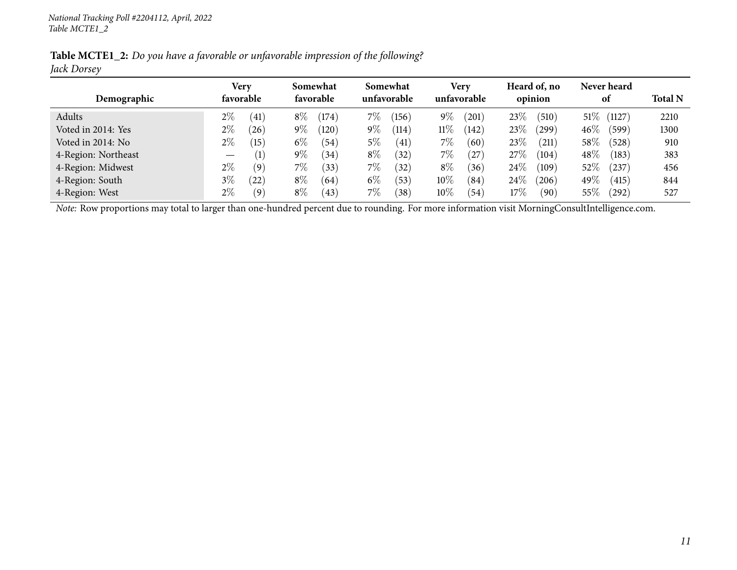|             | <b>Table MCTE1_2:</b> Do you have a favorable or unfavorable impression of the following? |  |
|-------------|-------------------------------------------------------------------------------------------|--|
| Jack Dorsey |                                                                                           |  |

|                     | Very                                 | Somewhat                 | Somewhat         | Very                        | Heard of, no                | Never heard              |                |
|---------------------|--------------------------------------|--------------------------|------------------|-----------------------------|-----------------------------|--------------------------|----------------|
| Demographic         | favorable                            | favorable                | unfavorable      | unfavorable                 | opinion                     | 0t                       | <b>Total N</b> |
| Adults              | $2\%$<br>(41)                        | $8\%$<br>$^{\prime}174)$ | 7%<br>$^{'}156)$ | $9\%$<br>$\left(201\right)$ | 23\%<br>(510)               | $51\%$<br>(1127)         | 2210           |
| Voted in 2014: Yes  | $2\%$<br>$^{'}26)$                   | $9\%$<br>(120)           | $9\%$<br>114     | $11\%$<br>(142)             | 23\%<br>(299)               | $46\%$<br>$^{\prime}599$ | 1300           |
| Voted in 2014: No   | $2\%$<br>(15)                        | $6\%$<br>(54)            | 5%<br>(41)       | 7%<br>(60)                  | 23\%<br>$\left( 211\right)$ | $58\%$<br>(528)          | 910            |
| 4-Region: Northeast | (1)<br>$\overbrace{\phantom{13333}}$ | $9\%$<br>(34)            | $8\%$<br>(32)    | 7%<br>27                    | $27\%$<br>(104)             | $48\%$<br>(183)          | 383            |
| 4-Region: Midwest   | $2\%$<br>(9)                         | $7\%$<br>(33)            | 7%<br>(32)       | $8\%$<br>(36)               | $24\%$<br>(109)             | $52\%$<br>$^{'}237)$     | 456            |
| 4-Region: South     | $3\%$<br>(22)                        | $8\%$<br>(64)            | $6\%$<br>(53)    | $10\%$<br>(84)              | $24\%$<br>206               | 49 $\%$<br>(415)         | 844            |
| 4-Region: West      | 2%<br>(9)                            | $8\%$<br>(43)            | 7%<br>(38)       | $10\%$<br>(54)              | 17%<br>$\sqrt{90}$          | $55\%$<br>$^{'}292)$     | 527            |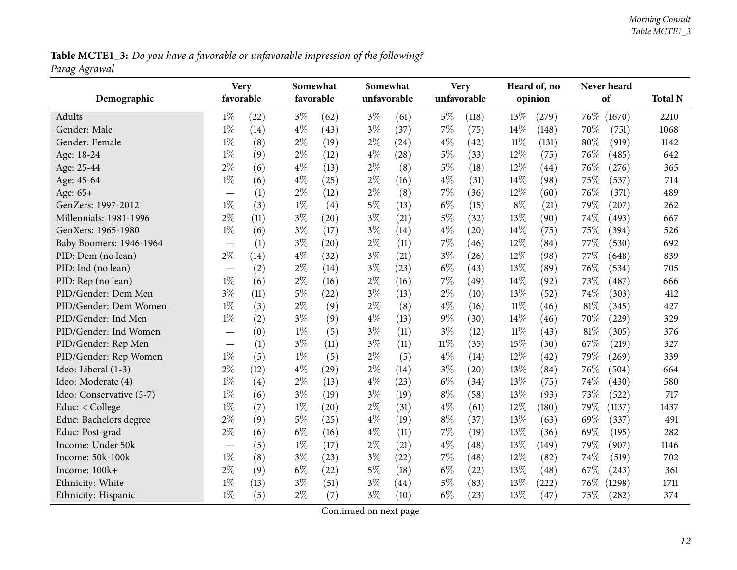Table MCTE1\_3: Do you have a favorable or unfavorable impression of the following? *Parag Agrawal*

<span id="page-11-0"></span>

|                          | <b>Very</b>              |      | Somewhat  |      |       | Somewhat    |        | <b>Very</b> |        | Heard of, no |      | Never heard |                |
|--------------------------|--------------------------|------|-----------|------|-------|-------------|--------|-------------|--------|--------------|------|-------------|----------------|
| Demographic              | favorable                |      | favorable |      |       | unfavorable |        | unfavorable |        | opinion      |      | of          | <b>Total N</b> |
| Adults                   | $1\%$                    | (22) | $3\%$     | (62) | $3\%$ | (61)        | $5\%$  | (118)       | 13%    | (279)        | 76\% | (1670)      | 2210           |
| Gender: Male             | $1\%$                    | (14) | $4\%$     | (43) | $3\%$ | (37)        | 7%     | (75)        | 14%    | (148)        | 70%  | (751)       | 1068           |
| Gender: Female           | $1\%$                    | (8)  | $2\%$     | (19) | $2\%$ | (24)        | $4\%$  | (42)        | $11\%$ | (131)        | 80%  | (919)       | 1142           |
| Age: 18-24               | $1\%$                    | (9)  | $2\%$     | (12) | $4\%$ | (28)        | $5\%$  | (33)        | 12%    | (75)         | 76%  | (485)       | 642            |
| Age: 25-44               | $2\%$                    | (6)  | $4\%$     | (13) | $2\%$ | (8)         | $5\%$  | (18)        | 12%    | (44)         | 76%  | (276)       | 365            |
| Age: 45-64               | $1\%$                    | (6)  | $4\%$     | (25) | $2\%$ | (16)        | $4\%$  | (31)        | 14%    | (98)         | 75%  | (537)       | 714            |
| Age: 65+                 |                          | (1)  | $2\%$     | (12) | $2\%$ | (8)         | $7\%$  | (36)        | 12%    | (60)         | 76%  | (371)       | 489            |
| GenZers: 1997-2012       | $1\%$                    | (3)  | $1\%$     | (4)  | $5\%$ | (13)        | $6\%$  | (15)        | $8\%$  | (21)         | 79%  | (207)       | 262            |
| Millennials: 1981-1996   | $2\%$                    | (11) | $3\%$     | (20) | $3\%$ | (21)        | $5\%$  | (32)        | 13%    | (90)         | 74%  | (493)       | 667            |
| GenXers: 1965-1980       | $1\%$                    | (6)  | $3\%$     | (17) | $3\%$ | (14)        | $4\%$  | (20)        | 14%    | (75)         | 75%  | (394)       | 526            |
| Baby Boomers: 1946-1964  |                          | (1)  | $3\%$     | (20) | $2\%$ | (11)        | 7%     | (46)        | 12%    | (84)         | 77%  | (530)       | 692            |
| PID: Dem (no lean)       | $2\%$                    | (14) | $4\%$     | (32) | $3\%$ | (21)        | $3\%$  | (26)        | 12%    | (98)         | 77%  | (648)       | 839            |
| PID: Ind (no lean)       |                          | (2)  | $2\%$     | (14) | $3\%$ | (23)        | $6\%$  | (43)        | 13%    | (89)         | 76%  | (534)       | 705            |
| PID: Rep (no lean)       | $1\%$                    | (6)  | $2\%$     | (16) | $2\%$ | (16)        | $7\%$  | (49)        | 14%    | (92)         | 73%  | (487)       | 666            |
| PID/Gender: Dem Men      | $3\%$                    | (11) | $5\%$     | (22) | $3\%$ | (13)        | $2\%$  | (10)        | 13%    | (52)         | 74%  | (303)       | 412            |
| PID/Gender: Dem Women    | $1\%$                    | (3)  | $2\%$     | (9)  | $2\%$ | (8)         | $4\%$  | (16)        | $11\%$ | (46)         | 81%  | (345)       | 427            |
| PID/Gender: Ind Men      | $1\%$                    | (2)  | $3\%$     | (9)  | $4\%$ | (13)        | $9\%$  | (30)        | 14%    | (46)         | 70%  | (229)       | 329            |
| PID/Gender: Ind Women    |                          | (0)  | $1\%$     | (5)  | $3\%$ | (11)        | $3\%$  | (12)        | $11\%$ | (43)         | 81%  | (305)       | 376            |
| PID/Gender: Rep Men      |                          | (1)  | $3\%$     | (11) | $3\%$ | (11)        | $11\%$ | (35)        | 15%    | (50)         | 67%  | (219)       | 327            |
| PID/Gender: Rep Women    | $1\%$                    | (5)  | $1\%$     | (5)  | $2\%$ | (5)         | $4\%$  | (14)        | 12%    | (42)         | 79%  | (269)       | 339            |
| Ideo: Liberal (1-3)      | $2\%$                    | (12) | $4\%$     | (29) | $2\%$ | (14)        | $3\%$  | (20)        | 13%    | (84)         | 76%  | (504)       | 664            |
| Ideo: Moderate (4)       | $1\%$                    | (4)  | $2\%$     | (13) | $4\%$ | (23)        | $6\%$  | (34)        | 13%    | (75)         | 74%  | (430)       | 580            |
| Ideo: Conservative (5-7) | $1\%$                    | (6)  | $3\%$     | (19) | $3\%$ | (19)        | $8\%$  | (58)        | 13%    | (93)         | 73%  | (522)       | 717            |
| Educ: < College          | $1\%$                    | (7)  | $1\%$     | (20) | $2\%$ | (31)        | $4\%$  | (61)        | 12%    | (180)        | 79%  | (1137)      | 1437           |
| Educ: Bachelors degree   | $2\%$                    | (9)  | $5\%$     | (25) | $4\%$ | (19)        | $8\%$  | (37)        | 13%    | (63)         | 69%  | (337)       | 491            |
| Educ: Post-grad          | $2\%$                    | (6)  | $6\%$     | (16) | $4\%$ | (11)        | $7\%$  | (19)        | 13%    | (36)         | 69%  | (195)       | 282            |
| Income: Under 50k        | $\overline{\phantom{0}}$ | (5)  | $1\%$     | (17) | $2\%$ | (21)        | $4\%$  | (48)        | 13%    | (149)        | 79%  | (907)       | 1146           |
| Income: 50k-100k         | $1\%$                    | (8)  | $3\%$     | (23) | $3\%$ | (22)        | 7%     | (48)        | 12%    | (82)         | 74%  | (519)       | 702            |
| Income: 100k+            | $2\%$                    | (9)  | $6\%$     | (22) | $5\%$ | (18)        | $6\%$  | (22)        | 13%    | (48)         | 67\% | (243)       | 361            |
| Ethnicity: White         | $1\%$                    | (13) | $3\%$     | (51) | $3\%$ | (44)        | $5\%$  | (83)        | 13%    | (222)        | 76%  | (1298)      | 1711           |
| Ethnicity: Hispanic      | $1\%$                    | (5)  | $2\%$     | (7)  | $3\%$ | (10)        | $6\%$  | (23)        | 13%    | (47)         | 75%  | (282)       | 374            |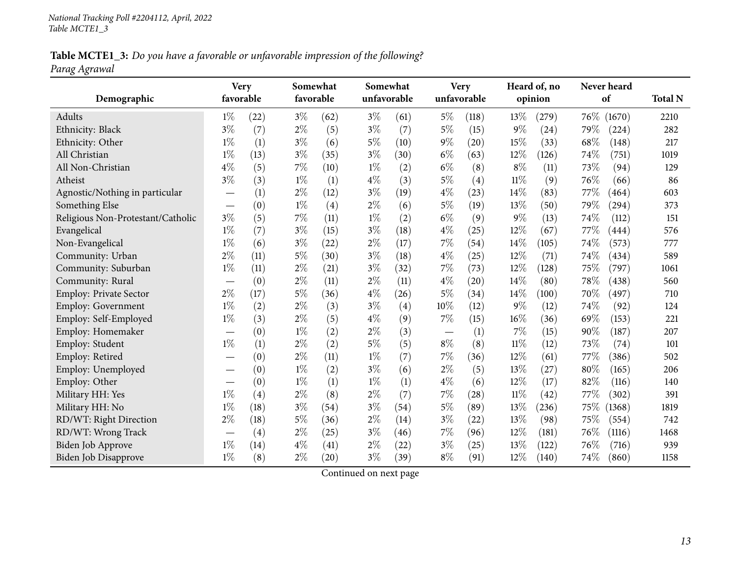Table MCTE1\_3: Do you have a favorable or unfavorable impression of the following? *Parag Agrawal*

|                                   | <b>Very</b>              |      |       | Somewhat  |       | Somewhat    |       | <b>Very</b> |        | Heard of, no |      | Never heard |                |
|-----------------------------------|--------------------------|------|-------|-----------|-------|-------------|-------|-------------|--------|--------------|------|-------------|----------------|
| Demographic                       | favorable                |      |       | favorable |       | unfavorable |       | unfavorable |        | opinion      |      | of          | <b>Total N</b> |
| Adults                            | $1\%$                    | (22) | $3\%$ | (62)      | $3\%$ | (61)        | $5\%$ | (118)       | 13%    | (279)        |      | 76\% (1670) | 2210           |
| Ethnicity: Black                  | $3\%$                    | (7)  | $2\%$ | (5)       | $3\%$ | (7)         | $5\%$ | (15)        | $9\%$  | (24)         | 79\% | (224)       | 282            |
| Ethnicity: Other                  | $1\%$                    | (1)  | $3\%$ | (6)       | $5\%$ | (10)        | $9\%$ | (20)        | 15%    | (33)         | 68%  | (148)       | 217            |
| All Christian                     | $1\%$                    | (13) | $3\%$ | (35)      | $3\%$ | (30)        | $6\%$ | (63)        | 12%    | (126)        | 74%  | (751)       | 1019           |
| All Non-Christian                 | $4\%$                    | (5)  | $7\%$ | (10)      | $1\%$ | (2)         | $6\%$ | (8)         | $8\%$  | (11)         | 73%  | (94)        | 129            |
| Atheist                           | $3\%$                    | (3)  | $1\%$ | (1)       | $4\%$ | (3)         | $5\%$ | (4)         | $11\%$ | (9)          | 76%  | (66)        | 86             |
| Agnostic/Nothing in particular    |                          | (1)  | $2\%$ | (12)      | $3\%$ | (19)        | $4\%$ | (23)        | 14%    | (83)         | 77%  | (464)       | 603            |
| Something Else                    |                          | (0)  | $1\%$ | (4)       | $2\%$ | (6)         | $5\%$ | (19)        | 13%    | (50)         | 79%  | (294)       | 373            |
| Religious Non-Protestant/Catholic | 3%                       | (5)  | 7%    | (11)      | $1\%$ | (2)         | $6\%$ | (9)         | $9\%$  | (13)         | 74%  | (112)       | 151            |
| Evangelical                       | $1\%$                    | (7)  | $3\%$ | (15)      | $3\%$ | (18)        | $4\%$ | (25)        | 12%    | (67)         | 77%  | (444)       | 576            |
| Non-Evangelical                   | $1\%$                    | (6)  | $3\%$ | (22)      | $2\%$ | (17)        | $7\%$ | (54)        | 14%    | (105)        | 74%  | (573)       | 777            |
| Community: Urban                  | $2\%$                    | (11) | $5\%$ | (30)      | $3\%$ | (18)        | $4\%$ | (25)        | 12%    | (71)         | 74\% | (434)       | 589            |
| Community: Suburban               | $1\%$                    | (11) | $2\%$ | (21)      | $3\%$ | (32)        | 7%    | (73)        | 12%    | (128)        | 75%  | (797)       | 1061           |
| Community: Rural                  | $\overline{\phantom{0}}$ | (0)  | $2\%$ | (11)      | $2\%$ | (11)        | $4\%$ | (20)        | 14%    | (80)         | 78%  | (438)       | 560            |
| <b>Employ: Private Sector</b>     | $2\%$                    | (17) | $5\%$ | (36)      | $4\%$ | (26)        | $5\%$ | (34)        | 14\%   | (100)        | 70%  | (497)       | 710            |
| Employ: Government                | $1\%$                    | (2)  | $2\%$ | (3)       | $3\%$ | (4)         | 10%   | (12)        | $9\%$  | (12)         | 74%  | (92)        | 124            |
| Employ: Self-Employed             | $1\%$                    | (3)  | $2\%$ | (5)       | $4\%$ | (9)         | $7\%$ | (15)        | 16%    | (36)         | 69%  | (153)       | 221            |
| Employ: Homemaker                 |                          | (0)  | $1\%$ | (2)       | $2\%$ | (3)         |       | (1)         | 7%     | (15)         | 90%  | (187)       | 207            |
| Employ: Student                   | $1\%$                    | (1)  | $2\%$ | (2)       | $5\%$ | (5)         | $8\%$ | (8)         | $11\%$ | (12)         | 73%  | (74)        | 101            |
| Employ: Retired                   |                          | (0)  | $2\%$ | (11)      | $1\%$ | (7)         | $7\%$ | (36)        | 12%    | (61)         | 77%  | (386)       | 502            |
| Employ: Unemployed                |                          | (0)  | $1\%$ | (2)       | $3\%$ | (6)         | $2\%$ | (5)         | 13%    | (27)         | 80%  | (165)       | 206            |
| Employ: Other                     |                          | (0)  | $1\%$ | (1)       | $1\%$ | (1)         | $4\%$ | (6)         | 12%    | (17)         | 82%  | (116)       | 140            |
| Military HH: Yes                  | $1\%$                    | (4)  | $2\%$ | (8)       | $2\%$ | (7)         | $7\%$ | (28)        | $11\%$ | (42)         | 77\% | (302)       | 391            |
| Military HH: No                   | $1\%$                    | (18) | $3\%$ | (54)      | $3\%$ | (54)        | $5\%$ | (89)        | 13%    | (236)        | 75\% | (1368)      | 1819           |
| RD/WT: Right Direction            | $2\%$                    | (18) | $5\%$ | (36)      | $2\%$ | (14)        | $3\%$ | (22)        | 13%    | (98)         | 75%  | (554)       | 742            |
| RD/WT: Wrong Track                |                          | (4)  | $2\%$ | (25)      | $3\%$ | (46)        | $7\%$ | (96)        | 12%    | (181)        | 76%  | (1116)      | 1468           |
| Biden Job Approve                 | $1\%$                    | (14) | $4\%$ | (41)      | $2\%$ | (22)        | $3\%$ | (25)        | 13%    | (122)        | 76%  | (716)       | 939            |
| Biden Job Disapprove              | $1\%$                    | (8)  | $2\%$ | (20)      | $3\%$ | (39)        | $8\%$ | (91)        | 12%    | (140)        | 74%  | (860)       | 1158           |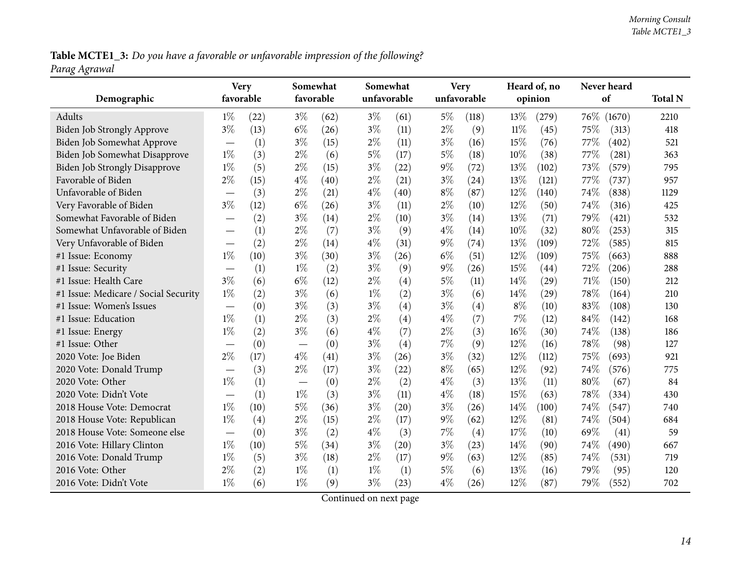Table MCTE1\_3: Do you have a favorable or unfavorable impression of the following? *Parag Agrawal*

| Demographic                          | <b>Very</b><br>favorable         |      | favorable | Somewhat | Somewhat | unfavorable |       | <b>Very</b><br>unfavorable |        | Heard of, no<br>opinion |      | Never heard<br>of | <b>Total N</b> |
|--------------------------------------|----------------------------------|------|-----------|----------|----------|-------------|-------|----------------------------|--------|-------------------------|------|-------------------|----------------|
| Adults                               | $1\%$                            | (22) | $3\%$     | (62)     | $3\%$    | (61)        | 5%    | (118)                      | 13%    | (279)                   | 76\% | (1670)            | 2210           |
| Biden Job Strongly Approve           | $3\%$                            | (13) | $6\%$     | (26)     | $3\%$    | (11)        | $2\%$ | (9)                        | $11\%$ | (45)                    | 75%  | (313)             | 418            |
| Biden Job Somewhat Approve           |                                  | (1)  | $3\%$     | (15)     | $2\%$    | (11)        | $3\%$ | (16)                       | 15%    | (76)                    | 77%  | (402)             | 521            |
| <b>Biden Job Somewhat Disapprove</b> | $1\%$                            | (3)  | $2\%$     | (6)      | $5\%$    | (17)        | $5\%$ | (18)                       | 10%    | (38)                    | 77%  | (281)             | 363            |
| <b>Biden Job Strongly Disapprove</b> | $1\%$                            | (5)  | $2\%$     | (15)     | $3\%$    | (22)        | $9\%$ | (72)                       | 13%    | (102)                   | 73%  | (579)             | 795            |
| Favorable of Biden                   | $2\%$                            | (15) | $4\%$     | (40)     | $2\%$    | (21)        | $3\%$ | (24)                       | 13%    | (121)                   | 77%  | (737)             | 957            |
| Unfavorable of Biden                 |                                  | (3)  | $2\%$     | (21)     | $4\%$    | (40)        | $8\%$ | (87)                       | 12%    | (140)                   | 74%  | (838)             | 1129           |
| Very Favorable of Biden              | $3\%$                            | (12) | $6\%$     | (26)     | $3\%$    | (11)        | $2\%$ | (10)                       | 12%    | (50)                    | 74%  | (316)             | 425            |
| Somewhat Favorable of Biden          | $\overbrace{\phantom{12322111}}$ | (2)  | $3\%$     | (14)     | $2\%$    | (10)        | $3\%$ | (14)                       | 13%    | (71)                    | 79%  | (421)             | 532            |
| Somewhat Unfavorable of Biden        | $\overbrace{\phantom{12322111}}$ | (1)  | $2\%$     | (7)      | $3\%$    | (9)         | $4\%$ | (14)                       | 10%    | (32)                    | 80%  | (253)             | 315            |
| Very Unfavorable of Biden            | $\overline{\phantom{0}}$         | (2)  | $2\%$     | (14)     | $4\%$    | (31)        | $9\%$ | (74)                       | 13%    | (109)                   | 72%  | (585)             | 815            |
| #1 Issue: Economy                    | $1\%$                            | (10) | $3\%$     | (30)     | $3\%$    | (26)        | $6\%$ | (51)                       | 12%    | (109)                   | 75%  | (663)             | 888            |
| #1 Issue: Security                   | $\overline{\phantom{0}}$         | (1)  | $1\%$     | (2)      | $3\%$    | (9)         | $9\%$ | (26)                       | 15%    | (44)                    | 72%  | (206)             | 288            |
| #1 Issue: Health Care                | $3\%$                            | (6)  | $6\%$     | (12)     | $2\%$    | (4)         | 5%    | (11)                       | $14\%$ | (29)                    | 71%  | (150)             | 212            |
| #1 Issue: Medicare / Social Security | $1\%$                            | (2)  | $3\%$     | (6)      | $1\%$    | (2)         | $3\%$ | (6)                        | 14%    | (29)                    | 78%  | (164)             | 210            |
| #1 Issue: Women's Issues             | $\overline{\phantom{0}}$         | (0)  | $3\%$     | (3)      | $3\%$    | (4)         | $3\%$ | (4)                        | $8\%$  | (10)                    | 83%  | (108)             | 130            |
| #1 Issue: Education                  | $1\%$                            | (1)  | $2\%$     | (3)      | $2\%$    | (4)         | $4\%$ | (7)                        | $7\%$  | (12)                    | 84%  | (142)             | 168            |
| #1 Issue: Energy                     | $1\%$                            | (2)  | $3\%$     | (6)      | $4\%$    | (7)         | $2\%$ | (3)                        | 16%    | (30)                    | 74%  | (138)             | 186            |
| #1 Issue: Other                      |                                  | (0)  |           | (0)      | $3\%$    | (4)         | 7%    | (9)                        | 12%    | (16)                    | 78%  | (98)              | 127            |
| 2020 Vote: Joe Biden                 | $2\%$                            | (17) | $4\%$     | (41)     | $3\%$    | (26)        | $3\%$ | (32)                       | $12\%$ | (112)                   | 75%  | (693)             | 921            |
| 2020 Vote: Donald Trump              |                                  | (3)  | $2\%$     | (17)     | $3\%$    | (22)        | $8\%$ | (65)                       | 12%    | (92)                    | 74%  | (576)             | 775            |
| 2020 Vote: Other                     | $1\%$                            | (1)  |           | (0)      | $2\%$    | (2)         | $4\%$ | (3)                        | 13%    | (11)                    | 80%  | (67)              | 84             |
| 2020 Vote: Didn't Vote               |                                  | (1)  | $1\%$     | (3)      | $3\%$    | (11)        | $4\%$ | (18)                       | 15%    | (63)                    | 78%  | (334)             | 430            |
| 2018 House Vote: Democrat            | $1\%$                            | (10) | $5\%$     | (36)     | $3\%$    | (20)        | $3\%$ | (26)                       | $14\%$ | (100)                   | 74%  | (547)             | 740            |
| 2018 House Vote: Republican          | $1\%$                            | (4)  | $2\%$     | (15)     | $2\%$    | (17)        | $9\%$ | (62)                       | $12\%$ | (81)                    | 74%  | (504)             | 684            |
| 2018 House Vote: Someone else        |                                  | (0)  | $3\%$     | (2)      | $4\%$    | (3)         | 7%    | (4)                        | 17%    | (10)                    | 69%  | (41)              | 59             |
| 2016 Vote: Hillary Clinton           | $1\%$                            | (10) | $5\%$     | (34)     | $3\%$    | (20)        | $3\%$ | (23)                       | 14%    | (90)                    | 74%  | (490)             | 667            |
| 2016 Vote: Donald Trump              | $1\%$                            | (5)  | $3\%$     | (18)     | $2\%$    | (17)        | $9\%$ | (63)                       | 12%    | (85)                    | 74%  | (531)             | 719            |
| 2016 Vote: Other                     | $2\%$                            | (2)  | $1\%$     | (1)      | $1\%$    | (1)         | 5%    | (6)                        | $13\%$ | (16)                    | 79%  | (95)              | 120            |
| 2016 Vote: Didn't Vote               | $1\%$                            | (6)  | $1\%$     | (9)      | $3\%$    | (23)        | $4\%$ | (26)                       | 12%    | (87)                    | 79%  | (552)             | 702            |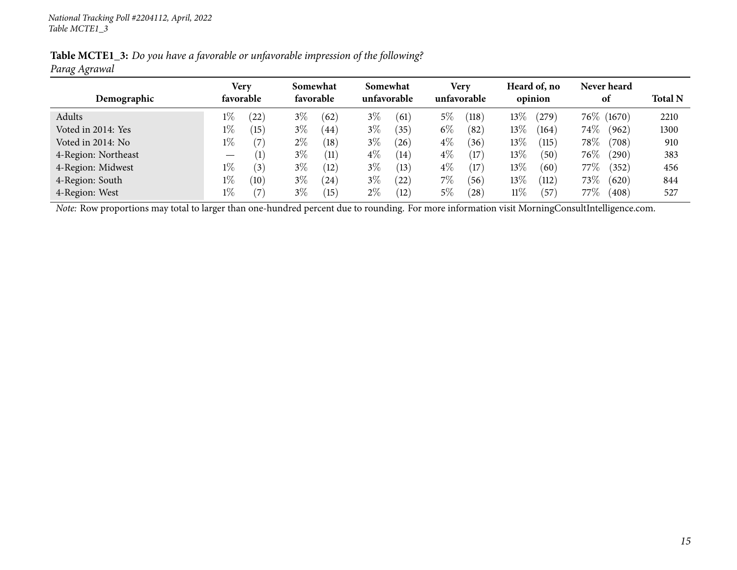|               | Table MCTE1_3: Do you have a favorable or unfavorable impression of the following? |  |
|---------------|------------------------------------------------------------------------------------|--|
| Parag Agrawal |                                                                                    |  |

|                     |                                 | Very             |       | Somewhat  |       | Somewhat    |       | <b>Very</b> |        | Heard of, no     |         | Never heard     |                |
|---------------------|---------------------------------|------------------|-------|-----------|-------|-------------|-------|-------------|--------|------------------|---------|-----------------|----------------|
| Demographic         |                                 | favorable        |       | favorable |       | unfavorable |       | unfavorable |        | opinion          |         | 0t              | <b>Total N</b> |
| Adults              | $1\%$                           | 22)              | $3\%$ | (62)      | $3\%$ | (61)        | $5\%$ | (118)       | $13\%$ | 279              |         | 76\% (1670)     | 2210           |
| Voted in 2014: Yes  | $1\%$                           | (15)             | $3\%$ | (44)      | $3\%$ | (35)        | $6\%$ | (82)        | $13\%$ | (164)            | $74\%$  | (962)           | 1300           |
| Voted in 2014: No   | $1\%$                           | (7)              | $2\%$ | (18)      | $3\%$ | $^{'}26$    | $4\%$ | (36)        | 13%    | $\overline{115}$ | 78\%    | $^{\prime}708)$ | 910            |
| 4-Region: Northeast | $\hspace{0.1mm}-\hspace{0.1mm}$ | $\left(1\right)$ | $3\%$ | (11)      | $4\%$ | (14)        | $4\%$ | (17)        | $13\%$ | 50 <sup>2</sup>  | $76\%$  | (290)           | 383            |
| 4-Region: Midwest   | $1\%$                           | (3)              | $3\%$ | (12)      | $3\%$ | (13)        | $4\%$ | (17)        | 13%    | (60              | 77 $\%$ | (352)           | 456            |
| 4-Region: South     | $1\%$                           | (10)             | $3\%$ | (24)      | $3\%$ | 22          | $7\%$ | (56)        | $13\%$ | (112)            | 73\%    | (620)           | 844            |
| 4-Region: West      | $1\%$                           | (7)              | $3\%$ | (15)      | $2\%$ | (12)        | $5\%$ | $^{'}28$    | $11\%$ | 57               | 77%     | (408)           | 527            |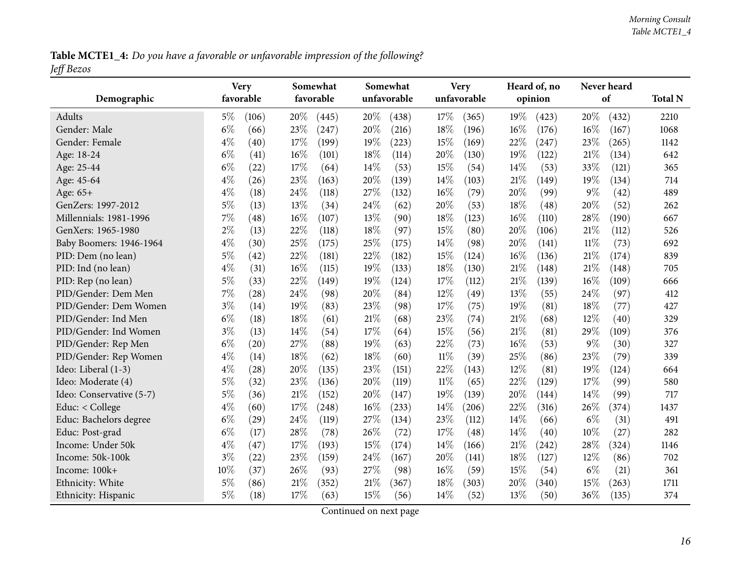Table MCTE1\_4: Do you have a favorable or unfavorable impression of the following? *Jeff Bezos*

<span id="page-15-0"></span>

| Demographic              | <b>Very</b><br>favorable | Somewhat<br>favorable | Somewhat<br>unfavorable | <b>Very</b><br>unfavorable | Heard of, no<br>opinion | Never heard<br>of | <b>Total N</b> |
|--------------------------|--------------------------|-----------------------|-------------------------|----------------------------|-------------------------|-------------------|----------------|
| Adults                   | $5\%$<br>(106)           | 20%<br>(445)          | 20%<br>(438)            | 17%<br>(365)               | 19%<br>(423)            | 20%<br>(432)      | 2210           |
| Gender: Male             | $6\%$<br>(66)            | 23%<br>(247)          | 20%<br>(216)            | 18%<br>(196)               | $16\%$<br>(176)         | 16%<br>(167)      | 1068           |
| Gender: Female           | $4\%$<br>(40)            | 17%<br>(199)          | 19%<br>(223)            | 15%<br>(169)               | 22%<br>(247)            | 23\%<br>(265)     | 1142           |
| Age: 18-24               | $6\%$<br>(41)            | $16\%$<br>(101)       | 18%<br>(114)            | 20%<br>(130)               | 19%<br>(122)            | 21%<br>(134)      | 642            |
| Age: 25-44               | $6\%$<br>(22)            | 17%<br>(64)           | 14%<br>(53)             | 15%<br>(54)                | 14\%<br>(53)            | 33%<br>(121)      | 365            |
| Age: 45-64               | $4\%$<br>(26)            | 23%<br>(163)          | 20%<br>(139)            | 14%<br>(103)               | 21%<br>(149)            | 19%<br>(134)      | 714            |
| Age: 65+                 | $4\%$<br>(18)            | 24%<br>(118)          | 27%<br>(132)            | 16%<br>(79)                | 20%<br>(99)             | 9%<br>(42)        | 489            |
| GenZers: 1997-2012       | $5\%$<br>(13)            | 13\%<br>(34)          | 24%<br>(62)             | 20%<br>(53)                | 18%<br>(48)             | 20%<br>(52)       | 262            |
| Millennials: 1981-1996   | 7%<br>(48)               | 16%<br>(107)          | 13%<br>(90)             | 18%<br>(123)               | 16%<br>(110)            | 28%<br>(190)      | 667            |
| GenXers: 1965-1980       | $2\%$<br>(13)            | 22%<br>(118)          | 18%<br>(97)             | 15%<br>(80)                | 20%<br>(106)            | 21%<br>(112)      | 526            |
| Baby Boomers: 1946-1964  | $4\%$<br>(30)            | 25%<br>(175)          | 25%<br>(175)            | 14%<br>(98)                | 20%<br>(141)            | 11%<br>(73)       | 692            |
| PID: Dem (no lean)       | $5\%$<br>(42)            | 22%<br>(181)          | 22%<br>(182)            | 15%<br>(124)               | 16%<br>(136)            | 21%<br>(174)      | 839            |
| PID: Ind (no lean)       | $4\%$<br>(31)            | 16%<br>(115)          | 19%<br>(133)            | 18%<br>(130)               | 21%<br>(148)            | $21\%$<br>(148)   | 705            |
| PID: Rep (no lean)       | $5\%$<br>(33)            | 22%<br>(149)          | 19%<br>(124)            | 17%<br>(112)               | 21%<br>(139)            | $16\%$<br>(109)   | 666            |
| PID/Gender: Dem Men      | 7%<br>(28)               | 24%<br>(98)           | 20%<br>(84)             | 12%<br>(49)                | 13%<br>(55)             | 24%<br>(97)       | 412            |
| PID/Gender: Dem Women    | $3\%$<br>(14)            | 19%<br>(83)           | 23%<br>(98)             | 17%<br>(75)                | 19%<br>(81)             | 18%<br>(77)       | 427            |
| PID/Gender: Ind Men      | $6\%$<br>(18)            | 18%<br>(61)           | 21\%<br>(68)            | 23%<br>(74)                | 21%<br>(68)             | 12%<br>(40)       | 329            |
| PID/Gender: Ind Women    | $3\%$<br>(13)            | 14%<br>(54)           | 17%<br>(64)             | 15%<br>(56)                | 21%<br>(81)             | 29%<br>(109)      | 376            |
| PID/Gender: Rep Men      | $6\%$<br>(20)            | 27%<br>(88)           | 19%<br>(63)             | 22%<br>(73)                | 16%<br>(53)             | $9\%$<br>(30)     | 327            |
| PID/Gender: Rep Women    | $4\%$<br>(14)            | 18%<br>(62)           | 18%<br>(60)             | 11%<br>(39)                | 25%<br>(86)             | 23%<br>(79)       | 339            |
| Ideo: Liberal (1-3)      | $4\%$<br>(28)            | 20%<br>(135)          | 23%<br>(151)            | 22%<br>(143)               | 12%<br>(81)             | 19%<br>(124)      | 664            |
| Ideo: Moderate (4)       | 5%<br>(32)               | 23%<br>(136)          | 20%<br>(119)            | $11\%$<br>(65)             | 22%<br>(129)            | 17%<br>(99)       | 580            |
| Ideo: Conservative (5-7) | $5\%$<br>(36)            | 21%<br>(152)          | 20%<br>(147)            | 19%<br>(139)               | 20%<br>(144)            | 14\%<br>(99)      | 717            |
| Educ: < College          | $4\%$<br>(60)            | 17%<br>(248)          | $16\%$<br>(233)         | 14%<br>(206)               | 22%<br>(316)            | 26%<br>(374)      | 1437           |
| Educ: Bachelors degree   | $6\%$<br>(29)            | 24%<br>(119)          | 27%<br>(134)            | 23%<br>(112)               | 14%<br>(66)             | $6\%$<br>(31)     | 491            |
| Educ: Post-grad          | $6\%$<br>(17)            | 28%<br>(78)           | 26%<br>(72)             | 17%<br>(48)                | 14\%<br>(40)            | 10%<br>(27)       | 282            |
| Income: Under 50k        | $4\%$<br>(47)            | 17%<br>(193)          | 15%<br>(174)            | 14%<br>(166)               | 21%<br>(242)            | 28\%<br>(324)     | 1146           |
| Income: 50k-100k         | $3\%$<br>(22)            | 23%<br>(159)          | 24%<br>(167)            | 20%<br>(141)               | 18%<br>(127)            | 12%<br>(86)       | 702            |
| Income: 100k+            | 10%<br>(37)              | 26%<br>(93)           | 27\%<br>(98)            | 16%<br>(59)                | 15%<br>(54)             | $6\%$<br>(21)     | 361            |
| Ethnicity: White         | $5\%$<br>(86)            | $21\%$<br>(352)       | $21\%$<br>(367)         | 18%<br>(303)               | 20%<br>(340)            | 15%<br>(263)      | 1711           |
| Ethnicity: Hispanic      | $5\%$<br>(18)            | 17%<br>(63)           | 15%<br>(56)             | 14%<br>(52)                | 13%<br>(50)             | 36%<br>(135)      | 374            |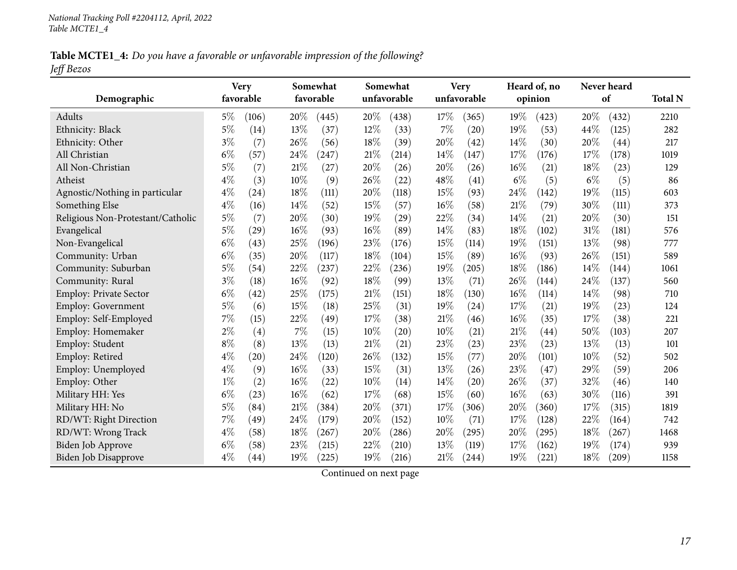Table MCTE1\_4: Do you have a favorable or unfavorable impression of the following? *Jeff Bezos*

|                                   | <b>Very</b> |       |      | Somewhat  |        | Somewhat    |      | <b>Very</b> |        | Heard of, no |       | Never heard |                |
|-----------------------------------|-------------|-------|------|-----------|--------|-------------|------|-------------|--------|--------------|-------|-------------|----------------|
| Demographic                       | favorable   |       |      | favorable |        | unfavorable |      | unfavorable |        | opinion      |       | of          | <b>Total N</b> |
| Adults                            | $5\%$       | (106) | 20%  | (445)     | $20\%$ | (438)       | 17%  | (365)       | 19%    | (423)        | 20%   | (432)       | 2210           |
| Ethnicity: Black                  | 5%          | (14)  | 13%  | (37)      | 12%    | (33)        | 7%   | (20)        | 19%    | (53)         | 44\%  | (125)       | 282            |
| Ethnicity: Other                  | $3\%$       | (7)   | 26%  | (56)      | 18%    | (39)        | 20%  | (42)        | 14%    | (30)         | 20%   | (44)        | 217            |
| All Christian                     | $6\%$       | (57)  | 24%  | (247)     | 21%    | (214)       | 14%  | (147)       | 17%    | (176)        | 17%   | (178)       | 1019           |
| All Non-Christian                 | $5\%$       | (7)   | 21%  | (27)      | 20%    | (26)        | 20%  | (26)        | 16%    | (21)         | 18%   | (23)        | 129            |
| Atheist                           | $4\%$       | (3)   | 10%  | (9)       | 26%    | (22)        | 48%  | (41)        | $6\%$  | (5)          | $6\%$ | (5)         | 86             |
| Agnostic/Nothing in particular    | $4\%$       | (24)  | 18%  | (111)     | 20%    | (118)       | 15%  | (93)        | 24%    | (142)        | 19%   | (115)       | 603            |
| Something Else                    | $4\%$       | (16)  | 14%  | (52)      | 15%    | (57)        | 16%  | (58)        | $21\%$ | (79)         | 30%   | (111)       | 373            |
| Religious Non-Protestant/Catholic | $5\%$       | (7)   | 20%  | (30)      | 19%    | (29)        | 22%  | (34)        | 14\%   | (21)         | 20%   | (30)        | 151            |
| Evangelical                       | $5\%$       | (29)  | 16%  | (93)      | 16%    | (89)        | 14%  | (83)        | 18%    | (102)        | 31%   | (181)       | 576            |
| Non-Evangelical                   | $6\%$       | (43)  | 25%  | (196)     | 23%    | (176)       | 15%  | (114)       | 19%    | (151)        | 13%   | (98)        | 777            |
| Community: Urban                  | $6\%$       | (35)  | 20%  | (117)     | 18%    | (104)       | 15%  | (89)        | 16%    | (93)         | 26\%  | (151)       | 589            |
| Community: Suburban               | $5\%$       | (54)  | 22%  | (237)     | 22%    | (236)       | 19%  | (205)       | 18%    | (186)        | 14%   | (144)       | 1061           |
| Community: Rural                  | $3\%$       | (18)  | 16%  | (92)      | 18%    | (99)        | 13%  | (71)        | 26%    | (144)        | 24%   | (137)       | 560            |
| Employ: Private Sector            | $6\%$       | (42)  | 25%  | (175)     | 21%    | (151)       | 18%  | (130)       | 16%    | (114)        | 14%   | (98)        | 710            |
| Employ: Government                | $5\%$       | (6)   | 15%  | (18)      | 25%    | (31)        | 19%  | (24)        | 17%    | (21)         | 19%   | (23)        | 124            |
| Employ: Self-Employed             | 7%          | (15)  | 22%  | (49)      | 17%    | (38)        | 21%  | (46)        | 16%    | (35)         | 17%   | (38)        | 221            |
| Employ: Homemaker                 | $2\%$       | (4)   | 7%   | (15)      | 10%    | (20)        | 10%  | (21)        | 21%    | (44)         | 50%   | (103)       | 207            |
| Employ: Student                   | $8\%$       | (8)   | 13%  | (13)      | 21%    | (21)        | 23%  | (23)        | 23%    | (23)         | 13%   | (13)        | 101            |
| Employ: Retired                   | $4\%$       | (20)  | 24%  | (120)     | 26%    | (132)       | 15%  | (77)        | 20%    | (101)        | 10%   | (52)        | 502            |
| Employ: Unemployed                | $4\%$       | (9)   | 16%  | (33)      | 15%    | (31)        | 13%  | (26)        | 23%    | (47)         | 29%   | (59)        | 206            |
| Employ: Other                     | $1\%$       | (2)   | 16%  | (22)      | 10%    | (14)        | 14%  | (20)        | 26%    | (37)         | 32%   | (46)        | 140            |
| Military HH: Yes                  | $6\%$       | (23)  | 16%  | (62)      | 17%    | (68)        | 15%  | (60)        | 16%    | (63)         | 30%   | (116)       | 391            |
| Military HH: No                   | $5\%$       | (84)  | 21\% | (384)     | 20%    | (371)       | 17\% | (306)       | 20%    | (360)        | 17%   | (315)       | 1819           |
| RD/WT: Right Direction            | $7\%$       | (49)  | 24%  | (179)     | 20%    | (152)       | 10%  | (71)        | 17%    | (128)        | 22%   | (164)       | 742            |
| RD/WT: Wrong Track                | $4\%$       | (58)  | 18%  | (267)     | 20%    | (286)       | 20%  | (295)       | 20%    | (295)        | 18%   | (267)       | 1468           |
| <b>Biden Job Approve</b>          | $6\%$       | (58)  | 23%  | (215)     | 22%    | (210)       | 13%  | (119)       | 17%    | (162)        | 19%   | (174)       | 939            |
| Biden Job Disapprove              | $4\%$       | (44)  | 19%  | (225)     | 19%    | (216)       | 21\% | (244)       | 19%    | (221)        | 18%   | (209)       | 1158           |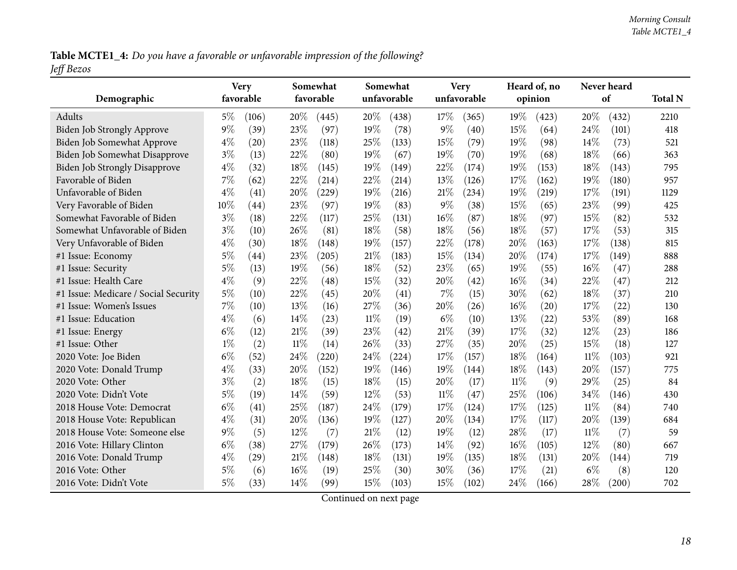Table MCTE1\_4: Do you have a favorable or unfavorable impression of the following? *Jeff Bezos*

| Demographic                          | <b>Very</b><br>favorable |       |        | Somewhat<br>favorable |        | Somewhat<br>unfavorable |        | <b>Very</b><br>unfavorable |        | Heard of, no<br>opinion |        | Never heard<br>of | <b>Total N</b> |
|--------------------------------------|--------------------------|-------|--------|-----------------------|--------|-------------------------|--------|----------------------------|--------|-------------------------|--------|-------------------|----------------|
| Adults                               | $5\%$                    | (106) | 20%    | (445)                 | 20%    | (438)                   | 17%    | (365)                      | 19%    | (423)                   | 20%    | (432)             | 2210           |
| <b>Biden Job Strongly Approve</b>    | $9\%$                    | (39)  | 23%    | (97)                  | 19%    | (78)                    | $9\%$  | (40)                       | 15%    | (64)                    | 24\%   | (101)             | 418            |
| Biden Job Somewhat Approve           | $4\%$                    | (20)  | 23%    | (118)                 | 25%    | (133)                   | 15%    | (79)                       | 19%    | (98)                    | 14\%   | (73)              | 521            |
| Biden Job Somewhat Disapprove        | $3\%$                    | (13)  | 22%    | (80)                  | 19%    | (67)                    | 19%    | (70)                       | 19%    | (68)                    | 18%    | (66)              | 363            |
| <b>Biden Job Strongly Disapprove</b> | $4\%$                    | (32)  | 18%    | (145)                 | 19%    | (149)                   | 22%    | (174)                      | 19%    | (153)                   | 18%    | (143)             | 795            |
| Favorable of Biden                   | 7%                       | (62)  | 22%    | (214)                 | 22%    | (214)                   | 13%    | (126)                      | 17%    | (162)                   | 19%    | (180)             | 957            |
| Unfavorable of Biden                 | $4\%$                    | (41)  | 20%    | (229)                 | 19%    | (216)                   | 21%    | (234)                      | 19%    | (219)                   | 17%    | (191)             | 1129           |
| Very Favorable of Biden              | 10%                      | (44)  | 23%    | (97)                  | 19%    | (83)                    | $9\%$  | (38)                       | 15%    | (65)                    | 23%    | (99)              | 425            |
| Somewhat Favorable of Biden          | $3\%$                    | (18)  | 22%    | (117)                 | 25%    | (131)                   | 16%    | (87)                       | 18%    | (97)                    | 15%    | (82)              | 532            |
| Somewhat Unfavorable of Biden        | $3\%$                    | (10)  | 26\%   | (81)                  | 18%    | (58)                    | 18%    | (56)                       | 18%    | (57)                    | 17%    | (53)              | 315            |
| Very Unfavorable of Biden            | $4\%$                    | (30)  | 18%    | (148)                 | 19%    | (157)                   | 22%    | (178)                      | 20%    | (163)                   | 17%    | (138)             | 815            |
| #1 Issue: Economy                    | $5\%$                    | (44)  | 23%    | (205)                 | 21%    | (183)                   | 15%    | (134)                      | 20%    | (174)                   | 17%    | (149)             | 888            |
| #1 Issue: Security                   | $5\%$                    | (13)  | 19%    | (56)                  | 18%    | (52)                    | 23%    | (65)                       | 19%    | (55)                    | 16%    | (47)              | 288            |
| #1 Issue: Health Care                | $4\%$                    | (9)   | 22%    | (48)                  | 15%    | (32)                    | 20%    | (42)                       | 16%    | (34)                    | 22%    | (47)              | 212            |
| #1 Issue: Medicare / Social Security | $5\%$                    | (10)  | 22%    | (45)                  | 20%    | (41)                    | 7%     | (15)                       | 30%    | (62)                    | 18%    | (37)              | 210            |
| #1 Issue: Women's Issues             | 7%                       | (10)  | 13%    | (16)                  | 27%    | (36)                    | 20%    | (26)                       | 16%    | (20)                    | 17%    | (22)              | 130            |
| #1 Issue: Education                  | $4\%$                    | (6)   | 14%    | (23)                  | $11\%$ | (19)                    | $6\%$  | (10)                       | 13%    | (22)                    | 53%    | (89)              | 168            |
| #1 Issue: Energy                     | $6\%$                    | (12)  | $21\%$ | (39)                  | 23%    | (42)                    | 21%    | (39)                       | 17%    | (32)                    | 12%    | (23)              | 186            |
| #1 Issue: Other                      | $1\%$                    | (2)   | $11\%$ | (14)                  | 26%    | (33)                    | 27%    | (35)                       | 20%    | (25)                    | 15%    | (18)              | 127            |
| 2020 Vote: Joe Biden                 | $6\%$                    | (52)  | 24%    | (220)                 | 24%    | (224)                   | 17%    | (157)                      | 18%    | (164)                   | $11\%$ | (103)             | 921            |
| 2020 Vote: Donald Trump              | $4\%$                    | (33)  | 20%    | (152)                 | 19%    | (146)                   | 19%    | (144)                      | 18%    | (143)                   | 20%    | (157)             | 775            |
| 2020 Vote: Other                     | $3\%$                    | (2)   | 18%    | (15)                  | 18%    | (15)                    | 20%    | (17)                       | $11\%$ | (9)                     | 29%    | (25)              | 84             |
| 2020 Vote: Didn't Vote               | 5%                       | (19)  | 14%    | (59)                  | 12%    | (53)                    | $11\%$ | (47)                       | 25%    | (106)                   | 34%    | (146)             | 430            |
| 2018 House Vote: Democrat            | $6\%$                    | (41)  | 25%    | (187)                 | 24%    | (179)                   | 17%    | (124)                      | 17%    | (125)                   | $11\%$ | (84)              | 740            |
| 2018 House Vote: Republican          | $4\%$                    | (31)  | 20%    | (136)                 | 19%    | (127)                   | 20%    | (134)                      | 17%    | (117)                   | 20%    | (139)             | 684            |
| 2018 House Vote: Someone else        | $9\%$                    | (5)   | 12%    | (7)                   | 21%    | (12)                    | 19%    | (12)                       | 28%    | (17)                    | $11\%$ | (7)               | 59             |
| 2016 Vote: Hillary Clinton           | $6\%$                    | (38)  | 27%    | (179)                 | 26%    | (173)                   | 14%    | (92)                       | $16\%$ | (105)                   | 12%    | (80)              | 667            |
| 2016 Vote: Donald Trump              | $4\%$                    | (29)  | 21%    | (148)                 | 18%    | (131)                   | 19%    | (135)                      | 18%    | (131)                   | 20%    | (144)             | 719            |
| 2016 Vote: Other                     | $5\%$                    | (6)   | 16%    | (19)                  | 25%    | (30)                    | 30%    | (36)                       | 17%    | (21)                    | $6\%$  | (8)               | 120            |
| 2016 Vote: Didn't Vote               | $5\%$                    | (33)  | 14\%   | (99)                  | 15%    | (103)                   | 15%    | (102)                      | 24\%   | (166)                   | 28\%   | (200)             | 702            |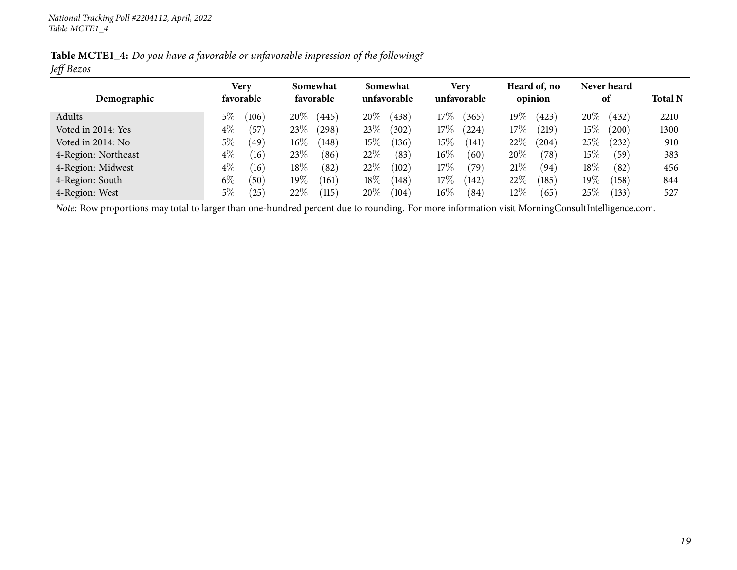Table MCTE1\_4: Do you have a favorable or unfavorable impression of the following? *Jeff Bezos*

|                     | Very           | Somewhat                  | Somewhat        | <b>Very</b>                  | Heard of, no          | Never heard              |                |
|---------------------|----------------|---------------------------|-----------------|------------------------------|-----------------------|--------------------------|----------------|
| Demographic         | favorable      | favorable                 | unfavorable     | unfavorable                  | opinion               | 0t                       | <b>Total N</b> |
| Adults              | $5\%$<br>(106) | 20%<br>445                | $20\%$<br>(438) | $17\%$<br>(365)              | $19\%$<br>(423)       | $20\%$<br>(432)          | 2210           |
| Voted in 2014: Yes  | $4\%$<br>(57)  | 23%<br>298                | $23\%$<br>(302) | 17%<br>$^{(224)}$            | 17%<br>(219)          | $15\%$<br>$^{\prime}200$ | 1300           |
| Voted in 2014: No   | $5\%$<br>(49)  | $16\%$<br>[148]           | $15\%$<br>(136) | $15\%$<br>$\left(141\right)$ | 22\%<br>204           | $25\%$<br>(232)          | 910            |
| 4-Region: Northeast | $4\%$<br>(16)  | 23\%<br>(86)              | 22\%<br>(83)    | $16\%$<br>(60)               | 20%<br>$^{\prime}78)$ | $15\%$<br>(59`           | 383            |
| 4-Region: Midwest   | $4\%$<br>(16)  | 18%<br>(82)               | $22\%$<br>(102) | 17%<br>(79)                  | 21%<br>(94            | $18\%$<br>(82)           | 456            |
| 4-Region: South     | $6\%$<br>(50)  | $19\%$<br>(161)           | $18\%$<br>(148) | 17%<br>(142)                 | 22%<br>(185)          | $19\%$<br>(158)          | 844            |
| 4-Region: West      | $5\%$<br>(25)  | 22%<br>$\left(115\right)$ | $20\%$<br>(104) | $16\%$<br>(84)               | $12\%$<br>65          | $25\%$<br>(133)          | 527            |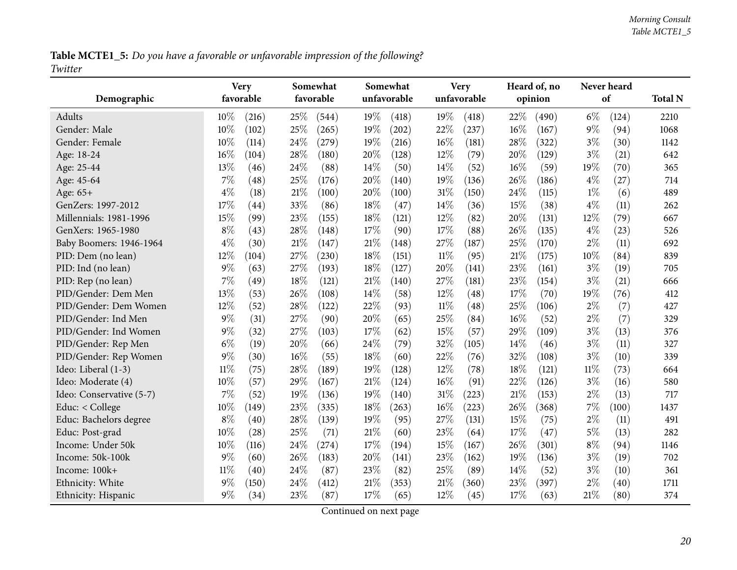Table MCTE1\_5: Do you have a favorable or unfavorable impression of the following? *Twitter*

<span id="page-19-0"></span>

| Demographic              | <b>Very</b><br>favorable | Somewhat<br>favorable | Somewhat<br>unfavorable | <b>Very</b><br>unfavorable | Heard of, no<br>opinion | Never heard<br>of | <b>Total N</b> |
|--------------------------|--------------------------|-----------------------|-------------------------|----------------------------|-------------------------|-------------------|----------------|
|                          |                          |                       |                         |                            |                         |                   |                |
| Adults                   | 10%<br>(216)             | 25%<br>(544)          | 19%<br>(418)            | 19%<br>(418)               | 22%<br>(490)            | $6\%$<br>(124)    | 2210           |
| Gender: Male             | 10%<br>(102)             | 25%<br>(265)          | $19\%$<br>(202)         | 22%<br>(237)               | $16\%$<br>(167)         | 9%<br>(94)        | 1068           |
| Gender: Female           | 10%<br>(114)             | 24%<br>(279)          | 19%<br>(216)            | 16%<br>(181)               | 28%<br>(322)            | $3\%$<br>(30)     | 1142           |
| Age: 18-24               | 16%<br>(104)             | 28\%<br>(180)         | 20%<br>(128)            | 12%<br>(79)                | 20%<br>(129)            | $3\%$<br>(21)     | 642            |
| Age: 25-44               | 13%<br>(46)              | 24\%<br>(88)          | 14%<br>(50)             | 14%<br>(52)                | 16%<br>(59)             | 19%<br>(70)       | 365            |
| Age: 45-64               | 7%<br>(48)               | 25%<br>(176)          | 20%<br>(140)            | 19%<br>(136)               | 26%<br>(186)            | $4\%$<br>(27)     | 714            |
| Age: 65+                 | $4\%$<br>(18)            | 21%<br>(100)          | 20%<br>(100)            | 31%<br>(150)               | 24%<br>(115)            | $1\%$<br>(6)      | 489            |
| GenZers: 1997-2012       | 17%<br>(44)              | 33%<br>(86)           | 18%<br>(47)             | 14%<br>(36)                | 15%<br>(38)             | $4\%$<br>(11)     | 262            |
| Millennials: 1981-1996   | 15%<br>(99)              | 23%<br>(155)          | 18%<br>(121)            | 12%<br>(82)                | 20%<br>(131)            | 12%<br>(79)       | 667            |
| GenXers: 1965-1980       | $8\%$<br>(43)            | 28%<br>(148)          | 17%<br>(90)             | 17%<br>(88)                | 26%<br>(135)            | $4\%$<br>(23)     | 526            |
| Baby Boomers: 1946-1964  | $4\%$<br>(30)            | 21%<br>(147)          | $21\%$<br>(148)         | 27%<br>(187)               | 25%<br>(170)            | $2\%$<br>(11)     | 692            |
| PID: Dem (no lean)       | 12%<br>(104)             | 27%<br>(230)          | 18%<br>(151)            | $11\%$<br>(95)             | 21%<br>(175)            | 10%<br>(84)       | 839            |
| PID: Ind (no lean)       | $9\%$<br>(63)            | 27\%<br>(193)         | 18%<br>(127)            | 20%<br>(141)               | 23%<br>(161)            | $3\%$<br>(19)     | 705            |
| PID: Rep (no lean)       | 7%<br>(49)               | 18%<br>(121)          | $21\%$<br>(140)         | 27%<br>(181)               | 23%<br>(154)            | $3\%$<br>(21)     | 666            |
| PID/Gender: Dem Men      | 13%<br>(53)              | 26%<br>(108)          | 14\%<br>(58)            | 12%<br>(48)                | 17%<br>(70)             | 19%<br>(76)       | 412            |
| PID/Gender: Dem Women    | 12%<br>(52)              | 28%<br>(122)          | 22%<br>(93)             | $11\%$<br>(48)             | 25%<br>(106)            | $2\%$<br>(7)      | 427            |
| PID/Gender: Ind Men      | $9\%$<br>(31)            | 27%<br>(90)           | 20%<br>(65)             | 25%<br>(84)                | 16%<br>(52)             | $2\%$<br>(7)      | 329            |
| PID/Gender: Ind Women    | $9\%$<br>(32)            | 27%<br>(103)          | 17%<br>(62)             | 15%<br>(57)                | 29%<br>(109)            | $3\%$<br>(13)     | 376            |
| PID/Gender: Rep Men      | $6\%$<br>(19)            | 20%<br>(66)           | 24\%<br>(79)            | 32%<br>(105)               | 14%<br>(46)             | $3\%$<br>(11)     | 327            |
| PID/Gender: Rep Women    | $9\%$<br>(30)            | 16%<br>(55)           | 18%<br>(60)             | 22%<br>(76)                | 32%<br>(108)            | $3\%$<br>(10)     | 339            |
| Ideo: Liberal (1-3)      | $11\%$<br>(75)           | 28%<br>(189)          | 19%<br>(128)            | 12%<br>(78)                | 18%<br>(121)            | 11%<br>(73)       | 664            |
| Ideo: Moderate (4)       | 10%<br>(57)              | 29%<br>(167)          | $21\%$<br>(124)         | 16%<br>(91)                | 22%<br>(126)            | $3\%$<br>(16)     | 580            |
| Ideo: Conservative (5-7) | 7%<br>(52)               | 19%<br>(136)          | 19%<br>(140)            | 31%<br>(223)               | 21%<br>(153)            | $2\%$<br>(13)     | 717            |
| Educ: $<$ College        | 10%<br>(149)             | 23%<br>(335)          | $18\%$<br>(263)         | 16%<br>(223)               | 26\%<br>(368)           | 7%<br>(100)       | 1437           |
| Educ: Bachelors degree   | $8\%$<br>(40)            | 28%<br>(139)          | 19%<br>(95)             | 27%<br>(131)               | 15%<br>(75)             | $2\%$<br>(11)     | 491            |
| Educ: Post-grad          | 10%<br>(28)              | 25%<br>(71)           | 21%<br>(60)             | 23%<br>(64)                | 17%<br>(47)             | $5\%$<br>(13)     | 282            |
| Income: Under 50k        | 10%<br>(116)             | 24%<br>(274)          | 17%<br>(194)            | 15%<br>(167)               | 26%<br>(301)            | $8\%$<br>(94)     | 1146           |
| Income: 50k-100k         | $9\%$<br>(60)            | 26%<br>(183)          | 20%<br>(141)            | 23%<br>(162)               | 19%<br>(136)            | $3\%$<br>(19)     | 702            |
| Income: 100k+            | $11\%$<br>(40)           | 24%<br>(87)           | 23%<br>(82)             | 25%<br>(89)                | 14%<br>(52)             | $3\%$<br>(10)     | 361            |
| Ethnicity: White         | $9\%$<br>(150)           | 24%<br>(412)          | $21\%$<br>(353)         | 21%<br>(360)               | 23%<br>(397)            | $2\%$<br>(40)     | 1711           |
| Ethnicity: Hispanic      | $9\%$<br>(34)            | 23%<br>(87)           | 17%<br>(65)             | 12%<br>(45)                | 17%<br>(63)             | 21%<br>(80)       | 374            |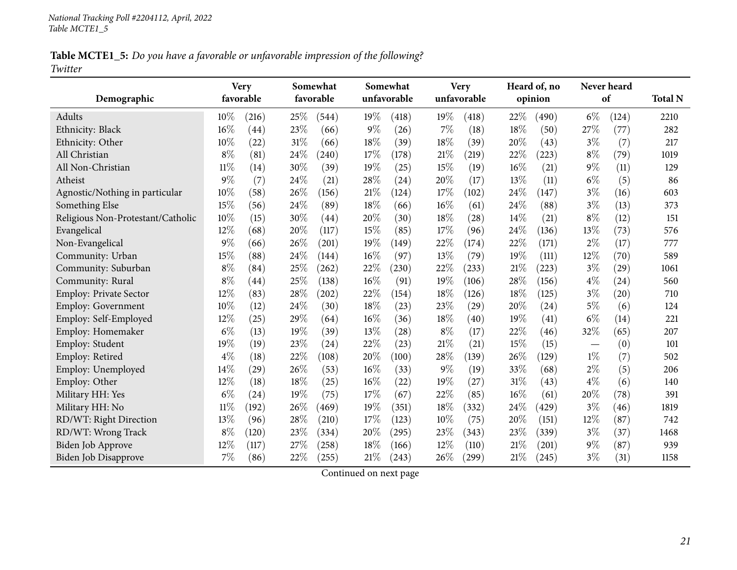Table MCTE1\_5: Do you have a favorable or unfavorable impression of the following? *Twitter*

|                                   |        | <b>Very</b>        |      | Somewhat  |        | Somewhat    |        | <b>Very</b> |     | Heard of, no |       | Never heard |                |
|-----------------------------------|--------|--------------------|------|-----------|--------|-------------|--------|-------------|-----|--------------|-------|-------------|----------------|
| Demographic                       |        | favorable          |      | favorable |        | unfavorable |        | unfavorable |     | opinion      |       | of          | <b>Total N</b> |
| Adults                            | $10\%$ | (216)              | 25\% | (544)     | $19\%$ | (418)       | 19%    | (418)       | 22% | (490)        | $6\%$ | (124)       | 2210           |
| Ethnicity: Black                  | 16%    | $\left( 44\right)$ | 23%  | (66)      | 9%     | (26)        | $7\%$  | (18)        | 18% | (50)         | 27%   | (77)        | 282            |
| Ethnicity: Other                  | 10%    | (22)               | 31%  | (66)      | 18%    | (39)        | 18%    | (39)        | 20% | (43)         | $3\%$ | (7)         | 217            |
| All Christian                     | $8\%$  | (81)               | 24%  | (240)     | 17%    | (178)       | 21%    | (219)       | 22% | (223)        | $8\%$ | (79)        | 1019           |
| All Non-Christian                 | $11\%$ | (14)               | 30%  | (39)      | 19%    | (25)        | 15%    | (19)        | 16% | (21)         | $9\%$ | (11)        | 129            |
| Atheist                           | $9\%$  | (7)                | 24%  | (21)      | 28%    | (24)        | 20%    | (17)        | 13% | (11)         | $6\%$ | (5)         | 86             |
| Agnostic/Nothing in particular    | 10%    | (58)               | 26%  | (156)     | $21\%$ | (124)       | $17\%$ | (102)       | 24% | (147)        | $3\%$ | (16)        | 603            |
| Something Else                    | 15%    | (56)               | 24\% | (89)      | 18%    | (66)        | 16%    | (61)        | 24% | (88)         | $3\%$ | (13)        | 373            |
| Religious Non-Protestant/Catholic | 10%    | (15)               | 30%  | (44)      | 20%    | (30)        | 18%    | (28)        | 14% | (21)         | $8\%$ | (12)        | 151            |
| Evangelical                       | 12%    | (68)               | 20%  | (117)     | 15%    | (85)        | 17%    | (96)        | 24% | (136)        | 13%   | (73)        | 576            |
| Non-Evangelical                   | $9\%$  | (66)               | 26%  | (201)     | 19%    | (149)       | 22%    | (174)       | 22% | (171)        | $2\%$ | (17)        | 777            |
| Community: Urban                  | 15%    | (88)               | 24%  | (144)     | 16%    | (97)        | 13%    | (79)        | 19% | (111)        | 12%   | (70)        | 589            |
| Community: Suburban               | $8\%$  | (84)               | 25%  | (262)     | 22%    | (230)       | 22%    | (233)       | 21% | (223)        | $3\%$ | (29)        | 1061           |
| Community: Rural                  | $8\%$  | (44)               | 25%  | (138)     | 16%    | (91)        | 19%    | (106)       | 28% | (156)        | $4\%$ | (24)        | 560            |
| Employ: Private Sector            | 12%    | (83)               | 28%  | (202)     | 22%    | (154)       | 18%    | (126)       | 18% | (125)        | $3\%$ | (20)        | 710            |
| <b>Employ: Government</b>         | 10%    | (12)               | 24%  | (30)      | 18%    | (23)        | 23%    | (29)        | 20% | (24)         | $5\%$ | (6)         | 124            |
| Employ: Self-Employed             | 12%    | (25)               | 29%  | (64)      | 16%    | (36)        | 18%    | (40)        | 19% | (41)         | $6\%$ | (14)        | 221            |
| Employ: Homemaker                 | $6\%$  | (13)               | 19%  | (39)      | 13%    | (28)        | $8\%$  | (17)        | 22% | (46)         | 32%   | (65)        | 207            |
| Employ: Student                   | 19%    | (19)               | 23%  | (24)      | 22%    | (23)        | 21\%   | (21)        | 15% | (15)         |       | (0)         | 101            |
| Employ: Retired                   | $4\%$  | (18)               | 22%  | (108)     | 20%    | (100)       | 28\%   | (139)       | 26% | (129)        | $1\%$ | (7)         | 502            |
| Employ: Unemployed                | 14%    | (29)               | 26%  | (53)      | 16%    | (33)        | $9\%$  | (19)        | 33% | (68)         | $2\%$ | (5)         | 206            |
| Employ: Other                     | 12%    | (18)               | 18%  | (25)      | 16%    | (22)        | 19%    | (27)        | 31% | (43)         | $4\%$ | (6)         | 140            |
| Military HH: Yes                  | $6\%$  | (24)               | 19%  | (75)      | 17%    | (67)        | 22%    | (85)        | 16% | (61)         | 20%   | (78)        | 391            |
| Military HH: No                   | $11\%$ | (192)              | 26%  | 469)      | 19%    | (351)       | 18%    | (332)       | 24% | (429)        | $3\%$ | (46)        | 1819           |
| RD/WT: Right Direction            | 13%    | (96)               | 28%  | (210)     | 17%    | (123)       | $10\%$ | (75)        | 20% | (151)        | 12%   | (87)        | 742            |
| RD/WT: Wrong Track                | $8\%$  | (120)              | 23%  | (334)     | 20%    | (295)       | 23%    | (343)       | 23% | (339)        | $3\%$ | (37)        | 1468           |
| <b>Biden Job Approve</b>          | 12%    | (117)              | 27%  | (258)     | 18%    | (166)       | 12%    | (110)       | 21% | (201)        | $9\%$ | (87)        | 939            |
| <b>Biden Job Disapprove</b>       | 7%     | (86)               | 22%  | (255)     | $21\%$ | (243)       | 26%    | (299)       | 21% | (245)        | $3\%$ | (31)        | 1158           |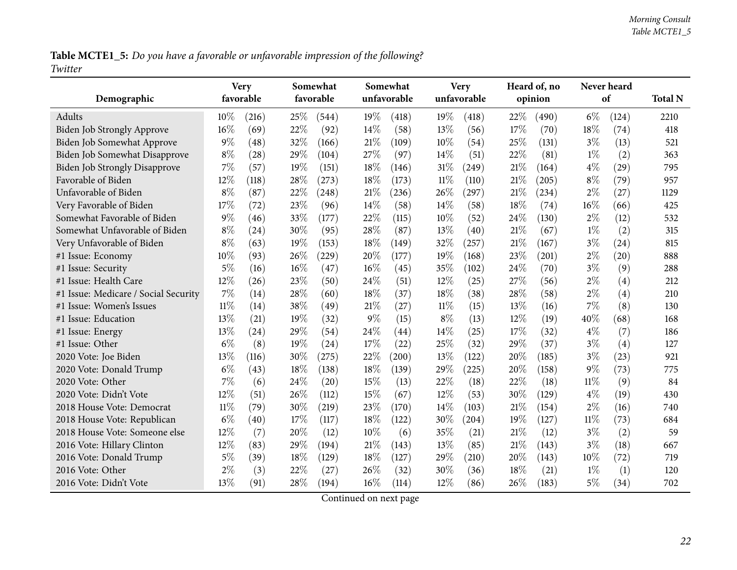Table MCTE1\_5: Do you have a favorable or unfavorable impression of the following? *Twitter*

| Demographic                          | <b>Very</b><br>favorable |       |      | Somewhat<br>favorable |       | Somewhat<br>unfavorable |        | <b>Very</b><br>unfavorable |     | Heard of, no<br>opinion |        | Never heard<br>of | <b>Total N</b> |
|--------------------------------------|--------------------------|-------|------|-----------------------|-------|-------------------------|--------|----------------------------|-----|-------------------------|--------|-------------------|----------------|
|                                      |                          |       |      |                       |       |                         |        |                            |     |                         |        |                   |                |
| Adults                               | 10%                      | (216) | 25\% | (544)                 | 19%   | (418)                   | 19%    | (418)                      | 22% | (490)                   | $6\%$  | (124)             | 2210           |
| Biden Job Strongly Approve           | 16%                      | (69)  | 22%  | (92)                  | 14%   | (58)                    | 13%    | (56)                       | 17% | (70)                    | 18%    | (74)              | 418            |
| Biden Job Somewhat Approve           | $9\%$                    | (48)  | 32%  | (166)                 | 21%   | (109)                   | 10%    | (54)                       | 25% | (131)                   | $3\%$  | (13)              | 521            |
| Biden Job Somewhat Disapprove        | $8\%$                    | (28)  | 29%  | (104)                 | 27%   | (97)                    | 14%    | (51)                       | 22% | (81)                    | $1\%$  | (2)               | 363            |
| <b>Biden Job Strongly Disapprove</b> | 7%                       | (57)  | 19%  | (151)                 | 18%   | (146)                   | 31%    | (249)                      | 21% | (164)                   | $4\%$  | (29)              | 795            |
| Favorable of Biden                   | 12%                      | (118) | 28%  | (273)                 | 18%   | (173)                   | $11\%$ | (110)                      | 21% | (205)                   | $8\%$  | (79)              | 957            |
| Unfavorable of Biden                 | $8\%$                    | (87)  | 22%  | (248)                 | 21%   | (236)                   | 26%    | (297)                      | 21% | (234)                   | $2\%$  | (27)              | 1129           |
| Very Favorable of Biden              | 17%                      | (72)  | 23%  | (96)                  | 14%   | (58)                    | 14%    | (58)                       | 18% | (74)                    | 16%    | (66)              | 425            |
| Somewhat Favorable of Biden          | $9\%$                    | (46)  | 33%  | (177)                 | 22%   | (115)                   | 10%    | (52)                       | 24% | (130)                   | $2\%$  | (12)              | 532            |
| Somewhat Unfavorable of Biden        | $8\%$                    | (24)  | 30%  | (95)                  | 28%   | (87)                    | 13%    | (40)                       | 21% | (67)                    | $1\%$  | (2)               | 315            |
| Very Unfavorable of Biden            | $8\%$                    | (63)  | 19%  | (153)                 | 18%   | (149)                   | 32%    | (257)                      | 21% | (167)                   | $3\%$  | (24)              | 815            |
| #1 Issue: Economy                    | 10%                      | (93)  | 26%  | (229)                 | 20%   | (177)                   | 19%    | (168)                      | 23% | (201)                   | $2\%$  | (20)              | 888            |
| #1 Issue: Security                   | 5%                       | (16)  | 16%  | (47)                  | 16%   | (45)                    | 35%    | (102)                      | 24% | (70)                    | $3\%$  | (9)               | 288            |
| #1 Issue: Health Care                | 12%                      | (26)  | 23%  | (50)                  | 24\%  | (51)                    | 12%    | (25)                       | 27% | (56)                    | $2\%$  | (4)               | 212            |
| #1 Issue: Medicare / Social Security | 7%                       | (14)  | 28%  | (60)                  | 18%   | (37)                    | 18%    | (38)                       | 28% | (58)                    | $2\%$  | (4)               | 210            |
| #1 Issue: Women's Issues             | $11\%$                   | (14)  | 38%  | (49)                  | 21%   | (27)                    | $11\%$ | (15)                       | 13% | (16)                    | $7\%$  | (8)               | 130            |
| #1 Issue: Education                  | 13%                      | (21)  | 19%  | (32)                  | $9\%$ | (15)                    | $8\%$  | (13)                       | 12% | (19)                    | 40%    | (68)              | 168            |
| #1 Issue: Energy                     | 13%                      | (24)  | 29%  | (54)                  | 24%   | (44)                    | 14%    | (25)                       | 17% | (32)                    | $4\%$  | (7)               | 186            |
| #1 Issue: Other                      | $6\%$                    | (8)   | 19%  | (24)                  | 17%   | (22)                    | 25%    | (32)                       | 29% | (37)                    | $3\%$  | (4)               | 127            |
| 2020 Vote: Joe Biden                 | 13%                      | (116) | 30%  | (275)                 | 22%   | (200)                   | 13%    | (122)                      | 20% | (185)                   | $3\%$  | (23)              | 921            |
| 2020 Vote: Donald Trump              | $6\%$                    | (43)  | 18%  | (138)                 | 18%   | (139)                   | 29%    | (225)                      | 20% | (158)                   | $9\%$  | (73)              | 775            |
| 2020 Vote: Other                     | 7%                       | (6)   | 24%  | (20)                  | 15%   | (13)                    | 22%    | (18)                       | 22% | (18)                    | $11\%$ | (9)               | 84             |
| 2020 Vote: Didn't Vote               | 12%                      | (51)  | 26%  | (112)                 | 15%   | (67)                    | 12%    | (53)                       | 30% | (129)                   | $4\%$  | (19)              | 430            |
| 2018 House Vote: Democrat            | $11\%$                   | (79)  | 30%  | (219)                 | 23%   | (170)                   | 14%    | (103)                      | 21% | (154)                   | $2\%$  | (16)              | 740            |
| 2018 House Vote: Republican          | $6\%$                    | (40)  | 17%  | (117)                 | 18%   | (122)                   | 30%    | (204)                      | 19% | (127)                   | $11\%$ | (73)              | 684            |
| 2018 House Vote: Someone else        | 12%                      | (7)   | 20%  | (12)                  | 10%   | (6)                     | 35%    | (21)                       | 21% | (12)                    | $3\%$  | (2)               | 59             |
| 2016 Vote: Hillary Clinton           | 12%                      | (83)  | 29%  | (194)                 | 21%   | (143)                   | 13%    | (85)                       | 21% | (143)                   | $3\%$  | (18)              | 667            |
| 2016 Vote: Donald Trump              | $5\%$                    | (39)  | 18%  | (129)                 | 18%   | (127)                   | 29%    | (210)                      | 20% | (143)                   | 10%    | (72)              | 719            |
| 2016 Vote: Other                     | $2\%$                    | (3)   | 22%  | (27)                  | 26\%  | (32)                    | 30%    | (36)                       | 18% | (21)                    | $1\%$  | (1)               | 120            |
| 2016 Vote: Didn't Vote               | 13%                      | (91)  | 28%  | (194)                 | 16%   | (114)                   | 12%    | (86)                       | 26% | (183)                   | 5%     | (34)              | 702            |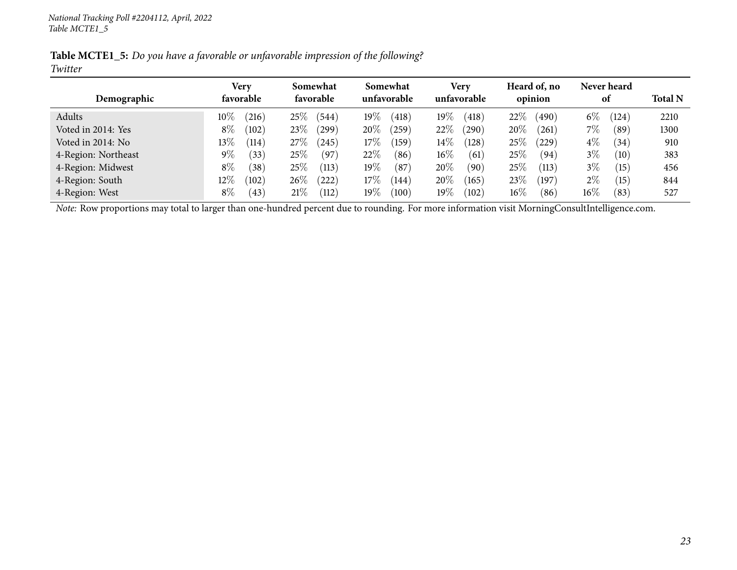Table MCTE1\_5: Do you have a favorable or unfavorable impression of the following? *Twitter*

|                     | Very            | Somewhat                | Somewhat               | <b>Very</b>      | Heard of, no    | Never heard         |                |
|---------------------|-----------------|-------------------------|------------------------|------------------|-----------------|---------------------|----------------|
| Demographic         | favorable       | favorable               | unfavorable            | unfavorable      | opinion         | 0t                  | <b>Total N</b> |
| Adults              | $10\%$<br>(216) | (544)<br>25%            | 19 $\%$<br>(418)       | 19 $\%$<br>(418) | $22\%$<br>(490) | $6\%$<br>(124)      | 2210           |
| Voted in 2014: Yes  | $8\%$<br>(102)  | 23\%<br>299             | $20\%$<br>(259)        | 22%<br>(290)     | 20%<br>261      | 7%<br>$^{\prime}89$ | 1300           |
| Voted in 2014: No   | $13\%$<br>(114) | 27\%<br>245             | $17\%$<br>159          | $14\%$<br>(128)  | $25\%$<br>229   | $4\%$<br>(34)       | 910            |
| 4-Region: Northeast | $9\%$<br>(33)   | 25%<br>(97)             | 22\%<br>$\sqrt{86}$    | $16\%$<br>(61)   | 25%<br>(94`     | $3\%$<br>(10)       | 383            |
| 4-Region: Midwest   | $8\%$<br>(38)   | 25%<br>(113)            | 19 $\%$<br>(87)        | 20%<br>(90)      | 25%<br>(113)    | $3\%$<br>$^{'}15)$  | 456            |
| 4-Region: South     | $12\%$<br>(102) | 26%<br>222              | $17\%$<br>$\sqrt{144}$ | $20\%$<br>(165)  | 23\%<br>(197)   | $2\%$<br>(15)       | 844            |
| 4-Region: West      | $8\%$<br>(43)   | 21%<br>$\overline{112}$ | 19 $\%$<br>(100)       | 19 $\%$<br>(102) | $16\%$<br>(86   | $16\%$<br>(83)      | 527            |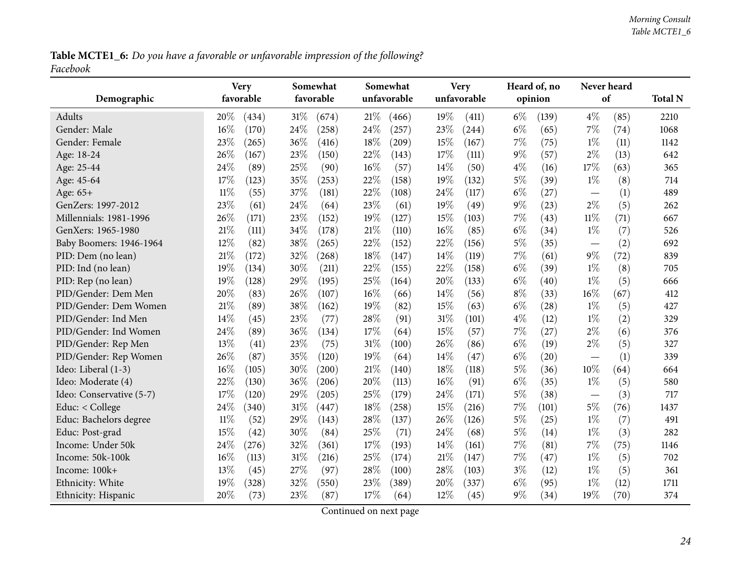Table MCTE1\_6: Do you have a favorable or unfavorable impression of the following? *Facebook*

<span id="page-23-0"></span>

| Demographic              | <b>Very</b><br>favorable | Somewhat<br>favorable | Somewhat<br>unfavorable | <b>Very</b><br>unfavorable | Heard of, no<br>opinion | Never heard<br>of               | <b>Total N</b> |
|--------------------------|--------------------------|-----------------------|-------------------------|----------------------------|-------------------------|---------------------------------|----------------|
| Adults                   | 20%<br>(434)             | $31\%$<br>(674)       | $21\%$<br>(466)         | 19%<br>(411)               | $6\%$<br>(139)          | 4%<br>(85)                      | 2210           |
| Gender: Male             | 16%<br>(170)             | 24%<br>(258)          | 24%<br>(257)            | 23%<br>(244)               | $6\%$<br>(65)           | 7%<br>(74)                      | 1068           |
| Gender: Female           | 23%<br>(265)             | 36%<br>(416)          | $18\%$<br>(209)         | 15%<br>(167)               | 7%<br>(75)              | $1\%$<br>(11)                   | 1142           |
| Age: 18-24               | 26%<br>(167)             | 23%<br>(150)          | 22%<br>(143)            | 17%<br>(111)               | $9\%$<br>(57)           | $2\%$<br>(13)                   | 642            |
| Age: 25-44               | 24%<br>(89)              | 25%<br>(90)           | 16%<br>(57)             | 14%<br>(50)                | $4\%$<br>(16)           | 17%<br>(63)                     | 365            |
| Age: 45-64               | 17%<br>(123)             | 35%<br>(253)          | 22%<br>(158)            | 19%<br>(132)               | $5\%$<br>(39)           | $1\%$<br>(8)                    | 714            |
| Age: 65+                 | $11\%$<br>(55)           | 37%<br>(181)          | 22%<br>(108)            | 24%<br>(117)               | $6\%$<br>(27)           | (1)                             | 489            |
| GenZers: 1997-2012       | 23%<br>(61)              | 24\%<br>(64)          | 23%<br>(61)             | 19%<br>(49)                | $9\%$<br>(23)           | $2\%$<br>(5)                    | 262            |
| Millennials: 1981-1996   | 26%<br>(171)             | 23%<br>(152)          | 19%<br>(127)            | 15%<br>(103)               | 7%<br>(43)              | $11\%$<br>(71)                  | 667            |
| GenXers: 1965-1980       | 21%<br>(111)             | 34%<br>(178)          | 21%<br>(110)            | 16%<br>(85)                | $6\%$<br>(34)           | $1\%$<br>(7)                    | 526            |
| Baby Boomers: 1946-1964  | 12%<br>(82)              | 38%<br>(265)          | 22%<br>(152)            | 22%<br>(156)               | $5\%$<br>(35)           | (2)<br>$\overline{\phantom{m}}$ | 692            |
| PID: Dem (no lean)       | 21%<br>(172)             | 32%<br>(268)          | 18%<br>(147)            | 14%<br>(119)               | 7%<br>(61)              | $9\%$<br>(72)                   | 839            |
| PID: Ind (no lean)       | 19%<br>(134)             | 30%<br>(211)          | 22%<br>(155)            | 22%<br>(158)               | $6\%$<br>(39)           | $1\%$<br>(8)                    | 705            |
| PID: Rep (no lean)       | 19%<br>(128)             | 29%<br>(195)          | 25%<br>(164)            | 20%<br>(133)               | $6\%$<br>(40)           | $1\%$<br>(5)                    | 666            |
| PID/Gender: Dem Men      | 20%<br>(83)              | 26%<br>(107)          | 16%<br>(66)             | 14%<br>(56)                | $8\%$<br>(33)           | 16%<br>(67)                     | 412            |
| PID/Gender: Dem Women    | 21%<br>(89)              | 38%<br>(162)          | 19%<br>(82)             | 15%<br>(63)                | $6\%$<br>(28)           | $1\%$<br>(5)                    | 427            |
| PID/Gender: Ind Men      | 14%<br>(45)              | 23%<br>(77)           | 28%<br>(91)             | $31\%$<br>(101)            | $4\%$<br>(12)           | $1\%$<br>(2)                    | 329            |
| PID/Gender: Ind Women    | 24%<br>(89)              | 36\%<br>(134)         | 17%<br>(64)             | 15%<br>(57)                | 7%<br>(27)              | $2\%$<br>(6)                    | 376            |
| PID/Gender: Rep Men      | 13%<br>(41)              | 23%<br>(75)           | $31\%$<br>(100)         | 26%<br>(86)                | $6\%$<br>(19)           | $2\%$<br>(5)                    | 327            |
| PID/Gender: Rep Women    | 26%<br>(87)              | 35%<br>(120)          | 19%<br>(64)             | 14\%<br>(47)               | $6\%$<br>(20)           | (1)                             | 339            |
| Ideo: Liberal (1-3)      | 16%<br>(105)             | 30%<br>(200)          | 21%<br>(140)            | 18%<br>(118)               | 5%<br>(36)              | $10\%$<br>(64)                  | 664            |
| Ideo: Moderate (4)       | 22%<br>(130)             | 36%<br>(206)          | 20%<br>(113)            | 16%<br>(91)                | $6\%$<br>(35)           | $1\%$<br>(5)                    | 580            |
| Ideo: Conservative (5-7) | 17%<br>(120)             | 29%<br>(205)          | 25%<br>(179)            | 24%<br>(171)               | $5\%$<br>(38)           | (3)                             | 717            |
| Educ: $<$ College        | 24\%<br>(340)            | 31%<br>(447)          | 18%<br>(258)            | 15%<br>(216)               | 7%<br>(101)             | $5\%$<br>(76)                   | 1437           |
| Educ: Bachelors degree   | $11\%$<br>(52)           | 29%<br>(143)          | 28%<br>(137)            | 26%<br>(126)               | $5\%$<br>(25)           | $1\%$<br>(7)                    | 491            |
| Educ: Post-grad          | 15%<br>(42)              | 30%<br>(84)           | 25%<br>(71)             | 24\%<br>(68)               | $5\%$<br>(14)           | $1\%$<br>(3)                    | 282            |
| Income: Under 50k        | 24%<br>(276)             | 32%<br>(361)          | 17%<br>(193)            | 14%<br>(161)               | 7%<br>(81)              | $7\%$<br>(75)                   | 1146           |
| Income: 50k-100k         | 16%<br>(113)             | 31%<br>(216)          | 25%<br>(174)            | 21%<br>(147)               | 7%<br>(47)              | $1\%$<br>(5)                    | 702            |
| Income: 100k+            | 13%<br>(45)              | 27%<br>(97)           | 28%<br>(100)            | 28%<br>(103)               | $3\%$<br>(12)           | $1\%$<br>(5)                    | 361            |
| Ethnicity: White         | 19%<br>(328)             | 32%<br>(550)          | 23%<br>(389)            | 20%<br>(337)               | $6\%$<br>(95)           | $1\%$<br>(12)                   | 1711           |
| Ethnicity: Hispanic      | 20%<br>(73)              | 23%<br>(87)           | 17%<br>(64)             | 12%<br>(45)                | $9\%$<br>(34)           | 19%<br>(70)                     | 374            |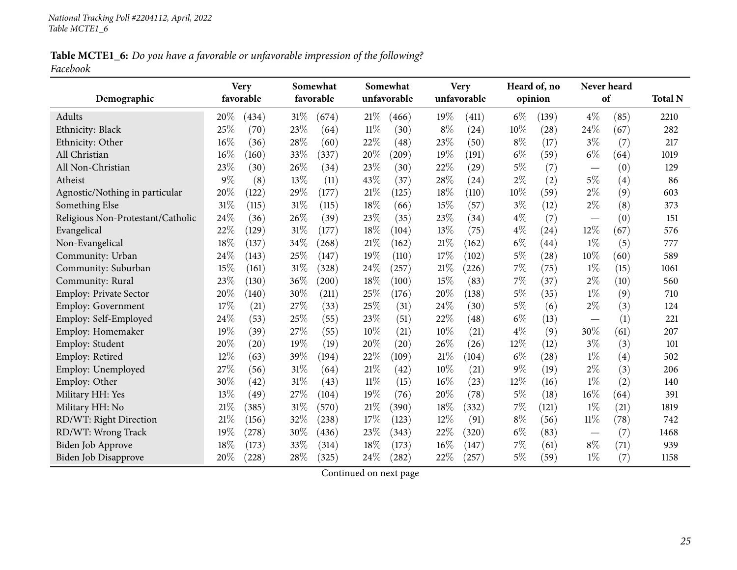Table MCTE1\_6: Do you have a favorable or unfavorable impression of the following? *Facebook*

| Demographic                       | <b>Very</b> | favorable |     | Somewhat<br>favorable |        | Somewhat<br>unfavorable |        | <b>Very</b><br>unfavorable |       | Heard of, no<br>opinion |                                 | Never heard<br>of | <b>Total N</b> |
|-----------------------------------|-------------|-----------|-----|-----------------------|--------|-------------------------|--------|----------------------------|-------|-------------------------|---------------------------------|-------------------|----------------|
| Adults                            | 20\%        | (434)     | 31% | (674)                 | 21%    | (466)                   | $19\%$ | (411)                      | $6\%$ | (139)                   | $4\%$                           | (85)              | 2210           |
| Ethnicity: Black                  | 25%         | (70)      | 23% | (64)                  | $11\%$ | (30)                    | $8\%$  | (24)                       | 10%   | (28)                    | 24%                             | (67)              | 282            |
| Ethnicity: Other                  | 16%         | (36)      | 28% | (60)                  | 22%    | (48)                    | 23%    | (50)                       | $8\%$ | (17)                    | $3\%$                           | (7)               | 217            |
| All Christian                     | 16%         | (160)     | 33% | (337)                 | 20%    | (209)                   | 19%    | (191)                      | $6\%$ | (59)                    | $6\%$                           | (64)              | 1019           |
| All Non-Christian                 | 23%         | (30)      | 26% | (34)                  | 23%    | (30)                    | 22%    | (29)                       | $5\%$ | (7)                     |                                 | (0)               | 129            |
| Atheist                           | $9\%$       | (8)       | 13% | (11)                  | 43%    | (37)                    | 28%    | (24)                       | $2\%$ | (2)                     | $5\%$                           | (4)               | 86             |
| Agnostic/Nothing in particular    | 20%         | (122)     | 29% | (177)                 | 21%    | (125)                   | 18%    | (110)                      | 10%   | (59)                    | $2\%$                           | (9)               | 603            |
| Something Else                    | 31%         | (115)     | 31% | (115)                 | 18%    | (66)                    | 15%    | (57)                       | $3\%$ | (12)                    | $2\%$                           | (8)               | 373            |
| Religious Non-Protestant/Catholic | 24%         | (36)      | 26% | (39)                  | 23%    | (35)                    | 23%    | (34)                       | $4\%$ | (7)                     |                                 | (0)               | 151            |
| Evangelical                       | 22%         | (129)     | 31% | (177)                 | 18%    | (104)                   | 13%    | (75)                       | $4\%$ | (24)                    | 12%                             | (67)              | 576            |
| Non-Evangelical                   | 18%         | (137)     | 34% | (268)                 | $21\%$ | (162)                   | 21%    | (162)                      | $6\%$ | (44)                    | $1\%$                           | (5)               | 777            |
| Community: Urban                  | 24\%        | (143)     | 25% | (147)                 | 19%    | (110)                   | 17%    | (102)                      | 5%    | (28)                    | 10%                             | (60)              | 589            |
| Community: Suburban               | 15%         | (161)     | 31% | (328)                 | 24%    | (257)                   | 21%    | (226)                      | 7%    | (75)                    | $1\%$                           | (15)              | 1061           |
| Community: Rural                  | 23%         | (130)     | 36% | (200)                 | 18%    | (100)                   | 15%    | (83)                       | 7%    | (37)                    | $2\%$                           | (10)              | 560            |
| Employ: Private Sector            | 20%         | (140)     | 30% | (211)                 | 25%    | (176)                   | 20%    | (138)                      | $5\%$ | (35)                    | $1\%$                           | (9)               | 710            |
| <b>Employ: Government</b>         | 17%         | (21)      | 27% | (33)                  | 25%    | (31)                    | 24%    | (30)                       | $5\%$ | (6)                     | $2\%$                           | (3)               | 124            |
| Employ: Self-Employed             | 24%         | (53)      | 25% | (55)                  | 23%    | (51)                    | 22%    | (48)                       | $6\%$ | (13)                    | $\hspace{0.1mm}-\hspace{0.1mm}$ | (1)               | 221            |
| Employ: Homemaker                 | 19%         | (39)      | 27% | (55)                  | 10%    | (21)                    | 10%    | (21)                       | $4\%$ | (9)                     | 30\%                            | (61)              | 207            |
| Employ: Student                   | 20%         | (20)      | 19% | (19)                  | 20%    | (20)                    | 26%    | (26)                       | 12%   | (12)                    | $3\%$                           | (3)               | 101            |
| Employ: Retired                   | 12%         | (63)      | 39% | (194)                 | 22%    | (109)                   | $21\%$ | (104)                      | $6\%$ | (28)                    | $1\%$                           | (4)               | 502            |
| Employ: Unemployed                | 27%         | (56)      | 31% | (64)                  | 21%    | (42)                    | 10%    | (21)                       | $9\%$ | (19)                    | $2\%$                           | (3)               | 206            |
| Employ: Other                     | 30%         | (42)      | 31% | (43)                  | $11\%$ | (15)                    | 16%    | (23)                       | 12%   | (16)                    | $1\%$                           | (2)               | 140            |
| Military HH: Yes                  | 13%         | (49)      | 27% | (104)                 | 19%    | (76)                    | 20%    | (78)                       | $5\%$ | (18)                    | 16%                             | (64)              | 391            |
| Military HH: No                   | 21\%        | (385)     | 31% | (570)                 | 21%    | (390)                   | 18%    | (332)                      | 7%    | (121)                   | $1\%$                           | (21)              | 1819           |
| RD/WT: Right Direction            | 21%         | (156)     | 32% | (238)                 | 17%    | (123)                   | 12%    | (91)                       | $8\%$ | (56)                    | $11\%$                          | (78)              | 742            |
| RD/WT: Wrong Track                | 19%         | (278)     | 30% | (436)                 | 23%    | (343)                   | 22%    | (320)                      | $6\%$ | (83)                    | $\hspace{0.1mm}-\hspace{0.1mm}$ | (7)               | 1468           |
| <b>Biden Job Approve</b>          | 18%         | (173)     | 33% | (314)                 | 18%    | (173)                   | 16%    | (147)                      | 7%    | (61)                    | $8\%$                           | (71)              | 939            |
| Biden Job Disapprove              | 20%         | (228)     | 28% | (325)                 | 24\%   | (282)                   | 22%    | (257)                      | $5\%$ | (59)                    | $1\%$                           | (7)               | 1158           |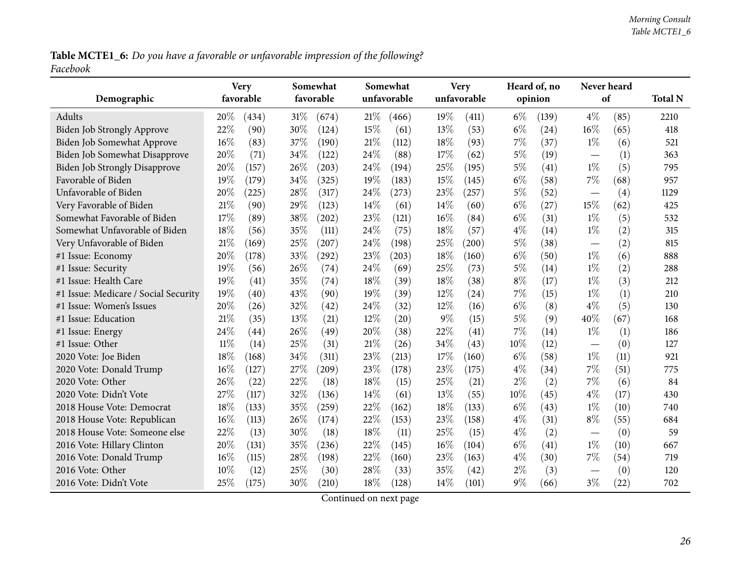Table MCTE1\_6: Do you have a favorable or unfavorable impression of the following? *Facebook*

|                                      | <b>Very</b><br>favorable  | Somewhat<br>favorable | Somewhat<br>unfavorable | <b>Very</b><br>unfavorable | Heard of, no   | Never heard<br>of               | <b>Total N</b> |
|--------------------------------------|---------------------------|-----------------------|-------------------------|----------------------------|----------------|---------------------------------|----------------|
| Demographic                          |                           |                       |                         |                            | opinion        |                                 |                |
| Adults                               | 20%<br>(434)              | 31%<br>(674)          | 21%<br>(466)            | 19%<br>(411)               | $6\%$<br>(139) | $4\%$<br>(85)                   | 2210           |
| Biden Job Strongly Approve           | 22%<br>(90)               | 30%<br>(124)          | 15%<br>(61)             | 13%<br>(53)                | $6\%$<br>(24)  | $16\%$<br>(65)                  | 418            |
| Biden Job Somewhat Approve           | 16%<br>(83)               | 37%<br>(190)          | 21%<br>(112)            | 18%<br>(93)                | 7%<br>(37)     | $1\%$<br>(6)                    | 521            |
| Biden Job Somewhat Disapprove        | 20%<br>(71)               | 34%<br>(122)          | 24%<br>(88)             | 17%<br>(62)                | $5\%$<br>(19)  | (1)<br>$\overline{\phantom{0}}$ | 363            |
| <b>Biden Job Strongly Disapprove</b> | 20%<br>(157)              | 26%<br>(203)          | 24%<br>(194)            | 25%<br>(195)               | $5\%$<br>(41)  | $1\%$<br>(5)                    | 795            |
| Favorable of Biden                   | 19%<br>(179)              | 34%<br>(325)          | 19%<br>(183)            | 15%<br>(145)               | $6\%$<br>(58)  | $7\%$<br>(68)                   | 957            |
| Unfavorable of Biden                 | 20%<br>(225)              | 28\%<br>(317)         | 24\%<br>(273)           | 23%<br>(257)               | 5%<br>(52)     | (4)                             | 1129           |
| Very Favorable of Biden              | 21%<br>(90)               | 29%<br>(123)          | 14%<br>(61)             | 14%<br>(60)                | $6\%$<br>(27)  | 15%<br>(62)                     | 425            |
| Somewhat Favorable of Biden          | 17%<br>(89)               | 38%<br>(202)          | 23%<br>(121)            | 16%<br>(84)                | $6\%$<br>(31)  | $1\%$<br>(5)                    | 532            |
| Somewhat Unfavorable of Biden        | 18%<br>(56)               | 35%<br>(111)          | 24\%<br>(75)            | 18%<br>(57)                | $4\%$<br>(14)  | $1\%$<br>(2)                    | 315            |
| Very Unfavorable of Biden            | 21%<br>(169)              | 25%<br>(207)          | 24%<br>(198)            | 25%<br>(200)               | $5\%$<br>(38)  | (2)                             | 815            |
| #1 Issue: Economy                    | 20%<br>(178)              | 33%<br>(292)          | 23%<br>(203)            | 18%<br>(160)               | $6\%$<br>(50)  | $1\%$<br>(6)                    | 888            |
| #1 Issue: Security                   | 19%<br>(56)               | 26%<br>(74)           | 24%<br>(69)             | 25%<br>(73)                | 5%<br>(14)     | $1\%$<br>(2)                    | 288            |
| #1 Issue: Health Care                | 19%<br>(41)               | 35%<br>(74)           | 18%<br>(39)             | 18%<br>(38)                | $8\%$<br>(17)  | $1\%$<br>(3)                    | 212            |
| #1 Issue: Medicare / Social Security | 19%<br>(40)               | 43%<br>(90)           | 19%<br>(39)             | 12%<br>(24)                | 7%<br>(15)     | $1\%$<br>(1)                    | 210            |
| #1 Issue: Women's Issues             | 20%<br>(26)               | 32%<br>(42)           | 24\%<br>(32)            | 12%<br>(16)                | $6\%$<br>(8)   | $4\%$<br>(5)                    | 130            |
| #1 Issue: Education                  | 21%<br>(35)               | 13\%<br>(21)          | $12\%$<br>(20)          | $9\%$<br>(15)              | $5\%$<br>(9)   | 40%<br>(67)                     | 168            |
| #1 Issue: Energy                     | 24%<br>$\left( 44\right)$ | 26%<br>(49)           | 20%<br>(38)             | 22%<br>(41)                | 7%<br>(14)     | $1\%$<br>(1)                    | 186            |
| #1 Issue: Other                      | $11\%$<br>(14)            | 25%<br>(31)           | 21%<br>(26)             | 34%<br>(43)                | 10%<br>(12)    | (0)                             | 127            |
| 2020 Vote: Joe Biden                 | 18%<br>(168)              | 34%<br>(311)          | 23%<br>(213)            | 17%<br>(160)               | $6\%$<br>(58)  | $1\%$<br>(11)                   | 921            |
| 2020 Vote: Donald Trump              | 16%<br>(127)              | 27\%<br>(209)         | 23%<br>(178)            | 23%<br>(175)               | $4\%$<br>(34)  | 7%<br>(51)                      | 775            |
| 2020 Vote: Other                     | 26%<br>(22)               | 22%<br>(18)           | 18%<br>(15)             | 25%<br>(21)                | $2\%$<br>(2)   | 7%<br>(6)                       | 84             |
| 2020 Vote: Didn't Vote               | 27%<br>(117)              | 32%<br>(136)          | 14\%<br>(61)            | 13%<br>(55)                | 10%<br>(45)    | $4\%$<br>(17)                   | 430            |
| 2018 House Vote: Democrat            | 18%<br>(133)              | 35%<br>(259)          | 22%<br>(162)            | 18%<br>(133)               | $6\%$<br>(43)  | $1\%$<br>(10)                   | 740            |
| 2018 House Vote: Republican          | 16%<br>(113)              | 26\%<br>(174)         | 22%<br>(153)            | 23%<br>(158)               | $4\%$<br>(31)  | $8\%$<br>(55)                   | 684            |
| 2018 House Vote: Someone else        | $22\%$<br>(13)            | 30%<br>(18)           | 18%<br>(11)             | 25%<br>(15)                | $4\%$<br>(2)   | (0)<br>$\overline{\phantom{0}}$ | 59             |
| 2016 Vote: Hillary Clinton           | 20%<br>(131)              | 35%<br>(236)          | 22%<br>(145)            | 16%<br>(104)               | $6\%$<br>(41)  | $1\%$<br>(10)                   | 667            |
| 2016 Vote: Donald Trump              | 16%<br>(115)              | 28%<br>(198)          | 22%<br>(160)            | 23%<br>(163)               | $4\%$<br>(30)  | 7%<br>(54)                      | 719            |
| 2016 Vote: Other                     | 10%<br>(12)               | 25%<br>(30)           | 28%<br>(33)             | 35%<br>(42)                | $2\%$<br>(3)   | (0)<br>$\overline{\phantom{0}}$ | 120            |
| 2016 Vote: Didn't Vote               | 25%<br>(175)              | 30%<br>(210)          | 18%<br>(128)            | 14%<br>(101)               | $9\%$<br>(66)  | $3\%$<br>(22)                   | 702            |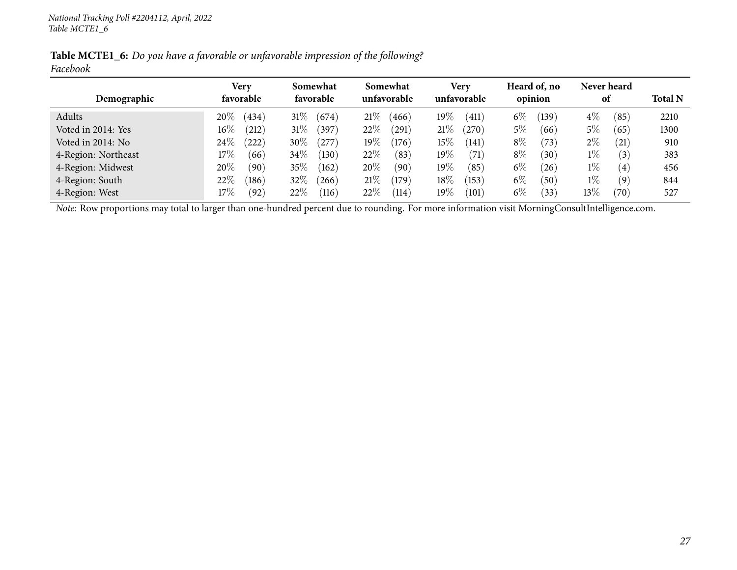|          | Table MCTE1_6: Do you have a favorable or unfavorable impression of the following? |  |  |
|----------|------------------------------------------------------------------------------------|--|--|
| Facebook |                                                                                    |  |  |

|                     | Very            | Somewhat<br>favorable | Somewhat<br>unfavorable | <b>Very</b><br>unfavorable    | Heard of, no      | Never heard                |                |
|---------------------|-----------------|-----------------------|-------------------------|-------------------------------|-------------------|----------------------------|----------------|
| Demographic         | favorable       |                       |                         |                               | opinion           | 0t                         | <b>Total N</b> |
| Adults              | 20%<br>(434)    | $31\%$<br>(674)       | $21\%$<br>466           | $19\%$<br>$\left(411\right)$  | $6\%$<br>139)     | $4\%$<br>(85)              | 2210           |
| Voted in 2014: Yes  | $16\%$<br>(212) | $31\%$<br>397         | 22\%<br>291             | 21%<br>(270)                  | 5%<br>(66)        | $5\%$<br>(65)              | 1300           |
| Voted in 2014: No   | 24\%<br>(222)   | $30\%$<br>$^{'}277$   | 19 $\%$<br>(176)        | $15\%$<br>$\left(141\right)$  | $8\%$<br>(73)     | $2\%$<br>(21)              | 910            |
| 4-Region: Northeast | $17\%$<br>(66)  | $34\%$<br>$130^\circ$ | 22\%<br>(83             | $19\%$<br>(71)                | $8\%$<br>$^{'}30$ | $1\%$<br>(3)               | 383            |
| 4-Region: Midwest   | 20%<br>(90)     | $35\%$<br>(162)       | $20\%$<br>(90)          | 19 $\%$<br>(85)               | $6\%$<br>(26)     | $1\%$<br>(4)               | 456            |
| 4-Region: South     | 22%<br>(186)    | 32%<br>266            | 21%<br>179              | $18\%$<br>(153)               | $6\%$<br>$^{'}50$ | $1\%$<br>$\left( 9\right)$ | 844            |
| 4-Region: West      | 17%<br>(92)     | 22%<br>(116)          | 22%<br>114              | 19 $\%$<br>$\left(101\right)$ | $6\%$<br>33       | 13 $\%$<br>(70)            | 527            |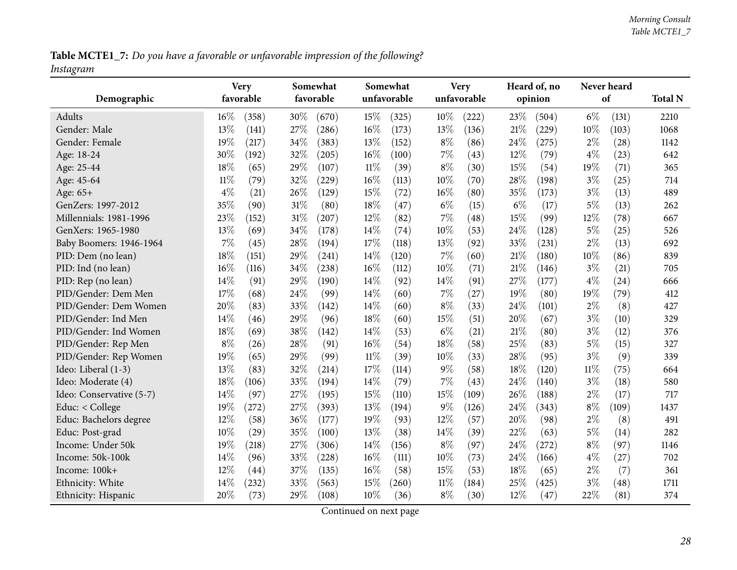Table MCTE1\_7: Do you have a favorable or unfavorable impression of the following? *Instagram*

<span id="page-27-0"></span>

| Demographic              | <b>Very</b><br>favorable |       |        | Somewhat<br>favorable |        | Somewhat<br>unfavorable |        | <b>Very</b><br>unfavorable |       | Heard of, no<br>opinion |       | Never heard<br>of | <b>Total N</b> |
|--------------------------|--------------------------|-------|--------|-----------------------|--------|-------------------------|--------|----------------------------|-------|-------------------------|-------|-------------------|----------------|
|                          |                          |       |        |                       |        |                         |        |                            |       |                         |       |                   |                |
| Adults                   | 16%                      | (358) | 30%    | (670)                 | 15%    | (325)                   | $10\%$ | (222)                      | 23%   | (504)                   | $6\%$ | (131)             | 2210           |
| Gender: Male             | 13%                      | (141) | 27%    | (286)                 | $16\%$ | (173)                   | 13%    | (136)                      | 21\%  | (229)                   | 10%   | (103)             | 1068           |
| Gender: Female           | 19%                      | (217) | 34%    | (383)                 | 13%    | (152)                   | $8\%$  | (86)                       | 24%   | (275)                   | $2\%$ | (28)              | 1142           |
| Age: 18-24               | 30%                      | (192) | 32%    | (205)                 | $16\%$ | (100)                   | $7\%$  | (43)                       | 12%   | (79)                    | $4\%$ | (23)              | 642            |
| Age: 25-44               | 18%                      | (65)  | 29%    | (107)                 | $11\%$ | (39)                    | $8\%$  | (30)                       | 15%   | (54)                    | 19%   | (71)              | 365            |
| Age: 45-64               | $11\%$                   | (79)  | 32%    | (229)                 | 16%    | (113)                   | $10\%$ | (70)                       | 28%   | (198)                   | $3\%$ | (25)              | 714            |
| Age: 65+                 | $4\%$                    | (21)  | 26%    | (129)                 | 15%    | (72)                    | 16%    | (80)                       | 35%   | (173)                   | $3\%$ | (13)              | 489            |
| GenZers: 1997-2012       | 35%                      | (90)  | $31\%$ | (80)                  | 18%    | (47)                    | $6\%$  | (15)                       | $6\%$ | (17)                    | $5\%$ | (13)              | 262            |
| Millennials: 1981-1996   | 23%                      | (152) | 31%    | (207)                 | 12%    | (82)                    | $7\%$  | (48)                       | 15%   | (99)                    | 12%   | (78)              | 667            |
| GenXers: 1965-1980       | 13%                      | (69)  | 34%    | (178)                 | 14%    | (74)                    | 10%    | (53)                       | 24%   | (128)                   | $5\%$ | (25)              | 526            |
| Baby Boomers: 1946-1964  | 7%                       | (45)  | 28%    | (194)                 | 17%    | (118)                   | 13%    | (92)                       | 33%   | (231)                   | $2\%$ | (13)              | 692            |
| PID: Dem (no lean)       | 18%                      | (151) | 29%    | (241)                 | 14%    | (120)                   | $7\%$  | (60)                       | 21%   | (180)                   | 10%   | (86)              | 839            |
| PID: Ind (no lean)       | 16%                      | (116) | 34%    | (238)                 | 16%    | (112)                   | $10\%$ | (71)                       | 21%   | (146)                   | $3\%$ | (21)              | 705            |
| PID: Rep (no lean)       | 14%                      | (91)  | 29%    | (190)                 | 14\%   | (92)                    | 14%    | (91)                       | 27%   | (177)                   | $4\%$ | (24)              | 666            |
| PID/Gender: Dem Men      | 17%                      | (68)  | 24%    | (99)                  | 14%    | (60)                    | $7\%$  | (27)                       | 19%   | (80)                    | 19%   | (79)              | 412            |
| PID/Gender: Dem Women    | 20%                      | (83)  | 33%    | (142)                 | 14\%   | (60)                    | $8\%$  | (33)                       | 24%   | (101)                   | $2\%$ | (8)               | 427            |
| PID/Gender: Ind Men      | 14%                      | (46)  | 29%    | (96)                  | 18%    | (60)                    | 15%    | (51)                       | 20%   | (67)                    | $3\%$ | (10)              | 329            |
| PID/Gender: Ind Women    | 18%                      | (69)  | 38%    | (142)                 | 14\%   | (53)                    | $6\%$  | (21)                       | 21%   | (80)                    | $3\%$ | (12)              | 376            |
| PID/Gender: Rep Men      | $8\%$                    | (26)  | 28%    | (91)                  | 16%    | (54)                    | $18\%$ | (58)                       | 25%   | (83)                    | $5\%$ | (15)              | 327            |
| PID/Gender: Rep Women    | 19%                      | (65)  | 29%    | (99)                  | $11\%$ | (39)                    | 10%    | (33)                       | 28\%  | (95)                    | $3\%$ | (9)               | 339            |
| Ideo: Liberal (1-3)      | 13%                      | (83)  | 32%    | (214)                 | 17%    | (114)                   | $9\%$  | (58)                       | 18%   | (120)                   | 11%   | (75)              | 664            |
| Ideo: Moderate (4)       | 18%                      | (106) | 33%    | (194)                 | 14%    | (79)                    | $7\%$  | (43)                       | 24%   | (140)                   | $3\%$ | (18)              | 580            |
| Ideo: Conservative (5-7) | 14%                      | (97)  | 27%    | (195)                 | 15%    | (110)                   | 15%    | (109)                      | 26%   | (188)                   | $2\%$ | (17)              | 717            |
| Educ: < College          | 19%                      | (272) | 27\%   | (393)                 | 13%    | (194)                   | $9\%$  | (126)                      | 24%   | (343)                   | $8\%$ | (109)             | 1437           |
| Educ: Bachelors degree   | 12%                      | (58)  | 36%    | (177)                 | 19%    | (93)                    | 12%    | (57)                       | 20%   | (98)                    | $2\%$ | (8)               | 491            |
| Educ: Post-grad          | 10%                      | (29)  | 35%    | (100)                 | 13%    | (38)                    | 14%    | (39)                       | 22%   | (63)                    | $5\%$ | (14)              | 282            |
| Income: Under 50k        | 19%                      | (218) | 27%    | (306)                 | 14\%   | (156)                   | $8\%$  | (97)                       | 24%   | (272)                   | $8\%$ | (97)              | 1146           |
| Income: 50k-100k         | 14%                      | (96)  | 33%    | (228)                 | $16\%$ | (111)                   | $10\%$ | (73)                       | 24%   | (166)                   | $4\%$ | (27)              | 702            |
| Income: 100k+            | 12%                      | (44)  | 37%    | (135)                 | 16%    | (58)                    | 15%    | (53)                       | 18%   | (65)                    | $2\%$ | (7)               | 361            |
| Ethnicity: White         | 14%                      | (232) | 33%    | (563)                 | 15%    | (260)                   | $11\%$ | (184)                      | 25%   | (425)                   | $3\%$ | (48)              | 1711           |
| Ethnicity: Hispanic      | 20%                      | (73)  | 29%    | (108)                 | 10%    | (36)                    | $8\%$  | (30)                       | 12%   | (47)                    | 22%   | (81)              | 374            |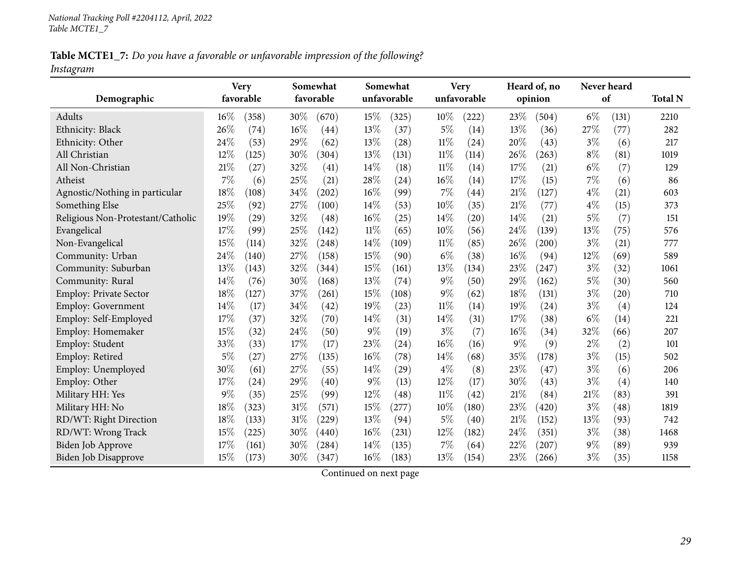Table MCTE1\_7: Do you have a favorable or unfavorable impression of the following? *Instagram*

|                                   | <b>Very</b> |       |     | Somewhat  |        | Somewhat           |        | <b>Very</b> |        | Heard of, no |       | Never heard        |                |
|-----------------------------------|-------------|-------|-----|-----------|--------|--------------------|--------|-------------|--------|--------------|-------|--------------------|----------------|
| Demographic                       | favorable   |       |     | favorable |        | unfavorable        |        | unfavorable |        | opinion      |       | of                 | <b>Total N</b> |
| Adults                            | $16\%$      | (358) | 30% | (670)     | 15\%   | (325)              | $10\%$ | (222)       | 23%    | (504)        | $6\%$ | (131)              | 2210           |
| Ethnicity: Black                  | 26%         | (74)  | 16% | (44)      | 13%    | (37)               | $5\%$  | (14)        | 13%    | (36)         | 27%   | (77)               | 282            |
| Ethnicity: Other                  | 24%         | (53)  | 29% | (62)      | 13%    | (28)               | $11\%$ | (24)        | 20%    | (43)         | $3\%$ | (6)                | 217            |
| All Christian                     | 12%         | (125) | 30% | (304)     | 13%    | (131)              | $11\%$ | (114)       | 26%    | (263)        | $8\%$ | (81)               | 1019           |
| All Non-Christian                 | 21\%        | (27)  | 32% | (41)      | 14\%   | (18)               | $11\%$ | (14)        | 17%    | (21)         | $6\%$ | (7)                | 129            |
| Atheist                           | 7%          | (6)   | 25% | (21)      | 28%    | (24)               | 16%    | (14)        | 17%    | (15)         | 7%    | (6)                | 86             |
| Agnostic/Nothing in particular    | 18%         | (108) | 34% | (202)     | 16%    | (99)               | $7\%$  | (44)        | $21\%$ | (127)        | $4\%$ | (21)               | 603            |
| Something Else                    | 25%         | (92)  | 27% | (100)     | 14\%   | (53)               | 10%    | (35)        | 21%    | (77)         | $4\%$ | (15)               | 373            |
| Religious Non-Protestant/Catholic | 19%         | (29)  | 32% | (48)      | 16%    | (25)               | 14\%   | (20)        | 14%    | (21)         | $5\%$ | (7)                | 151            |
| Evangelical                       | 17%         | (99)  | 25% | (142)     | $11\%$ | (65)               | 10%    | (56)        | 24%    | (139)        | 13%   | (75)               | 576            |
| Non-Evangelical                   | 15%         | (114) | 32% | (248)     | 14%    | (109)              | $11\%$ | (85)        | 26%    | (200)        | $3\%$ | (21)               | 777            |
| Community: Urban                  | 24%         | (140) | 27% | (158)     | 15%    | (90)               | $6\%$  | (38)        | 16%    | (94)         | 12%   | (69)               | 589            |
| Community: Suburban               | 13%         | (143) | 32% | (344)     | 15%    | (161)              | 13%    | (134)       | 23%    | (247)        | $3\%$ | (32)               | 1061           |
| Community: Rural                  | 14%         | (76)  | 30% | (168)     | 13%    | (74)               | $9\%$  | (50)        | 29%    | (162)        | $5\%$ | (30)               | 560            |
| <b>Employ: Private Sector</b>     | 18%         | (127) | 37% | (261)     | 15%    | (108)              | $9\%$  | (62)        | 18%    | (131)        | $3\%$ | $\left( 20\right)$ | 710            |
| Employ: Government                | 14%         | (17)  | 34% | (42)      | 19%    | (23)               | $11\%$ | (14)        | 19%    | (24)         | $3\%$ | (4)                | 124            |
| Employ: Self-Employed             | 17%         | (37)  | 32% | (70)      | 14\%   | (31)               | 14%    | (31)        | 17%    | (38)         | $6\%$ | (14)               | 221            |
| Employ: Homemaker                 | 15%         | (32)  | 24% | (50)      | $9\%$  | (19)               | $3\%$  | (7)         | 16%    | (34)         | 32%   | (66)               | 207            |
| Employ: Student                   | 33%         | (33)  | 17% | (17)      | 23%    | $\left( 24\right)$ | 16%    | (16)        | $9\%$  | (9)          | $2\%$ | (2)                | 101            |
| Employ: Retired                   | $5\%$       | (27)  | 27% | (135)     | 16%    | (78)               | 14\%   | (68)        | 35%    | (178)        | $3\%$ | (15)               | 502            |
| Employ: Unemployed                | 30%         | (61)  | 27% | (55)      | 14%    | (29)               | $4\%$  | (8)         | 23%    | (47)         | $3\%$ | (6)                | 206            |
| Employ: Other                     | 17%         | (24)  | 29% | (40)      | $9\%$  | (13)               | 12%    | (17)        | 30%    | (43)         | $3\%$ | (4)                | 140            |
| Military HH: Yes                  | $9\%$       | (35)  | 25% | (99)      | 12%    | (48)               | $11\%$ | (42)        | 21%    | (84)         | 21%   | (83)               | 391            |
| Military HH: No                   | 18%         | (323) | 31% | (571)     | 15%    | (277)              | 10%    | (180)       | 23%    | (420)        | $3\%$ | (48)               | 1819           |
| RD/WT: Right Direction            | 18%         | (133) | 31% | (229)     | 13%    | (94)               | $5\%$  | (40)        | $21\%$ | (152)        | 13%   | (93)               | 742            |
| RD/WT: Wrong Track                | 15%         | (225) | 30% | (440)     | 16%    | (231)              | 12%    | (182)       | 24\%   | (351)        | $3\%$ | (38)               | 1468           |
| <b>Biden Job Approve</b>          | 17%         | (161) | 30% | (284)     | 14\%   | (135)              | 7%     | (64)        | 22%    | (207)        | $9\%$ | (89)               | 939            |
| Biden Job Disapprove              | 15%         | (173) | 30% | (347)     | 16%    | (183)              | 13%    | (154)       | 23%    | (266)        | $3\%$ | (35)               | 1158           |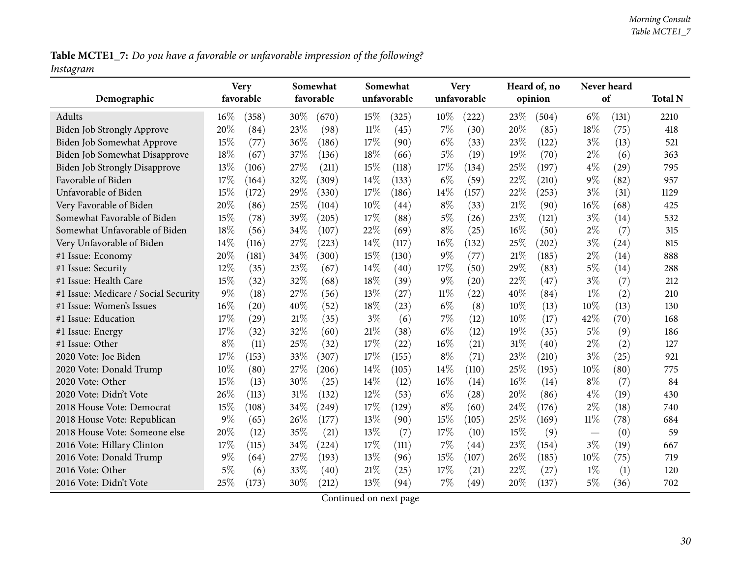Table MCTE1\_7: Do you have a favorable or unfavorable impression of the following? *Instagram*

| Demographic                          |        | <b>Very</b><br>favorable |      | Somewhat<br>favorable |        | Somewhat<br>unfavorable |        | <b>Very</b><br>unfavorable |        | Heard of, no<br>opinion | Never heard<br>of |       | <b>Total N</b> |
|--------------------------------------|--------|--------------------------|------|-----------------------|--------|-------------------------|--------|----------------------------|--------|-------------------------|-------------------|-------|----------------|
|                                      |        |                          |      |                       |        |                         |        |                            |        |                         |                   |       |                |
| Adults                               | $16\%$ | (358)                    | 30%  | (670)                 | 15%    | (325)                   | 10%    | (222)                      | 23\%   | (504)                   | $6\%$             | (131) | 2210           |
| <b>Biden Job Strongly Approve</b>    | 20%    | (84)                     | 23%  | (98)                  | $11\%$ | (45)                    | $7\%$  | (30)                       | 20%    | (85)                    | 18%               | (75)  | 418            |
| Biden Job Somewhat Approve           | 15%    | (77)                     | 36%  | (186)                 | 17%    | (90)                    | $6\%$  | (33)                       | 23\%   | (122)                   | $3\%$             | (13)  | 521            |
| <b>Biden Job Somewhat Disapprove</b> | 18%    | (67)                     | 37%  | (136)                 | 18%    | (66)                    | $5\%$  | (19)                       | 19%    | (70)                    | $2\%$             | (6)   | 363            |
| <b>Biden Job Strongly Disapprove</b> | 13%    | (106)                    | 27%  | (211)                 | 15%    | (118)                   | 17%    | (134)                      | 25%    | (197)                   | $4\%$             | (29)  | 795            |
| Favorable of Biden                   | 17%    | (164)                    | 32%  | (309)                 | 14\%   | (133)                   | $6\%$  | (59)                       | 22%    | (210)                   | $9\%$             | (82)  | 957            |
| Unfavorable of Biden                 | 15%    | (172)                    | 29%  | (330)                 | 17%    | (186)                   | 14\%   | (157)                      | 22%    | (253)                   | $3\%$             | (31)  | 1129           |
| Very Favorable of Biden              | 20%    | (86)                     | 25%  | (104)                 | 10%    | (44)                    | $8\%$  | (33)                       | 21%    | (90)                    | 16%               | (68)  | 425            |
| Somewhat Favorable of Biden          | 15%    | (78)                     | 39%  | (205)                 | 17%    | (88)                    | $5\%$  | (26)                       | 23\%   | (121)                   | $3\%$             | (14)  | 532            |
| Somewhat Unfavorable of Biden        | 18%    | (56)                     | 34%  | (107)                 | 22%    | (69)                    | $8\%$  | (25)                       | $16\%$ | (50)                    | $2\%$             | (7)   | 315            |
| Very Unfavorable of Biden            | 14%    | (116)                    | 27\% | (223)                 | 14%    | (117)                   | 16%    | (132)                      | 25%    | (202)                   | $3\%$             | (24)  | 815            |
| #1 Issue: Economy                    | 20%    | (181)                    | 34%  | (300)                 | 15%    | (130)                   | 9%     | (77)                       | 21%    | (185)                   | $2\%$             | (14)  | 888            |
| #1 Issue: Security                   | 12%    | (35)                     | 23%  | (67)                  | 14%    | (40)                    | 17%    | (50)                       | 29%    | (83)                    | $5\%$             | (14)  | 288            |
| #1 Issue: Health Care                | 15%    | (32)                     | 32%  | (68)                  | 18%    | (39)                    | 9%     | (20)                       | 22%    | (47)                    | $3\%$             | (7)   | 212            |
| #1 Issue: Medicare / Social Security | 9%     | (18)                     | 27%  | (56)                  | 13%    | (27)                    | $11\%$ | (22)                       | 40%    | (84)                    | $1\%$             | (2)   | 210            |
| #1 Issue: Women's Issues             | 16%    | (20)                     | 40%  | (52)                  | 18%    | (23)                    | $6\%$  | (8)                        | $10\%$ | (13)                    | 10%               | (13)  | 130            |
| #1 Issue: Education                  | 17%    | $\left( 29\right)$       | 21%  | (35)                  | $3\%$  | (6)                     | $7\%$  | (12)                       | $10\%$ | (17)                    | 42%               | (70)  | 168            |
| #1 Issue: Energy                     | 17%    | (32)                     | 32%  | (60)                  | 21%    | (38)                    | $6\%$  | (12)                       | 19%    | (35)                    | 5%                | (9)   | 186            |
| #1 Issue: Other                      | $8\%$  | (11)                     | 25%  | (32)                  | 17%    | (22)                    | 16%    | (21)                       | 31%    | (40)                    | $2\%$             | (2)   | 127            |
| 2020 Vote: Joe Biden                 | 17%    | (153)                    | 33%  | (307)                 | 17%    | (155)                   | $8\%$  | (71)                       | 23%    | (210)                   | $3\%$             | (25)  | 921            |
| 2020 Vote: Donald Trump              | 10%    | (80)                     | 27%  | (206)                 | 14\%   | (105)                   | $14\%$ | (110)                      | 25%    | (195)                   | 10%               | (80)  | 775            |
| 2020 Vote: Other                     | 15%    | (13)                     | 30%  | (25)                  | 14%    | (12)                    | 16%    | (14)                       | $16\%$ | (14)                    | $8\%$             | (7)   | 84             |
| 2020 Vote: Didn't Vote               | 26%    | (113)                    | 31%  | (132)                 | 12%    | (53)                    | $6\%$  | (28)                       | 20%    | (86)                    | $4\%$             | (19)  | 430            |
| 2018 House Vote: Democrat            | 15%    | (108)                    | 34%  | (249)                 | 17%    | (129)                   | $8\%$  | (60)                       | 24\%   | (176)                   | $2\%$             | (18)  | 740            |
| 2018 House Vote: Republican          | 9%     | (65)                     | 26%  | (177)                 | 13%    | (90)                    | 15%    | (105)                      | 25%    | (169)                   | $11\%$            | (78)  | 684            |
| 2018 House Vote: Someone else        | 20%    | (12)                     | 35%  | (21)                  | 13%    | (7)                     | 17%    | (10)                       | 15%    | (9)                     |                   | (0)   | 59             |
| 2016 Vote: Hillary Clinton           | 17%    | (115)                    | 34%  | (224)                 | 17%    | (111)                   | 7%     | (44)                       | 23%    | (154)                   | $3\%$             | (19)  | 667            |
| 2016 Vote: Donald Trump              | $9\%$  | (64)                     | 27\% | (193)                 | 13%    | (96)                    | 15%    | (107)                      | 26%    | (185)                   | 10%               | (75)  | 719            |
| 2016 Vote: Other                     | $5\%$  | (6)                      | 33%  | (40)                  | 21%    | (25)                    | 17%    | (21)                       | 22%    | (27)                    | $1\%$             | (1)   | 120            |
| 2016 Vote: Didn't Vote               | 25%    | (173)                    | 30%  | (212)                 | 13%    | (94)                    | 7%     | (49)                       | 20%    | (137)                   | 5%                | (36)  | 702            |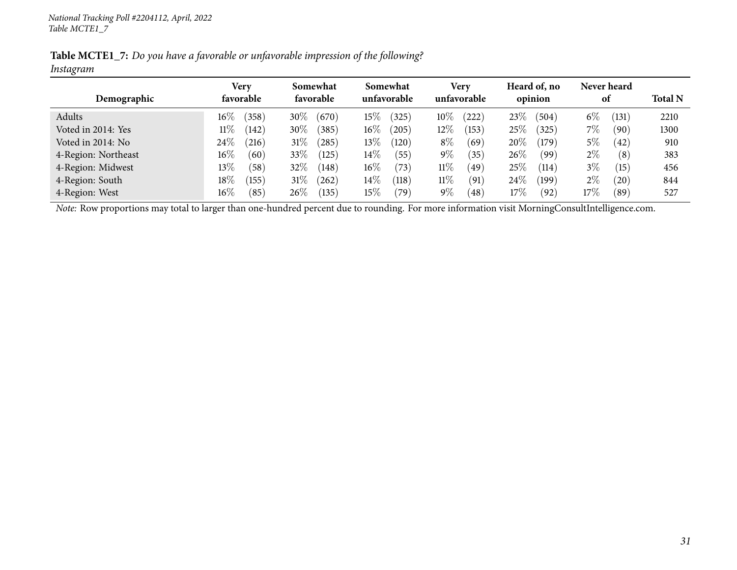Table MCTE1\_7: Do you have a favorable or unfavorable impression of the following? *Instagram*

| Demographic         | Very<br>favorable | Somewhat<br>favorable | Somewhat<br>unfavorable      | Very<br>unfavorable     | Heard of, no<br>opinion        | Never heard<br>0t       | <b>Total N</b> |
|---------------------|-------------------|-----------------------|------------------------------|-------------------------|--------------------------------|-------------------------|----------------|
|                     |                   |                       |                              |                         |                                |                         |                |
| Adults              | $16\%$<br>(358)   | 30\%<br>(670)         | $15\%$<br>(325)              | $10\%$<br>(222)         | $23\%$<br>(504)                | $6\%$<br>(131)          | 2210           |
| Voted in 2014: Yes  | 11%<br>(142)      | 30\%<br>385           | $16\%$<br>(205)              | $12\%$<br>(153)         | $25\%$<br>325                  | 7%<br>$\left(90\right)$ | 1300           |
| Voted in 2014: No   | 24\%<br>(216)     | $31\%$<br>285         | $13\%$<br>(120)              | $8\%$<br>(69)           | $20\%$<br>$^{\prime}179$       | $5\%$<br>(42)           | 910            |
| 4-Region: Northeast | $16\%$<br>(60)    | 33\%<br>(125)         | $14\%$<br>(55)               | $9\%$<br>$^{\prime}35)$ | $26\%$<br>(99                  | $2\%$<br>(8)            | 383            |
| 4-Region: Midwest   | $13\%$<br>(58)    | 32%<br>(148)          | $16\%$<br>(73)               | $11\%$<br>(49)          | $25\%$<br>(114)                | $3\%$<br>(15)           | 456            |
| 4-Region: South     | $18\%$<br>(155)   | $31\%$<br>262         | $14\%$<br>$\left(118\right)$ | $11\%$<br>(91)          | $24\%$<br>$^{\prime}$ 199 $\,$ | $2\%$<br>$^{'}20$       | 844            |
| 4-Region: West      | $16\%$<br>(85)    | 26\%<br>(135)         | $15\%$<br>79`                | $9\%$<br>$^{'}48$       | 17%<br>(92)                    | 17%<br>$^{(89)}$        | 527            |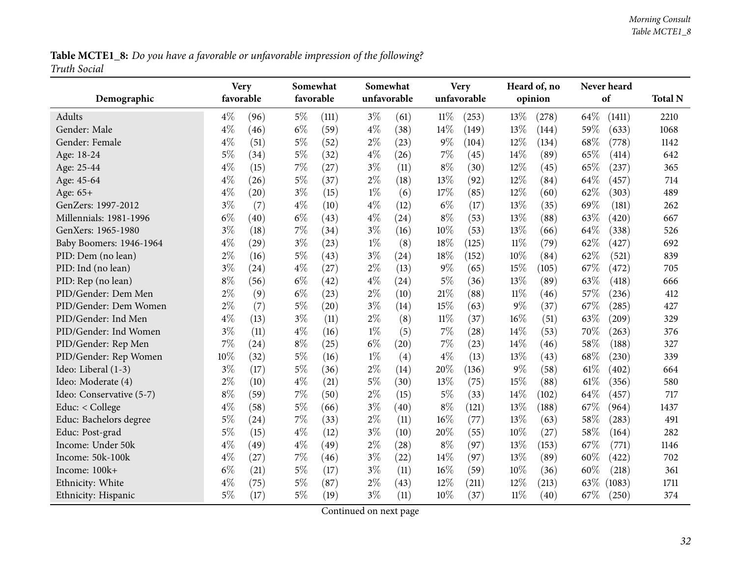Table MCTE1\_8: Do you have a favorable or unfavorable impression of the following? *Truth Social*

<span id="page-31-0"></span>

|                          | <b>Very</b> |      |       | Somewhat  |       | Somewhat    |        | <b>Very</b> |        | Heard of, no |        | Never heard |                |
|--------------------------|-------------|------|-------|-----------|-------|-------------|--------|-------------|--------|--------------|--------|-------------|----------------|
| Demographic              | favorable   |      |       | favorable |       | unfavorable |        | unfavorable |        | opinion      |        | of          | <b>Total N</b> |
| <b>Adults</b>            | $4\%$       | (96) | $5\%$ | (111)     | $3\%$ | (61)        | $11\%$ | (253)       | 13%    | (278)        | 64\%   | (1411)      | 2210           |
| Gender: Male             | $4\%$       | (46) | $6\%$ | (59)      | $4\%$ | (38)        | 14%    | (149)       | 13%    | (144)        | 59%    | (633)       | 1068           |
| Gender: Female           | $4\%$       | (51) | $5\%$ | (52)      | $2\%$ | (23)        | $9\%$  | (104)       | 12%    | (134)        | 68%    | (778)       | 1142           |
| Age: 18-24               | $5\%$       | (34) | $5\%$ | (32)      | $4\%$ | (26)        | 7%     | (45)        | 14%    | (89)         | 65%    | (414)       | 642            |
| Age: 25-44               | $4\%$       | (15) | 7%    | (27)      | $3\%$ | (11)        | $8\%$  | (30)        | 12%    | (45)         | 65%    | (237)       | 365            |
| Age: 45-64               | $4\%$       | (26) | $5\%$ | (37)      | $2\%$ | (18)        | 13%    | (92)        | 12%    | (84)         | 64%    | (457)       | 714            |
| Age: 65+                 | $4\%$       | (20) | $3\%$ | (15)      | $1\%$ | (6)         | 17%    | (85)        | 12%    | (60)         | 62%    | (303)       | 489            |
| GenZers: 1997-2012       | $3\%$       | (7)  | $4\%$ | (10)      | $4\%$ | (12)        | $6\%$  | (17)        | 13%    | (35)         | 69%    | (181)       | 262            |
| Millennials: 1981-1996   | $6\%$       | (40) | $6\%$ | (43)      | $4\%$ | (24)        | $8\%$  | (53)        | 13%    | (88)         | 63\%   | (420)       | 667            |
| GenXers: 1965-1980       | $3\%$       | (18) | 7%    | (34)      | $3\%$ | (16)        | 10%    | (53)        | 13%    | (66)         | 64%    | (338)       | 526            |
| Baby Boomers: 1946-1964  | $4\%$       | (29) | $3\%$ | (23)      | $1\%$ | (8)         | 18%    | (125)       | $11\%$ | (79)         | 62%    | (427)       | 692            |
| PID: Dem (no lean)       | $2\%$       | (16) | $5\%$ | (43)      | $3\%$ | (24)        | 18%    | (152)       | 10%    | (84)         | 62%    | (521)       | 839            |
| PID: Ind (no lean)       | $3\%$       | (24) | $4\%$ | (27)      | $2\%$ | (13)        | $9\%$  | (65)        | 15%    | (105)        | 67%    | (472)       | 705            |
| PID: Rep (no lean)       | $8\%$       | (56) | $6\%$ | (42)      | $4\%$ | (24)        | $5\%$  | (36)        | 13%    | (89)         | 63%    | (418)       | 666            |
| PID/Gender: Dem Men      | $2\%$       | (9)  | $6\%$ | (23)      | $2\%$ | (10)        | 21%    | (88)        | $11\%$ | (46)         | 57%    | (236)       | 412            |
| PID/Gender: Dem Women    | $2\%$       | (7)  | $5\%$ | (20)      | $3\%$ | (14)        | 15%    | (63)        | 9%     | (37)         | 67%    | (285)       | 427            |
| PID/Gender: Ind Men      | $4\%$       | (13) | $3\%$ | (11)      | $2\%$ | (8)         | $11\%$ | (37)        | 16%    | (51)         | 63%    | (209)       | 329            |
| PID/Gender: Ind Women    | $3\%$       | (11) | $4\%$ | (16)      | $1\%$ | (5)         | 7%     | (28)        | 14%    | (53)         | 70%    | (263)       | 376            |
| PID/Gender: Rep Men      | 7%          | (24) | $8\%$ | (25)      | $6\%$ | (20)        | 7%     | (23)        | 14%    | (46)         | 58%    | (188)       | 327            |
| PID/Gender: Rep Women    | 10%         | (32) | $5\%$ | (16)      | $1\%$ | (4)         | $4\%$  | (13)        | 13%    | (43)         | 68%    | (230)       | 339            |
| Ideo: Liberal (1-3)      | $3\%$       | (17) | $5\%$ | (36)      | $2\%$ | (14)        | 20%    | (136)       | 9%     | (58)         | 61\%   | (402)       | 664            |
| Ideo: Moderate (4)       | $2\%$       | (10) | $4\%$ | (21)      | $5\%$ | (30)        | 13%    | (75)        | 15%    | (88)         | $61\%$ | (356)       | 580            |
| Ideo: Conservative (5-7) | $8\%$       | (59) | 7%    | (50)      | $2\%$ | (15)        | $5\%$  | (33)        | 14%    | (102)        | 64%    | (457)       | 717            |
| Educ: < College          | $4\%$       | (58) | $5\%$ | (66)      | $3\%$ | (40)        | $8\%$  | (121)       | 13%    | (188)        | 67\%   | (964)       | 1437           |
| Educ: Bachelors degree   | $5\%$       | (24) | $7\%$ | (33)      | $2\%$ | (11)        | 16%    | (77)        | 13%    | (63)         | 58%    | (283)       | 491            |
| Educ: Post-grad          | $5\%$       | (15) | $4\%$ | (12)      | $3\%$ | (10)        | 20%    | (55)        | 10%    | (27)         | 58%    | (164)       | 282            |
| Income: Under 50k        | $4\%$       | (49) | $4\%$ | (49)      | $2\%$ | (28)        | $8\%$  | (97)        | 13%    | (153)        | 67%    | (771)       | 1146           |
| Income: 50k-100k         | $4\%$       | (27) | 7%    | (46)      | $3\%$ | (22)        | 14%    | (97)        | 13%    | (89)         | 60%    | (422)       | 702            |
| Income: 100k+            | $6\%$       | (21) | $5\%$ | (17)      | $3\%$ | (11)        | 16%    | (59)        | 10%    | (36)         | 60%    | (218)       | 361            |
| Ethnicity: White         | $4\%$       | (75) | $5\%$ | (87)      | $2\%$ | (43)        | 12%    | (211)       | 12%    | (213)        | 63\%   | (1083)      | 1711           |
| Ethnicity: Hispanic      | $5\%$       | (17) | $5\%$ | (19)      | $3\%$ | (11)        | 10%    | (37)        | $11\%$ | (40)         | 67%    | (250)       | 374            |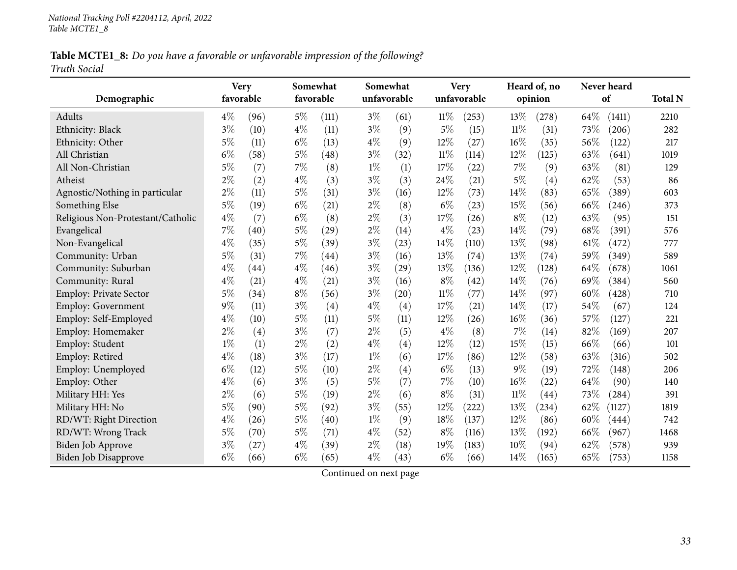Table MCTE1\_8: Do you have a favorable or unfavorable impression of the following? *Truth Social*

|                                   | <b>Very</b> |           |       | Somewhat           |       | Somewhat    |        | <b>Very</b> |        | Heard of, no      |      | Never heard |                |
|-----------------------------------|-------------|-----------|-------|--------------------|-------|-------------|--------|-------------|--------|-------------------|------|-------------|----------------|
| Demographic                       |             | favorable |       | favorable          |       | unfavorable |        | unfavorable |        | opinion           |      | of          | <b>Total N</b> |
| Adults                            | $4\%$       | (96)      | $5\%$ | (111)              | $3\%$ | (61)        | 11%    | (253)       | 13%    | (278)             | 64\% | (1411)      | 2210           |
| Ethnicity: Black                  | $3\%$       | (10)      | $4\%$ | (11)               | $3\%$ | (9)         | $5\%$  | (15)        | $11\%$ | (31)              | 73%  | (206)       | 282            |
| Ethnicity: Other                  | $5\%$       | (11)      | $6\%$ | (13)               | $4\%$ | (9)         | 12%    | (27)        | 16%    | (35)              | 56%  | (122)       | 217            |
| All Christian                     | $6\%$       | (58)      | $5\%$ | (48)               | $3\%$ | (32)        | $11\%$ | (114)       | 12%    | (125)             | 63%  | (641)       | 1019           |
| All Non-Christian                 | $5\%$       | (7)       | 7%    | (8)                | $1\%$ | (1)         | 17%    | (22)        | 7%     | (9)               | 63%  | (81)        | 129            |
| Atheist                           | $2\%$       | (2)       | $4\%$ | (3)                | $3\%$ | (3)         | 24\%   | (21)        | $5\%$  | $\left( 4\right)$ | 62%  | (53)        | 86             |
| Agnostic/Nothing in particular    | $2\%$       | (11)      | $5\%$ | (31)               | $3\%$ | (16)        | 12%    | (73)        | 14%    | (83)              | 65%  | (389)       | 603            |
| Something Else                    | $5\%$       | (19)      | $6\%$ | (21)               | $2\%$ | (8)         | $6\%$  | (23)        | 15%    | (56)              | 66%  | (246)       | 373            |
| Religious Non-Protestant/Catholic | $4\%$       | (7)       | $6\%$ | (8)                | $2\%$ | (3)         | 17%    | (26)        | $8\%$  | (12)              | 63%  | (95)        | 151            |
| Evangelical                       | 7%          | (40)      | $5\%$ | (29)               | $2\%$ | (14)        | $4\%$  | (23)        | 14%    | (79)              | 68%  | (391)       | 576            |
| Non-Evangelical                   | $4\%$       | (35)      | $5\%$ | (39)               | $3\%$ | (23)        | 14%    | (110)       | 13%    | (98)              | 61%  | (472)       | 777            |
| Community: Urban                  | $5\%$       | (31)      | $7\%$ | $\left( 44\right)$ | $3\%$ | (16)        | 13%    | (74)        | 13%    | (74)              | 59%  | (349)       | 589            |
| Community: Suburban               | $4\%$       | (44)      | $4\%$ | (46)               | $3\%$ | (29)        | 13%    | (136)       | 12%    | (128)             | 64%  | (678)       | 1061           |
| Community: Rural                  | $4\%$       | (21)      | $4\%$ | (21)               | $3\%$ | (16)        | $8\%$  | (42)        | 14%    | (76)              | 69%  | (384)       | 560            |
| <b>Employ: Private Sector</b>     | $5\%$       | (34)      | $8\%$ | (56)               | $3\%$ | (20)        | $11\%$ | (77)        | 14%    | (97)              | 60%  | (428)       | 710            |
| Employ: Government                | $9\%$       | (11)      | $3\%$ | (4)                | $4\%$ | (4)         | 17%    | (21)        | 14%    | (17)              | 54%  | (67)        | 124            |
| Employ: Self-Employed             | $4\%$       | (10)      | $5\%$ | (11)               | $5\%$ | (11)        | 12%    | (26)        | 16%    | (36)              | 57%  | (127)       | 221            |
| Employ: Homemaker                 | $2\%$       | (4)       | $3\%$ | (7)                | $2\%$ | (5)         | $4\%$  | (8)         | 7%     | (14)              | 82%  | (169)       | 207            |
| Employ: Student                   | $1\%$       | (1)       | $2\%$ | (2)                | $4\%$ | (4)         | 12%    | (12)        | 15%    | (15)              | 66%  | (66)        | 101            |
| Employ: Retired                   | $4\%$       | (18)      | $3\%$ | (17)               | $1\%$ | (6)         | 17%    | (86)        | 12%    | (58)              | 63%  | (316)       | 502            |
| Employ: Unemployed                | $6\%$       | (12)      | $5\%$ | (10)               | $2\%$ | (4)         | $6\%$  | (13)        | 9%     | (19)              | 72%  | (148)       | 206            |
| Employ: Other                     | $4\%$       | (6)       | $3\%$ | (5)                | $5\%$ | (7)         | $7\%$  | (10)        | 16%    | (22)              | 64%  | (90)        | 140            |
| Military HH: Yes                  | $2\%$       | (6)       | $5\%$ | (19)               | $2\%$ | (6)         | $8\%$  | (31)        | $11\%$ | (44)              | 73%  | (284)       | 391            |
| Military HH: No                   | $5\%$       | (90)      | $5\%$ | (92)               | $3\%$ | (55)        | 12%    | (222)       | 13%    | (234)             | 62%  | (1127)      | 1819           |
| RD/WT: Right Direction            | $4\%$       | (26)      | $5\%$ | (40)               | $1\%$ | (9)         | 18%    | (137)       | 12%    | (86)              | 60%  | (444)       | 742            |
| RD/WT: Wrong Track                | $5\%$       | (70)      | $5\%$ | (71)               | $4\%$ | (52)        | $8\%$  | (116)       | 13%    | (192)             | 66%  | (967)       | 1468           |
| <b>Biden Job Approve</b>          | $3\%$       | (27)      | $4\%$ | (39)               | $2\%$ | (18)        | 19%    | (183)       | 10%    | (94)              | 62%  | (578)       | 939            |
| Biden Job Disapprove              | $6\%$       | (66)      | $6\%$ | (65)               | $4\%$ | (43)        | $6\%$  | (66)        | 14%    | (165)             | 65%  | (753)       | 1158           |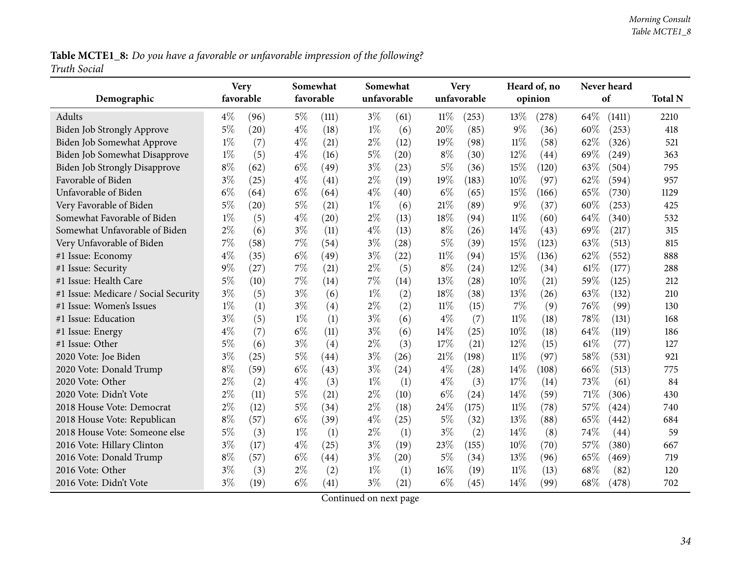Table MCTE1\_8: Do you have a favorable or unfavorable impression of the following? *Truth Social*

| Demographic                          | <b>Very</b><br>favorable |      | Somewhat<br>favorable |                    | Somewhat<br>unfavorable |      |        | <b>Very</b><br>unfavorable |        | Heard of, no<br>opinion |      | Never heard<br>of | <b>Total N</b> |
|--------------------------------------|--------------------------|------|-----------------------|--------------------|-------------------------|------|--------|----------------------------|--------|-------------------------|------|-------------------|----------------|
| Adults                               | $4\%$                    | (96) | $5\%$                 | (111)              | $3\%$                   | (61) | 11%    | (253)                      | 13%    | (278)                   | 64\% | (1411)            | 2210           |
| <b>Biden Job Strongly Approve</b>    | $5\%$                    | (20) | $4\%$                 | (18)               | $1\%$                   | (6)  | 20%    | (85)                       | $9\%$  | (36)                    | 60%  | (253)             | 418            |
| Biden Job Somewhat Approve           | $1\%$                    | (7)  | $4\%$                 | (21)               | $2\%$                   | (12) | 19%    | (98)                       | $11\%$ | (58)                    | 62%  | (326)             | 521            |
| Biden Job Somewhat Disapprove        | $1\%$                    | (5)  | $4\%$                 | (16)               | $5\%$                   | (20) | $8\%$  | (30)                       | 12%    | (44)                    | 69%  | (249)             | 363            |
| <b>Biden Job Strongly Disapprove</b> | $8\%$                    | (62) | $6\%$                 | (49)               | $3\%$                   | (23) | $5\%$  | (36)                       | 15%    | (120)                   | 63%  | (504)             | 795            |
| Favorable of Biden                   | $3\%$                    | (25) | $4\%$                 | (41)               | $2\%$                   | (19) | 19%    | (183)                      | 10%    | (97)                    | 62%  | (594)             | 957            |
| Unfavorable of Biden                 | $6\%$                    | (64) | $6\%$                 | (64)               | $4\%$                   | (40) | $6\%$  | (65)                       | 15%    | (166)                   | 65%  | (730)             | 1129           |
| Very Favorable of Biden              | 5%                       | (20) | $5\%$                 | (21)               | $1\%$                   | (6)  | 21%    | (89)                       | $9\%$  | (37)                    | 60%  | (253)             | 425            |
| Somewhat Favorable of Biden          | $1\%$                    | (5)  | $4\%$                 | $\left( 20\right)$ | $2\%$                   | (13) | 18%    | (94)                       | $11\%$ | (60)                    | 64%  | (340)             | 532            |
| Somewhat Unfavorable of Biden        | $2\%$                    | (6)  | $3\%$                 | (11)               | $4\%$                   | (13) | $8\%$  | (26)                       | 14\%   | (43)                    | 69%  | (217)             | 315            |
| Very Unfavorable of Biden            | 7%                       | (58) | 7%                    | (54)               | $3\%$                   | (28) | 5%     | (39)                       | 15%    | (123)                   | 63%  | (513)             | 815            |
| #1 Issue: Economy                    | $4\%$                    | (35) | $6\%$                 | (49)               | $3\%$                   | (22) | $11\%$ | (94)                       | 15%    | (136)                   | 62%  | (552)             | 888            |
| #1 Issue: Security                   | 9%                       | (27) | $7\%$                 | (21)               | $2\%$                   | (5)  | $8\%$  | (24)                       | 12%    | (34)                    | 61%  | (177)             | 288            |
| #1 Issue: Health Care                | $5\%$                    | (10) | $7\%$                 | (14)               | 7%                      | (14) | 13%    | (28)                       | 10%    | (21)                    | 59%  | (125)             | 212            |
| #1 Issue: Medicare / Social Security | $3\%$                    | (5)  | $3\%$                 | (6)                | $1\%$                   | (2)  | 18%    | (38)                       | $13\%$ | (26)                    | 63%  | (132)             | 210            |
| #1 Issue: Women's Issues             | $1\%$                    | (1)  | $3\%$                 | (4)                | $2\%$                   | (2)  | $11\%$ | (15)                       | 7%     | (9)                     | 76%  | (99)              | 130            |
| #1 Issue: Education                  | $3\%$                    | (5)  | $1\%$                 | (1)                | $3\%$                   | (6)  | $4\%$  | (7)                        | $11\%$ | (18)                    | 78%  | (131)             | 168            |
| #1 Issue: Energy                     | $4\%$                    | (7)  | $6\%$                 | (11)               | $3\%$                   | (6)  | 14%    | (25)                       | 10%    | (18)                    | 64\% | (119)             | 186            |
| #1 Issue: Other                      | 5%                       | (6)  | $3\%$                 | (4)                | $2\%$                   | (3)  | 17%    | (21)                       | 12%    | (15)                    | 61%  | (77)              | 127            |
| 2020 Vote: Joe Biden                 | $3\%$                    | (25) | $5\%$                 | $\left( 44\right)$ | $3\%$                   | (26) | 21%    | (198)                      | $11\%$ | (97)                    | 58%  | (531)             | 921            |
| 2020 Vote: Donald Trump              | $8\%$                    | (59) | $6\%$                 | (43)               | $3\%$                   | (24) | $4\%$  | (28)                       | 14%    | (108)                   | 66%  | (513)             | 775            |
| 2020 Vote: Other                     | $2\%$                    | (2)  | $4\%$                 | (3)                | $1\%$                   | (1)  | $4\%$  | (3)                        | 17%    | (14)                    | 73%  | (61)              | 84             |
| 2020 Vote: Didn't Vote               | 2%                       | (11) | $5\%$                 | (21)               | $2\%$                   | (10) | $6\%$  | (24)                       | 14%    | (59)                    | 71%  | (306)             | 430            |
| 2018 House Vote: Democrat            | $2\%$                    | (12) | $5\%$                 | (34)               | $2\%$                   | (18) | 24%    | (175)                      | $11\%$ | (78)                    | 57%  | (424)             | 740            |
| 2018 House Vote: Republican          | $8\%$                    | (57) | $6\%$                 | (39)               | $4\%$                   | (25) | $5\%$  | (32)                       | 13%    | (88)                    | 65%  | (442)             | 684            |
| 2018 House Vote: Someone else        | 5%                       | (3)  | $1\%$                 | (1)                | $2\%$                   | (1)  | $3\%$  | (2)                        | 14%    | (8)                     | 74%  | (44)              | 59             |
| 2016 Vote: Hillary Clinton           | $3\%$                    | (17) | $4\%$                 | (25)               | $3\%$                   | (19) | 23%    | (155)                      | 10%    | (70)                    | 57%  | (380)             | 667            |
| 2016 Vote: Donald Trump              | $8\%$                    | (57) | $6\%$                 | $\left( 44\right)$ | $3\%$                   | (20) | $5\%$  | (34)                       | 13%    | (96)                    | 65%  | (469)             | 719            |
| 2016 Vote: Other                     | $3\%$                    | (3)  | $2\%$                 | (2)                | $1\%$                   | (1)  | 16%    | (19)                       | $11\%$ | (13)                    | 68%  | (82)              | 120            |
| 2016 Vote: Didn't Vote               | $3\%$                    | (19) | $6\%$                 | (41)               | $3\%$                   | (21) | $6\%$  | (45)                       | 14\%   | (99)                    | 68%  | (478)             | 702            |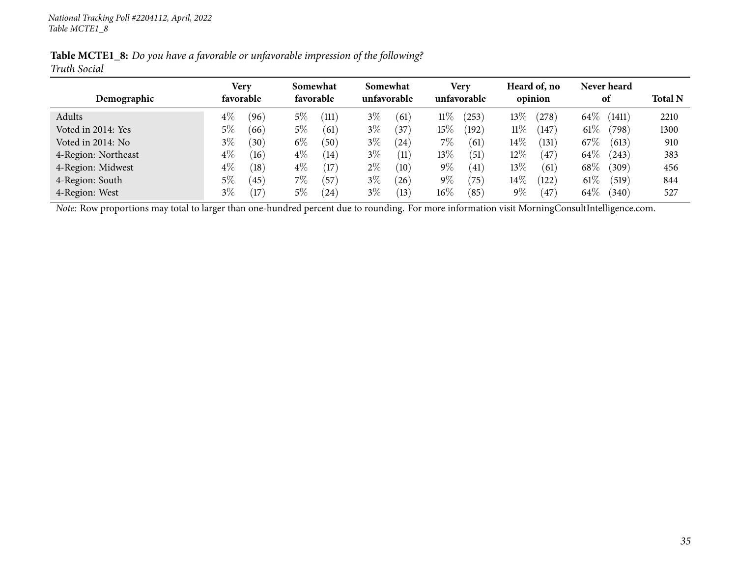|                     | Table MCTE1_8: Do you have a favorable or unfavorable impression of the following? |  |
|---------------------|------------------------------------------------------------------------------------|--|
| <b>Truth Social</b> |                                                                                    |  |

|                     | Very          | Somewhat       | Somewhat          | Very                   | Heard of, no             | Never heard               |                |
|---------------------|---------------|----------------|-------------------|------------------------|--------------------------|---------------------------|----------------|
| Demographic         | favorable     | favorable      | unfavorable       | unfavorable            | opinion                  | 0t                        | <b>Total N</b> |
| Adults              | $4\%$<br>(96) | $5\%$<br>(111) | $3\%$<br>(61)     | 11%<br>(253)           | $13\%$<br>278            | $64\%$<br>(1411)          | 2210           |
| Voted in 2014: Yes  | $5\%$<br>(66) | $5\%$<br>(61)  | $3\%$<br>37       | $15\%$<br>(192)        | $11\%$<br>147            | $61\%$<br>$^{\prime}798)$ | 1300           |
| Voted in 2014: No   | $3\%$<br>(30) | $6\%$<br>(50)  | $3\%$<br>24       | 7%<br>(61)             | $14\%$<br>(131)          | $67\%$<br>(613)           | 910            |
| 4-Region: Northeast | $4\%$<br>(16) | $4\%$<br>(14)  | $3\%$<br>(11)     | $13\%$<br>(51)         | 12%<br>$\frac{47}{ }$    | $64\%$<br>(243)           | 383            |
| 4-Region: Midwest   | $4\%$<br>(18) | $4\%$<br>(17)  | $2\%$<br>(10)     | $9\%$<br>(41)          | 13%<br>(61)              | $68\%$<br>(309)           | 456            |
| 4-Region: South     | $5\%$<br>(45) | $7\%$<br>(57   | $3\%$<br>$^{'}26$ | $9\%$<br>$^{\prime}75$ | $14\%$<br>$^{\prime}122$ | $61\%$<br>(519)           | 844            |
| 4-Region: West      | $3\%$<br>17   | $5\%$<br>(24)  | $3\%$<br>(13)     | $16\%$<br>(85)         | 9 $\%$<br>(47            | $64\%$<br>$340^\circ$     | 527            |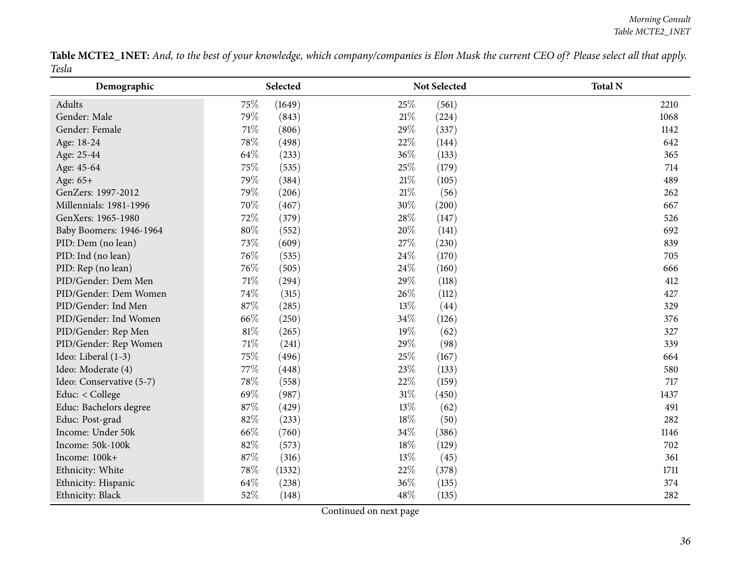Table MCTE2\_1NET: And, to the best of your knowledge, which company/companies is Elon Musk the current CEO of? Please select all that apply. *Tesla* $\overline{\phantom{0}}$ 

<span id="page-35-0"></span>

| Demographic              |        | Selected |     | Not Selected | <b>Total N</b> |
|--------------------------|--------|----------|-----|--------------|----------------|
| Adults                   | 75\%   | (1649)   | 25% | (561)        | 2210           |
| Gender: Male             | 79%    | (843)    | 21% | (224)        | 1068           |
| Gender: Female           | $71\%$ | (806)    | 29% | (337)        | 1142           |
| Age: 18-24               | 78%    | (498)    | 22% | (144)        | 642            |
| Age: 25-44               | 64%    | (233)    | 36% | (133)        | 365            |
| Age: 45-64               | 75%    | (535)    | 25% | (179)        | 714            |
| Age: 65+                 | 79%    | (384)    | 21% | (105)        | 489            |
| GenZers: 1997-2012       | 79%    | (206)    | 21% | (56)         | 262            |
| Millennials: 1981-1996   | 70%    | (467)    | 30% | (200)        | 667            |
| GenXers: 1965-1980       | 72%    | (379)    | 28% | (147)        | 526            |
| Baby Boomers: 1946-1964  | $80\%$ | (552)    | 20% | (141)        | 692            |
| PID: Dem (no lean)       | 73%    | (609)    | 27% | (230)        | 839            |
| PID: Ind (no lean)       | 76%    | (535)    | 24% | (170)        | 705            |
| PID: Rep (no lean)       | 76%    | (505)    | 24% | (160)        | 666            |
| PID/Gender: Dem Men      | $71\%$ | (294)    | 29% | (118)        | 412            |
| PID/Gender: Dem Women    | 74%    | (315)    | 26% | (112)        | 427            |
| PID/Gender: Ind Men      | 87%    | (285)    | 13% | (44)         | 329            |
| PID/Gender: Ind Women    | 66\%   | (250)    | 34% | (126)        | 376            |
| PID/Gender: Rep Men      | $81\%$ | (265)    | 19% | (62)         | 327            |
| PID/Gender: Rep Women    | $71\%$ | (241)    | 29% | (98)         | 339            |
| Ideo: Liberal (1-3)      | 75%    | (496)    | 25% | (167)        | 664            |
| Ideo: Moderate (4)       | 77%    | (448)    | 23% | (133)        | 580            |
| Ideo: Conservative (5-7) | 78\%   | (558)    | 22% | (159)        | 717            |
| Educ: < College          | 69%    | (987)    | 31% | (450)        | 1437           |
| Educ: Bachelors degree   | 87%    | (429)    | 13% | (62)         | 491            |
| Educ: Post-grad          | 82%    | (233)    | 18% | (50)         | 282            |
| Income: Under 50k        | 66%    | (760)    | 34% | (386)        | 1146           |
| Income: 50k-100k         | 82%    | (573)    | 18% | (129)        | 702            |
| Income: 100k+            | 87%    | (316)    | 13% | (45)         | 361            |
| Ethnicity: White         | 78%    | (1332)   | 22% | (378)        | 1711           |
| Ethnicity: Hispanic      | 64%    | (238)    | 36% | (135)        | 374            |
| Ethnicity: Black         | 52%    | (148)    | 48% | (135)        | 282            |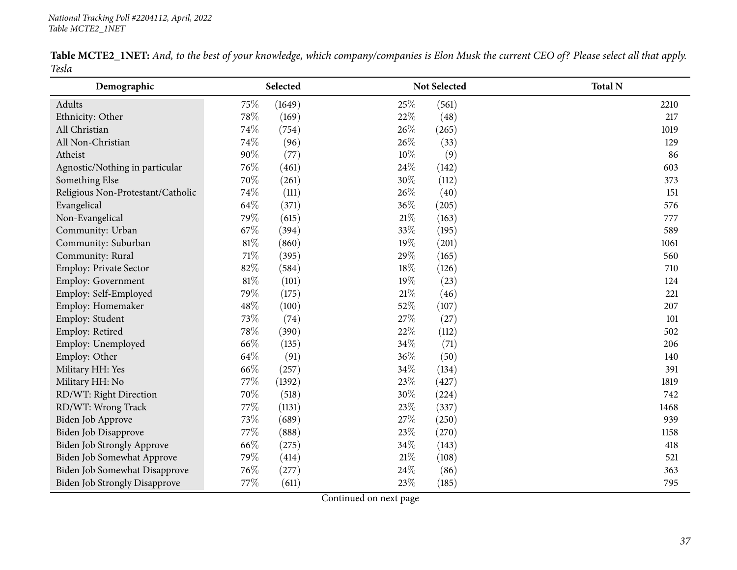|       | Table MCTE2_1NET: And, to the best of your knowledge, which company/companies is Elon Musk the current CEO of? Please select all that apply. |  |  |
|-------|----------------------------------------------------------------------------------------------------------------------------------------------|--|--|
| Tesla |                                                                                                                                              |  |  |

| Demographic                       |        | Selected |        | Not Selected | <b>Total N</b> |
|-----------------------------------|--------|----------|--------|--------------|----------------|
| Adults                            | 75%    | (1649)   | 25%    | (561)        | 2210           |
| Ethnicity: Other                  | 78%    | (169)    | $22\%$ | (48)         | 217            |
| All Christian                     | 74%    | (754)    | 26%    | (265)        | 1019           |
| All Non-Christian                 | 74%    | (96)     | 26%    | (33)         | 129            |
| Atheist                           | 90%    | (77)     | 10%    | (9)          | 86             |
| Agnostic/Nothing in particular    | 76%    | (461)    | 24%    | (142)        | 603            |
| Something Else                    | 70%    | (261)    | 30%    | (112)        | 373            |
| Religious Non-Protestant/Catholic | 74%    | (111)    | 26%    | (40)         | 151            |
| Evangelical                       | 64%    | (371)    | 36%    | (205)        | 576            |
| Non-Evangelical                   | 79%    | (615)    | $21\%$ | (163)        | 777            |
| Community: Urban                  | 67%    | (394)    | 33%    | (195)        | 589            |
| Community: Suburban               | $81\%$ | (860)    | 19%    | (201)        | 1061           |
| Community: Rural                  | 71%    | (395)    | 29%    | (165)        | 560            |
| Employ: Private Sector            | 82%    | (584)    | 18%    | (126)        | 710            |
| Employ: Government                | 81%    | (101)    | 19%    | (23)         | 124            |
| Employ: Self-Employed             | 79%    | (175)    | $21\%$ | (46)         | 221            |
| Employ: Homemaker                 | 48%    | (100)    | 52%    | (107)        | 207            |
| Employ: Student                   | 73%    | (74)     | 27%    | (27)         | 101            |
| Employ: Retired                   | 78%    | (390)    | 22%    | (112)        | 502            |
| Employ: Unemployed                | 66%    | (135)    | 34%    | (71)         | 206            |
| Employ: Other                     | 64\%   | (91)     | 36%    | (50)         | 140            |
| Military HH: Yes                  | 66%    | (257)    | 34%    | (134)        | 391            |
| Military HH: No                   | 77%    | (1392)   | 23%    | (427)        | 1819           |
| RD/WT: Right Direction            | 70%    | (518)    | 30%    | (224)        | 742            |
| RD/WT: Wrong Track                | 77%    | (1131)   | 23%    | (337)        | 1468           |
| Biden Job Approve                 | 73%    | (689)    | 27%    | (250)        | 939            |
| Biden Job Disapprove              | 77%    | (888)    | 23%    | (270)        | 1158           |
| Biden Job Strongly Approve        | 66%    | (275)    | 34%    | (143)        | 418            |
| Biden Job Somewhat Approve        | 79%    | (414)    | $21\%$ | (108)        | 521            |
| Biden Job Somewhat Disapprove     | 76%    | (277)    | 24\%   | (86)         | 363            |
| Biden Job Strongly Disapprove     | 77%    | (611)    | 23%    | (185)        | 795            |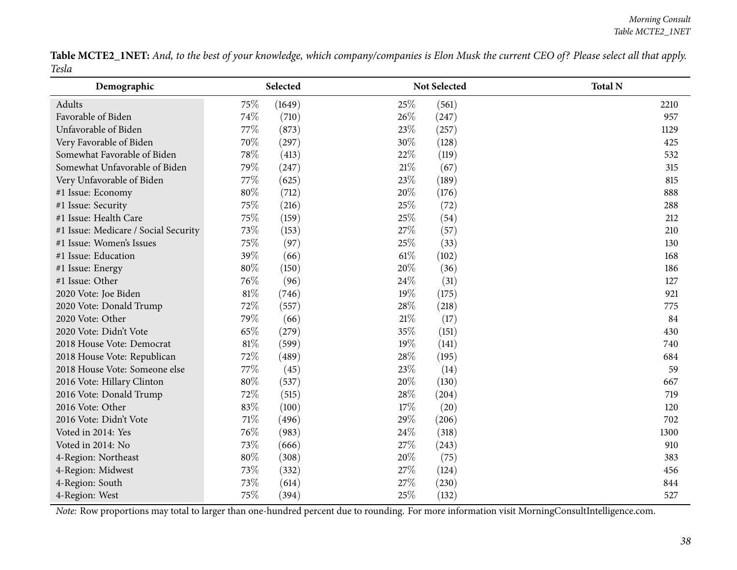|       | Table MCTE2_1NET: And, to the best of your knowledge, which company/companies is Elon Musk the current CEO of? Please select all that apply. |  |  |
|-------|----------------------------------------------------------------------------------------------------------------------------------------------|--|--|
| Tesla |                                                                                                                                              |  |  |

| Demographic                          |        | Selected |        | Not Selected | <b>Total N</b> |
|--------------------------------------|--------|----------|--------|--------------|----------------|
| Adults                               | 75%    | (1649)   | 25\%   | (561)        | 2210           |
| Favorable of Biden                   | 74%    | (710)    | 26%    | (247)        | 957            |
| Unfavorable of Biden                 | 77%    | (873)    | 23\%   | (257)        | 1129           |
| Very Favorable of Biden              | 70%    | (297)    | 30%    | (128)        | 425            |
| Somewhat Favorable of Biden          | 78%    | (413)    | 22%    | (119)        | 532            |
| Somewhat Unfavorable of Biden        | 79%    | (247)    | $21\%$ | (67)         | 315            |
| Very Unfavorable of Biden            | 77%    | (625)    | 23%    | (189)        | 815            |
| #1 Issue: Economy                    | $80\%$ | (712)    | 20%    | (176)        | 888            |
| #1 Issue: Security                   | 75%    | (216)    | 25%    | (72)         | 288            |
| #1 Issue: Health Care                | 75%    | (159)    | 25%    | (54)         | 212            |
| #1 Issue: Medicare / Social Security | 73%    | (153)    | 27%    | (57)         | 210            |
| #1 Issue: Women's Issues             | 75%    | (97)     | 25%    | (33)         | 130            |
| #1 Issue: Education                  | 39%    | (66)     | $61\%$ | (102)        | 168            |
| #1 Issue: Energy                     | 80%    | (150)    | 20%    | (36)         | 186            |
| #1 Issue: Other                      | 76%    | (96)     | 24\%   | (31)         | 127            |
| 2020 Vote: Joe Biden                 | $81\%$ | (746)    | 19%    | (175)        | 921            |
| 2020 Vote: Donald Trump              | 72%    | (557)    | 28%    | (218)        | 775            |
| 2020 Vote: Other                     | 79%    | (66)     | $21\%$ | (17)         | 84             |
| 2020 Vote: Didn't Vote               | 65%    | (279)    | 35%    | (151)        | 430            |
| 2018 House Vote: Democrat            | $81\%$ | (599)    | 19%    | (141)        | 740            |
| 2018 House Vote: Republican          | 72%    | (489)    | 28%    | (195)        | 684            |
| 2018 House Vote: Someone else        | 77%    | (45)     | 23%    | (14)         | 59             |
| 2016 Vote: Hillary Clinton           | $80\%$ | (537)    | 20%    | (130)        | 667            |
| 2016 Vote: Donald Trump              | 72%    | (515)    | 28\%   | (204)        | 719            |
| 2016 Vote: Other                     | 83%    | (100)    | 17%    | (20)         | 120            |
| 2016 Vote: Didn't Vote               | $71\%$ | (496)    | 29%    | (206)        | 702            |
| Voted in 2014: Yes                   | 76%    | (983)    | 24\%   | (318)        | 1300           |
| Voted in 2014: No                    | 73%    | (666)    | 27%    | (243)        | 910            |
| 4-Region: Northeast                  | $80\%$ | (308)    | 20%    | (75)         | 383            |
| 4-Region: Midwest                    | 73%    | (332)    | 27\%   | (124)        | 456            |
| 4-Region: South                      | 73%    | (614)    | 27%    | (230)        | 844            |
| 4-Region: West                       | 75%    | (394)    | 25%    | (132)        | 527            |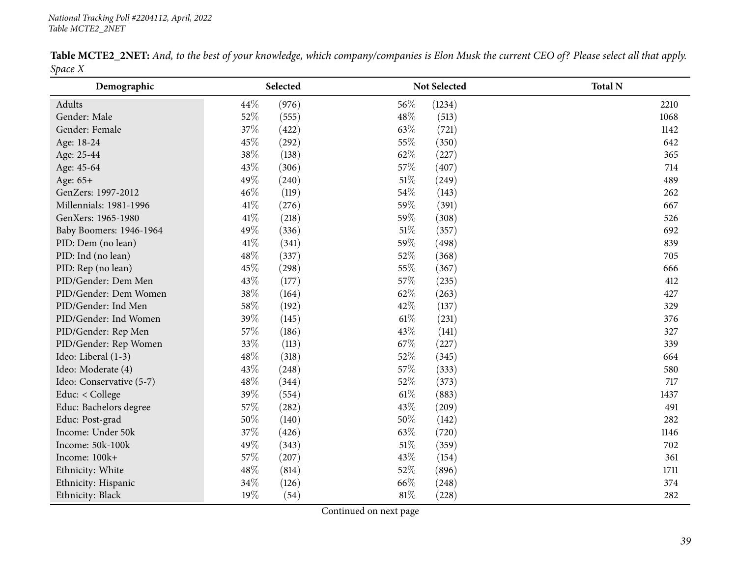|         | <b>Table MCTE2_2NET:</b> And, to the best of your knowledge, which company/companies is Elon Musk the current CEO of? Please select all that apply. |  |  |
|---------|-----------------------------------------------------------------------------------------------------------------------------------------------------|--|--|
| Space X |                                                                                                                                                     |  |  |

| Demographic              | Selected        |        | <b>Not Selected</b> | <b>Total N</b> |
|--------------------------|-----------------|--------|---------------------|----------------|
| Adults                   | 44%<br>(976)    | 56%    | (1234)              | 2210           |
| Gender: Male             | 52%<br>(555)    | 48%    | (513)               | 1068           |
| Gender: Female           | 37%<br>(422)    | 63%    | (721)               | 1142           |
| Age: 18-24               | 45%<br>(292)    | 55%    | (350)               | 642            |
| Age: 25-44               | 38%<br>(138)    | 62%    | (227)               | 365            |
| Age: 45-64               | 43%<br>(306)    | 57%    | (407)               | 714            |
| Age: 65+                 | 49%<br>(240)    | $51\%$ | (249)               | 489            |
| GenZers: 1997-2012       | 46%<br>(119)    | 54%    | (143)               | 262            |
| Millennials: 1981-1996   | 41\%<br>(276)   | 59%    | (391)               | 667            |
| GenXers: 1965-1980       | $41\%$<br>(218) | 59%    | (308)               | 526            |
| Baby Boomers: 1946-1964  | 49%<br>(336)    | 51\%   | (357)               | 692            |
| PID: Dem (no lean)       | 41%<br>(341)    | 59%    | (498)               | 839            |
| PID: Ind (no lean)       | 48%<br>(337)    | 52%    | (368)               | 705            |
| PID: Rep (no lean)       | 45%<br>(298)    | 55%    | (367)               | 666            |
| PID/Gender: Dem Men      | 43%<br>(177)    | 57%    | (235)               | 412            |
| PID/Gender: Dem Women    | 38%<br>(164)    | 62%    | (263)               | 427            |
| PID/Gender: Ind Men      | $58\%$<br>(192) | 42%    | (137)               | 329            |
| PID/Gender: Ind Women    | 39%<br>(145)    | 61%    | (231)               | 376            |
| PID/Gender: Rep Men      | 57%<br>(186)    | 43%    | (141)               | 327            |
| PID/Gender: Rep Women    | 33%<br>(113)    | 67%    | (227)               | 339            |
| Ideo: Liberal (1-3)      | 48%<br>(318)    | 52%    | (345)               | 664            |
| Ideo: Moderate (4)       | 43%<br>(248)    | 57%    | (333)               | 580            |
| Ideo: Conservative (5-7) | 48%<br>(344)    | 52%    | (373)               | 717            |
| Educ: < College          | 39%<br>(554)    | 61%    | (883)               | 1437           |
| Educ: Bachelors degree   | 57%<br>(282)    | 43%    | (209)               | 491            |
| Educ: Post-grad          | 50%<br>(140)    | 50%    | (142)               | 282            |
| Income: Under 50k        | 37%<br>(426)    | 63%    | (720)               | 1146           |
| Income: 50k-100k         | 49%<br>(343)    | 51%    | (359)               | 702            |
| Income: 100k+            | 57%<br>(207)    | 43\%   | (154)               | 361            |
| Ethnicity: White         | 48%<br>(814)    | 52%    | (896)               | 1711           |
| Ethnicity: Hispanic      | 34%<br>(126)    | 66%    | (248)               | 374            |
| Ethnicity: Black         | 19%<br>(54)     | 81%    | (228)               | 282            |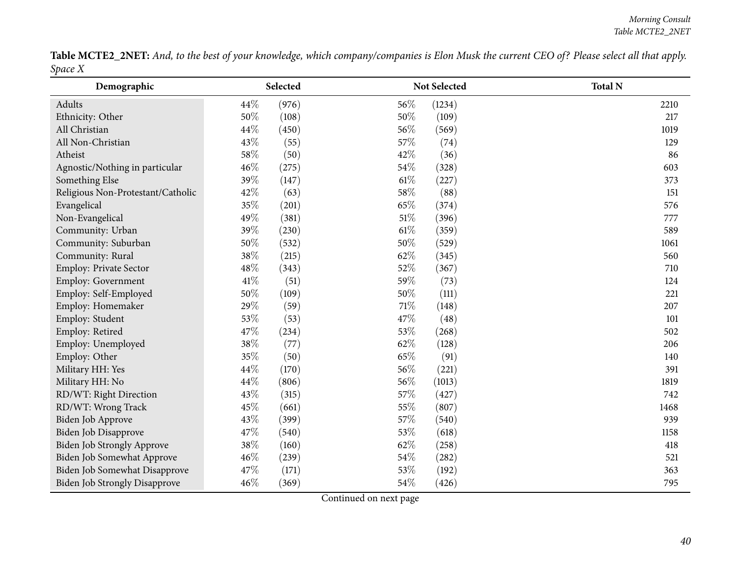|         | Table MCTE2_2NET: And, to the best of your knowledge, which company/companies is Elon Musk the current CEO of? Please select all that apply. |  |
|---------|----------------------------------------------------------------------------------------------------------------------------------------------|--|
| Space X |                                                                                                                                              |  |

| Demographic                       |      | Selected |        | Not Selected | <b>Total N</b> |
|-----------------------------------|------|----------|--------|--------------|----------------|
| Adults                            | 44%  | (976)    | 56%    | (1234)       | 2210           |
| Ethnicity: Other                  | 50%  | (108)    | 50%    | (109)        | 217            |
| All Christian                     | 44%  | (450)    | 56%    | (569)        | 1019           |
| All Non-Christian                 | 43%  | (55)     | 57%    | (74)         | 129            |
| Atheist                           | 58\% | (50)     | 42\%   | (36)         | 86             |
| Agnostic/Nothing in particular    | 46%  | (275)    | 54%    | (328)        | 603            |
| Something Else                    | 39%  | (147)    | 61%    | (227)        | 373            |
| Religious Non-Protestant/Catholic | 42%  | (63)     | 58%    | (88)         | 151            |
| Evangelical                       | 35%  | (201)    | 65%    | (374)        | 576            |
| Non-Evangelical                   | 49%  | (381)    | $51\%$ | (396)        | 777            |
| Community: Urban                  | 39%  | (230)    | 61%    | (359)        | 589            |
| Community: Suburban               | 50%  | (532)    | 50%    | (529)        | 1061           |
| Community: Rural                  | 38%  | (215)    | 62%    | (345)        | 560            |
| Employ: Private Sector            | 48%  | (343)    | 52%    | (367)        | 710            |
| Employ: Government                | 41\% | (51)     | 59%    | (73)         | 124            |
| Employ: Self-Employed             | 50%  | (109)    | 50%    | (111)        | 221            |
| Employ: Homemaker                 | 29%  | (59)     | 71%    | (148)        | 207            |
| Employ: Student                   | 53%  | (53)     | 47%    | (48)         | 101            |
| Employ: Retired                   | 47%  | (234)    | 53%    | (268)        | 502            |
| Employ: Unemployed                | 38%  | (77)     | 62%    | (128)        | 206            |
| Employ: Other                     | 35%  | (50)     | $65\%$ | (91)         | 140            |
| Military HH: Yes                  | 44%  | (170)    | 56%    | (221)        | 391            |
| Military HH: No                   | 44%  | (806)    | 56%    | (1013)       | 1819           |
| RD/WT: Right Direction            | 43%  | (315)    | 57%    | (427)        | 742            |
| RD/WT: Wrong Track                | 45%  | (661)    | 55%    | (807)        | 1468           |
| Biden Job Approve                 | 43%  | (399)    | 57%    | (540)        | 939            |
| Biden Job Disapprove              | 47%  | (540)    | 53%    | (618)        | 1158           |
| <b>Biden Job Strongly Approve</b> | 38%  | (160)    | 62%    | (258)        | 418            |
| Biden Job Somewhat Approve        | 46%  | (239)    | 54%    | (282)        | 521            |
| Biden Job Somewhat Disapprove     | 47%  | (171)    | 53%    | (192)        | 363            |
| Biden Job Strongly Disapprove     | 46%  | (369)    | 54%    | (426)        | 795            |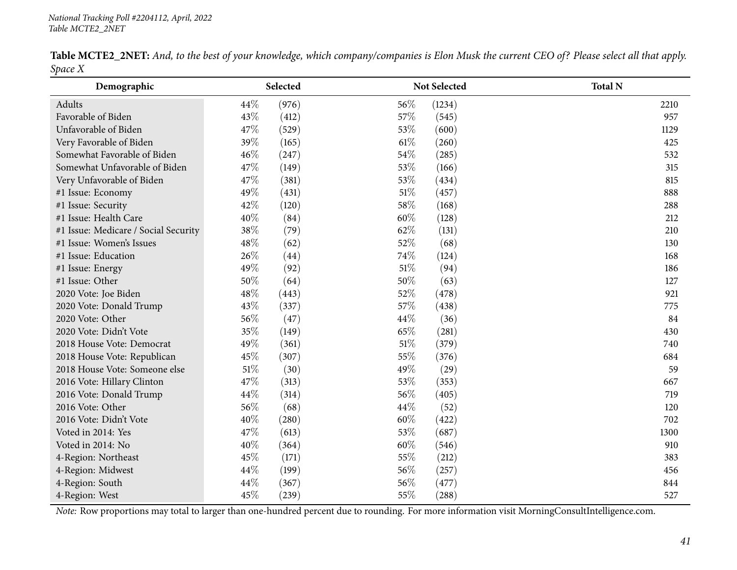|         | <b>Table MCTE2_2NET:</b> And, to the best of your knowledge, which company/companies is Elon Musk the current CEO of? Please select all that apply. |  |  |
|---------|-----------------------------------------------------------------------------------------------------------------------------------------------------|--|--|
| Space X |                                                                                                                                                     |  |  |

| Demographic                          | Selected |               | Not Selected | <b>Total N</b> |
|--------------------------------------|----------|---------------|--------------|----------------|
| Adults                               | 44%      | 56%<br>(976)  | (1234)       | 2210           |
| Favorable of Biden                   | 43%      | 57%<br>(412)  | (545)        | 957            |
| Unfavorable of Biden                 | 47%      | 53%<br>(529)  | (600)        | 1129           |
| Very Favorable of Biden              | 39%      | 61\%<br>(165) | (260)        | 425            |
| Somewhat Favorable of Biden          | 46%      | 54%<br>(247)  | (285)        | 532            |
| Somewhat Unfavorable of Biden        | 47%      | 53%<br>(149)  | (166)        | 315            |
| Very Unfavorable of Biden            | 47%      | 53%<br>(381)  | (434)        | 815            |
| #1 Issue: Economy                    | 49%      | 51%<br>(431)  | (457)        | 888            |
| #1 Issue: Security                   | 42%      | 58%<br>(120)  | (168)        | 288            |
| #1 Issue: Health Care                | 40%      | 60%<br>(84)   | (128)        | 212            |
| #1 Issue: Medicare / Social Security | $38\%$   | (79)<br>62%   | (131)        | 210            |
| #1 Issue: Women's Issues             | 48%      | 52%<br>(62)   | (68)         | 130            |
| #1 Issue: Education                  | 26%      | 74%<br>(44)   | (124)        | 168            |
| #1 Issue: Energy                     | 49%      | 51\%<br>(92)  | (94)         | 186            |
| #1 Issue: Other                      | 50%      | (64)<br>50%   | (63)         | 127            |
| 2020 Vote: Joe Biden                 | 48%      | 52%<br>(443)  | (478)        | 921            |
| 2020 Vote: Donald Trump              | 43%      | 57%<br>(337)  | (438)        | 775            |
| 2020 Vote: Other                     | 56%      | (47)<br>44%   | (36)         | 84             |
| 2020 Vote: Didn't Vote               | 35%      | 65%<br>(149)  | (281)        | 430            |
| 2018 House Vote: Democrat            | 49%      | 51\%<br>(361) | (379)        | 740            |
| 2018 House Vote: Republican          | 45%      | 55%<br>(307)  | (376)        | 684            |
| 2018 House Vote: Someone else        | $51\%$   | 49%<br>(30)   | (29)         | 59             |
| 2016 Vote: Hillary Clinton           | 47%      | 53%<br>(313)  | (353)        | 667            |
| 2016 Vote: Donald Trump              | 44%      | 56%<br>(314)  | (405)        | 719            |
| 2016 Vote: Other                     | 56%      | 44%<br>(68)   | (52)         | 120            |
| 2016 Vote: Didn't Vote               | 40%      | 60%<br>(280)  | (422)        | 702            |
| Voted in 2014: Yes                   | 47%      | 53%<br>(613)  | (687)        | 1300           |
| Voted in 2014: No                    | 40%      | 60%<br>(364)  | (546)        | 910            |
| 4-Region: Northeast                  | 45%      | 55%<br>(171)  | (212)        | 383            |
| 4-Region: Midwest                    | 44%      | 56%<br>(199)  | (257)        | 456            |
| 4-Region: South                      | 44%      | 56%<br>(367)  | (477)        | 844            |
| 4-Region: West                       | 45%      | 55%<br>(239)  | (288)        | 527            |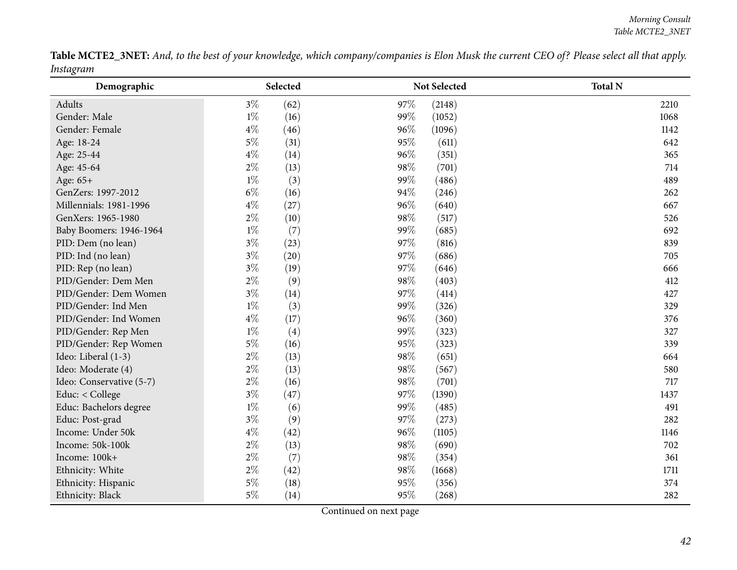|           | Table MCTE2_3NET: And, to the best of your knowledge, which company/companies is Elon Musk the current CEO of? Please select all that apply. |  |
|-----------|----------------------------------------------------------------------------------------------------------------------------------------------|--|
| Instagram |                                                                                                                                              |  |

| Demographic              |       | Selected |     | Not Selected | <b>Total N</b> |
|--------------------------|-------|----------|-----|--------------|----------------|
| Adults                   | $3\%$ | (62)     | 97% | (2148)       | 2210           |
| Gender: Male             | $1\%$ | (16)     | 99% | (1052)       | 1068           |
| Gender: Female           | $4\%$ | (46)     | 96% | (1096)       | 1142           |
| Age: 18-24               | $5\%$ | (31)     | 95% | (611)        | 642            |
| Age: 25-44               | $4\%$ | (14)     | 96% | (351)        | 365            |
| Age: 45-64               | $2\%$ | (13)     | 98% | (701)        | 714            |
| Age: 65+                 | $1\%$ | (3)      | 99% | (486)        | 489            |
| GenZers: 1997-2012       | $6\%$ | (16)     | 94% | (246)        | 262            |
| Millennials: 1981-1996   | $4\%$ | (27)     | 96% | (640)        | 667            |
| GenXers: 1965-1980       | $2\%$ | (10)     | 98% | (517)        | 526            |
| Baby Boomers: 1946-1964  | $1\%$ | (7)      | 99% | (685)        | 692            |
| PID: Dem (no lean)       | $3\%$ | (23)     | 97% | (816)        | 839            |
| PID: Ind (no lean)       | $3\%$ | (20)     | 97% | (686)        | 705            |
| PID: Rep (no lean)       | $3\%$ | (19)     | 97% | (646)        | 666            |
| PID/Gender: Dem Men      | $2\%$ | (9)      | 98% | (403)        | 412            |
| PID/Gender: Dem Women    | $3\%$ | (14)     | 97% | (414)        | 427            |
| PID/Gender: Ind Men      | $1\%$ | (3)      | 99% | (326)        | 329            |
| PID/Gender: Ind Women    | $4\%$ | (17)     | 96% | (360)        | 376            |
| PID/Gender: Rep Men      | $1\%$ | (4)      | 99% | (323)        | 327            |
| PID/Gender: Rep Women    | $5\%$ | (16)     | 95% | (323)        | 339            |
| Ideo: Liberal (1-3)      | $2\%$ | (13)     | 98% | (651)        | 664            |
| Ideo: Moderate (4)       | $2\%$ | (13)     | 98% | (567)        | 580            |
| Ideo: Conservative (5-7) | $2\%$ | (16)     | 98% | (701)        | 717            |
| Educ: < College          | $3\%$ | (47)     | 97% | (1390)       | 1437           |
| Educ: Bachelors degree   | $1\%$ | (6)      | 99% | (485)        | 491            |
| Educ: Post-grad          | $3\%$ | (9)      | 97% | (273)        | 282            |
| Income: Under 50k        | $4\%$ | (42)     | 96% | (1105)       | 1146           |
| Income: 50k-100k         | $2\%$ | (13)     | 98% | (690)        | 702            |
| Income: 100k+            | $2\%$ | (7)      | 98% | (354)        | 361            |
| Ethnicity: White         | $2\%$ | (42)     | 98% | (1668)       | 1711           |
| Ethnicity: Hispanic      | $5\%$ | (18)     | 95% | (356)        | 374            |
| Ethnicity: Black         | $5\%$ | (14)     | 95% | (268)        | 282            |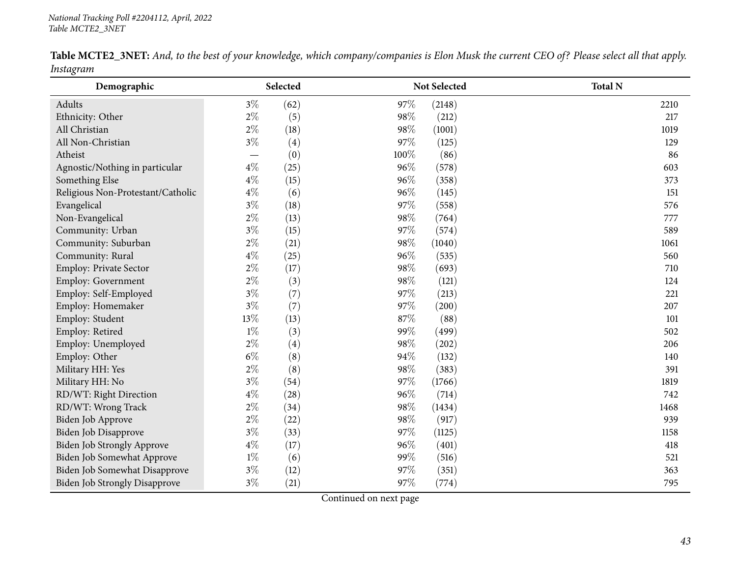|           |  |  | <b>Table MCTE2_3NET:</b> And, to the best of your knowledge, which company/companies is Elon Musk the current CEO of? Please select all that apply. |  |  |
|-----------|--|--|-----------------------------------------------------------------------------------------------------------------------------------------------------|--|--|
| Instagram |  |  |                                                                                                                                                     |  |  |

| $\circ$<br>Demographic               |       | Selected |      | Not Selected | <b>Total N</b> |
|--------------------------------------|-------|----------|------|--------------|----------------|
| Adults                               | $3\%$ | (62)     | 97%  | (2148)       | 2210           |
| Ethnicity: Other                     | $2\%$ | (5)      | 98%  | (212)        | 217            |
| All Christian                        | $2\%$ | (18)     | 98%  | (1001)       | 1019           |
| All Non-Christian                    | $3\%$ | (4)      | 97%  | (125)        | 129            |
| Atheist                              |       | (0)      | 100% | (86)         | 86             |
| Agnostic/Nothing in particular       | $4\%$ | (25)     | 96%  | (578)        | 603            |
| Something Else                       | $4\%$ | (15)     | 96%  | (358)        | 373            |
| Religious Non-Protestant/Catholic    | $4\%$ | (6)      | 96%  | (145)        | 151            |
| Evangelical                          | $3\%$ | (18)     | 97%  | (558)        | 576            |
| Non-Evangelical                      | $2\%$ | (13)     | 98%  | (764)        | 777            |
| Community: Urban                     | $3\%$ | (15)     | 97%  | (574)        | 589            |
| Community: Suburban                  | $2\%$ | (21)     | 98%  | (1040)       | 1061           |
| Community: Rural                     | $4\%$ | (25)     | 96%  | (535)        | 560            |
| Employ: Private Sector               | $2\%$ | (17)     | 98%  | (693)        | 710            |
| Employ: Government                   | $2\%$ | (3)      | 98%  | (121)        | 124            |
| Employ: Self-Employed                | $3\%$ | (7)      | 97%  | (213)        | 221            |
| Employ: Homemaker                    | $3\%$ | (7)      | 97%  | (200)        | 207            |
| Employ: Student                      | 13%   | (13)     | 87%  | (88)         | 101            |
| Employ: Retired                      | $1\%$ | (3)      | 99%  | (499)        | 502            |
| Employ: Unemployed                   | $2\%$ | (4)      | 98%  | (202)        | 206            |
| Employ: Other                        | $6\%$ | (8)      | 94%  | (132)        | 140            |
| Military HH: Yes                     | $2\%$ | (8)      | 98%  | (383)        | 391            |
| Military HH: No                      | $3\%$ | (54)     | 97%  | (1766)       | 1819           |
| RD/WT: Right Direction               | $4\%$ | (28)     | 96%  | (714)        | 742            |
| RD/WT: Wrong Track                   | $2\%$ | (34)     | 98%  | (1434)       | 1468           |
| Biden Job Approve                    | $2\%$ | (22)     | 98%  | (917)        | 939            |
| Biden Job Disapprove                 | $3\%$ | (33)     | 97%  | (1125)       | 1158           |
| Biden Job Strongly Approve           | $4\%$ | (17)     | 96%  | (401)        | 418            |
| Biden Job Somewhat Approve           | $1\%$ | (6)      | 99%  | (516)        | 521            |
| Biden Job Somewhat Disapprove        | $3\%$ | (12)     | 97%  | (351)        | 363            |
| <b>Biden Job Strongly Disapprove</b> | $3\%$ | (21)     | 97%  | (774)        | 795            |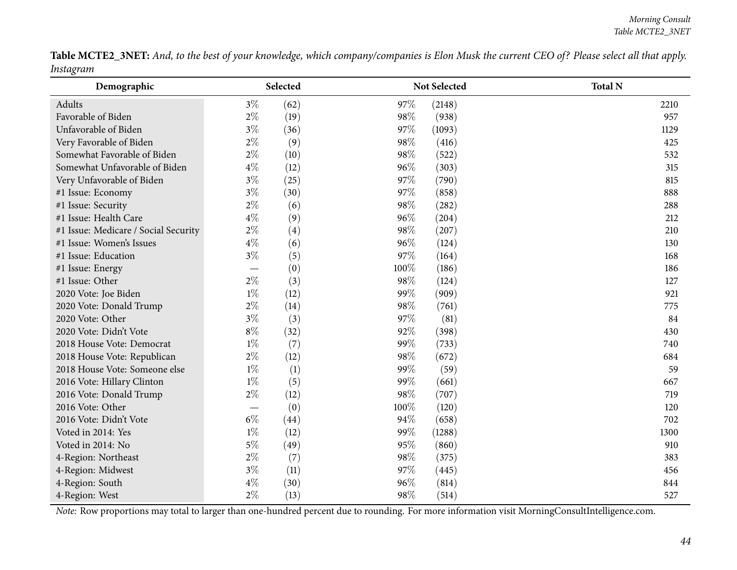|           |  | Table MCTE2_3NET: And, to the best of your knowledge, which company/companies is Elon Musk the current CEO of? Please select all that apply. |  |
|-----------|--|----------------------------------------------------------------------------------------------------------------------------------------------|--|
| Instagram |  |                                                                                                                                              |  |

| Demographic                          |                          | Selected |      | Not Selected | <b>Total N</b> |
|--------------------------------------|--------------------------|----------|------|--------------|----------------|
| Adults                               | $3\%$                    | (62)     | 97%  | (2148)       | 2210           |
| Favorable of Biden                   | $2\%$                    | (19)     | 98%  | (938)        | 957            |
| Unfavorable of Biden                 | $3\%$                    | (36)     | 97%  | (1093)       | 1129           |
| Very Favorable of Biden              | $2\%$                    | (9)      | 98%  | (416)        | 425            |
| Somewhat Favorable of Biden          | $2\%$                    | (10)     | 98%  | (522)        | 532            |
| Somewhat Unfavorable of Biden        | $4\%$                    | (12)     | 96%  | (303)        | 315            |
| Very Unfavorable of Biden            | $3\%$                    | (25)     | 97%  | (790)        | 815            |
| #1 Issue: Economy                    | $3\%$                    | (30)     | 97%  | (858)        | 888            |
| #1 Issue: Security                   | $2\%$                    | (6)      | 98%  | (282)        | 288            |
| #1 Issue: Health Care                | $4\%$                    | (9)      | 96%  | (204)        | 212            |
| #1 Issue: Medicare / Social Security | $2\%$                    | (4)      | 98%  | (207)        | 210            |
| #1 Issue: Women's Issues             | $4\%$                    | (6)      | 96%  | (124)        | 130            |
| #1 Issue: Education                  | $3\%$                    | (5)      | 97%  | (164)        | 168            |
| #1 Issue: Energy                     |                          | (0)      | 100% | (186)        | 186            |
| #1 Issue: Other                      | $2\%$                    | (3)      | 98%  | (124)        | 127            |
| 2020 Vote: Joe Biden                 | $1\%$                    | (12)     | 99%  | (909)        | 921            |
| 2020 Vote: Donald Trump              | $2\%$                    | (14)     | 98%  | (761)        | 775            |
| 2020 Vote: Other                     | $3\%$                    | (3)      | 97%  | (81)         | 84             |
| 2020 Vote: Didn't Vote               | $8\%$                    | (32)     | 92%  | (398)        | 430            |
| 2018 House Vote: Democrat            | $1\%$                    | (7)      | 99%  | (733)        | 740            |
| 2018 House Vote: Republican          | $2\%$                    | (12)     | 98%  | (672)        | 684            |
| 2018 House Vote: Someone else        | $1\%$                    | (1)      | 99%  | (59)         | 59             |
| 2016 Vote: Hillary Clinton           | $1\%$                    | (5)      | 99%  | (661)        | 667            |
| 2016 Vote: Donald Trump              | $2\%$                    | (12)     | 98%  | (707)        | 719            |
| 2016 Vote: Other                     | $\overline{\phantom{0}}$ | (0)      | 100% | (120)        | 120            |
| 2016 Vote: Didn't Vote               | $6\%$                    | (44)     | 94%  | (658)        | 702            |
| Voted in 2014: Yes                   | $1\%$                    | (12)     | 99%  | (1288)       | 1300           |
| Voted in 2014: No                    | $5\%$                    | (49)     | 95%  | (860)        | 910            |
| 4-Region: Northeast                  | $2\%$                    | (7)      | 98%  | (375)        | 383            |
| 4-Region: Midwest                    | $3\%$                    | (11)     | 97%  | (445)        | 456            |
| 4-Region: South                      | $4\%$                    | (30)     | 96%  | (814)        | 844            |
| 4-Region: West                       | $2\%$                    | (13)     | 98%  | (514)        | 527            |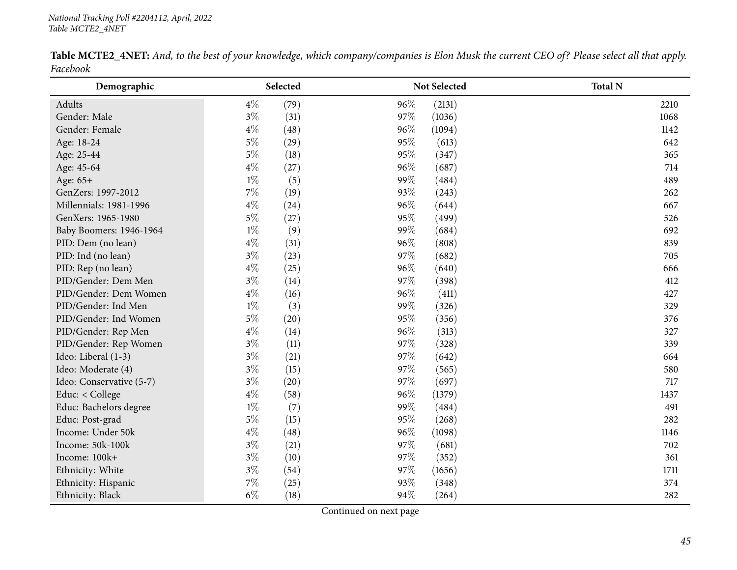|          | <b>Table MCTE2_4NET:</b> And, to the best of your knowledge, which company/companies is Elon Musk the current CEO of? Please select all that apply. |  |  |  |  |
|----------|-----------------------------------------------------------------------------------------------------------------------------------------------------|--|--|--|--|
| Facebook |                                                                                                                                                     |  |  |  |  |

| Demographic              | Selected |      |     | <b>Not Selected</b> | <b>Total N</b> |
|--------------------------|----------|------|-----|---------------------|----------------|
| Adults                   | $4\%$    | (79) | 96% | (2131)              | 2210           |
| Gender: Male             | $3\%$    | (31) | 97% | (1036)              | 1068           |
| Gender: Female           | $4\%$    | (48) | 96% | (1094)              | 1142           |
| Age: 18-24               | $5\%$    | (29) | 95% | (613)               | 642            |
| Age: 25-44               | $5\%$    | (18) | 95% | (347)               | 365            |
| Age: 45-64               | $4\%$    | (27) | 96% | (687)               | 714            |
| Age: 65+                 | $1\%$    | (5)  | 99% | (484)               | 489            |
| GenZers: 1997-2012       | $7\%$    | (19) | 93% | (243)               | 262            |
| Millennials: 1981-1996   | $4\%$    | (24) | 96% | (644)               | 667            |
| GenXers: 1965-1980       | $5\%$    | (27) | 95% | (499)               | 526            |
| Baby Boomers: 1946-1964  | $1\%$    | (9)  | 99% | (684)               | 692            |
| PID: Dem (no lean)       | $4\%$    | (31) | 96% | (808)               | 839            |
| PID: Ind (no lean)       | $3\%$    | (23) | 97% | (682)               | 705            |
| PID: Rep (no lean)       | $4\%$    | (25) | 96% | (640)               | 666            |
| PID/Gender: Dem Men      | $3\%$    | (14) | 97% | (398)               | 412            |
| PID/Gender: Dem Women    | $4\%$    | (16) | 96% | (411)               | 427            |
| PID/Gender: Ind Men      | $1\%$    | (3)  | 99% | (326)               | 329            |
| PID/Gender: Ind Women    | $5\%$    | (20) | 95% | (356)               | 376            |
| PID/Gender: Rep Men      | $4\%$    | (14) | 96% | (313)               | 327            |
| PID/Gender: Rep Women    | $3\%$    | (11) | 97% | (328)               | 339            |
| Ideo: Liberal (1-3)      | $3\%$    | (21) | 97% | (642)               | 664            |
| Ideo: Moderate (4)       | $3\%$    | (15) | 97% | (565)               | 580            |
| Ideo: Conservative (5-7) | $3\%$    | (20) | 97% | (697)               | 717            |
| Educ: < College          | $4\%$    | (58) | 96% | (1379)              | 1437           |
| Educ: Bachelors degree   | $1\%$    | (7)  | 99% | (484)               | 491            |
| Educ: Post-grad          | $5\%$    | (15) | 95% | (268)               | 282            |
| Income: Under 50k        | $4\%$    | (48) | 96% | (1098)              | 1146           |
| Income: 50k-100k         | $3\%$    | (21) | 97% | (681)               | 702            |
| Income: 100k+            | $3\%$    | (10) | 97% | (352)               | 361            |
| Ethnicity: White         | $3\%$    | (54) | 97% | (1656)              | 1711           |
| Ethnicity: Hispanic      | 7%       | (25) | 93% | (348)               | 374            |
| Ethnicity: Black         | $6\%$    | (18) | 94% | (264)               | 282            |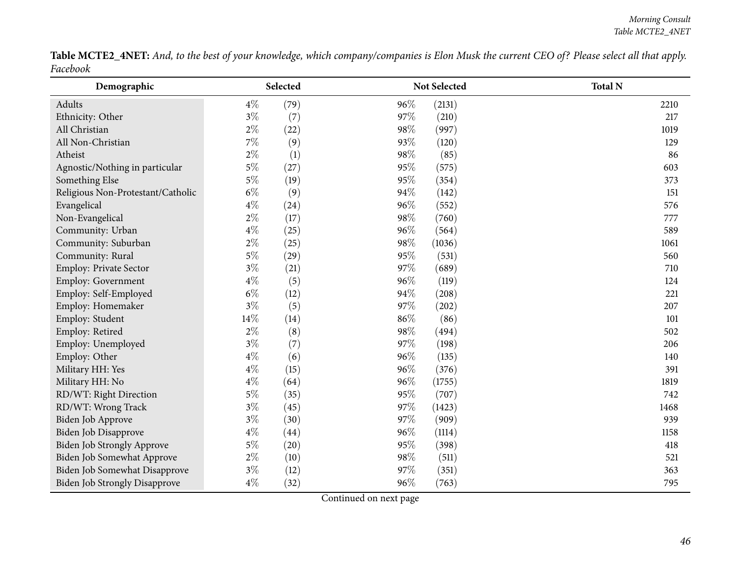Table MCTE2\_4NET: And, to the best of your knowledge, which company/companies is Elon Musk the current CEO of? Please select all that apply. *Facebook*

| Demographic                          |       | Selected |        | Not Selected | <b>Total N</b> |
|--------------------------------------|-------|----------|--------|--------------|----------------|
| Adults                               | $4\%$ | (79)     | 96%    | (2131)       | 2210           |
| Ethnicity: Other                     | $3\%$ | (7)      | 97%    | (210)        | 217            |
| All Christian                        | $2\%$ | (22)     | $98\%$ | (997)        | 1019           |
| All Non-Christian                    | $7\%$ | (9)      | 93%    | (120)        | 129            |
| Atheist                              | $2\%$ | (1)      | 98%    | (85)         | 86             |
| Agnostic/Nothing in particular       | $5\%$ | (27)     | 95%    | (575)        | 603            |
| Something Else                       | $5\%$ | (19)     | 95%    | (354)        | 373            |
| Religious Non-Protestant/Catholic    | $6\%$ | (9)      | 94%    | (142)        | 151            |
| Evangelical                          | $4\%$ | (24)     | 96%    | (552)        | 576            |
| Non-Evangelical                      | $2\%$ | (17)     | 98%    | (760)        | 777            |
| Community: Urban                     | $4\%$ | (25)     | 96%    | (564)        | 589            |
| Community: Suburban                  | $2\%$ | (25)     | 98%    | (1036)       | 1061           |
| Community: Rural                     | $5\%$ | (29)     | 95%    | (531)        | 560            |
| Employ: Private Sector               | $3\%$ | (21)     | 97%    | (689)        | 710            |
| Employ: Government                   | $4\%$ | (5)      | 96%    | (119)        | 124            |
| Employ: Self-Employed                | $6\%$ | (12)     | 94%    | (208)        | 221            |
| Employ: Homemaker                    | $3\%$ | (5)      | 97%    | (202)        | 207            |
| Employ: Student                      | 14%   | (14)     | 86%    | (86)         | 101            |
| Employ: Retired                      | $2\%$ | (8)      | 98%    | (494)        | 502            |
| Employ: Unemployed                   | $3\%$ | (7)      | 97%    | (198)        | 206            |
| Employ: Other                        | $4\%$ | (6)      | 96%    | (135)        | 140            |
| Military HH: Yes                     | $4\%$ | (15)     | 96%    | (376)        | 391            |
| Military HH: No                      | $4\%$ | (64)     | 96%    | (1755)       | 1819           |
| RD/WT: Right Direction               | $5\%$ | (35)     | 95%    | (707)        | 742            |
| RD/WT: Wrong Track                   | $3\%$ | (45)     | 97%    | (1423)       | 1468           |
| Biden Job Approve                    | $3\%$ | (30)     | 97%    | (909)        | 939            |
| Biden Job Disapprove                 | $4\%$ | (44)     | 96%    | (1114)       | 1158           |
| <b>Biden Job Strongly Approve</b>    | $5\%$ | (20)     | 95%    | (398)        | 418            |
| Biden Job Somewhat Approve           | $2\%$ | (10)     | 98%    | (511)        | 521            |
| Biden Job Somewhat Disapprove        | $3\%$ | (12)     | 97%    | (351)        | 363            |
| <b>Biden Job Strongly Disapprove</b> | $4\%$ | (32)     | 96%    | (763)        | 795            |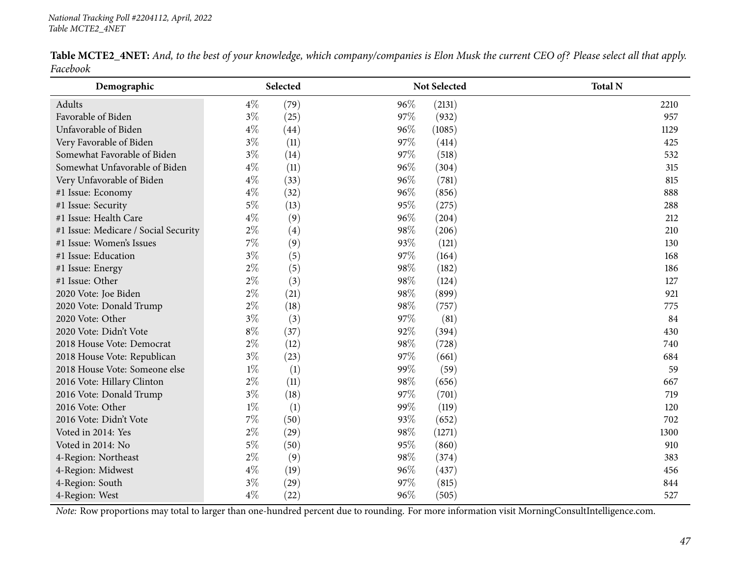|          |  |  | <b>Table MCTE2_4NET:</b> And, to the best of your knowledge, which company/companies is Elon Musk the current CEO of? Please select all that apply. |  |  |
|----------|--|--|-----------------------------------------------------------------------------------------------------------------------------------------------------|--|--|
| Facebook |  |  |                                                                                                                                                     |  |  |

| Demographic                          | Selected      | Not Selected  | <b>Total N</b> |
|--------------------------------------|---------------|---------------|----------------|
| Adults                               | $4\%$<br>(79) | 96%<br>(2131) | 2210           |
| Favorable of Biden                   | $3\%$<br>(25) | 97%<br>(932)  | 957            |
| Unfavorable of Biden                 | $4\%$<br>(44) | 96%<br>(1085) | 1129           |
| Very Favorable of Biden              | $3\%$<br>(11) | 97%<br>(414)  | 425            |
| Somewhat Favorable of Biden          | $3\%$<br>(14) | 97%<br>(518)  | 532            |
| Somewhat Unfavorable of Biden        | $4\%$<br>(11) | 96%<br>(304)  | 315            |
| Very Unfavorable of Biden            | $4\%$<br>(33) | 96%<br>(781)  | 815            |
| #1 Issue: Economy                    | $4\%$<br>(32) | 96%<br>(856)  | 888            |
| #1 Issue: Security                   | $5\%$<br>(13) | 95%<br>(275)  | 288            |
| #1 Issue: Health Care                | $4\%$<br>(9)  | 96%<br>(204)  | 212            |
| #1 Issue: Medicare / Social Security | $2\%$<br>(4)  | 98%<br>(206)  | 210            |
| #1 Issue: Women's Issues             | $7\%$<br>(9)  | 93%<br>(121)  | 130            |
| #1 Issue: Education                  | $3\%$<br>(5)  | 97%<br>(164)  | 168            |
| #1 Issue: Energy                     | $2\%$<br>(5)  | 98%<br>(182)  | 186            |
| #1 Issue: Other                      | $2\%$<br>(3)  | 98%<br>(124)  | 127            |
| 2020 Vote: Joe Biden                 | $2\%$<br>(21) | 98%<br>(899)  | 921            |
| 2020 Vote: Donald Trump              | $2\%$<br>(18) | 98%<br>(757)  | 775            |
| 2020 Vote: Other                     | $3\%$<br>(3)  | 97%<br>(81)   | 84             |
| 2020 Vote: Didn't Vote               | $8\%$<br>(37) | 92%<br>(394)  | 430            |
| 2018 House Vote: Democrat            | $2\%$<br>(12) | 98%<br>(728)  | 740            |
| 2018 House Vote: Republican          | $3\%$<br>(23) | 97%<br>(661)  | 684            |
| 2018 House Vote: Someone else        | $1\%$<br>(1)  | 99%<br>(59)   | 59             |
| 2016 Vote: Hillary Clinton           | $2\%$<br>(11) | 98%<br>(656)  | 667            |
| 2016 Vote: Donald Trump              | $3\%$<br>(18) | 97%<br>(701)  | 719            |
| 2016 Vote: Other                     | $1\%$<br>(1)  | 99%<br>(119)  | 120            |
| 2016 Vote: Didn't Vote               | $7\%$<br>(50) | 93%<br>(652)  | 702            |
| Voted in 2014: Yes                   | $2\%$<br>(29) | 98%<br>(1271) | 1300           |
| Voted in 2014: No                    | $5\%$<br>(50) | 95%<br>(860)  | 910            |
| 4-Region: Northeast                  | $2\%$<br>(9)  | 98%<br>(374)  | 383            |
| 4-Region: Midwest                    | $4\%$<br>(19) | 96%<br>(437)  | 456            |
| 4-Region: South                      | $3\%$<br>(29) | 97%<br>(815)  | 844            |
| 4-Region: West                       | $4\%$<br>(22) | 96%<br>(505)  | 527            |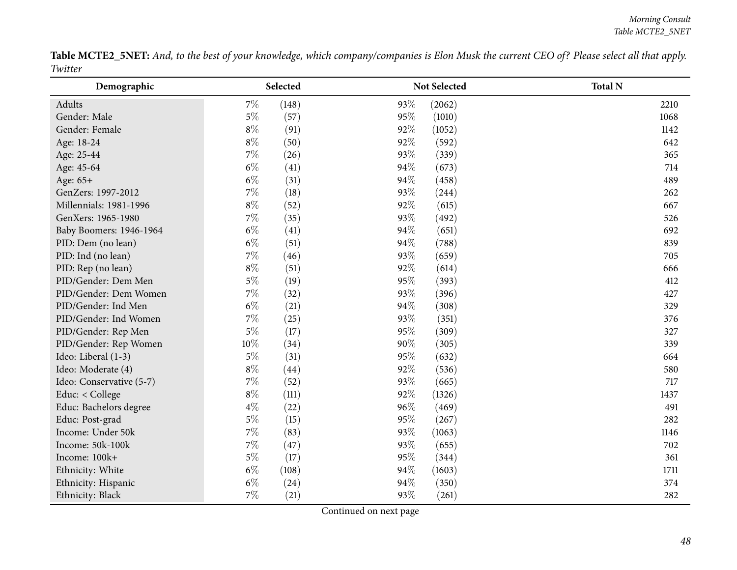Table MCTE2\_5NET: And, to the best of your knowledge, which company/companies is Elon Musk the current CEO of? Please select all that apply. *Twitter* $\overline{\phantom{0}}$ 

| Demographic              |        | Selected |      | Not Selected | <b>Total N</b> |
|--------------------------|--------|----------|------|--------------|----------------|
| Adults                   | $7\%$  | (148)    | 93\% | (2062)       | 2210           |
| Gender: Male             | $5\%$  | (57)     | 95%  | (1010)       | 1068           |
| Gender: Female           | $8\%$  | (91)     | 92%  | (1052)       | 1142           |
| Age: 18-24               | $8\%$  | (50)     | 92%  | (592)        | 642            |
| Age: 25-44               | $7\%$  | (26)     | 93%  | (339)        | 365            |
| Age: 45-64               | $6\%$  | (41)     | 94%  | (673)        | 714            |
| Age: 65+                 | $6\%$  | (31)     | 94%  | (458)        | 489            |
| GenZers: 1997-2012       | $7\%$  | (18)     | 93%  | (244)        | 262            |
| Millennials: 1981-1996   | $8\%$  | (52)     | 92%  | (615)        | 667            |
| GenXers: 1965-1980       | 7%     | (35)     | 93%  | (492)        | 526            |
| Baby Boomers: 1946-1964  | $6\%$  | (41)     | 94%  | (651)        | 692            |
| PID: Dem (no lean)       | $6\%$  | (51)     | 94%  | (788)        | 839            |
| PID: Ind (no lean)       | 7%     | (46)     | 93%  | (659)        | 705            |
| PID: Rep (no lean)       | $8\%$  | (51)     | 92%  | (614)        | 666            |
| PID/Gender: Dem Men      | $5\%$  | (19)     | 95%  | (393)        | 412            |
| PID/Gender: Dem Women    | 7%     | (32)     | 93%  | (396)        | 427            |
| PID/Gender: Ind Men      | $6\%$  | (21)     | 94%  | (308)        | 329            |
| PID/Gender: Ind Women    | 7%     | (25)     | 93%  | (351)        | 376            |
| PID/Gender: Rep Men      | $5\%$  | (17)     | 95%  | (309)        | 327            |
| PID/Gender: Rep Women    | $10\%$ | (34)     | 90%  | (305)        | 339            |
| Ideo: Liberal (1-3)      | $5\%$  | (31)     | 95%  | (632)        | 664            |
| Ideo: Moderate (4)       | $8\%$  | (44)     | 92%  | (536)        | 580            |
| Ideo: Conservative (5-7) | 7%     | (52)     | 93%  | (665)        | 717            |
| Educ: < College          | $8\%$  | (111)    | 92%  | (1326)       | 1437           |
| Educ: Bachelors degree   | $4\%$  | (22)     | 96%  | (469)        | 491            |
| Educ: Post-grad          | $5\%$  | (15)     | 95%  | (267)        | 282            |
| Income: Under 50k        | $7\%$  | (83)     | 93%  | (1063)       | 1146           |
| Income: 50k-100k         | 7%     | (47)     | 93%  | (655)        | 702            |
| Income: 100k+            | $5\%$  | (17)     | 95%  | (344)        | 361            |
| Ethnicity: White         | $6\%$  | (108)    | 94%  | (1603)       | 1711           |
| Ethnicity: Hispanic      | $6\%$  | (24)     | 94%  | (350)        | 374            |
| Ethnicity: Black         | $7\%$  | (21)     | 93%  | (261)        | 282            |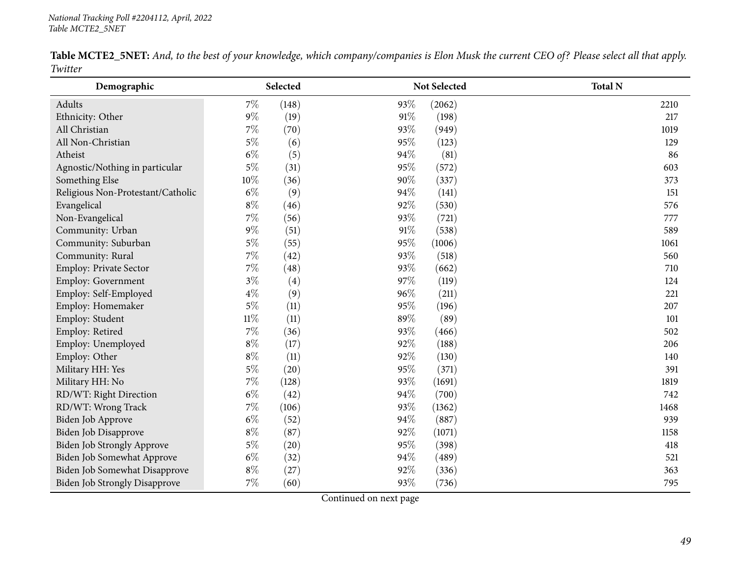|         |  |  | Table MCTE2_5NET: And, to the best of your knowledge, which company/companies is Elon Musk the current CEO of? Please select all that apply. |  |  |
|---------|--|--|----------------------------------------------------------------------------------------------------------------------------------------------|--|--|
| Twitter |  |  |                                                                                                                                              |  |  |

| Demographic                          |        | Selected |     | Not Selected | <b>Total N</b> |
|--------------------------------------|--------|----------|-----|--------------|----------------|
| Adults                               | 7%     | (148)    | 93% | (2062)       | 2210           |
| Ethnicity: Other                     | $9\%$  | (19)     | 91% | (198)        | 217            |
| All Christian                        | $7\%$  | (70)     | 93% | (949)        | 1019           |
| All Non-Christian                    | $5\%$  | (6)      | 95% | (123)        | 129            |
| Atheist                              | $6\%$  | (5)      | 94% | (81)         | 86             |
| Agnostic/Nothing in particular       | $5\%$  | (31)     | 95% | (572)        | 603            |
| Something Else                       | 10%    | (36)     | 90% | (337)        | 373            |
| Religious Non-Protestant/Catholic    | $6\%$  | (9)      | 94% | (141)        | 151            |
| Evangelical                          | $8\%$  | (46)     | 92% | (530)        | 576            |
| Non-Evangelical                      | 7%     | (56)     | 93% | (721)        | 777            |
| Community: Urban                     | $9\%$  | (51)     | 91% | (538)        | 589            |
| Community: Suburban                  | $5\%$  | (55)     | 95% | (1006)       | 1061           |
| Community: Rural                     | $7\%$  | (42)     | 93% | (518)        | 560            |
| Employ: Private Sector               | 7%     | (48)     | 93% | (662)        | 710            |
| Employ: Government                   | $3\%$  | (4)      | 97% | (119)        | 124            |
| Employ: Self-Employed                | $4\%$  | (9)      | 96% | (211)        | 221            |
| Employ: Homemaker                    | $5\%$  | (11)     | 95% | (196)        | 207            |
| Employ: Student                      | $11\%$ | (11)     | 89% | (89)         | 101            |
| Employ: Retired                      | $7\%$  | (36)     | 93% | (466)        | 502            |
| Employ: Unemployed                   | $8\%$  | (17)     | 92% | (188)        | 206            |
| Employ: Other                        | $8\%$  | (11)     | 92% | (130)        | 140            |
| Military HH: Yes                     | $5\%$  | (20)     | 95% | (371)        | 391            |
| Military HH: No                      | $7\%$  | (128)    | 93% | (1691)       | 1819           |
| RD/WT: Right Direction               | $6\%$  | (42)     | 94% | (700)        | 742            |
| RD/WT: Wrong Track                   | $7\%$  | (106)    | 93% | (1362)       | 1468           |
| Biden Job Approve                    | $6\%$  | (52)     | 94% | (887)        | 939            |
| Biden Job Disapprove                 | $8\%$  | (87)     | 92% | (1071)       | 1158           |
| Biden Job Strongly Approve           | $5\%$  | (20)     | 95% | (398)        | 418            |
| Biden Job Somewhat Approve           | $6\%$  | (32)     | 94% | (489)        | 521            |
| Biden Job Somewhat Disapprove        | $8\%$  | (27)     | 92% | (336)        | 363            |
| <b>Biden Job Strongly Disapprove</b> | $7\%$  | (60)     | 93% | (736)        | 795            |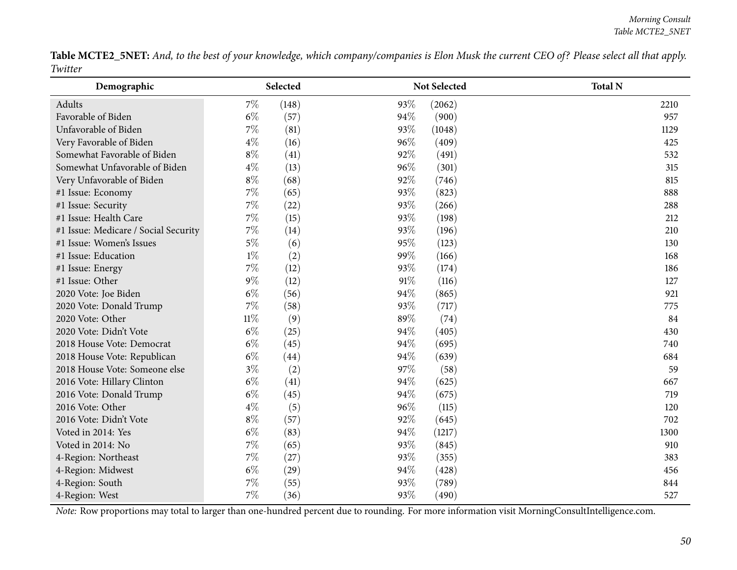Table MCTE2\_5NET: And, to the best of your knowledge, which company/companies is Elon Musk the current CEO of? Please select all that apply. *Twitter* $\overline{\phantom{0}}$ 

| Demographic                          | Selected       | Not Selected  | <b>Total N</b> |
|--------------------------------------|----------------|---------------|----------------|
| Adults                               | $7\%$<br>(148) | 93%<br>(2062) | 2210           |
| Favorable of Biden                   | $6\%$<br>(57)  | 94%<br>(900)  | 957            |
| Unfavorable of Biden                 | $7\%$<br>(81)  | 93%<br>(1048) | 1129           |
| Very Favorable of Biden              | $4\%$<br>(16)  | 96%<br>(409)  | 425            |
| Somewhat Favorable of Biden          | $8\%$<br>(41)  | 92%<br>(491)  | 532            |
| Somewhat Unfavorable of Biden        | $4\%$<br>(13)  | 96%<br>(301)  | 315            |
| Very Unfavorable of Biden            | $8\%$<br>(68)  | 92%<br>(746)  | 815            |
| #1 Issue: Economy                    | $7\%$<br>(65)  | 93%<br>(823)  | 888            |
| #1 Issue: Security                   | 7%<br>(22)     | 93%<br>(266)  | 288            |
| #1 Issue: Health Care                | 7%<br>(15)     | 93%<br>(198)  | 212            |
| #1 Issue: Medicare / Social Security | $7\%$<br>(14)  | 93%<br>(196)  | 210            |
| #1 Issue: Women's Issues             | $5\%$<br>(6)   | 95%<br>(123)  | 130            |
| #1 Issue: Education                  | $1\%$<br>(2)   | 99%<br>(166)  | 168            |
| #1 Issue: Energy                     | $7\%$<br>(12)  | 93%<br>(174)  | 186            |
| #1 Issue: Other                      | $9\%$<br>(12)  | 91%<br>(116)  | 127            |
| 2020 Vote: Joe Biden                 | $6\%$<br>(56)  | 94%<br>(865)  | 921            |
| 2020 Vote: Donald Trump              | $7\%$<br>(58)  | 93%<br>(717)  | 775            |
| 2020 Vote: Other                     | $11\%$<br>(9)  | 89%<br>(74)   | 84             |
| 2020 Vote: Didn't Vote               | $6\%$<br>(25)  | 94%<br>(405)  | 430            |
| 2018 House Vote: Democrat            | $6\%$<br>(45)  | 94%<br>(695)  | 740            |
| 2018 House Vote: Republican          | $6\%$<br>(44)  | 94%<br>(639)  | 684            |
| 2018 House Vote: Someone else        | $3\%$<br>(2)   | 97\%<br>(58)  | 59             |
| 2016 Vote: Hillary Clinton           | $6\%$<br>(41)  | 94%<br>(625)  | 667            |
| 2016 Vote: Donald Trump              | $6\%$<br>(45)  | 94%<br>(675)  | 719            |
| 2016 Vote: Other                     | $4\%$<br>(5)   | 96%<br>(115)  | 120            |
| 2016 Vote: Didn't Vote               | $8\%$<br>(57)  | 92%<br>(645)  | 702            |
| Voted in 2014: Yes                   | $6\%$<br>(83)  | 94%<br>(1217) | 1300           |
| Voted in 2014: No                    | $7\%$<br>(65)  | 93%<br>(845)  | 910            |
| 4-Region: Northeast                  | $7\%$<br>(27)  | 93%<br>(355)  | 383            |
| 4-Region: Midwest                    | $6\%$<br>(29)  | 94%<br>(428)  | 456            |
| 4-Region: South                      | $7\%$<br>(55)  | 93%<br>(789)  | 844            |
| 4-Region: West                       | $7\%$<br>(36)  | 93%<br>(490)  | 527            |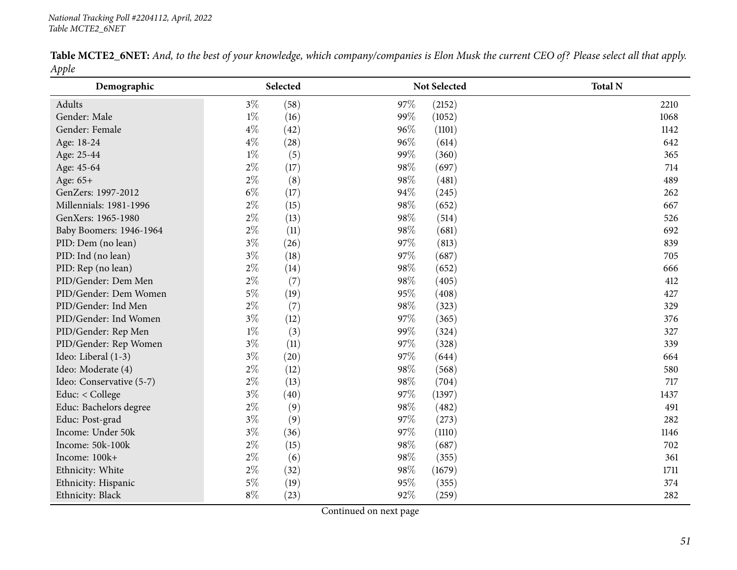|       |  | Table MCTE2_6NET: And, to the best of your knowledge, which company/companies is Elon Musk the current CEO of? Please select all that apply. |  |  |  |
|-------|--|----------------------------------------------------------------------------------------------------------------------------------------------|--|--|--|
| Apple |  |                                                                                                                                              |  |  |  |

| IΙ<br>Demographic        |       | Selected |     | <b>Not Selected</b> | <b>Total N</b> |
|--------------------------|-------|----------|-----|---------------------|----------------|
| Adults                   | $3\%$ | (58)     | 97% | (2152)              | 2210           |
| Gender: Male             | $1\%$ | (16)     | 99% | (1052)              | 1068           |
| Gender: Female           | $4\%$ | (42)     | 96% | (1101)              | 1142           |
| Age: 18-24               | $4\%$ | (28)     | 96% | (614)               | 642            |
| Age: 25-44               | $1\%$ | (5)      | 99% | (360)               | 365            |
| Age: 45-64               | $2\%$ | (17)     | 98% | (697)               | 714            |
| Age: 65+                 | $2\%$ | (8)      | 98% | (481)               | 489            |
| GenZers: 1997-2012       | $6\%$ | (17)     | 94% | (245)               | 262            |
| Millennials: 1981-1996   | $2\%$ | (15)     | 98% | (652)               | 667            |
| GenXers: 1965-1980       | $2\%$ | (13)     | 98% | (514)               | 526            |
| Baby Boomers: 1946-1964  | $2\%$ | (11)     | 98% | (681)               | 692            |
| PID: Dem (no lean)       | $3\%$ | (26)     | 97% | (813)               | 839            |
| PID: Ind (no lean)       | $3\%$ | (18)     | 97% | (687)               | 705            |
| PID: Rep (no lean)       | $2\%$ | (14)     | 98% | (652)               | 666            |
| PID/Gender: Dem Men      | $2\%$ | (7)      | 98% | (405)               | 412            |
| PID/Gender: Dem Women    | 5%    | (19)     | 95% | (408)               | 427            |
| PID/Gender: Ind Men      | $2\%$ | (7)      | 98% | (323)               | 329            |
| PID/Gender: Ind Women    | $3\%$ | (12)     | 97% | (365)               | 376            |
| PID/Gender: Rep Men      | $1\%$ | (3)      | 99% | (324)               | 327            |
| PID/Gender: Rep Women    | $3\%$ | (11)     | 97% | (328)               | 339            |
| Ideo: Liberal (1-3)      | $3\%$ | (20)     | 97% | (644)               | 664            |
| Ideo: Moderate (4)       | $2\%$ | (12)     | 98% | (568)               | 580            |
| Ideo: Conservative (5-7) | $2\%$ | (13)     | 98% | (704)               | 717            |
| Educ: < College          | $3\%$ | (40)     | 97% | (1397)              | 1437           |
| Educ: Bachelors degree   | $2\%$ | (9)      | 98% | (482)               | 491            |
| Educ: Post-grad          | $3\%$ | (9)      | 97% | (273)               | 282            |
| Income: Under 50k        | $3\%$ | (36)     | 97% | (1110)              | 1146           |
| Income: 50k-100k         | $2\%$ | (15)     | 98% | (687)               | 702            |
| Income: 100k+            | $2\%$ | (6)      | 98% | (355)               | 361            |
| Ethnicity: White         | $2\%$ | (32)     | 98% | (1679)              | 1711           |
| Ethnicity: Hispanic      | $5\%$ | (19)     | 95% | (355)               | 374            |
| Ethnicity: Black         | $8\%$ | (23)     | 92% | (259)               | 282            |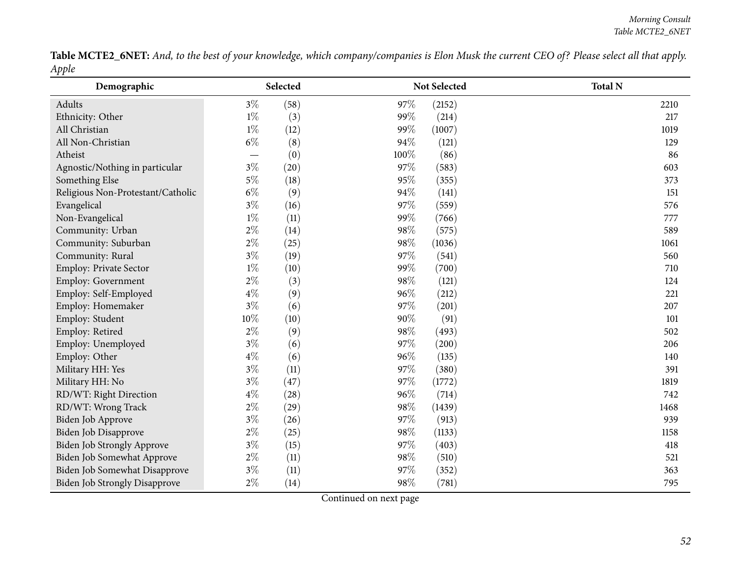Table MCTE2\_6NET: And, to the best of your knowledge, which company/companies is Elon Musk the current CEO of? Please select all that apply. *Apple*

| Tr<br>Demographic                    |       | Selected |      | Not Selected | <b>Total N</b> |
|--------------------------------------|-------|----------|------|--------------|----------------|
| Adults                               | $3\%$ | (58)     | 97%  | (2152)       | 2210           |
| Ethnicity: Other                     | $1\%$ | (3)      | 99%  | (214)        | 217            |
| All Christian                        | $1\%$ | (12)     | 99%  | (1007)       | 1019           |
| All Non-Christian                    | $6\%$ | (8)      | 94%  | (121)        | 129            |
| Atheist                              |       | (0)      | 100% | (86)         | 86             |
| Agnostic/Nothing in particular       | $3\%$ | (20)     | 97%  | (583)        | 603            |
| Something Else                       | $5\%$ | (18)     | 95%  | (355)        | 373            |
| Religious Non-Protestant/Catholic    | $6\%$ | (9)      | 94%  | (141)        | 151            |
| Evangelical                          | $3\%$ | (16)     | 97%  | (559)        | 576            |
| Non-Evangelical                      | $1\%$ | (11)     | 99%  | (766)        | 777            |
| Community: Urban                     | $2\%$ | (14)     | 98%  | (575)        | 589            |
| Community: Suburban                  | $2\%$ | (25)     | 98%  | (1036)       | 1061           |
| Community: Rural                     | $3\%$ | (19)     | 97%  | (541)        | 560            |
| Employ: Private Sector               | $1\%$ | (10)     | 99%  | (700)        | 710            |
| Employ: Government                   | $2\%$ | (3)      | 98%  | (121)        | 124            |
| Employ: Self-Employed                | $4\%$ | (9)      | 96%  | (212)        | 221            |
| Employ: Homemaker                    | $3\%$ | (6)      | 97%  | (201)        | 207            |
| Employ: Student                      | 10%   | (10)     | 90%  | (91)         | 101            |
| Employ: Retired                      | $2\%$ | (9)      | 98%  | (493)        | 502            |
| Employ: Unemployed                   | $3\%$ | (6)      | 97%  | (200)        | 206            |
| Employ: Other                        | $4\%$ | (6)      | 96%  | (135)        | 140            |
| Military HH: Yes                     | $3\%$ | (11)     | 97%  | (380)        | 391            |
| Military HH: No                      | $3\%$ | (47)     | 97%  | (1772)       | 1819           |
| RD/WT: Right Direction               | $4\%$ | (28)     | 96%  | (714)        | 742            |
| RD/WT: Wrong Track                   | $2\%$ | (29)     | 98%  | (1439)       | 1468           |
| Biden Job Approve                    | $3\%$ | (26)     | 97%  | (913)        | 939            |
| Biden Job Disapprove                 | $2\%$ | (25)     | 98%  | (1133)       | 1158           |
| Biden Job Strongly Approve           | $3\%$ | (15)     | 97%  | (403)        | 418            |
| Biden Job Somewhat Approve           | $2\%$ | (11)     | 98%  | (510)        | 521            |
| Biden Job Somewhat Disapprove        | $3\%$ | (11)     | 97%  | (352)        | 363            |
| <b>Biden Job Strongly Disapprove</b> | $2\%$ | (14)     | 98%  | (781)        | 795            |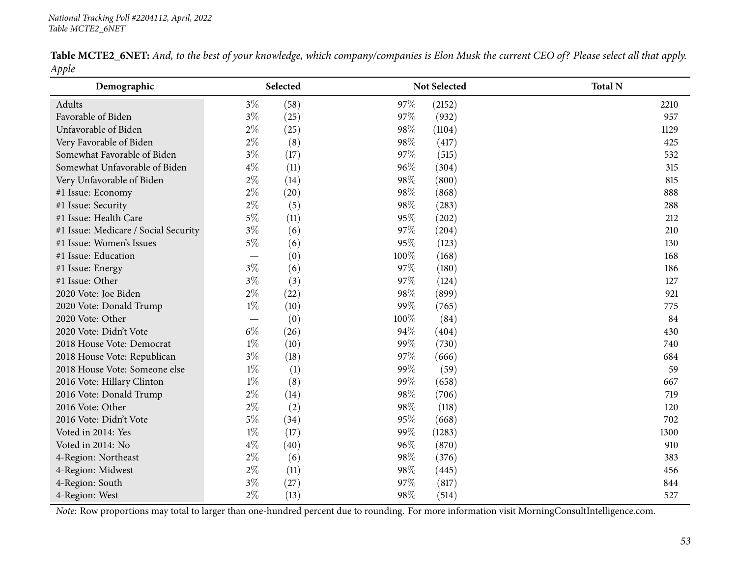|       |  | Table MCTE2_6NET: And, to the best of your knowledge, which company/companies is Elon Musk the current CEO of? Please select all that apply. |  |  |  |
|-------|--|----------------------------------------------------------------------------------------------------------------------------------------------|--|--|--|
| Apple |  |                                                                                                                                              |  |  |  |

| Demographic                          |                          | Selected |      | Not Selected | <b>Total N</b> |
|--------------------------------------|--------------------------|----------|------|--------------|----------------|
| Adults                               | $3\%$                    | (58)     | 97%  | (2152)       | 2210           |
| Favorable of Biden                   | $3\%$                    | (25)     | 97%  | (932)        | 957            |
| Unfavorable of Biden                 | $2\%$                    | (25)     | 98%  | (1104)       | 1129           |
| Very Favorable of Biden              | $2\%$                    | (8)      | 98%  | (417)        | 425            |
| Somewhat Favorable of Biden          | $3\%$                    | (17)     | 97%  | (515)        | 532            |
| Somewhat Unfavorable of Biden        | $4\%$                    | (11)     | 96%  | (304)        | 315            |
| Very Unfavorable of Biden            | $2\%$                    | (14)     | 98%  | (800)        | 815            |
| #1 Issue: Economy                    | $2\%$                    | (20)     | 98%  | (868)        | 888            |
| #1 Issue: Security                   | $2\%$                    | (5)      | 98%  | (283)        | 288            |
| #1 Issue: Health Care                | $5\%$                    | (11)     | 95%  | (202)        | 212            |
| #1 Issue: Medicare / Social Security | $3\%$                    | (6)      | 97%  | (204)        | 210            |
| #1 Issue: Women's Issues             | $5\%$                    | (6)      | 95%  | (123)        | 130            |
| #1 Issue: Education                  |                          | (0)      | 100% | (168)        | 168            |
| #1 Issue: Energy                     | $3\%$                    | (6)      | 97%  | (180)        | 186            |
| #1 Issue: Other                      | $3\%$                    | (3)      | 97%  | (124)        | 127            |
| 2020 Vote: Joe Biden                 | $2\%$                    | (22)     | 98%  | (899)        | 921            |
| 2020 Vote: Donald Trump              | $1\%$                    | (10)     | 99%  | (765)        | 775            |
| 2020 Vote: Other                     | $\overline{\phantom{m}}$ | (0)      | 100% | (84)         | 84             |
| 2020 Vote: Didn't Vote               | $6\%$                    | (26)     | 94%  | (404)        | 430            |
| 2018 House Vote: Democrat            | $1\%$                    | (10)     | 99%  | (730)        | 740            |
| 2018 House Vote: Republican          | $3\%$                    | (18)     | 97%  | (666)        | 684            |
| 2018 House Vote: Someone else        | $1\%$                    | (1)      | 99%  | (59)         | 59             |
| 2016 Vote: Hillary Clinton           | $1\%$                    | (8)      | 99%  | (658)        | 667            |
| 2016 Vote: Donald Trump              | $2\%$                    | (14)     | 98%  | (706)        | 719            |
| 2016 Vote: Other                     | $2\%$                    | (2)      | 98%  | (118)        | 120            |
| 2016 Vote: Didn't Vote               | $5\%$                    | (34)     | 95%  | (668)        | 702            |
| Voted in 2014: Yes                   | $1\%$                    | (17)     | 99%  | (1283)       | 1300           |
| Voted in 2014: No                    | $4\%$                    | (40)     | 96%  | (870)        | 910            |
| 4-Region: Northeast                  | $2\%$                    | (6)      | 98%  | (376)        | 383            |
| 4-Region: Midwest                    | $2\%$                    | (11)     | 98%  | (445)        | 456            |
| 4-Region: South                      | $3\%$                    | (27)     | 97%  | (817)        | 844            |
| 4-Region: West                       | $2\%$                    | (13)     | 98%  | (514)        | 527            |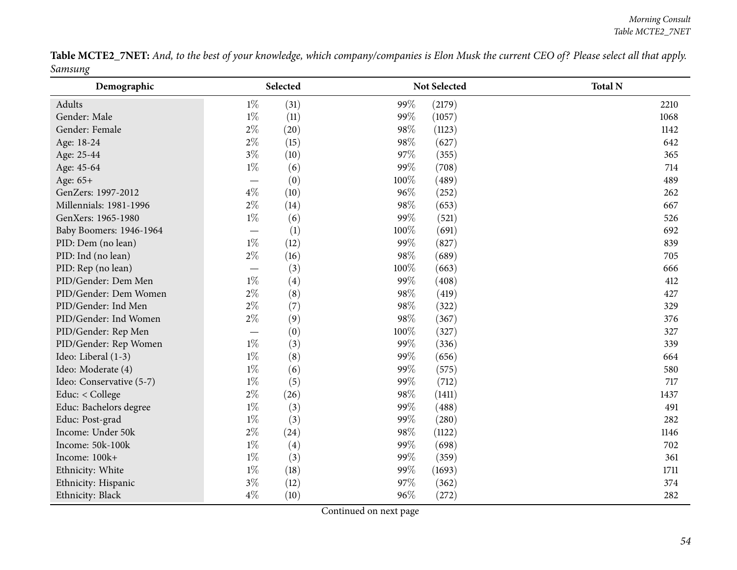Table MCTE2\_7NET: And, to the best of your knowledge, which company/companies is Elon Musk the current CEO of? Please select all that apply. *Samsung*

| $\circ$<br>Demographic   |                                 | Selected |      | Not Selected | <b>Total N</b> |
|--------------------------|---------------------------------|----------|------|--------------|----------------|
| Adults                   | $1\%$                           | (31)     | 99%  | (2179)       | 2210           |
| Gender: Male             | $1\%$                           | (11)     | 99%  | (1057)       | 1068           |
| Gender: Female           | $2\%$                           | (20)     | 98%  | (1123)       | 1142           |
| Age: 18-24               | $2\%$                           | (15)     | 98%  | (627)        | 642            |
| Age: 25-44               | $3\%$                           | (10)     | 97%  | (355)        | 365            |
| Age: 45-64               | $1\%$                           | (6)      | 99%  | (708)        | 714            |
| Age: 65+                 | $\hspace{0.1mm}-\hspace{0.1mm}$ | (0)      | 100% | (489)        | 489            |
| GenZers: 1997-2012       | $4\%$                           | (10)     | 96%  | (252)        | 262            |
| Millennials: 1981-1996   | $2\%$                           | (14)     | 98%  | (653)        | 667            |
| GenXers: 1965-1980       | $1\%$                           | (6)      | 99%  | (521)        | 526            |
| Baby Boomers: 1946-1964  | $\overline{\phantom{m}}$        | (1)      | 100% | (691)        | 692            |
| PID: Dem (no lean)       | $1\%$                           | (12)     | 99%  | (827)        | 839            |
| PID: Ind (no lean)       | $2\%$                           | (16)     | 98%  | (689)        | 705            |
| PID: Rep (no lean)       | $\overline{\phantom{m}}$        | (3)      | 100% | (663)        | 666            |
| PID/Gender: Dem Men      | $1\%$                           | (4)      | 99%  | (408)        | 412            |
| PID/Gender: Dem Women    | $2\%$                           | (8)      | 98%  | (419)        | 427            |
| PID/Gender: Ind Men      | $2\%$                           | (7)      | 98%  | (322)        | 329            |
| PID/Gender: Ind Women    | $2\%$                           | (9)      | 98%  | (367)        | 376            |
| PID/Gender: Rep Men      |                                 | (0)      | 100% | (327)        | 327            |
| PID/Gender: Rep Women    | $1\%$                           | (3)      | 99%  | (336)        | 339            |
| Ideo: Liberal (1-3)      | $1\%$                           | (8)      | 99%  | (656)        | 664            |
| Ideo: Moderate (4)       | $1\%$                           | (6)      | 99%  | (575)        | 580            |
| Ideo: Conservative (5-7) | $1\%$                           | (5)      | 99%  | (712)        | 717            |
| Educ: < College          | $2\%$                           | (26)     | 98%  | (1411)       | 1437           |
| Educ: Bachelors degree   | $1\%$                           | (3)      | 99%  | (488)        | 491            |
| Educ: Post-grad          | $1\%$                           | (3)      | 99%  | (280)        | 282            |
| Income: Under 50k        | $2\%$                           | (24)     | 98%  | (1122)       | 1146           |
| Income: 50k-100k         | $1\%$                           | (4)      | 99%  | (698)        | 702            |
| Income: 100k+            | $1\%$                           | (3)      | 99%  | (359)        | 361            |
| Ethnicity: White         | $1\%$                           | (18)     | 99%  | (1693)       | 1711           |
| Ethnicity: Hispanic      | $3\%$                           | (12)     | 97%  | (362)        | 374            |
| Ethnicity: Black         | $4\%$                           | (10)     | 96%  | (272)        | 282            |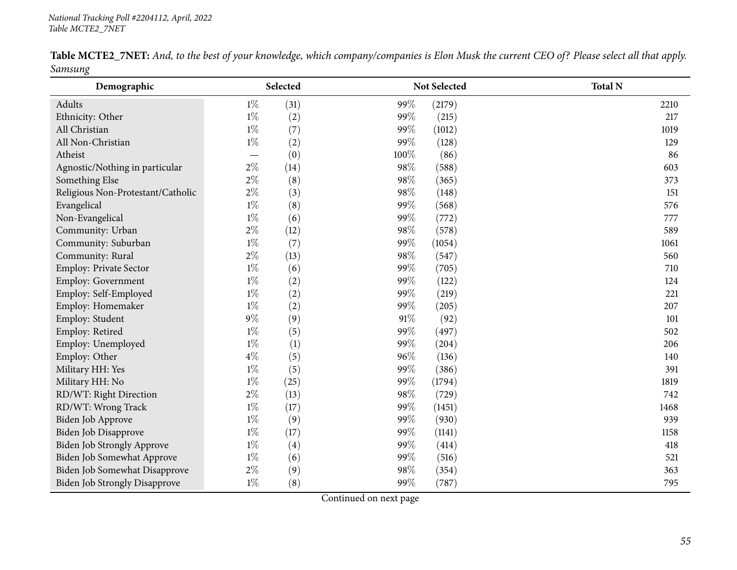|         |  | Table MCTE2_7NET: And, to the best of your knowledge, which company/companies is Elon Musk the current CEO of? Please select all that apply. |  |  |  |
|---------|--|----------------------------------------------------------------------------------------------------------------------------------------------|--|--|--|
| Samsung |  |                                                                                                                                              |  |  |  |

| 0<br>Demographic                     |       | Selected |      | Not Selected | <b>Total N</b> |
|--------------------------------------|-------|----------|------|--------------|----------------|
| Adults                               | $1\%$ | (31)     | 99%  | (2179)       | 2210           |
| Ethnicity: Other                     | $1\%$ | (2)      | 99%  | (215)        | 217            |
| All Christian                        | $1\%$ | (7)      | 99%  | (1012)       | 1019           |
| All Non-Christian                    | $1\%$ | (2)      | 99%  | (128)        | 129            |
| Atheist                              |       | (0)      | 100% | (86)         | 86             |
| Agnostic/Nothing in particular       | $2\%$ | (14)     | 98%  | (588)        | 603            |
| Something Else                       | $2\%$ | (8)      | 98%  | (365)        | 373            |
| Religious Non-Protestant/Catholic    | $2\%$ | (3)      | 98%  | (148)        | 151            |
| Evangelical                          | $1\%$ | (8)      | 99%  | (568)        | 576            |
| Non-Evangelical                      | $1\%$ | (6)      | 99%  | (772)        | 777            |
| Community: Urban                     | $2\%$ | (12)     | 98%  | (578)        | 589            |
| Community: Suburban                  | $1\%$ | (7)      | 99%  | (1054)       | 1061           |
| Community: Rural                     | $2\%$ | (13)     | 98%  | (547)        | 560            |
| Employ: Private Sector               | $1\%$ | (6)      | 99%  | (705)        | 710            |
| Employ: Government                   | $1\%$ | (2)      | 99%  | (122)        | 124            |
| Employ: Self-Employed                | $1\%$ | (2)      | 99%  | (219)        | 221            |
| Employ: Homemaker                    | $1\%$ | (2)      | 99%  | (205)        | 207            |
| Employ: Student                      | $9\%$ | (9)      | 91%  | (92)         | 101            |
| Employ: Retired                      | $1\%$ | (5)      | 99%  | (497)        | 502            |
| Employ: Unemployed                   | $1\%$ | (1)      | 99%  | (204)        | 206            |
| Employ: Other                        | $4\%$ | (5)      | 96%  | (136)        | 140            |
| Military HH: Yes                     | $1\%$ | (5)      | 99%  | (386)        | 391            |
| Military HH: No                      | $1\%$ | (25)     | 99%  | (1794)       | 1819           |
| RD/WT: Right Direction               | $2\%$ | (13)     | 98%  | (729)        | 742            |
| RD/WT: Wrong Track                   | $1\%$ | (17)     | 99%  | (1451)       | 1468           |
| Biden Job Approve                    | $1\%$ | (9)      | 99%  | (930)        | 939            |
| Biden Job Disapprove                 | $1\%$ | (17)     | 99%  | (1141)       | 1158           |
| <b>Biden Job Strongly Approve</b>    | $1\%$ | (4)      | 99%  | (414)        | 418            |
| Biden Job Somewhat Approve           | $1\%$ | (6)      | 99%  | (516)        | 521            |
| Biden Job Somewhat Disapprove        | $2\%$ | (9)      | 98%  | (354)        | 363            |
| <b>Biden Job Strongly Disapprove</b> | $1\%$ | (8)      | 99%  | (787)        | 795            |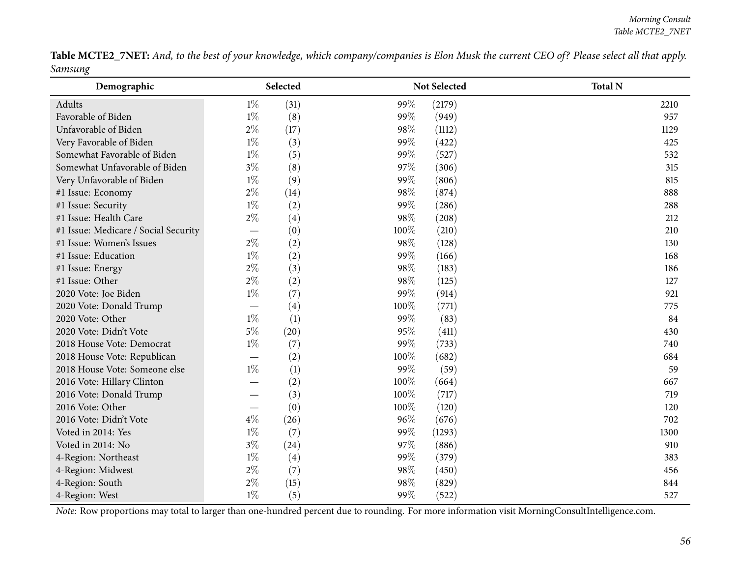Table MCTE2\_7NET: And, to the best of your knowledge, which company/companies is Elon Musk the current CEO of? Please select all that apply. *Samsung* $\overline{\phantom{0}}$ 

| Demographic                          |       | Selected |      | Not Selected | <b>Total N</b> |
|--------------------------------------|-------|----------|------|--------------|----------------|
| Adults                               | $1\%$ | (31)     | 99%  | (2179)       | 2210           |
| Favorable of Biden                   | $1\%$ | (8)      | 99%  | (949)        | 957            |
| Unfavorable of Biden                 | $2\%$ | (17)     | 98%  | (1112)       | 1129           |
| Very Favorable of Biden              | $1\%$ | (3)      | 99%  | (422)        | 425            |
| Somewhat Favorable of Biden          | $1\%$ | (5)      | 99%  | (527)        | 532            |
| Somewhat Unfavorable of Biden        | $3\%$ | (8)      | 97%  | (306)        | 315            |
| Very Unfavorable of Biden            | $1\%$ | (9)      | 99%  | (806)        | 815            |
| #1 Issue: Economy                    | $2\%$ | (14)     | 98%  | (874)        | 888            |
| #1 Issue: Security                   | $1\%$ | (2)      | 99%  | (286)        | 288            |
| #1 Issue: Health Care                | $2\%$ | (4)      | 98%  | (208)        | 212            |
| #1 Issue: Medicare / Social Security |       | (0)      | 100% | (210)        | 210            |
| #1 Issue: Women's Issues             | $2\%$ | (2)      | 98%  | (128)        | 130            |
| #1 Issue: Education                  | $1\%$ | (2)      | 99%  | (166)        | 168            |
| #1 Issue: Energy                     | $2\%$ | (3)      | 98%  | (183)        | 186            |
| #1 Issue: Other                      | $2\%$ | (2)      | 98%  | (125)        | 127            |
| 2020 Vote: Joe Biden                 | $1\%$ | (7)      | 99%  | (914)        | 921            |
| 2020 Vote: Donald Trump              |       | (4)      | 100% | (771)        | 775            |
| 2020 Vote: Other                     | $1\%$ | (1)      | 99%  | (83)         | 84             |
| 2020 Vote: Didn't Vote               | $5\%$ | (20)     | 95%  | (411)        | 430            |
| 2018 House Vote: Democrat            | $1\%$ | (7)      | 99%  | (733)        | 740            |
| 2018 House Vote: Republican          |       | (2)      | 100% | (682)        | 684            |
| 2018 House Vote: Someone else        | $1\%$ | (1)      | 99%  | (59)         | 59             |
| 2016 Vote: Hillary Clinton           |       | (2)      | 100% | (664)        | 667            |
| 2016 Vote: Donald Trump              |       | (3)      | 100% | (717)        | 719            |
| 2016 Vote: Other                     |       | (0)      | 100% | (120)        | 120            |
| 2016 Vote: Didn't Vote               | $4\%$ | (26)     | 96%  | (676)        | 702            |
| Voted in 2014: Yes                   | $1\%$ | (7)      | 99%  | (1293)       | 1300           |
| Voted in 2014: No                    | $3\%$ | (24)     | 97%  | (886)        | 910            |
| 4-Region: Northeast                  | $1\%$ | (4)      | 99%  | (379)        | 383            |
| 4-Region: Midwest                    | $2\%$ | (7)      | 98%  | (450)        | 456            |
| 4-Region: South                      | $2\%$ | (15)     | 98%  | (829)        | 844            |
| 4-Region: West                       | $1\%$ | (5)      | 99%  | (522)        | 527            |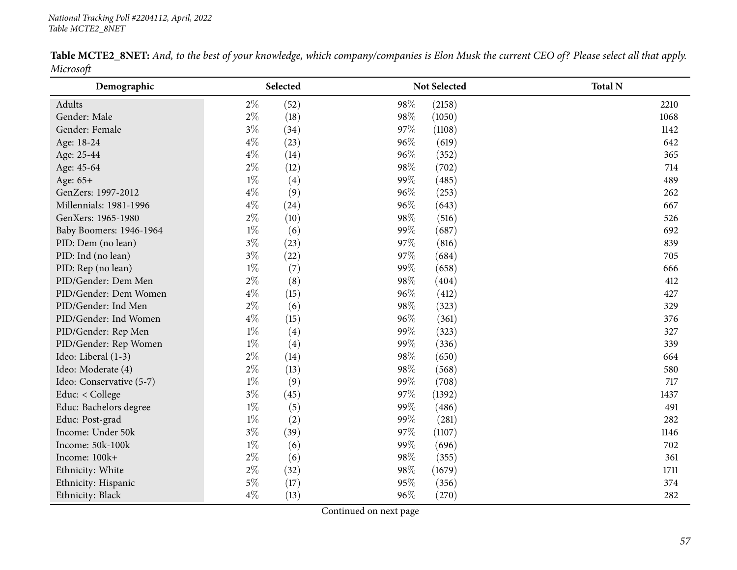|           |  |  | <b>Table MCTE2_8NET:</b> And, to the best of your knowledge, which company/companies is Elon Musk the current CEO of? Please select all that apply. |  |  |
|-----------|--|--|-----------------------------------------------------------------------------------------------------------------------------------------------------|--|--|
| Microsoft |  |  |                                                                                                                                                     |  |  |

| Demographic              | Selected      | <b>Not Selected</b> | <b>Total N</b> |
|--------------------------|---------------|---------------------|----------------|
| Adults                   | $2\%$<br>(52) | 98%<br>(2158)       | 2210           |
| Gender: Male             | $2\%$<br>(18) | 98%<br>(1050)       | 1068           |
| Gender: Female           | $3\%$<br>(34) | 97%<br>(1108)       | 1142           |
| Age: 18-24               | $4\%$<br>(23) | 96%<br>(619)        | 642            |
| Age: 25-44               | $4\%$<br>(14) | 96%<br>(352)        | 365            |
| Age: 45-64               | $2\%$<br>(12) | 98%<br>(702)        | 714            |
| Age: 65+                 | $1\%$<br>(4)  | 99%<br>(485)        | 489            |
| GenZers: 1997-2012       | $4\%$<br>(9)  | 96%<br>(253)        | 262            |
| Millennials: 1981-1996   | $4\%$<br>(24) | 96%<br>(643)        | 667            |
| GenXers: 1965-1980       | $2\%$<br>(10) | 98%<br>(516)        | 526            |
| Baby Boomers: 1946-1964  | $1\%$<br>(6)  | 99%<br>(687)        | 692            |
| PID: Dem (no lean)       | $3\%$<br>(23) | 97%<br>(816)        | 839            |
| PID: Ind (no lean)       | $3\%$<br>(22) | 97%<br>(684)        | 705            |
| PID: Rep (no lean)       | $1\%$<br>(7)  | 99%<br>(658)        | 666            |
| PID/Gender: Dem Men      | $2\%$<br>(8)  | 98%<br>(404)        | 412            |
| PID/Gender: Dem Women    | $4\%$<br>(15) | 96%<br>(412)        | 427            |
| PID/Gender: Ind Men      | $2\%$<br>(6)  | 98%<br>(323)        | 329            |
| PID/Gender: Ind Women    | $4\%$<br>(15) | 96%<br>(361)        | 376            |
| PID/Gender: Rep Men      | $1\%$<br>(4)  | 99%<br>(323)        | 327            |
| PID/Gender: Rep Women    | $1\%$<br>(4)  | 99%<br>(336)        | 339            |
| Ideo: Liberal (1-3)      | $2\%$<br>(14) | 98%<br>(650)        | 664            |
| Ideo: Moderate (4)       | $2\%$<br>(13) | 98%<br>(568)        | 580            |
| Ideo: Conservative (5-7) | $1\%$<br>(9)  | 99%<br>(708)        | 717            |
| Educ: < College          | $3\%$<br>(45) | 97%<br>(1392)       | 1437           |
| Educ: Bachelors degree   | $1\%$<br>(5)  | 99%<br>(486)        | 491            |
| Educ: Post-grad          | $1\%$<br>(2)  | 99%<br>(281)        | 282            |
| Income: Under 50k        | $3\%$<br>(39) | 97%<br>(1107)       | 1146           |
| Income: 50k-100k         | $1\%$<br>(6)  | 99%<br>(696)        | 702            |
| Income: 100k+            | $2\%$<br>(6)  | 98%<br>(355)        | 361            |
| Ethnicity: White         | $2\%$<br>(32) | 98%<br>(1679)       | 1711           |
| Ethnicity: Hispanic      | $5\%$<br>(17) | 95%<br>(356)        | 374            |
| Ethnicity: Black         | $4\%$<br>(13) | 96%<br>(270)        | 282            |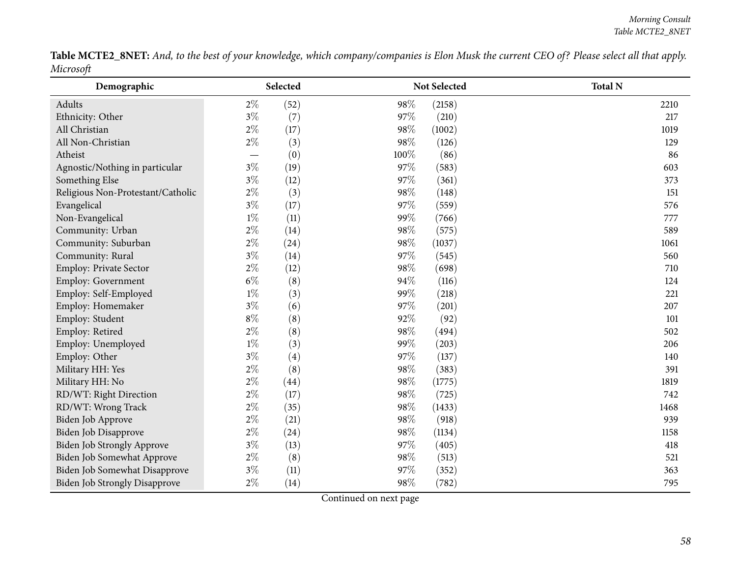Table MCTE2\_8NET: And, to the best of your knowledge, which company/companies is Elon Musk the current CEO of? Please select all that apply. *Microsoft*

| Demographic                          |       | Selected |      | Not Selected | <b>Total N</b> |
|--------------------------------------|-------|----------|------|--------------|----------------|
| Adults                               | $2\%$ | (52)     | 98%  | (2158)       | 2210           |
| Ethnicity: Other                     | $3\%$ | (7)      | 97%  | (210)        | 217            |
| All Christian                        | $2\%$ | (17)     | 98%  | (1002)       | 1019           |
| All Non-Christian                    | $2\%$ | (3)      | 98%  | (126)        | 129            |
| Atheist                              |       | (0)      | 100% | (86)         | 86             |
| Agnostic/Nothing in particular       | $3\%$ | (19)     | 97%  | (583)        | 603            |
| Something Else                       | $3\%$ | (12)     | 97%  | (361)        | 373            |
| Religious Non-Protestant/Catholic    | $2\%$ | (3)      | 98%  | (148)        | 151            |
| Evangelical                          | $3\%$ | (17)     | 97%  | (559)        | 576            |
| Non-Evangelical                      | $1\%$ | (11)     | 99%  | (766)        | 777            |
| Community: Urban                     | $2\%$ | (14)     | 98%  | (575)        | 589            |
| Community: Suburban                  | $2\%$ | (24)     | 98%  | (1037)       | 1061           |
| Community: Rural                     | $3\%$ | (14)     | 97%  | (545)        | 560            |
| Employ: Private Sector               | $2\%$ | (12)     | 98%  | (698)        | 710            |
| Employ: Government                   | $6\%$ | (8)      | 94%  | (116)        | 124            |
| Employ: Self-Employed                | $1\%$ | (3)      | 99%  | (218)        | 221            |
| Employ: Homemaker                    | $3\%$ | (6)      | 97%  | (201)        | 207            |
| Employ: Student                      | $8\%$ | (8)      | 92%  | (92)         | 101            |
| Employ: Retired                      | $2\%$ | (8)      | 98%  | (494)        | 502            |
| Employ: Unemployed                   | $1\%$ | (3)      | 99%  | (203)        | 206            |
| Employ: Other                        | $3\%$ | (4)      | 97%  | (137)        | 140            |
| Military HH: Yes                     | $2\%$ | (8)      | 98%  | (383)        | 391            |
| Military HH: No                      | $2\%$ | (44)     | 98%  | (1775)       | 1819           |
| RD/WT: Right Direction               | $2\%$ | (17)     | 98%  | (725)        | 742            |
| RD/WT: Wrong Track                   | $2\%$ | (35)     | 98%  | (1433)       | 1468           |
| Biden Job Approve                    | $2\%$ | (21)     | 98%  | (918)        | 939            |
| Biden Job Disapprove                 | $2\%$ | (24)     | 98%  | (1134)       | 1158           |
| Biden Job Strongly Approve           | $3\%$ | (13)     | 97%  | (405)        | 418            |
| Biden Job Somewhat Approve           | $2\%$ | (8)      | 98%  | (513)        | 521            |
| Biden Job Somewhat Disapprove        | $3\%$ | (11)     | 97%  | (352)        | 363            |
| <b>Biden Job Strongly Disapprove</b> | $2\%$ | (14)     | 98%  | (782)        | 795            |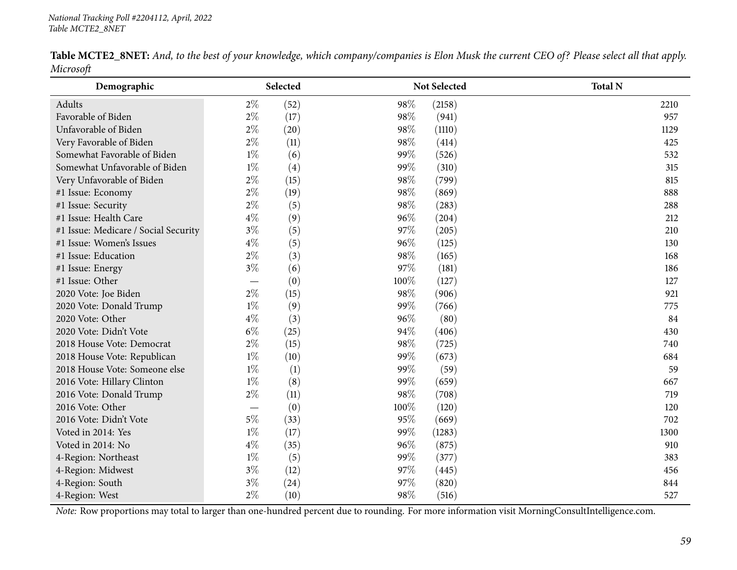|           |  |  | <b>Table MCTE2_8NET:</b> And, to the best of your knowledge, which company/companies is Elon Musk the current CEO of? Please select all that apply. |  |  |
|-----------|--|--|-----------------------------------------------------------------------------------------------------------------------------------------------------|--|--|
| Microsoft |  |  |                                                                                                                                                     |  |  |

| Demographic                          |       | Selected |      | Not Selected | <b>Total N</b> |
|--------------------------------------|-------|----------|------|--------------|----------------|
| Adults                               | $2\%$ | (52)     | 98%  | (2158)       | 2210           |
| Favorable of Biden                   | $2\%$ | (17)     | 98%  | (941)        | 957            |
| Unfavorable of Biden                 | $2\%$ | (20)     | 98%  | (1110)       | 1129           |
| Very Favorable of Biden              | $2\%$ | (11)     | 98%  | (414)        | 425            |
| Somewhat Favorable of Biden          | $1\%$ | (6)      | 99%  | (526)        | 532            |
| Somewhat Unfavorable of Biden        | $1\%$ | (4)      | 99%  | (310)        | 315            |
| Very Unfavorable of Biden            | $2\%$ | (15)     | 98%  | (799)        | 815            |
| #1 Issue: Economy                    | $2\%$ | (19)     | 98%  | (869)        | 888            |
| #1 Issue: Security                   | $2\%$ | (5)      | 98%  | (283)        | 288            |
| #1 Issue: Health Care                | $4\%$ | (9)      | 96%  | (204)        | 212            |
| #1 Issue: Medicare / Social Security | $3\%$ | (5)      | 97%  | (205)        | 210            |
| #1 Issue: Women's Issues             | $4\%$ | (5)      | 96%  | (125)        | 130            |
| #1 Issue: Education                  | $2\%$ | (3)      | 98%  | (165)        | 168            |
| #1 Issue: Energy                     | $3\%$ | (6)      | 97%  | (181)        | 186            |
| #1 Issue: Other                      |       | (0)      | 100% | (127)        | 127            |
| 2020 Vote: Joe Biden                 | $2\%$ | (15)     | 98%  | (906)        | 921            |
| 2020 Vote: Donald Trump              | $1\%$ | (9)      | 99%  | (766)        | 775            |
| 2020 Vote: Other                     | $4\%$ | (3)      | 96%  | (80)         | 84             |
| 2020 Vote: Didn't Vote               | $6\%$ | (25)     | 94%  | (406)        | 430            |
| 2018 House Vote: Democrat            | $2\%$ | (15)     | 98%  | (725)        | 740            |
| 2018 House Vote: Republican          | $1\%$ | (10)     | 99%  | (673)        | 684            |
| 2018 House Vote: Someone else        | $1\%$ | (1)      | 99%  | (59)         | 59             |
| 2016 Vote: Hillary Clinton           | $1\%$ | (8)      | 99%  | (659)        | 667            |
| 2016 Vote: Donald Trump              | $2\%$ | (11)     | 98%  | (708)        | 719            |
| 2016 Vote: Other                     |       | (0)      | 100% | (120)        | 120            |
| 2016 Vote: Didn't Vote               | $5\%$ | (33)     | 95%  | (669)        | 702            |
| Voted in 2014: Yes                   | $1\%$ | (17)     | 99%  | (1283)       | 1300           |
| Voted in 2014: No                    | $4\%$ | (35)     | 96%  | (875)        | 910            |
| 4-Region: Northeast                  | $1\%$ | (5)      | 99%  | (377)        | 383            |
| 4-Region: Midwest                    | $3\%$ | (12)     | 97%  | (445)        | 456            |
| 4-Region: South                      | $3\%$ | (24)     | 97%  | (820)        | 844            |
| 4-Region: West                       | $2\%$ | (10)     | 98%  | (516)        | 527            |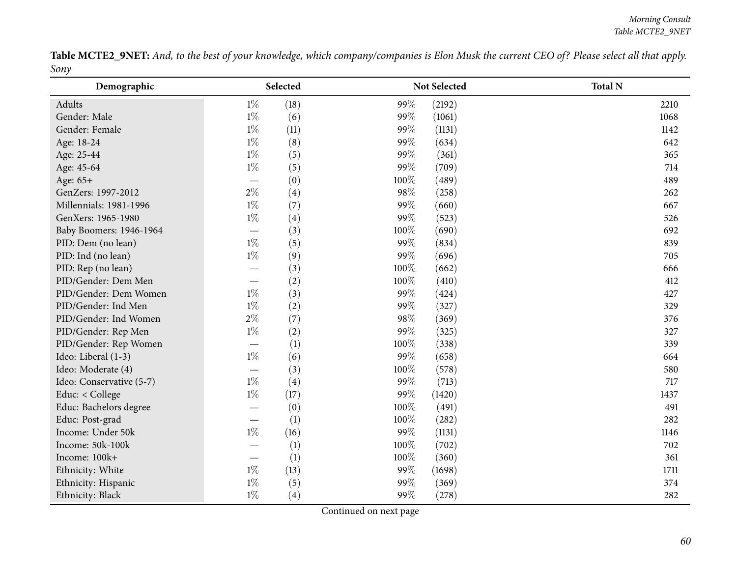Table MCTE2\_9NET: And, to the best of your knowledge, which company/companies is Elon Musk the current CEO of? Please select all that apply. *Sony* $\overline{\phantom{0}}$ 

| Demographic              |                                 | Selected |      | Not Selected | <b>Total N</b> |
|--------------------------|---------------------------------|----------|------|--------------|----------------|
| Adults                   | $1\%$                           | (18)     | 99%  | (2192)       | 2210           |
| Gender: Male             | $1\%$                           | (6)      | 99%  | (1061)       | 1068           |
| Gender: Female           | $1\%$                           | (11)     | 99%  | (1131)       | 1142           |
| Age: 18-24               | $1\%$                           | (8)      | 99%  | (634)        | 642            |
| Age: 25-44               | $1\%$                           | (5)      | 99%  | (361)        | 365            |
| Age: 45-64               | $1\%$                           | (5)      | 99%  | (709)        | 714            |
| Age: 65+                 |                                 | (0)      | 100% | (489)        | 489            |
| GenZers: 1997-2012       | $2\%$                           | (4)      | 98%  | (258)        | 262            |
| Millennials: 1981-1996   | $1\%$                           | (7)      | 99%  | (660)        | 667            |
| GenXers: 1965-1980       | $1\%$                           | (4)      | 99%  | (523)        | 526            |
| Baby Boomers: 1946-1964  |                                 | (3)      | 100% | (690)        | 692            |
| PID: Dem (no lean)       | $1\%$                           | (5)      | 99%  | (834)        | 839            |
| PID: Ind (no lean)       | $1\%$                           | (9)      | 99%  | (696)        | 705            |
| PID: Rep (no lean)       |                                 | (3)      | 100% | (662)        | 666            |
| PID/Gender: Dem Men      | $\overline{\phantom{0}}$        | (2)      | 100% | (410)        | 412            |
| PID/Gender: Dem Women    | $1\%$                           | (3)      | 99%  | (424)        | 427            |
| PID/Gender: Ind Men      | $1\%$                           | (2)      | 99%  | (327)        | 329            |
| PID/Gender: Ind Women    | $2\%$                           | (7)      | 98%  | (369)        | 376            |
| PID/Gender: Rep Men      | $1\%$                           | (2)      | 99%  | (325)        | 327            |
| PID/Gender: Rep Women    |                                 | (1)      | 100% | (338)        | 339            |
| Ideo: Liberal (1-3)      | $1\%$                           | (6)      | 99%  | (658)        | 664            |
| Ideo: Moderate (4)       |                                 | (3)      | 100% | (578)        | 580            |
| Ideo: Conservative (5-7) | $1\%$                           | (4)      | 99%  | (713)        | 717            |
| Educ: < College          | $1\%$                           | (17)     | 99%  | (1420)       | 1437           |
| Educ: Bachelors degree   |                                 | (0)      | 100% | (491)        | 491            |
| Educ: Post-grad          | $\overline{\phantom{0}}$        | (1)      | 100% | (282)        | 282            |
| Income: Under 50k        | $1\%$                           | (16)     | 99%  | (1131)       | 1146           |
| Income: 50k-100k         |                                 | (1)      | 100% | (702)        | 702            |
| Income: 100k+            | $\hspace{0.1mm}-\hspace{0.1mm}$ | (1)      | 100% | (360)        | 361            |
| Ethnicity: White         | $1\%$                           | (13)     | 99%  | (1698)       | 1711           |
| Ethnicity: Hispanic      | $1\%$                           | (5)      | 99%  | (369)        | 374            |
| Ethnicity: Black         | $1\%$                           | (4)      | 99%  | (278)        | 282            |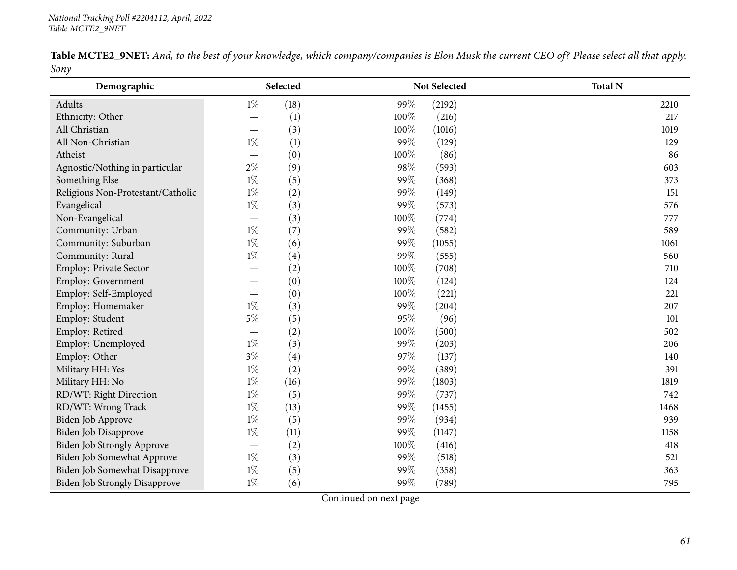| Table MCTE2_9NET: And, to the best of your knowledge, which company/companies is Elon Musk the current CEO of? Please select all that apply. |  |  |  |  |  |  |
|----------------------------------------------------------------------------------------------------------------------------------------------|--|--|--|--|--|--|
| Sony                                                                                                                                         |  |  |  |  |  |  |

| Demographic                          |       | Selected |      | Not Selected | <b>Total N</b> |
|--------------------------------------|-------|----------|------|--------------|----------------|
| Adults                               | $1\%$ | (18)     | 99%  | (2192)       | 2210           |
| Ethnicity: Other                     |       | (1)      | 100% | (216)        | 217            |
| All Christian                        |       | (3)      | 100% | (1016)       | 1019           |
| All Non-Christian                    | $1\%$ | (1)      | 99%  | (129)        | 129            |
| Atheist                              |       | (0)      | 100% | (86)         | 86             |
| Agnostic/Nothing in particular       | $2\%$ | (9)      | 98%  | (593)        | 603            |
| Something Else                       | $1\%$ | (5)      | 99%  | (368)        | 373            |
| Religious Non-Protestant/Catholic    | $1\%$ | (2)      | 99%  | (149)        | 151            |
| Evangelical                          | $1\%$ | (3)      | 99%  | (573)        | 576            |
| Non-Evangelical                      |       | (3)      | 100% | (774)        | 777            |
| Community: Urban                     | $1\%$ | (7)      | 99%  | (582)        | 589            |
| Community: Suburban                  | $1\%$ | (6)      | 99%  | (1055)       | 1061           |
| Community: Rural                     | $1\%$ | (4)      | 99%  | (555)        | 560            |
| Employ: Private Sector               |       | (2)      | 100% | (708)        | 710            |
| Employ: Government                   |       | (0)      | 100% | (124)        | 124            |
| Employ: Self-Employed                |       | (0)      | 100% | (221)        | 221            |
| Employ: Homemaker                    | $1\%$ | (3)      | 99%  | (204)        | 207            |
| Employ: Student                      | $5\%$ | (5)      | 95%  | (96)         | 101            |
| Employ: Retired                      |       | (2)      | 100% | (500)        | 502            |
| Employ: Unemployed                   | $1\%$ | (3)      | 99%  | (203)        | 206            |
| Employ: Other                        | $3\%$ | (4)      | 97%  | (137)        | 140            |
| Military HH: Yes                     | $1\%$ | (2)      | 99%  | (389)        | 391            |
| Military HH: No                      | $1\%$ | (16)     | 99%  | (1803)       | 1819           |
| RD/WT: Right Direction               | $1\%$ | (5)      | 99%  | (737)        | 742            |
| RD/WT: Wrong Track                   | $1\%$ | (13)     | 99%  | (1455)       | 1468           |
| Biden Job Approve                    | $1\%$ | (5)      | 99%  | (934)        | 939            |
| Biden Job Disapprove                 | $1\%$ | (11)     | 99%  | (1147)       | 1158           |
| <b>Biden Job Strongly Approve</b>    |       | (2)      | 100% | (416)        | 418            |
| Biden Job Somewhat Approve           | $1\%$ | (3)      | 99%  | (518)        | 521            |
| Biden Job Somewhat Disapprove        | $1\%$ | (5)      | 99%  | (358)        | 363            |
| <b>Biden Job Strongly Disapprove</b> | $1\%$ | (6)      | 99%  | (789)        | 795            |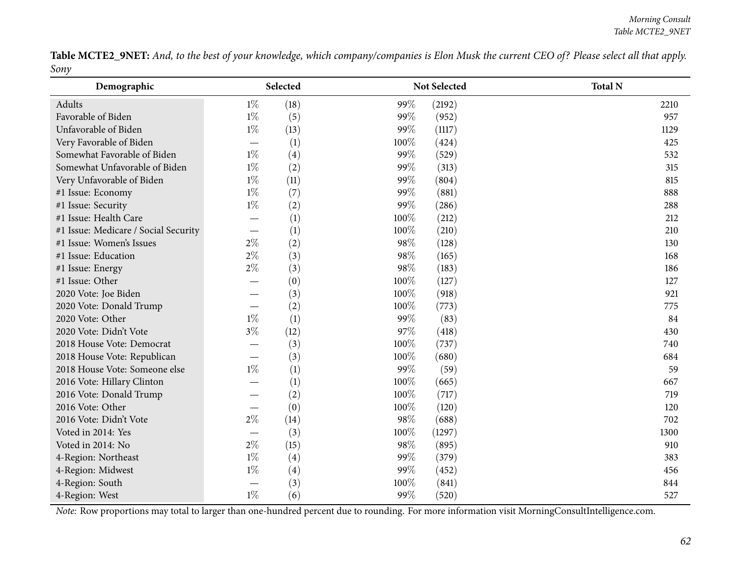Table MCTE2\_9NET: And, to the best of your knowledge, which company/companies is Elon Musk the current CEO of? Please select all that apply. *Sony*

| Demographic                          |                               | Selected |      | Not Selected | <b>Total N</b> |
|--------------------------------------|-------------------------------|----------|------|--------------|----------------|
| Adults                               | $1\%$                         | (18)     | 99%  | (2192)       | 2210           |
| Favorable of Biden                   | $1\%$                         | (5)      | 99%  | (952)        | 957            |
| Unfavorable of Biden                 | $1\%$                         | (13)     | 99%  | (1117)       | 1129           |
| Very Favorable of Biden              |                               | (1)      | 100% | (424)        | 425            |
| Somewhat Favorable of Biden          | $1\%$                         | (4)      | 99%  | (529)        | 532            |
| Somewhat Unfavorable of Biden        | $1\%$                         | (2)      | 99%  | (313)        | 315            |
| Very Unfavorable of Biden            | $1\%$                         | (11)     | 99%  | (804)        | 815            |
| #1 Issue: Economy                    | $1\%$                         | (7)      | 99%  | (881)        | 888            |
| #1 Issue: Security                   | $1\%$                         | (2)      | 99%  | (286)        | 288            |
| #1 Issue: Health Care                |                               | (1)      | 100% | (212)        | 212            |
| #1 Issue: Medicare / Social Security |                               | (1)      | 100% | (210)        | 210            |
| #1 Issue: Women's Issues             | $2\%$                         | (2)      | 98%  | (128)        | 130            |
| #1 Issue: Education                  | $2\%$                         | (3)      | 98%  | (165)        | 168            |
| #1 Issue: Energy                     | $2\%$                         | (3)      | 98%  | (183)        | 186            |
| #1 Issue: Other                      |                               | (0)      | 100% | (127)        | 127            |
| 2020 Vote: Joe Biden                 |                               | (3)      | 100% | (918)        | 921            |
| 2020 Vote: Donald Trump              | $\overbrace{\phantom{13333}}$ | (2)      | 100% | (773)        | 775            |
| 2020 Vote: Other                     | $1\%$                         | (1)      | 99%  | (83)         | 84             |
| 2020 Vote: Didn't Vote               | $3\%$                         | (12)     | 97%  | (418)        | 430            |
| 2018 House Vote: Democrat            |                               | (3)      | 100% | (737)        | 740            |
| 2018 House Vote: Republican          |                               | (3)      | 100% | (680)        | 684            |
| 2018 House Vote: Someone else        | $1\%$                         | (1)      | 99%  | (59)         | 59             |
| 2016 Vote: Hillary Clinton           |                               | (1)      | 100% | (665)        | 667            |
| 2016 Vote: Donald Trump              |                               | (2)      | 100% | (717)        | 719            |
| 2016 Vote: Other                     |                               | (0)      | 100% | (120)        | 120            |
| 2016 Vote: Didn't Vote               | $2\%$                         | (14)     | 98%  | (688)        | 702            |
| Voted in 2014: Yes                   |                               | (3)      | 100% | (1297)       | 1300           |
| Voted in 2014: No                    | $2\%$                         | (15)     | 98%  | (895)        | 910            |
| 4-Region: Northeast                  | $1\%$                         | (4)      | 99%  | (379)        | 383            |
| 4-Region: Midwest                    | $1\%$                         | (4)      | 99%  | (452)        | 456            |
| 4-Region: South                      |                               | (3)      | 100% | (841)        | 844            |
| 4-Region: West                       | $1\%$                         | (6)      | 99%  | (520)        | 527            |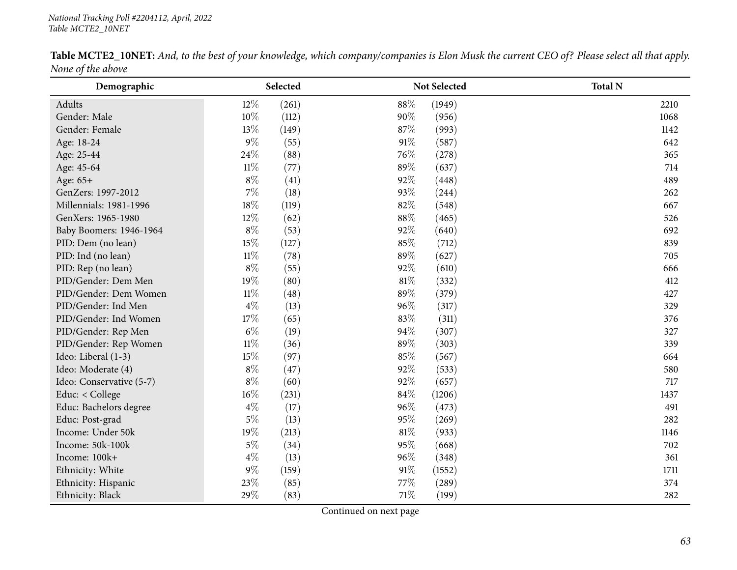|                   |  | <b>Table MCTE2_10NET:</b> And, to the best of your knowledge, which company/companies is Elon Musk the current CEO of? Please select all that apply. |  |
|-------------------|--|------------------------------------------------------------------------------------------------------------------------------------------------------|--|
| None of the above |  |                                                                                                                                                      |  |

| Demographic              |        | Selected |        | Not Selected | <b>Total N</b> |
|--------------------------|--------|----------|--------|--------------|----------------|
| Adults                   | 12%    | (261)    | 88%    | (1949)       | 2210           |
| Gender: Male             | 10%    | (112)    | 90%    | (956)        | 1068           |
| Gender: Female           | 13%    | (149)    | 87\%   | (993)        | 1142           |
| Age: 18-24               | $9\%$  | (55)     | 91%    | (587)        | 642            |
| Age: 25-44               | 24%    | (88)     | 76%    | (278)        | 365            |
| Age: 45-64               | $11\%$ | (77)     | 89%    | (637)        | 714            |
| Age: 65+                 | $8\%$  | (41)     | 92%    | (448)        | 489            |
| GenZers: 1997-2012       | $7\%$  | (18)     | 93%    | (244)        | 262            |
| Millennials: 1981-1996   | 18%    | (119)    | $82\%$ | (548)        | 667            |
| GenXers: 1965-1980       | 12%    | (62)     | 88%    | (465)        | 526            |
| Baby Boomers: 1946-1964  | $8\%$  | (53)     | 92%    | (640)        | 692            |
| PID: Dem (no lean)       | 15%    | (127)    | 85%    | (712)        | 839            |
| PID: Ind (no lean)       | $11\%$ | (78)     | 89%    | (627)        | 705            |
| PID: Rep (no lean)       | $8\%$  | (55)     | 92%    | (610)        | 666            |
| PID/Gender: Dem Men      | 19%    | (80)     | 81%    | (332)        | 412            |
| PID/Gender: Dem Women    | $11\%$ | (48)     | 89%    | (379)        | 427            |
| PID/Gender: Ind Men      | $4\%$  | (13)     | 96%    | (317)        | 329            |
| PID/Gender: Ind Women    | 17%    | (65)     | 83%    | (311)        | 376            |
| PID/Gender: Rep Men      | $6\%$  | (19)     | 94%    | (307)        | 327            |
| PID/Gender: Rep Women    | $11\%$ | (36)     | 89%    | (303)        | 339            |
| Ideo: Liberal (1-3)      | 15%    | (97)     | 85%    | (567)        | 664            |
| Ideo: Moderate (4)       | $8\%$  | (47)     | 92%    | (533)        | 580            |
| Ideo: Conservative (5-7) | $8\%$  | (60)     | 92%    | (657)        | 717            |
| Educ: < College          | 16%    | (231)    | 84\%   | (1206)       | 1437           |
| Educ: Bachelors degree   | $4\%$  | (17)     | 96%    | (473)        | 491            |
| Educ: Post-grad          | $5\%$  | (13)     | 95%    | (269)        | 282            |
| Income: Under 50k        | 19%    | (213)    | 81%    | (933)        | 1146           |
| Income: 50k-100k         | $5\%$  | (34)     | 95%    | (668)        | 702            |
| Income: 100k+            | $4\%$  | (13)     | 96%    | (348)        | 361            |
| Ethnicity: White         | $9\%$  | (159)    | 91%    | (1552)       | 1711           |
| Ethnicity: Hispanic      | 23%    | (85)     | 77%    | (289)        | 374            |
| Ethnicity: Black         | 29%    | (83)     | 71%    | (199)        | 282            |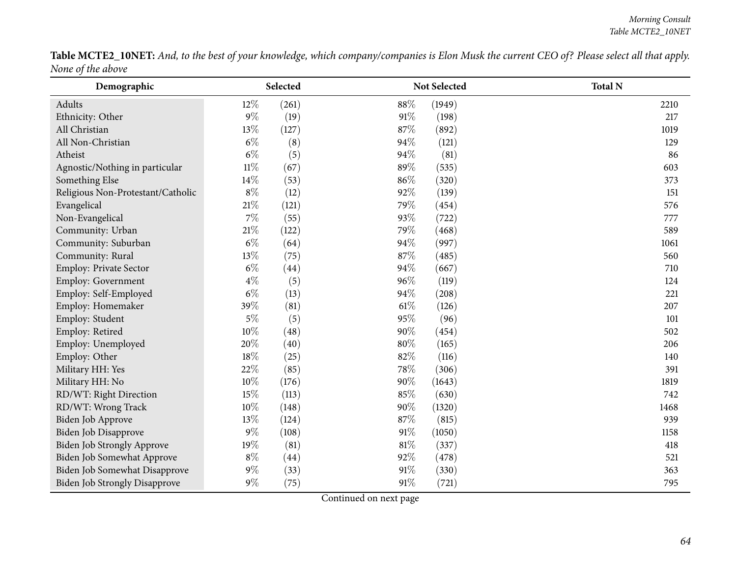Table MCTE2\_10NET: And, to the best of your knowledge, which company/companies is Elon Musk the current CEO of? Please select all that apply. *None of the above*  $\overline{\phantom{a}}$ 

| Demographic                          |        | Selected |      | Not Selected | <b>Total N</b> |
|--------------------------------------|--------|----------|------|--------------|----------------|
| Adults                               | 12%    | (261)    | 88%  | (1949)       | 2210           |
| Ethnicity: Other                     | $9\%$  | (19)     | 91%  | (198)        | 217            |
| All Christian                        | 13%    | (127)    | 87%  | (892)        | 1019           |
| All Non-Christian                    | $6\%$  | (8)      | 94%  | (121)        | 129            |
| Atheist                              | $6\%$  | (5)      | 94%  | (81)         | 86             |
| Agnostic/Nothing in particular       | $11\%$ | (67)     | 89%  | (535)        | 603            |
| Something Else                       | 14%    | (53)     | 86%  | (320)        | 373            |
| Religious Non-Protestant/Catholic    | $8\%$  | (12)     | 92%  | (139)        | 151            |
| Evangelical                          | $21\%$ | (121)    | 79%  | (454)        | 576            |
| Non-Evangelical                      | $7\%$  | (55)     | 93%  | (722)        | 777            |
| Community: Urban                     | $21\%$ | (122)    | 79%  | (468)        | 589            |
| Community: Suburban                  | $6\%$  | (64)     | 94%  | (997)        | 1061           |
| Community: Rural                     | 13%    | (75)     | 87%  | (485)        | 560            |
| Employ: Private Sector               | $6\%$  | (44)     | 94%  | (667)        | 710            |
| Employ: Government                   | $4\%$  | (5)      | 96%  | (119)        | 124            |
| Employ: Self-Employed                | $6\%$  | (13)     | 94%  | (208)        | 221            |
| Employ: Homemaker                    | 39%    | (81)     | 61\% | (126)        | 207            |
| Employ: Student                      | $5\%$  | (5)      | 95%  | (96)         | 101            |
| Employ: Retired                      | $10\%$ | (48)     | 90%  | (454)        | 502            |
| Employ: Unemployed                   | 20%    | (40)     | 80%  | (165)        | 206            |
| Employ: Other                        | 18%    | (25)     | 82%  | (116)        | 140            |
| Military HH: Yes                     | 22%    | (85)     | 78%  | (306)        | 391            |
| Military HH: No                      | 10%    | (176)    | 90%  | (1643)       | 1819           |
| RD/WT: Right Direction               | 15%    | (113)    | 85%  | (630)        | 742            |
| RD/WT: Wrong Track                   | 10%    | (148)    | 90%  | (1320)       | 1468           |
| Biden Job Approve                    | 13%    | (124)    | 87%  | (815)        | 939            |
| Biden Job Disapprove                 | $9\%$  | (108)    | 91%  | (1050)       | 1158           |
| Biden Job Strongly Approve           | 19%    | (81)     | 81%  | (337)        | 418            |
| Biden Job Somewhat Approve           | $8\%$  | (44)     | 92%  | (478)        | 521            |
| Biden Job Somewhat Disapprove        | $9\%$  | (33)     | 91%  | (330)        | 363            |
| <b>Biden Job Strongly Disapprove</b> | $9\%$  | (75)     | 91%  | (721)        | 795            |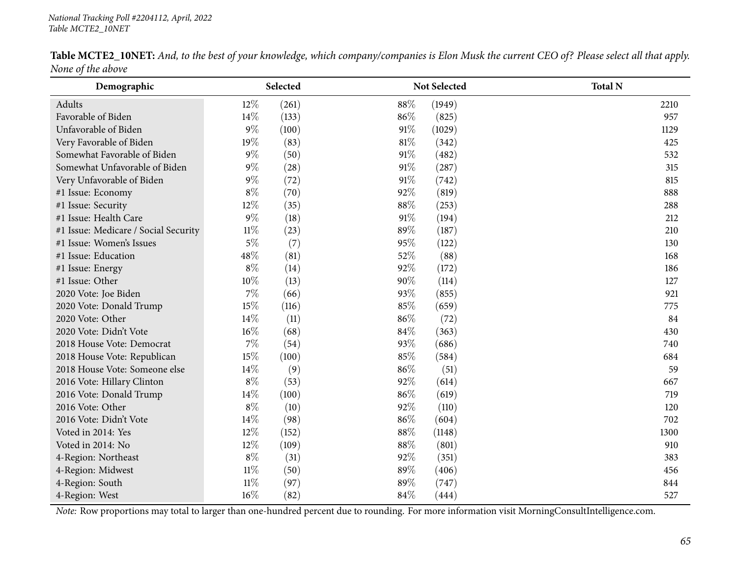|                   | <b>Table MCTE2_10NET:</b> And, to the best of your knowledge, which company/companies is Elon Musk the current CEO of? Please select all that apply. |  |
|-------------------|------------------------------------------------------------------------------------------------------------------------------------------------------|--|
| None of the above |                                                                                                                                                      |  |

| Demographic                          | Selected        |              | Not Selected | <b>Total N</b> |
|--------------------------------------|-----------------|--------------|--------------|----------------|
| Adults                               | $12\%$          | 88%<br>(261) | (1949)       | 2210           |
| Favorable of Biden                   | 14%             | 86%<br>(133) | (825)        | 957            |
| Unfavorable of Biden                 | $9\%$           | 91%<br>(100) | (1029)       | 1129           |
| Very Favorable of Biden              | 19%             | 81%<br>(83)  | (342)        | 425            |
| Somewhat Favorable of Biden          | $9\%$           | 91%<br>(50)  | (482)        | 532            |
| Somewhat Unfavorable of Biden        | $9\%$           | 91%<br>(28)  | (287)        | 315            |
| Very Unfavorable of Biden            | $9\%$           | (72)<br>91%  | (742)        | 815            |
| #1 Issue: Economy                    | $8\%$           | 92%<br>(70)  | (819)        | 888            |
| #1 Issue: Security                   | 12%             | 88%<br>(35)  | (253)        | 288            |
| #1 Issue: Health Care                | $9\%$           | 91%<br>(18)  | (194)        | 212            |
| #1 Issue: Medicare / Social Security | $11\%$          | 89%<br>(23)  | (187)        | 210            |
| #1 Issue: Women's Issues             | $5\%$           | (7)<br>95%   | (122)        | 130            |
| #1 Issue: Education                  | 48%             | 52%<br>(81)  | (88)         | 168            |
| #1 Issue: Energy                     | $8\%$           | 92%<br>(14)  | (172)        | 186            |
| #1 Issue: Other                      | 10%             | 90%<br>(13)  | (114)        | 127            |
| 2020 Vote: Joe Biden                 | $7\%$           | (66)<br>93%  | (855)        | 921            |
| 2020 Vote: Donald Trump              | 15%             | 85%<br>(116) | (659)        | 775            |
| 2020 Vote: Other                     | 14%             | 86%<br>(11)  | (72)         | 84             |
| 2020 Vote: Didn't Vote               | 16%             | (68)<br>84%  | (363)        | 430            |
| 2018 House Vote: Democrat            | $7\%$           | (54)<br>93%  | (686)        | 740            |
| 2018 House Vote: Republican          | 15%<br>(100)    | 85%          | (584)        | 684            |
| 2018 House Vote: Someone else        | 14%             | (9)<br>86%   | (51)         | 59             |
| 2016 Vote: Hillary Clinton           | $8\%$           | (53)<br>92%  | (614)        | 667            |
| 2016 Vote: Donald Trump              | $14\%$<br>(100) | 86%          | (619)        | 719            |
| 2016 Vote: Other                     | $8\%$           | 92%<br>(10)  | (110)        | 120            |
| 2016 Vote: Didn't Vote               | 14\%            | (98)<br>86%  | (604)        | 702            |
| Voted in 2014: Yes                   | $12\%$          | 88%<br>(152) | (1148)       | 1300           |
| Voted in 2014: No                    | 12%<br>(109)    | 88%          | (801)        | 910            |
| 4-Region: Northeast                  | $8\%$           | (31)<br>92%  | (351)        | 383            |
| 4-Region: Midwest                    | $11\%$          | 89%<br>(50)  | (406)        | 456            |
| 4-Region: South                      | $11\%$          | 89%<br>(97)  | (747)        | 844            |
| 4-Region: West                       | $16\%$          | 84%<br>(82)  | (444)        | 527            |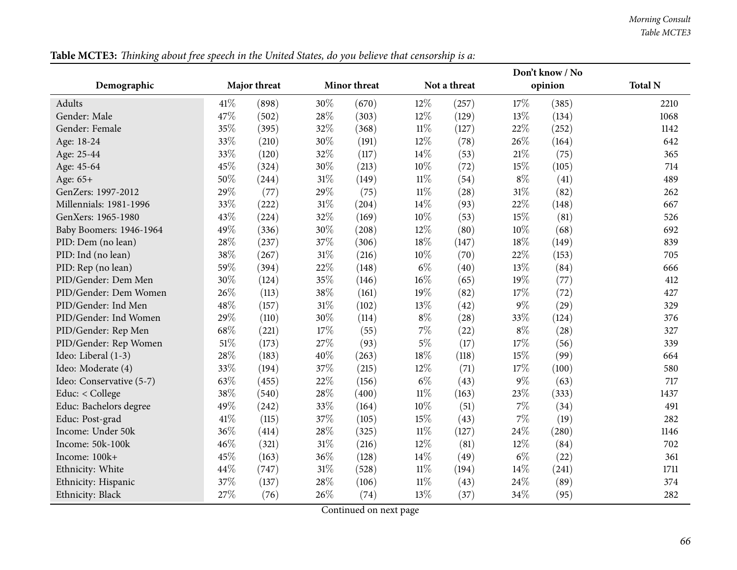| Not a threat<br><b>Total N</b><br>Demographic<br>Major threat<br><b>Minor threat</b><br>opinion<br>41\%<br>30%<br>12%<br>17%<br>Adults<br>(898)<br>(670)<br>(257)<br>(385)<br>2210<br>28%<br>13%<br>Gender: Male<br>47\%<br>(502)<br>(303)<br>$12\%$<br>(129)<br>(134)<br>1068<br>35%<br>32%<br>$11\%$<br>22%<br>Gender: Female<br>(395)<br>(368)<br>(127)<br>(252)<br>1142<br>33%<br>30%<br>12%<br>26%<br>Age: 18-24<br>(210)<br>(191)<br>(78)<br>(164)<br>642<br>33%<br>32%<br>$21\%$<br>14%<br>Age: 25-44<br>(120)<br>(117)<br>(53)<br>(75)<br>365<br>30%<br>10%<br>15%<br>45%<br>(324)<br>(105)<br>Age: 45-64<br>(213)<br>(72)<br>714<br>31%<br>$8\%$<br>50%<br>$11\%$<br>Age: 65+<br>(244)<br>(149)<br>(54)<br>(41)<br>489<br>29%<br>29%<br>$11\%$<br>$31\%$<br>(77)<br>(82)<br>GenZers: 1997-2012<br>(75)<br>(28)<br>262<br>31%<br>33%<br>14%<br>22%<br>Millennials: 1981-1996<br>(222)<br>(93)<br>(204)<br>(148)<br>667 |
|--------------------------------------------------------------------------------------------------------------------------------------------------------------------------------------------------------------------------------------------------------------------------------------------------------------------------------------------------------------------------------------------------------------------------------------------------------------------------------------------------------------------------------------------------------------------------------------------------------------------------------------------------------------------------------------------------------------------------------------------------------------------------------------------------------------------------------------------------------------------------------------------------------------------------------|
|                                                                                                                                                                                                                                                                                                                                                                                                                                                                                                                                                                                                                                                                                                                                                                                                                                                                                                                                |
|                                                                                                                                                                                                                                                                                                                                                                                                                                                                                                                                                                                                                                                                                                                                                                                                                                                                                                                                |
|                                                                                                                                                                                                                                                                                                                                                                                                                                                                                                                                                                                                                                                                                                                                                                                                                                                                                                                                |
|                                                                                                                                                                                                                                                                                                                                                                                                                                                                                                                                                                                                                                                                                                                                                                                                                                                                                                                                |
|                                                                                                                                                                                                                                                                                                                                                                                                                                                                                                                                                                                                                                                                                                                                                                                                                                                                                                                                |
|                                                                                                                                                                                                                                                                                                                                                                                                                                                                                                                                                                                                                                                                                                                                                                                                                                                                                                                                |
|                                                                                                                                                                                                                                                                                                                                                                                                                                                                                                                                                                                                                                                                                                                                                                                                                                                                                                                                |
|                                                                                                                                                                                                                                                                                                                                                                                                                                                                                                                                                                                                                                                                                                                                                                                                                                                                                                                                |
|                                                                                                                                                                                                                                                                                                                                                                                                                                                                                                                                                                                                                                                                                                                                                                                                                                                                                                                                |
|                                                                                                                                                                                                                                                                                                                                                                                                                                                                                                                                                                                                                                                                                                                                                                                                                                                                                                                                |
| 32%<br>10%<br>15%<br>43%<br>(81)<br>GenXers: 1965-1980<br>(224)<br>(169)<br>(53)<br>526                                                                                                                                                                                                                                                                                                                                                                                                                                                                                                                                                                                                                                                                                                                                                                                                                                        |
| 49%<br>30%<br>$10\%$<br>12%<br>(68)<br>Baby Boomers: 1946-1964<br>(336)<br>(208)<br>(80)<br>692                                                                                                                                                                                                                                                                                                                                                                                                                                                                                                                                                                                                                                                                                                                                                                                                                                |
| 28%<br>37%<br>18%<br>18%<br>(237)<br>(306)<br>(149)<br>PID: Dem (no lean)<br>(147)<br>839                                                                                                                                                                                                                                                                                                                                                                                                                                                                                                                                                                                                                                                                                                                                                                                                                                      |
| 31%<br>38%<br>10%<br>22%<br>PID: Ind (no lean)<br>(267)<br>(216)<br>(70)<br>(153)<br>705                                                                                                                                                                                                                                                                                                                                                                                                                                                                                                                                                                                                                                                                                                                                                                                                                                       |
| 59%<br>22%<br>$6\%$<br>13%<br>PID: Rep (no lean)<br>(394)<br>(148)<br>(40)<br>(84)<br>666                                                                                                                                                                                                                                                                                                                                                                                                                                                                                                                                                                                                                                                                                                                                                                                                                                      |
| 30%<br>35%<br>16%<br>19%<br>PID/Gender: Dem Men<br>(124)<br>(146)<br>(65)<br>(77)<br>412                                                                                                                                                                                                                                                                                                                                                                                                                                                                                                                                                                                                                                                                                                                                                                                                                                       |
| 26%<br>38%<br>PID/Gender: Dem Women<br>19%<br>17%<br>(113)<br>(72)<br>(161)<br>(82)<br>427                                                                                                                                                                                                                                                                                                                                                                                                                                                                                                                                                                                                                                                                                                                                                                                                                                     |
| $9\%$<br>48%<br>31%<br>13%<br>PID/Gender: Ind Men<br>(102)<br>(29)<br>(157)<br>(42)<br>329                                                                                                                                                                                                                                                                                                                                                                                                                                                                                                                                                                                                                                                                                                                                                                                                                                     |
| 29%<br>30%<br>$8\%$<br>33%<br>PID/Gender: Ind Women<br>(110)<br>(114)<br>(28)<br>(124)<br>376                                                                                                                                                                                                                                                                                                                                                                                                                                                                                                                                                                                                                                                                                                                                                                                                                                  |
| 17%<br>7%<br>$8\%$<br>68\%<br>PID/Gender: Rep Men<br>(55)<br>(28)<br>(221)<br>(22)<br>327                                                                                                                                                                                                                                                                                                                                                                                                                                                                                                                                                                                                                                                                                                                                                                                                                                      |
| $5\%$<br>51%<br>27%<br>17%<br>PID/Gender: Rep Women<br>(173)<br>(93)<br>(17)<br>(56)<br>339                                                                                                                                                                                                                                                                                                                                                                                                                                                                                                                                                                                                                                                                                                                                                                                                                                    |
| 40%<br>28%<br>18%<br>15%<br>(99)<br>Ideo: Liberal (1-3)<br>(183)<br>(263)<br>(118)<br>664                                                                                                                                                                                                                                                                                                                                                                                                                                                                                                                                                                                                                                                                                                                                                                                                                                      |
| 37%<br>33%<br>12%<br>17%<br>Ideo: Moderate (4)<br>(194)<br>(215)<br>(71)<br>(100)<br>580                                                                                                                                                                                                                                                                                                                                                                                                                                                                                                                                                                                                                                                                                                                                                                                                                                       |
| $6\%$<br>$9\%$<br>63%<br>22%<br>Ideo: Conservative (5-7)<br>(63)<br>(455)<br>(156)<br>(43)<br>717                                                                                                                                                                                                                                                                                                                                                                                                                                                                                                                                                                                                                                                                                                                                                                                                                              |
| 38%<br>28%<br>$11\%$<br>23%<br>Educ: < College<br>(540)<br>(400)<br>(163)<br>(333)<br>1437                                                                                                                                                                                                                                                                                                                                                                                                                                                                                                                                                                                                                                                                                                                                                                                                                                     |
| 49%<br>33%<br>10%<br>7%<br>Educ: Bachelors degree<br>(51)<br>(242)<br>(164)<br>(34)<br>491                                                                                                                                                                                                                                                                                                                                                                                                                                                                                                                                                                                                                                                                                                                                                                                                                                     |
| $7\%$<br>41\%<br>37%<br>15%<br>Educ: Post-grad<br>(115)<br>(105)<br>(43)<br>(19)<br>282                                                                                                                                                                                                                                                                                                                                                                                                                                                                                                                                                                                                                                                                                                                                                                                                                                        |
| 36%<br>28%<br>$11\%$<br>24%<br>Income: Under 50k<br>(414)<br>(325)<br>(127)<br>(280)<br>1146                                                                                                                                                                                                                                                                                                                                                                                                                                                                                                                                                                                                                                                                                                                                                                                                                                   |
| 46%<br>31%<br>12%<br>12%<br>Income: 50k-100k<br>(81)<br>(321)<br>(216)<br>(84)<br>702                                                                                                                                                                                                                                                                                                                                                                                                                                                                                                                                                                                                                                                                                                                                                                                                                                          |
| 36%<br>$6\%$<br>45%<br>14%<br>Income: 100k+<br>(163)<br>(128)<br>(49)<br>(22)<br>361                                                                                                                                                                                                                                                                                                                                                                                                                                                                                                                                                                                                                                                                                                                                                                                                                                           |
| 31%<br>44%<br>$11\%$<br>14%<br>Ethnicity: White<br>(747)<br>(528)<br>(194)<br>(241)<br>1711                                                                                                                                                                                                                                                                                                                                                                                                                                                                                                                                                                                                                                                                                                                                                                                                                                    |
| 37%<br>28%<br>$11\%$<br>24\%<br>Ethnicity: Hispanic<br>(137)<br>(89)<br>374<br>(106)<br>(43)                                                                                                                                                                                                                                                                                                                                                                                                                                                                                                                                                                                                                                                                                                                                                                                                                                   |
| 27%<br>26%<br>34%<br>13\%<br>Ethnicity: Black<br>(76)<br>(74)<br>(37)<br>(95)<br>282                                                                                                                                                                                                                                                                                                                                                                                                                                                                                                                                                                                                                                                                                                                                                                                                                                           |

Table MCTE3: Thinking about free speech in the United States, do you believe that censorship is a: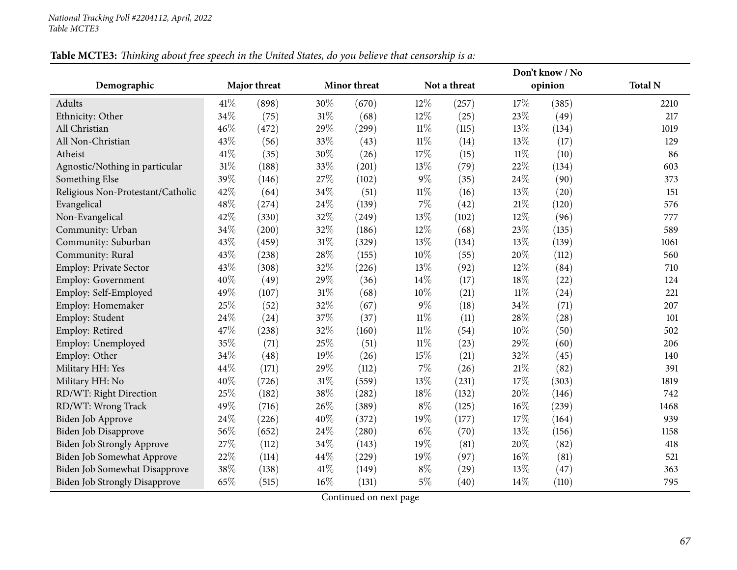|                                      |      |              |      |                     |        | Don't know / No |        |         |                |
|--------------------------------------|------|--------------|------|---------------------|--------|-----------------|--------|---------|----------------|
| Demographic                          |      | Major threat |      | <b>Minor threat</b> |        | Not a threat    |        | opinion | <b>Total N</b> |
| Adults                               | 41\% | (898)        | 30%  | (670)               | 12%    | (257)           | 17%    | (385)   | 2210           |
| Ethnicity: Other                     | 34%  | (75)         | 31%  | (68)                | 12%    | (25)            | 23%    | (49)    | 217            |
| All Christian                        | 46%  | (472)        | 29%  | (299)               | $11\%$ | (115)           | 13%    | (134)   | 1019           |
| All Non-Christian                    | 43%  | (56)         | 33%  | (43)                | $11\%$ | (14)            | 13%    | (17)    | 129            |
| Atheist                              | 41%  | (35)         | 30%  | (26)                | 17%    | (15)            | $11\%$ | (10)    | 86             |
| Agnostic/Nothing in particular       | 31%  | (188)        | 33%  | (201)               | 13%    | (79)            | 22%    | (134)   | 603            |
| Something Else                       | 39%  | (146)        | 27%  | (102)               | $9\%$  | (35)            | 24%    | (90)    | 373            |
| Religious Non-Protestant/Catholic    | 42%  | (64)         | 34%  | (51)                | $11\%$ | (16)            | 13%    | (20)    | 151            |
| Evangelical                          | 48%  | (274)        | 24%  | (139)               | $7\%$  | (42)            | 21%    | (120)   | 576            |
| Non-Evangelical                      | 42%  | (330)        | 32%  | (249)               | 13%    | (102)           | 12%    | (96)    | 777            |
| Community: Urban                     | 34%  | (200)        | 32%  | (186)               | 12%    | (68)            | 23%    | (135)   | 589            |
| Community: Suburban                  | 43%  | (459)        | 31%  | (329)               | 13%    | (134)           | 13%    | (139)   | 1061           |
| Community: Rural                     | 43%  | (238)        | 28%  | (155)               | 10%    | (55)            | 20%    | (112)   | 560            |
| <b>Employ: Private Sector</b>        | 43%  | (308)        | 32%  | (226)               | 13%    | (92)            | 12%    | (84)    | 710            |
| <b>Employ: Government</b>            | 40%  | (49)         | 29%  | (36)                | 14%    | (17)            | 18%    | (22)    | 124            |
| Employ: Self-Employed                | 49%  | (107)        | 31%  | (68)                | $10\%$ | (21)            | $11\%$ | (24)    | 221            |
| Employ: Homemaker                    | 25%  | (52)         | 32%  | (67)                | $9\%$  | (18)            | 34%    | (71)    | 207            |
| Employ: Student                      | 24%  | (24)         | 37%  | (37)                | $11\%$ | (11)            | 28%    | (28)    | 101            |
| Employ: Retired                      | 47%  | (238)        | 32%  | (160)               | $11\%$ | (54)            | 10%    | (50)    | 502            |
| Employ: Unemployed                   | 35%  | (71)         | 25%  | (51)                | $11\%$ | (23)            | 29%    | (60)    | 206            |
| Employ: Other                        | 34%  | (48)         | 19%  | (26)                | 15%    | (21)            | 32%    | (45)    | 140            |
| Military HH: Yes                     | 44%  | (171)        | 29%  | (112)               | $7\%$  | (26)            | $21\%$ | (82)    | 391            |
| Military HH: No                      | 40%  | (726)        | 31%  | (559)               | 13%    | (231)           | 17%    | (303)   | 1819           |
| RD/WT: Right Direction               | 25%  | (182)        | 38%  | $\left( 282\right)$ | 18%    | (132)           | 20%    | (146)   | 742            |
| RD/WT: Wrong Track                   | 49%  | (716)        | 26%  | (389)               | $8\%$  | (125)           | 16%    | (239)   | 1468           |
| Biden Job Approve                    | 24%  | (226)        | 40%  | (372)               | 19%    | (177)           | 17%    | (164)   | 939            |
| <b>Biden Job Disapprove</b>          | 56%  | (652)        | 24%  | $\left( 280\right)$ | $6\%$  | (70)            | 13%    | (156)   | 1158           |
| <b>Biden Job Strongly Approve</b>    | 27%  | (112)        | 34%  | (143)               | 19%    | (81)            | 20%    | (82)    | 418            |
| Biden Job Somewhat Approve           | 22%  | (114)        | 44%  | (229)               | 19%    | (97)            | 16%    | (81)    | 521            |
| <b>Biden Job Somewhat Disapprove</b> | 38%  | (138)        | 41\% | (149)               | $8\%$  | (29)            | 13%    | (47)    | 363            |
| <b>Biden Job Strongly Disapprove</b> | 65%  | (515)        | 16%  | (131)               | $5\%$  | (40)            | 14%    | (110)   | 795            |

# Table MCTE3: Thinking about free speech in the United States, do you believe that censorship is a: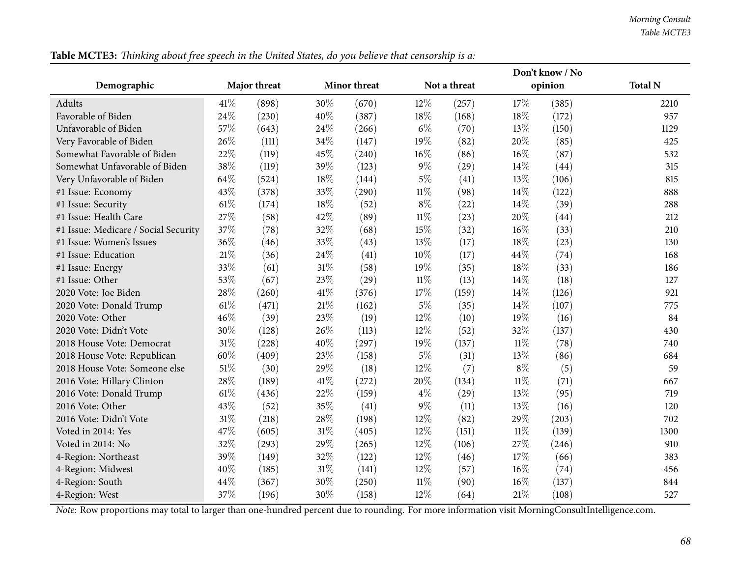|                                      |        |              |        |              |        |              |        | Don't know / No |                |
|--------------------------------------|--------|--------------|--------|--------------|--------|--------------|--------|-----------------|----------------|
| Demographic                          |        | Major threat |        | Minor threat |        | Not a threat |        | opinion         | <b>Total N</b> |
| <b>Adults</b>                        | 41\%   | (898)        | 30%    | (670)        | $12\%$ | (257)        | 17%    | (385)           | 2210           |
| Favorable of Biden                   | 24\%   | (230)        | 40%    | (387)        | 18%    | (168)        | 18%    | (172)           | 957            |
| Unfavorable of Biden                 | 57%    | (643)        | 24%    | (266)        | $6\%$  | (70)         | 13%    | (150)           | 1129           |
| Very Favorable of Biden              | 26%    | (111)        | 34%    | (147)        | 19%    | (82)         | 20%    | (85)            | 425            |
| Somewhat Favorable of Biden          | 22%    | (119)        | 45%    | (240)        | $16\%$ | (86)         | 16%    | (87)            | 532            |
| Somewhat Unfavorable of Biden        | 38%    | (119)        | 39%    | (123)        | $9\%$  | (29)         | 14\%   | (44)            | 315            |
| Very Unfavorable of Biden            | 64%    | (524)        | 18%    | (144)        | $5\%$  | (41)         | 13%    | (106)           | 815            |
| #1 Issue: Economy                    | 43%    | (378)        | 33%    | (290)        | $11\%$ | (98)         | 14%    | (122)           | 888            |
| #1 Issue: Security                   | 61%    | (174)        | 18%    | (52)         | $8\%$  | (22)         | 14%    | (39)            | 288            |
| #1 Issue: Health Care                | 27%    | (58)         | 42%    | (89)         | $11\%$ | (23)         | 20%    | (44)            | 212            |
| #1 Issue: Medicare / Social Security | 37%    | (78)         | 32%    | (68)         | 15%    | (32)         | 16%    | (33)            | 210            |
| #1 Issue: Women's Issues             | 36%    | (46)         | 33%    | (43)         | 13%    | (17)         | 18%    | (23)            | 130            |
| #1 Issue: Education                  | 21%    | (36)         | 24%    | (41)         | 10%    | (17)         | 44\%   | (74)            | 168            |
| #1 Issue: Energy                     | 33%    | (61)         | $31\%$ | (58)         | 19%    | (35)         | 18%    | (33)            | 186            |
| #1 Issue: Other                      | 53%    | (67)         | 23%    | (29)         | $11\%$ | (13)         | 14%    | (18)            | 127            |
| 2020 Vote: Joe Biden                 | 28%    | (260)        | 41\%   | (376)        | 17%    | (159)        | 14%    | (126)           | 921            |
| 2020 Vote: Donald Trump              | 61%    | (471)        | $21\%$ | (162)        | $5\%$  | (35)         | 14%    | (107)           | 775            |
| 2020 Vote: Other                     | 46%    | (39)         | 23%    | (19)         | $12\%$ | (10)         | 19%    | (16)            | 84             |
| 2020 Vote: Didn't Vote               | 30%    | (128)        | 26%    | (113)        | $12\%$ | (52)         | 32%    | (137)           | 430            |
| 2018 House Vote: Democrat            | 31%    | (228)        | 40%    | (297)        | 19%    | (137)        | 11%    | (78)            | 740            |
| 2018 House Vote: Republican          | 60%    | (409)        | 23%    | (158)        | $5\%$  | (31)         | 13%    | (86)            | 684            |
| 2018 House Vote: Someone else        | $51\%$ | (30)         | 29%    | (18)         | $12\%$ | (7)          | $8\%$  | (5)             | 59             |
| 2016 Vote: Hillary Clinton           | 28%    | (189)        | 41\%   | (272)        | 20%    | (134)        | $11\%$ | (71)            | 667            |
| 2016 Vote: Donald Trump              | 61%    | (436)        | 22%    | (159)        | $4\%$  | (29)         | 13%    | (95)            | 719            |
| 2016 Vote: Other                     | 43%    | (52)         | 35%    | (41)         | $9\%$  | (11)         | 13%    | (16)            | 120            |
| 2016 Vote: Didn't Vote               | $31\%$ | (218)        | 28%    | (198)        | 12%    | (82)         | $29\%$ | (203)           | 702            |
| Voted in 2014: Yes                   | 47\%   | (605)        | 31%    | (405)        | 12%    | (151)        | 11%    | (139)           | 1300           |
| Voted in 2014: No                    | 32%    | (293)        | 29%    | (265)        | 12%    | (106)        | 27%    | (246)           | 910            |
| 4-Region: Northeast                  | 39%    | (149)        | 32%    | (122)        | $12\%$ | (46)         | 17%    | (66)            | 383            |
| 4-Region: Midwest                    | 40%    | (185)        | 31%    | (141)        | $12\%$ | (57)         | 16%    | (74)            | 456            |
| 4-Region: South                      | 44%    | (367)        | 30%    | (250)        | $11\%$ | (90)         | 16%    | (137)           | 844            |
| 4-Region: West                       | 37%    | (196)        | 30%    | (158)        | $12\%$ | (64)         | 21%    | (108)           | 527            |
|                                      |        |              |        |              |        |              |        |                 |                |

Table MCTE3: Thinking about free speech in the United States, do you believe that censorship is a: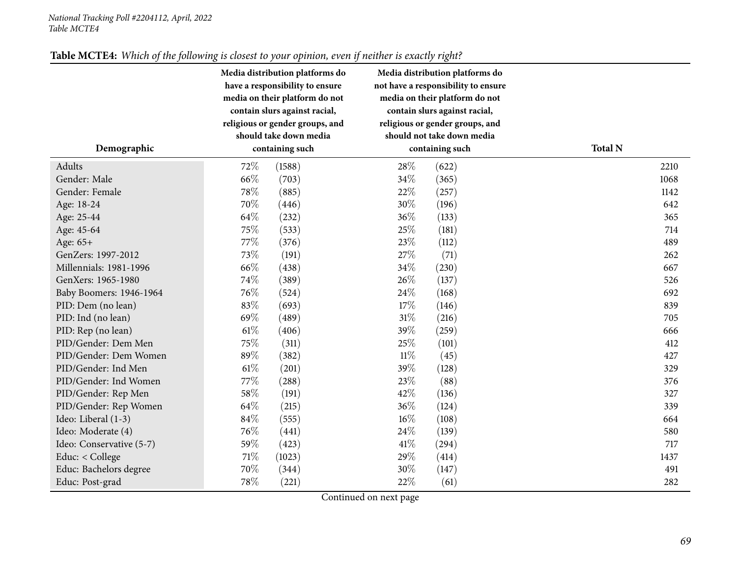|                          | Media distribution platforms do<br>have a responsibility to ensure<br>media on their platform do not<br>contain slurs against racial,<br>religious or gender groups, and<br>should take down media | Media distribution platforms do<br>not have a responsibility to ensure<br>media on their platform do not<br>contain slurs against racial,<br>religious or gender groups, and<br>should not take down media |                |
|--------------------------|----------------------------------------------------------------------------------------------------------------------------------------------------------------------------------------------------|------------------------------------------------------------------------------------------------------------------------------------------------------------------------------------------------------------|----------------|
| Demographic              | containing such                                                                                                                                                                                    | containing such                                                                                                                                                                                            | <b>Total N</b> |
| Adults                   | 72\%<br>(1588)                                                                                                                                                                                     | 28%<br>(622)                                                                                                                                                                                               | 2210           |
| Gender: Male             | 66%<br>(703)                                                                                                                                                                                       | 34%<br>(365)                                                                                                                                                                                               | 1068           |
| Gender: Female           | 78%<br>(885)                                                                                                                                                                                       | 22%<br>(257)                                                                                                                                                                                               | 1142           |
| Age: 18-24               | 70%<br>(446)                                                                                                                                                                                       | 30%<br>(196)                                                                                                                                                                                               | 642            |
| Age: 25-44               | 64%<br>(232)                                                                                                                                                                                       | 36%<br>(133)                                                                                                                                                                                               | 365            |
| Age: 45-64               | 75%<br>(533)                                                                                                                                                                                       | 25%<br>(181)                                                                                                                                                                                               | 714            |
| Age: 65+                 | 77%<br>(376)                                                                                                                                                                                       | 23%<br>(112)                                                                                                                                                                                               | 489            |
| GenZers: 1997-2012       | 73%<br>(191)                                                                                                                                                                                       | 27%<br>(71)                                                                                                                                                                                                | 262            |
| Millennials: 1981-1996   | 66%<br>(438)                                                                                                                                                                                       | 34\%<br>(230)                                                                                                                                                                                              | 667            |
| GenXers: 1965-1980       | 74%<br>(389)                                                                                                                                                                                       | 26%<br>(137)                                                                                                                                                                                               | 526            |
| Baby Boomers: 1946-1964  | 76\%<br>(524)                                                                                                                                                                                      | 24\%<br>(168)                                                                                                                                                                                              | 692            |
| PID: Dem (no lean)       | 83%<br>(693)                                                                                                                                                                                       | 17%<br>(146)                                                                                                                                                                                               | 839            |
| PID: Ind (no lean)       | 69%<br>(489)                                                                                                                                                                                       | $31\%$<br>(216)                                                                                                                                                                                            | 705            |
| PID: Rep (no lean)       | $61\%$<br>(406)                                                                                                                                                                                    | 39%<br>(259)                                                                                                                                                                                               | 666            |
| PID/Gender: Dem Men      | 75%<br>(311)                                                                                                                                                                                       | 25%<br>(101)                                                                                                                                                                                               | 412            |
| PID/Gender: Dem Women    | 89%<br>(382)                                                                                                                                                                                       | $11\%$<br>(45)                                                                                                                                                                                             | 427            |
| PID/Gender: Ind Men      | $61\%$<br>(201)                                                                                                                                                                                    | 39%<br>(128)                                                                                                                                                                                               | 329            |
| PID/Gender: Ind Women    | 77%<br>(288)                                                                                                                                                                                       | 23%<br>(88)                                                                                                                                                                                                | 376            |
| PID/Gender: Rep Men      | 58%<br>(191)                                                                                                                                                                                       | 42%<br>(136)                                                                                                                                                                                               | 327            |
| PID/Gender: Rep Women    | 64%<br>(215)                                                                                                                                                                                       | 36%<br>(124)                                                                                                                                                                                               | 339            |
| Ideo: Liberal (1-3)      | 84%<br>(555)                                                                                                                                                                                       | 16%<br>(108)                                                                                                                                                                                               | 664            |
| Ideo: Moderate (4)       | 76%<br>(441)                                                                                                                                                                                       | 24%<br>(139)                                                                                                                                                                                               | 580            |
| Ideo: Conservative (5-7) | 59%<br>(423)                                                                                                                                                                                       | 41%<br>(294)                                                                                                                                                                                               | 717            |
| Educ: < College          | $71\%$<br>(1023)                                                                                                                                                                                   | 29%<br>(414)                                                                                                                                                                                               | 1437           |
| Educ: Bachelors degree   | 70%<br>(344)                                                                                                                                                                                       | 30%<br>(147)                                                                                                                                                                                               | 491            |
| Educ: Post-grad          | 78%<br>(221)                                                                                                                                                                                       | 22%<br>(61)                                                                                                                                                                                                | 282            |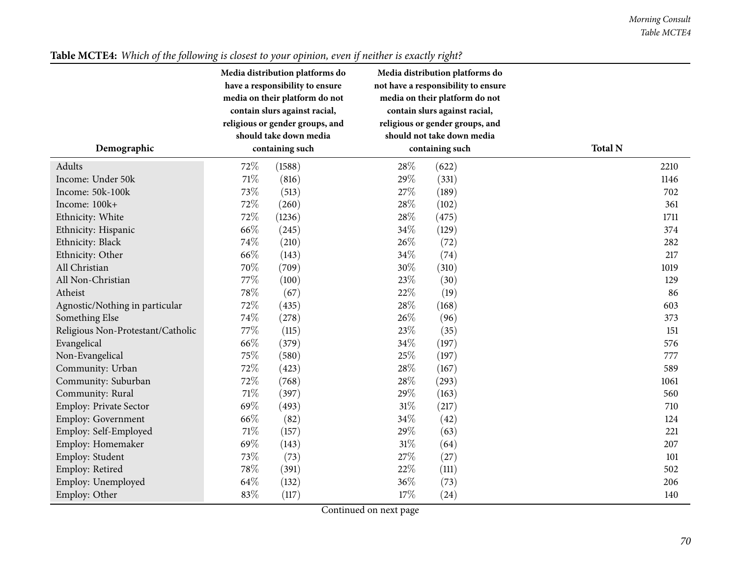|                                   | Media distribution platforms do<br>have a responsibility to ensure<br>media on their platform do not<br>contain slurs against racial,<br>religious or gender groups, and | Media distribution platforms do<br>not have a responsibility to ensure<br>media on their platform do not<br>contain slurs against racial,<br>religious or gender groups, and |                |
|-----------------------------------|--------------------------------------------------------------------------------------------------------------------------------------------------------------------------|------------------------------------------------------------------------------------------------------------------------------------------------------------------------------|----------------|
|                                   | should take down media                                                                                                                                                   | should not take down media                                                                                                                                                   |                |
| Demographic                       | containing such                                                                                                                                                          | containing such                                                                                                                                                              | <b>Total N</b> |
| Adults                            | 72%<br>(1588)                                                                                                                                                            | 28%<br>(622)                                                                                                                                                                 | 2210           |
| Income: Under 50k                 | 71%<br>(816)                                                                                                                                                             | 29%<br>(331)                                                                                                                                                                 | 1146           |
| Income: 50k-100k                  | 73%<br>(513)                                                                                                                                                             | 27%<br>(189)                                                                                                                                                                 | 702            |
| Income: 100k+                     | 72%<br>(260)                                                                                                                                                             | 28%<br>(102)                                                                                                                                                                 | 361            |
| Ethnicity: White                  | 72%<br>(1236)                                                                                                                                                            | 28\%<br>(475)                                                                                                                                                                | 1711           |
| Ethnicity: Hispanic               | 66%<br>(245)                                                                                                                                                             | 34%<br>(129)                                                                                                                                                                 | 374            |
| Ethnicity: Black                  | 74%<br>(210)                                                                                                                                                             | 26%<br>(72)                                                                                                                                                                  | 282            |
| Ethnicity: Other                  | 66%<br>(143)                                                                                                                                                             | 34%<br>(74)                                                                                                                                                                  | 217            |
| All Christian                     | 70%<br>(709)                                                                                                                                                             | 30%<br>(310)                                                                                                                                                                 | 1019           |
| All Non-Christian                 | 77%<br>(100)                                                                                                                                                             | 23%<br>(30)                                                                                                                                                                  | 129            |
| Atheist                           | 78%<br>(67)                                                                                                                                                              | 22%<br>(19)                                                                                                                                                                  | 86             |
| Agnostic/Nothing in particular    | 72%<br>(435)                                                                                                                                                             | 28%<br>(168)                                                                                                                                                                 | 603            |
| Something Else                    | 74%<br>(278)                                                                                                                                                             | 26%<br>(96)                                                                                                                                                                  | 373            |
| Religious Non-Protestant/Catholic | 77\%<br>(115)                                                                                                                                                            | 23%<br>(35)                                                                                                                                                                  | 151            |
| Evangelical                       | 66%<br>(379)                                                                                                                                                             | 34%<br>(197)                                                                                                                                                                 | 576            |
| Non-Evangelical                   | 75%<br>(580)                                                                                                                                                             | 25\%<br>(197)                                                                                                                                                                | 777            |
| Community: Urban                  | 72%<br>(423)                                                                                                                                                             | 28%<br>(167)                                                                                                                                                                 | 589            |
| Community: Suburban               | 72%<br>(768)                                                                                                                                                             | 28\%<br>(293)                                                                                                                                                                | 1061           |
| Community: Rural                  | $71\%$<br>(397)                                                                                                                                                          | 29%<br>(163)                                                                                                                                                                 | 560            |
| Employ: Private Sector            | 69%<br>(493)                                                                                                                                                             | $31\%$<br>(217)                                                                                                                                                              | 710            |
| Employ: Government                | 66%<br>(82)                                                                                                                                                              | 34%<br>(42)                                                                                                                                                                  | 124            |
| Employ: Self-Employed             | 71%<br>(157)                                                                                                                                                             | 29%<br>(63)                                                                                                                                                                  | 221            |
| Employ: Homemaker                 | 69%<br>(143)                                                                                                                                                             | 31%<br>(64)                                                                                                                                                                  | 207            |
| Employ: Student                   | 73%<br>(73)                                                                                                                                                              | 27%<br>(27)                                                                                                                                                                  | 101            |
| Employ: Retired                   | 78%<br>(391)                                                                                                                                                             | 22%<br>(111)                                                                                                                                                                 | 502            |
| Employ: Unemployed                | 64%<br>(132)                                                                                                                                                             | 36%<br>(73)                                                                                                                                                                  | 206            |
| Employ: Other                     | 83%<br>(117)                                                                                                                                                             | 17%<br>(24)                                                                                                                                                                  | 140            |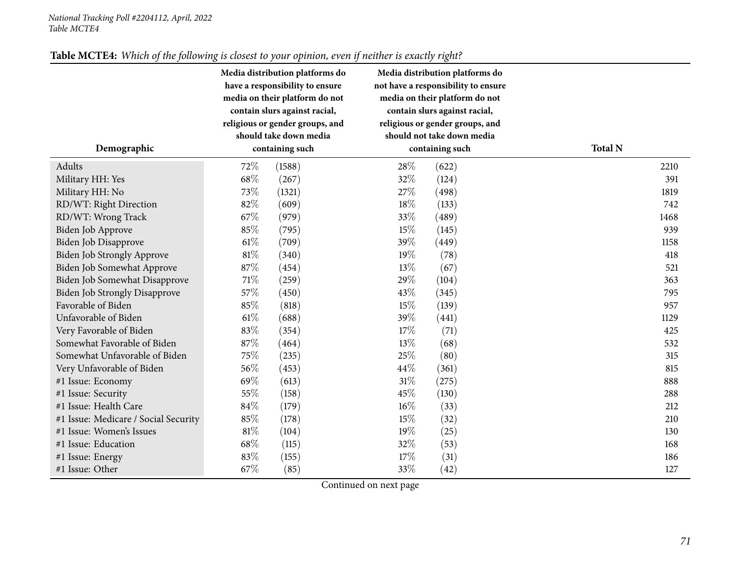|                                      | Media distribution platforms do<br>have a responsibility to ensure<br>media on their platform do not<br>contain slurs against racial,<br>religious or gender groups, and<br>should take down media |                 |      | Media distribution platforms do<br>not have a responsibility to ensure<br>media on their platform do not<br>contain slurs against racial,<br>religious or gender groups, and<br>should not take down media |                |  |  |
|--------------------------------------|----------------------------------------------------------------------------------------------------------------------------------------------------------------------------------------------------|-----------------|------|------------------------------------------------------------------------------------------------------------------------------------------------------------------------------------------------------------|----------------|--|--|
| Demographic                          |                                                                                                                                                                                                    | containing such |      | containing such                                                                                                                                                                                            | <b>Total N</b> |  |  |
| Adults                               | 72%                                                                                                                                                                                                | (1588)          | 28%  | (622)                                                                                                                                                                                                      | 2210           |  |  |
| Military HH: Yes                     | 68%                                                                                                                                                                                                | (267)           | 32%  | (124)                                                                                                                                                                                                      | 391            |  |  |
| Military HH: No                      | 73%                                                                                                                                                                                                | (1321)          | 27\% | (498)                                                                                                                                                                                                      | 1819           |  |  |
| RD/WT: Right Direction               | 82%                                                                                                                                                                                                | (609)           | 18%  | (133)                                                                                                                                                                                                      | 742            |  |  |
| RD/WT: Wrong Track                   | 67%                                                                                                                                                                                                | (979)           | 33%  | (489)                                                                                                                                                                                                      | 1468           |  |  |
| Biden Job Approve                    | 85%                                                                                                                                                                                                | (795)           | 15%  | (145)                                                                                                                                                                                                      | 939            |  |  |
| <b>Biden Job Disapprove</b>          | $61\%$                                                                                                                                                                                             | (709)           | 39%  | (449)                                                                                                                                                                                                      | 1158           |  |  |
| <b>Biden Job Strongly Approve</b>    | 81%                                                                                                                                                                                                | (340)           | 19%  | (78)                                                                                                                                                                                                       | 418            |  |  |
| Biden Job Somewhat Approve           | 87%                                                                                                                                                                                                | (454)           | 13%  | (67)                                                                                                                                                                                                       | 521            |  |  |
| Biden Job Somewhat Disapprove        | $71\%$                                                                                                                                                                                             | (259)           | 29%  | (104)                                                                                                                                                                                                      | 363            |  |  |
| <b>Biden Job Strongly Disapprove</b> | 57%                                                                                                                                                                                                | (450)           | 43%  | (345)                                                                                                                                                                                                      | 795            |  |  |
| Favorable of Biden                   | 85%                                                                                                                                                                                                | (818)           | 15%  | (139)                                                                                                                                                                                                      | 957            |  |  |
| Unfavorable of Biden                 | $61\%$                                                                                                                                                                                             | (688)           | 39%  | (441)                                                                                                                                                                                                      | 1129           |  |  |
| Very Favorable of Biden              | 83%                                                                                                                                                                                                | (354)           | 17%  | (71)                                                                                                                                                                                                       | 425            |  |  |
| Somewhat Favorable of Biden          | 87%                                                                                                                                                                                                | (464)           | 13%  | (68)                                                                                                                                                                                                       | 532            |  |  |
| Somewhat Unfavorable of Biden        | 75%                                                                                                                                                                                                | (235)           | 25%  | (80)                                                                                                                                                                                                       | 315            |  |  |
| Very Unfavorable of Biden            | 56%                                                                                                                                                                                                | (453)           | 44\% | (361)                                                                                                                                                                                                      | 815            |  |  |
| #1 Issue: Economy                    | 69%                                                                                                                                                                                                | (613)           | 31%  | (275)                                                                                                                                                                                                      | 888            |  |  |
| #1 Issue: Security                   | 55%                                                                                                                                                                                                | (158)           | 45%  | (130)                                                                                                                                                                                                      | 288            |  |  |
| #1 Issue: Health Care                | 84%                                                                                                                                                                                                | (179)           | 16%  | (33)                                                                                                                                                                                                       | 212            |  |  |
| #1 Issue: Medicare / Social Security | 85%                                                                                                                                                                                                | (178)           | 15%  | (32)                                                                                                                                                                                                       | 210            |  |  |
| #1 Issue: Women's Issues             | $81\%$                                                                                                                                                                                             | (104)           | 19%  | (25)                                                                                                                                                                                                       | 130            |  |  |
| #1 Issue: Education                  | 68%                                                                                                                                                                                                | (115)           | 32%  | (53)                                                                                                                                                                                                       | 168            |  |  |
| #1 Issue: Energy                     | 83%                                                                                                                                                                                                | (155)           | 17\% | (31)                                                                                                                                                                                                       | 186            |  |  |
| #1 Issue: Other                      | 67\%                                                                                                                                                                                               | (85)            | 33%  | (42)                                                                                                                                                                                                       | 127            |  |  |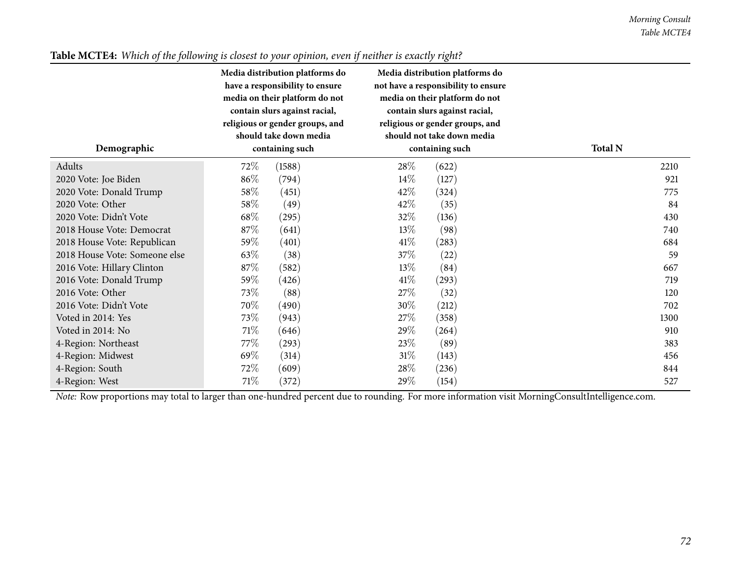| Demographic                   | Media distribution platforms do<br>have a responsibility to ensure<br>media on their platform do not<br>contain slurs against racial,<br>religious or gender groups, and<br>should take down media<br>containing such | Media distribution platforms do<br>not have a responsibility to ensure<br>media on their platform do not<br>contain slurs against racial,<br>religious or gender groups, and<br>should not take down media<br>containing such | <b>Total N</b> |
|-------------------------------|-----------------------------------------------------------------------------------------------------------------------------------------------------------------------------------------------------------------------|-------------------------------------------------------------------------------------------------------------------------------------------------------------------------------------------------------------------------------|----------------|
|                               |                                                                                                                                                                                                                       |                                                                                                                                                                                                                               |                |
| Adults                        | 72\%<br>(1588)                                                                                                                                                                                                        | 28\%<br>(622)                                                                                                                                                                                                                 | 2210           |
| 2020 Vote: Joe Biden          | 86\%<br>(794)                                                                                                                                                                                                         | $14\%$<br>(127)                                                                                                                                                                                                               | 921            |
| 2020 Vote: Donald Trump       | $58\%$<br>(451)                                                                                                                                                                                                       | 42%<br>(324)                                                                                                                                                                                                                  | 775            |
| 2020 Vote: Other              | 58\%<br>(49)                                                                                                                                                                                                          | 42\%<br>(35)                                                                                                                                                                                                                  | 84             |
| 2020 Vote: Didn't Vote        | 68\%<br>(295)                                                                                                                                                                                                         | $32\%$<br>(136)                                                                                                                                                                                                               | 430            |
| 2018 House Vote: Democrat     | 87\%<br>(641)                                                                                                                                                                                                         | $13\%$<br>(98)                                                                                                                                                                                                                | 740            |
| 2018 House Vote: Republican   | 59\%<br>(401)                                                                                                                                                                                                         | 41\%<br>$\left( 283\right)$                                                                                                                                                                                                   | 684            |
| 2018 House Vote: Someone else | $63\%$<br>(38)                                                                                                                                                                                                        | 37%<br>(22)                                                                                                                                                                                                                   | 59             |
| 2016 Vote: Hillary Clinton    | $87\%$<br>(582)                                                                                                                                                                                                       | $13\%$<br>(84)                                                                                                                                                                                                                | 667            |
| 2016 Vote: Donald Trump       | 59\%<br>(426)                                                                                                                                                                                                         | 41\%<br>(293)                                                                                                                                                                                                                 | 719            |
| 2016 Vote: Other              | 73\%<br>(88)                                                                                                                                                                                                          | 27\%<br>(32)                                                                                                                                                                                                                  | 120            |
| 2016 Vote: Didn't Vote        | 70\%<br>(490)                                                                                                                                                                                                         | $30\%$<br>(212)                                                                                                                                                                                                               | 702            |
| Voted in 2014: Yes            | 73\%<br>(943)                                                                                                                                                                                                         | 27\%<br>(358)                                                                                                                                                                                                                 | 1300           |
| Voted in 2014: No             | 71\%<br>(646)                                                                                                                                                                                                         | $29\%$<br>(264)                                                                                                                                                                                                               | 910            |
| 4-Region: Northeast           | 77\%<br>(293)                                                                                                                                                                                                         | 23\%<br>(89)                                                                                                                                                                                                                  | 383            |
| 4-Region: Midwest             | 69%<br>(314)                                                                                                                                                                                                          | $31\%$<br>(143)                                                                                                                                                                                                               | 456            |
| 4-Region: South               | 72\%<br>(609)                                                                                                                                                                                                         | 28\%<br>(236)                                                                                                                                                                                                                 | 844            |
| 4-Region: West                | 71\%<br>(372)                                                                                                                                                                                                         | $29\%$<br>(154)                                                                                                                                                                                                               | 527            |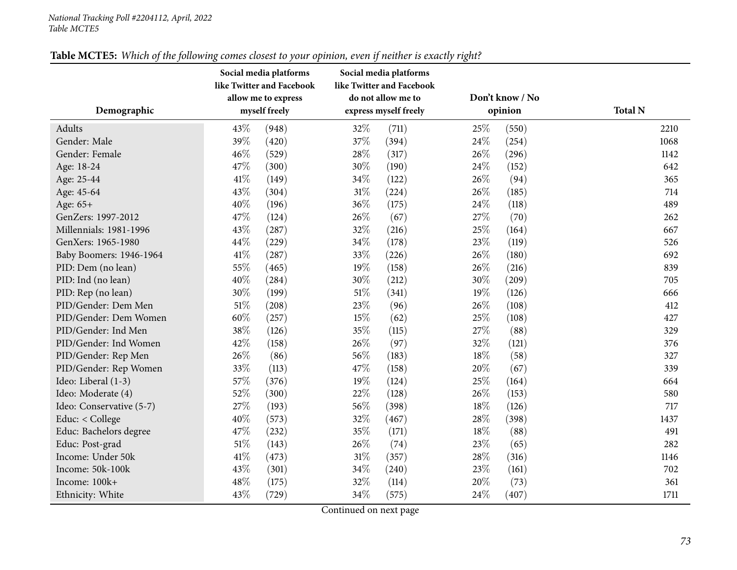|                          | Social media platforms<br>like Twitter and Facebook<br>allow me to express |               |        | Social media platforms<br>like Twitter and Facebook<br>do not allow me to |      | Don't know / No |                |
|--------------------------|----------------------------------------------------------------------------|---------------|--------|---------------------------------------------------------------------------|------|-----------------|----------------|
| Demographic              |                                                                            | myself freely |        | express myself freely                                                     |      | opinion         | <b>Total N</b> |
| Adults                   | 43\%                                                                       | (948)         | 32%    | (711)                                                                     | 25\% | (550)           | 2210           |
| Gender: Male             | 39%                                                                        | (420)         | 37%    | (394)                                                                     | 24%  | (254)           | 1068           |
| Gender: Female           | 46%                                                                        | (529)         | 28%    | (317)                                                                     | 26\% | (296)           | 1142           |
| Age: 18-24               | 47%                                                                        | (300)         | 30%    | (190)                                                                     | 24\% | (152)           | 642            |
| Age: 25-44               | 41\%                                                                       | (149)         | 34%    | (122)                                                                     | 26%  | (94)            | 365            |
| Age: 45-64               | 43%                                                                        | (304)         | 31%    | (224)                                                                     | 26\% | (185)           | 714            |
| Age: 65+                 | 40%                                                                        | (196)         | 36\%   | (175)                                                                     | 24%  | (118)           | 489            |
| GenZers: 1997-2012       | 47%                                                                        | (124)         | 26\%   | (67)                                                                      | 27\% | (70)            | 262            |
| Millennials: 1981-1996   | 43%                                                                        | (287)         | 32%    | (216)                                                                     | 25%  | (164)           | 667            |
| GenXers: 1965-1980       | 44%                                                                        | (229)         | 34%    | (178)                                                                     | 23%  | (119)           | 526            |
| Baby Boomers: 1946-1964  | 41\%                                                                       | (287)         | 33%    | (226)                                                                     | 26\% | (180)           | 692            |
| PID: Dem (no lean)       | 55%                                                                        | (465)         | 19%    | (158)                                                                     | 26%  | (216)           | 839            |
| PID: Ind (no lean)       | 40%                                                                        | (284)         | 30%    | (212)                                                                     | 30%  | (209)           | 705            |
| PID: Rep (no lean)       | $30\%$                                                                     | (199)         | $51\%$ | (341)                                                                     | 19%  | (126)           | 666            |
| PID/Gender: Dem Men      | $51\%$                                                                     | (208)         | 23%    | (96)                                                                      | 26%  | (108)           | 412            |
| PID/Gender: Dem Women    | $60\%$                                                                     | (257)         | 15%    | (62)                                                                      | 25%  | (108)           | 427            |
| PID/Gender: Ind Men      | 38%                                                                        | (126)         | 35%    | (115)                                                                     | 27\% | (88)            | 329            |
| PID/Gender: Ind Women    | 42%                                                                        | (158)         | 26%    | (97)                                                                      | 32%  | (121)           | 376            |
| PID/Gender: Rep Men      | 26%                                                                        | (86)          | 56\%   | (183)                                                                     | 18\% | (58)            | 327            |
| PID/Gender: Rep Women    | 33%                                                                        | (113)         | 47%    | (158)                                                                     | 20%  | (67)            | 339            |
| Ideo: Liberal (1-3)      | 57%                                                                        | (376)         | 19%    | (124)                                                                     | 25\% | (164)           | 664            |
| Ideo: Moderate (4)       | 52%                                                                        | (300)         | 22%    | (128)                                                                     | 26\% | (153)           | 580            |
| Ideo: Conservative (5-7) | 27%                                                                        | (193)         | 56%    | (398)                                                                     | 18%  | (126)           | 717            |
| Educ: $<$ College        | 40%                                                                        | (573)         | 32%    | (467)                                                                     | 28\% | (398)           | 1437           |
| Educ: Bachelors degree   | 47\%                                                                       | (232)         | 35%    | (171)                                                                     | 18%  | (88)            | 491            |
| Educ: Post-grad          | $51\%$                                                                     | (143)         | 26%    | (74)                                                                      | 23%  | (65)            | 282            |
| Income: Under 50k        | 41\%                                                                       | (473)         | $31\%$ | (357)                                                                     | 28\% | (316)           | 1146           |
| Income: 50k-100k         | 43%                                                                        | (301)         | 34\%   | (240)                                                                     | 23%  | (161)           | 702            |
| Income: 100k+            | 48%                                                                        | (175)         | 32%    | (114)                                                                     | 20%  | (73)            | 361            |
| Ethnicity: White         | 43%                                                                        | (729)         | 34%    | (575)                                                                     | 24%  | (407)           | 1711           |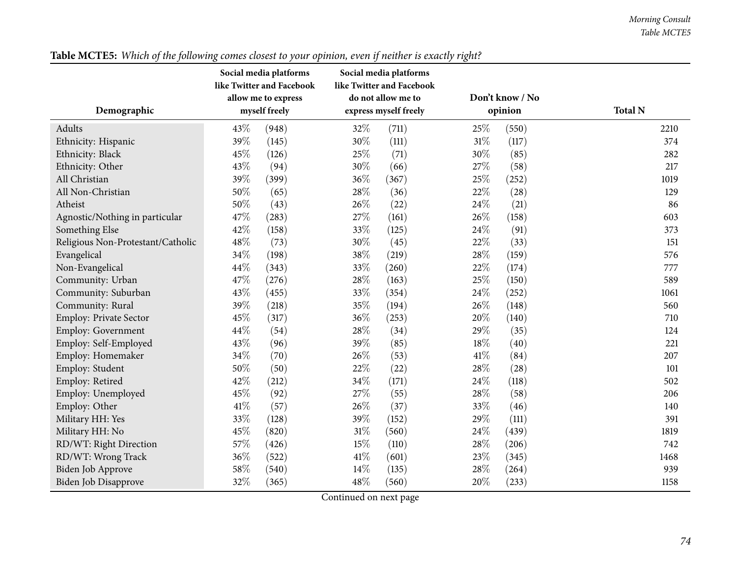| Demographic                       | Social media platforms<br>like Twitter and Facebook<br>allow me to express<br>myself freely |       |               | Social media platforms<br>like Twitter and Facebook<br>do not allow me to<br>express myself freely |        | Don't know / No<br>opinion | <b>Total N</b> |
|-----------------------------------|---------------------------------------------------------------------------------------------|-------|---------------|----------------------------------------------------------------------------------------------------|--------|----------------------------|----------------|
| Adults                            | 43%                                                                                         | (948) | 32%           | (711)                                                                                              | 25%    | (550)                      | 2210           |
| Ethnicity: Hispanic               | 39%                                                                                         | (145) | 30%           | (111)                                                                                              | 31%    | (117)                      | 374            |
| Ethnicity: Black                  | 45%                                                                                         | (126) | 25%           | (71)                                                                                               | 30%    | (85)                       | 282            |
| Ethnicity: Other                  | 43%                                                                                         | (94)  | 30%           | (66)                                                                                               | 27\%   | (58)                       | 217            |
| All Christian                     | 39%                                                                                         | (399) | 36%           | (367)                                                                                              | 25%    | (252)                      | 1019           |
| All Non-Christian                 | 50%                                                                                         | (65)  | 28%           | (36)                                                                                               | 22%    | (28)                       | 129            |
| Atheist                           | 50%                                                                                         | (43)  | 26%           | (22)                                                                                               | 24%    | (21)                       | 86             |
| Agnostic/Nothing in particular    | 47%                                                                                         | (283) | 27%           | (161)                                                                                              | 26%    | (158)                      | 603            |
| Something Else                    | 42%                                                                                         | (158) | 33%           | (125)                                                                                              | 24\%   | (91)                       | 373            |
| Religious Non-Protestant/Catholic | 48%                                                                                         | (73)  | 30%           | (45)                                                                                               | 22%    | (33)                       | 151            |
| Evangelical                       | 34%                                                                                         | (198) | 38%           | (219)                                                                                              | 28%    | (159)                      | 576            |
| Non-Evangelical                   | 44%                                                                                         | (343) | 33%           | (260)                                                                                              | 22%    | (174)                      | 777            |
| Community: Urban                  | 47%                                                                                         | (276) | 28%           | (163)                                                                                              | 25%    | (150)                      | 589            |
| Community: Suburban               | 43%                                                                                         | (455) | 33%           | (354)                                                                                              | 24\%   | (252)                      | 1061           |
| Community: Rural                  | 39%                                                                                         | (218) | 35%           | (194)                                                                                              | 26%    | (148)                      | 560            |
| Employ: Private Sector            | 45%                                                                                         | (317) | 36%           | (253)                                                                                              | 20%    | (140)                      | 710            |
| <b>Employ: Government</b>         | 44\%                                                                                        | (54)  | $28\%$        | (34)                                                                                               | 29%    | (35)                       | 124            |
| Employ: Self-Employed             | 43%                                                                                         | (96)  | 39%           | (85)                                                                                               | 18%    | (40)                       | 221            |
| Employ: Homemaker                 | 34%                                                                                         | (70)  | 26%           | (53)                                                                                               | 41\%   | (84)                       | 207            |
| Employ: Student                   | 50%                                                                                         | (50)  | 22%           | (22)                                                                                               | 28%    | (28)                       | 101            |
| Employ: Retired                   | 42%                                                                                         | (212) | 34%           | (171)                                                                                              | 24%    | (118)                      | 502            |
| Employ: Unemployed                | 45%                                                                                         | (92)  | 27%           | (55)                                                                                               | 28%    | (58)                       | 206            |
| Employ: Other                     | 41\%                                                                                        | (57)  | 26%           | (37)                                                                                               | 33%    | (46)                       | 140            |
| Military HH: Yes                  | 33%                                                                                         | (128) | 39%           | (152)                                                                                              | 29%    | (111)                      | 391            |
| Military HH: No                   | 45%                                                                                         | (820) | $31\%$        | (560)                                                                                              | 24\%   | (439)                      | 1819           |
| RD/WT: Right Direction            | $57\%$                                                                                      | (426) | 15%           | (110)                                                                                              | 28%    | (206)                      | 742            |
| RD/WT: Wrong Track                | 36%                                                                                         | (522) | 41\%          | (601)                                                                                              | 23%    | (345)                      | 1468           |
| Biden Job Approve                 | 58%                                                                                         | (540) | 14%           | (135)                                                                                              | $28\%$ | (264)                      | 939            |
| Biden Job Disapprove              | 32%                                                                                         | (365) | 48%<br>$\sim$ | (560)                                                                                              | 20%    | (233)                      | 1158           |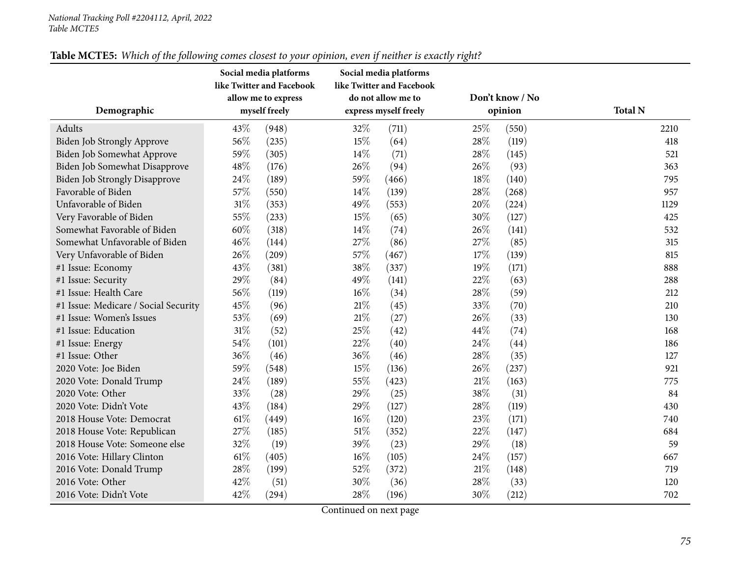|                                      | Social media platforms<br>like Twitter and Facebook<br>allow me to express |               |                       | Social media platforms<br>like Twitter and Facebook<br>do not allow me to |        | Don't know / No |                |
|--------------------------------------|----------------------------------------------------------------------------|---------------|-----------------------|---------------------------------------------------------------------------|--------|-----------------|----------------|
| Demographic                          |                                                                            | myself freely | express myself freely |                                                                           |        | opinion         | <b>Total N</b> |
| Adults                               | 43\%                                                                       | (948)         | 32%                   | (711)                                                                     | 25\%   | (550)           | 2210           |
| <b>Biden Job Strongly Approve</b>    | 56%                                                                        | (235)         | 15%                   | (64)                                                                      | 28\%   | (119)           | 418            |
| Biden Job Somewhat Approve           | 59%                                                                        | (305)         | 14%                   | (71)                                                                      | 28%    | (145)           | 521            |
| Biden Job Somewhat Disapprove        | 48%                                                                        | (176)         | 26%                   | (94)                                                                      | 26%    | (93)            | 363            |
| <b>Biden Job Strongly Disapprove</b> | 24%                                                                        | (189)         | 59%                   | (466)                                                                     | 18%    | (140)           | 795            |
| Favorable of Biden                   | 57%                                                                        | (550)         | 14\%                  | (139)                                                                     | 28\%   | (268)           | 957            |
| Unfavorable of Biden                 | 31%                                                                        | (353)         | 49%                   | (553)                                                                     | 20%    | (224)           | 1129           |
| Very Favorable of Biden              | 55%                                                                        | (233)         | 15%                   | (65)                                                                      | 30%    | (127)           | 425            |
| Somewhat Favorable of Biden          | 60%                                                                        | (318)         | 14%                   | (74)                                                                      | 26%    | (141)           | 532            |
| Somewhat Unfavorable of Biden        | 46%                                                                        | (144)         | 27%                   | (86)                                                                      | 27\%   | (85)            | 315            |
| Very Unfavorable of Biden            | 26%                                                                        | (209)         | 57%                   | (467)                                                                     | 17%    | (139)           | 815            |
| #1 Issue: Economy                    | 43%                                                                        | (381)         | 38%                   | (337)                                                                     | 19%    | (171)           | 888            |
| #1 Issue: Security                   | 29%                                                                        | (84)          | 49%                   | (141)                                                                     | 22%    | (63)            | 288            |
| #1 Issue: Health Care                | 56%                                                                        | (119)         | $16\%$                | (34)                                                                      | 28\%   | (59)            | 212            |
| #1 Issue: Medicare / Social Security | 45%                                                                        | (96)          | $21\%$                | (45)                                                                      | 33%    | (70)            | 210            |
| #1 Issue: Women's Issues             | 53%                                                                        | (69)          | $21\%$                | (27)                                                                      | 26%    | (33)            | 130            |
| #1 Issue: Education                  | $31\%$                                                                     | (52)          | 25%                   | (42)                                                                      | 44%    | (74)            | 168            |
| #1 Issue: Energy                     | 54%                                                                        | (101)         | 22%                   | (40)                                                                      | 24%    | (44)            | 186            |
| #1 Issue: Other                      | 36%                                                                        | (46)          | 36%                   | (46)                                                                      | 28\%   | (35)            | 127            |
| 2020 Vote: Joe Biden                 | 59%                                                                        | (548)         | 15%                   | (136)                                                                     | 26%    | (237)           | 921            |
| 2020 Vote: Donald Trump              | 24%                                                                        | (189)         | 55%                   | (423)                                                                     | 21\%   | (163)           | 775            |
| 2020 Vote: Other                     | 33%                                                                        | (28)          | 29%                   | (25)                                                                      | 38%    | (31)            | 84             |
| 2020 Vote: Didn't Vote               | 43%                                                                        | (184)         | 29%                   | (127)                                                                     | 28\%   | (119)           | 430            |
| 2018 House Vote: Democrat            | $61\%$                                                                     | (449)         | $16\%$                | (120)                                                                     | 23%    | (171)           | 740            |
| 2018 House Vote: Republican          | 27%                                                                        | (185)         | 51\%                  | (352)                                                                     | 22%    | (147)           | 684            |
| 2018 House Vote: Someone else        | 32%                                                                        | (19)          | 39%                   | (23)                                                                      | 29%    | (18)            | 59             |
| 2016 Vote: Hillary Clinton           | 61%                                                                        | (405)         | $16\%$                | (105)                                                                     | 24\%   | (157)           | 667            |
| 2016 Vote: Donald Trump              | 28%                                                                        | (199)         | 52%                   | (372)                                                                     | 21%    | (148)           | 719            |
| 2016 Vote: Other                     | 42%                                                                        | (51)          | $30\%$                | (36)                                                                      | $28\%$ | (33)            | 120            |
| 2016 Vote: Didn't Vote               | 42%                                                                        | (294)         | 28%                   | (196)                                                                     | 30%    | (212)           | 702            |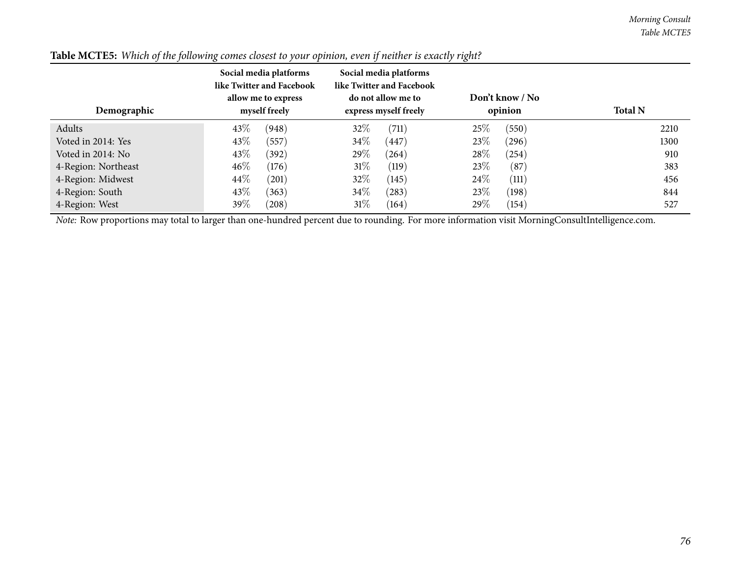| Demographic         | Social media platforms<br>like Twitter and Facebook<br>allow me to express<br>myself freely | Social media platforms<br>like Twitter and Facebook<br>do not allow me to<br>express myself freely | Don't know / No<br>opinion | <b>Total N</b> |
|---------------------|---------------------------------------------------------------------------------------------|----------------------------------------------------------------------------------------------------|----------------------------|----------------|
| Adults              | 43\%<br>(948)                                                                               | 32%<br>(711)                                                                                       | 25%<br>(550)               | 2210           |
| Voted in 2014: Yes  | 43\%<br>(557)                                                                               | $34\%$<br>$^{\prime}447$                                                                           | 23\%<br>(296)              | 1300           |
| Voted in 2014: No   | 43\%<br>(392)                                                                               | $29\%$<br>(264)                                                                                    | 28\%<br>(254)              | 910            |
| 4-Region: Northeast | 46%<br>(176)                                                                                | $31\%$<br>(119)                                                                                    | 23\%<br>(87)               | 383            |
| 4-Region: Midwest   | 44\%<br>(201)                                                                               | 32%<br>(145)                                                                                       | 24\%<br>(111)              | 456            |
| 4-Region: South     | 43\%<br>(363)                                                                               | 34\%<br>(283)                                                                                      | 23%<br>(198)               | 844            |
| 4-Region: West      | 39%<br>(208)                                                                                | 31%<br>(164)                                                                                       | 29\%<br>(154)              | 527            |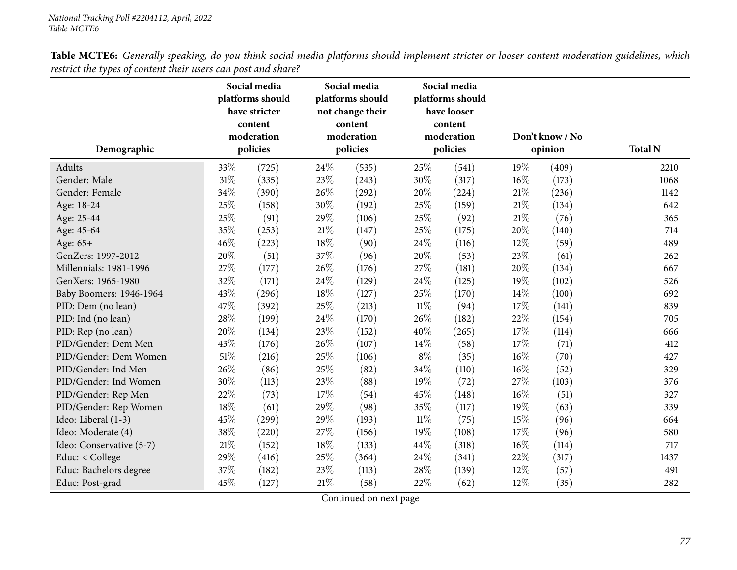| Table MCTE6: Generally speaking, do you think social media platforms should implement stricter or looser content moderation guidelines, which |  |
|-----------------------------------------------------------------------------------------------------------------------------------------------|--|
| restrict the types of content their users can post and share?                                                                                 |  |

| Demographic              |      | Social media<br>platforms should<br>have stricter<br>content<br>moderation<br>policies |        | Social media<br>platforms should<br>not change their<br>content<br>moderation<br>policies | Social media<br>platforms should<br>have looser<br>content<br>moderation<br>policies |       |        | Don't know / No<br>opinion | <b>Total N</b> |
|--------------------------|------|----------------------------------------------------------------------------------------|--------|-------------------------------------------------------------------------------------------|--------------------------------------------------------------------------------------|-------|--------|----------------------------|----------------|
|                          |      |                                                                                        |        |                                                                                           |                                                                                      |       |        |                            |                |
| Adults                   | 33%  | (725)                                                                                  | 24%    | (535)                                                                                     | 25%                                                                                  | (541) | 19%    | (409)                      | 2210           |
| Gender: Male             | 31%  | (335)                                                                                  | 23%    | (243)                                                                                     | 30%                                                                                  | (317) | 16%    | (173)                      | 1068           |
| Gender: Female           | 34%  | (390)                                                                                  | 26%    | (292)                                                                                     | 20%                                                                                  | (224) | 21\%   | (236)                      | 1142           |
| Age: 18-24               | 25%  | (158)                                                                                  | 30%    | (192)                                                                                     | 25%                                                                                  | (159) | 21\%   | (134)                      | 642            |
| Age: 25-44               | 25%  | (91)                                                                                   | 29%    | (106)                                                                                     | 25\%                                                                                 | (92)  | 21\%   | (76)                       | 365            |
| Age: 45-64               | 35%  | (253)                                                                                  | $21\%$ | (147)                                                                                     | 25%                                                                                  | (175) | 20%    | (140)                      | 714            |
| Age: 65+                 | 46%  | (223)                                                                                  | $18\%$ | (90)                                                                                      | 24%                                                                                  | (116) | 12%    | (59)                       | 489            |
| GenZers: 1997-2012       | 20%  | (51)                                                                                   | 37%    | (96)                                                                                      | 20%                                                                                  | (53)  | 23%    | (61)                       | 262            |
| Millennials: 1981-1996   | 27%  | (177)                                                                                  | 26%    | (176)                                                                                     | 27%                                                                                  | (181) | 20%    | (134)                      | 667            |
| GenXers: 1965-1980       | 32%  | (171)                                                                                  | 24%    | (129)                                                                                     | 24%                                                                                  | (125) | 19%    | (102)                      | 526            |
| Baby Boomers: 1946-1964  | 43%  | (296)                                                                                  | 18%    | (127)                                                                                     | 25%                                                                                  | (170) | 14%    | (100)                      | 692            |
| PID: Dem (no lean)       | 47%  | (392)                                                                                  | 25%    | (213)                                                                                     | $11\%$                                                                               | (94)  | 17\%   | (141)                      | 839            |
| PID: Ind (no lean)       | 28%  | (199)                                                                                  | 24%    | (170)                                                                                     | 26%                                                                                  | (182) | 22%    | (154)                      | 705            |
| PID: Rep (no lean)       | 20%  | (134)                                                                                  | 23%    | (152)                                                                                     | 40%                                                                                  | (265) | 17%    | (114)                      | 666            |
| PID/Gender: Dem Men      | 43%  | (176)                                                                                  | 26%    | (107)                                                                                     | 14\%                                                                                 | (58)  | 17%    | (71)                       | 412            |
| PID/Gender: Dem Women    | 51%  | (216)                                                                                  | 25%    | (106)                                                                                     | $8\%$                                                                                | (35)  | $16\%$ | (70)                       | 427            |
| PID/Gender: Ind Men      | 26%  | (86)                                                                                   | 25%    | (82)                                                                                      | 34%                                                                                  | (110) | 16%    | (52)                       | 329            |
| PID/Gender: Ind Women    | 30%  | (113)                                                                                  | 23%    | (88)                                                                                      | 19%                                                                                  | (72)  | 27%    | (103)                      | 376            |
| PID/Gender: Rep Men      | 22%  | (73)                                                                                   | 17%    | (54)                                                                                      | 45%                                                                                  | (148) | 16%    | (51)                       | 327            |
| PID/Gender: Rep Women    | 18%  | (61)                                                                                   | 29%    | (98)                                                                                      | 35%                                                                                  | (117) | 19%    | (63)                       | 339            |
| Ideo: Liberal (1-3)      | 45%  | (299)                                                                                  | 29%    | (193)                                                                                     | $11\%$                                                                               | (75)  | 15%    | (96)                       | 664            |
| Ideo: Moderate (4)       | 38%  | (220)                                                                                  | 27%    | (156)                                                                                     | 19%                                                                                  | (108) | 17%    | (96)                       | 580            |
| Ideo: Conservative (5-7) | 21\% | (152)                                                                                  | 18%    | (133)                                                                                     | 44%                                                                                  | (318) | 16%    | (114)                      | 717            |
| Educ: < College          | 29%  | (416)                                                                                  | 25%    | (364)                                                                                     | 24%                                                                                  | (341) | 22%    | (317)                      | 1437           |
| Educ: Bachelors degree   | 37%  | (182)                                                                                  | 23%    | (113)                                                                                     | 28%                                                                                  | (139) | 12%    | (57)                       | 491            |
| Educ: Post-grad          | 45%  | (127)                                                                                  | 21%    | (58)                                                                                      | 22%                                                                                  | (62)  | 12%    | (35)                       | 282            |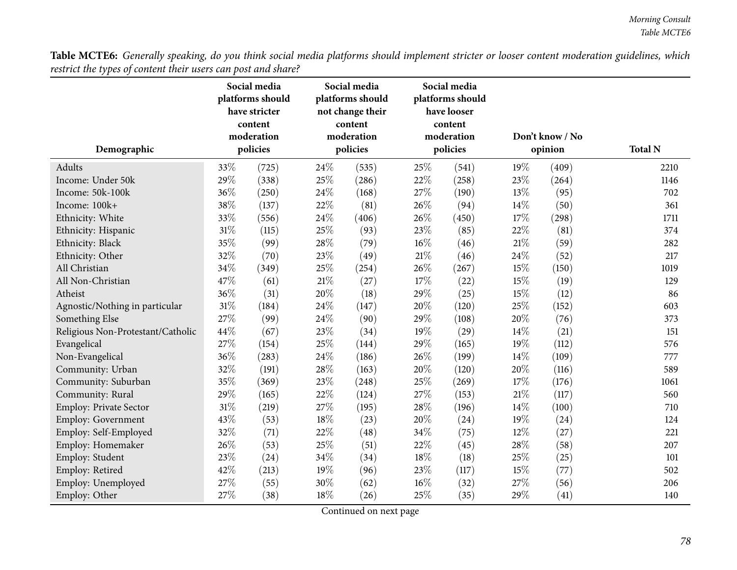Table MCTE6: Generally speaking, do you think social media platforms should implement stricter or looser content moderation guidelines, which *restrict the types of content their users can post and share?*

|                                   | Social media<br>platforms should<br>have stricter<br>content<br>moderation |          |          | Social media<br>platforms should<br>not change their<br>content<br>moderation |          | Social media<br>platforms should<br>have looser<br>content<br>moderation |         | Don't know / No |                |
|-----------------------------------|----------------------------------------------------------------------------|----------|----------|-------------------------------------------------------------------------------|----------|--------------------------------------------------------------------------|---------|-----------------|----------------|
| Demographic                       |                                                                            | policies | policies |                                                                               | policies |                                                                          | opinion |                 | <b>Total N</b> |
| Adults                            | 33%                                                                        | (725)    | 24\%     | (535)                                                                         | 25\%     | (541)                                                                    | 19%     | (409)           | 2210           |
| Income: Under 50k                 | 29%                                                                        | (338)    | 25%      | (286)                                                                         | $22\%$   | (258)                                                                    | 23%     | (264)           | 1146           |
| Income: 50k-100k                  | 36%                                                                        | (250)    | 24%      | (168)                                                                         | 27%      | (190)                                                                    | 13%     | (95)            | 702            |
| Income: 100k+                     | 38%                                                                        | (137)    | 22%      | (81)                                                                          | 26%      | (94)                                                                     | 14%     | (50)            | 361            |
| Ethnicity: White                  | 33%                                                                        | (556)    | 24%      | (406)                                                                         | 26%      | (450)                                                                    | 17%     | (298)           | 1711           |
| Ethnicity: Hispanic               | 31%                                                                        | (115)    | 25%      | (93)                                                                          | 23%      | (85)                                                                     | 22%     | (81)            | 374            |
| Ethnicity: Black                  | 35%                                                                        | (99)     | 28%      | (79)                                                                          | 16%      | (46)                                                                     | 21%     | (59)            | 282            |
| Ethnicity: Other                  | 32%                                                                        | (70)     | 23%      | (49)                                                                          | 21\%     | (46)                                                                     | 24%     | (52)            | 217            |
| All Christian                     | 34%                                                                        | (349)    | 25%      | (254)                                                                         | 26%      | (267)                                                                    | 15%     | (150)           | 1019           |
| All Non-Christian                 | 47%                                                                        | (61)     | $21\%$   | (27)                                                                          | 17%      | (22)                                                                     | 15%     | (19)            | 129            |
| Atheist                           | 36%                                                                        | (31)     | 20%      | (18)                                                                          | 29%      | (25)                                                                     | 15%     | (12)            | 86             |
| Agnostic/Nothing in particular    | 31%                                                                        | (184)    | 24%      | (147)                                                                         | 20%      | (120)                                                                    | 25%     | (152)           | 603            |
| Something Else                    | 27%                                                                        | (99)     | 24%      | (90)                                                                          | 29%      | (108)                                                                    | 20%     | (76)            | 373            |
| Religious Non-Protestant/Catholic | 44%                                                                        | (67)     | 23%      | (34)                                                                          | 19%      | (29)                                                                     | 14\%    | (21)            | 151            |
| Evangelical                       | 27\%                                                                       | (154)    | 25%      | (144)                                                                         | 29%      | (165)                                                                    | 19%     | (112)           | 576            |
| Non-Evangelical                   | 36%                                                                        | (283)    | 24%      | (186)                                                                         | 26%      | (199)                                                                    | 14\%    | (109)           | 777            |
| Community: Urban                  | 32%                                                                        | (191)    | 28%      | (163)                                                                         | 20%      | (120)                                                                    | 20%     | (116)           | 589            |
| Community: Suburban               | 35%                                                                        | (369)    | 23%      | (248)                                                                         | 25%      | (269)                                                                    | 17%     | (176)           | 1061           |
| Community: Rural                  | 29%                                                                        | (165)    | 22%      | (124)                                                                         | 27\%     | (153)                                                                    | 21%     | (117)           | 560            |
| Employ: Private Sector            | $31\%$                                                                     | (219)    | 27%      | (195)                                                                         | 28%      | (196)                                                                    | 14%     | (100)           | 710            |
| Employ: Government                | 43%                                                                        | (53)     | 18%      | (23)                                                                          | 20%      | (24)                                                                     | 19%     | (24)            | 124            |
| Employ: Self-Employed             | 32%                                                                        | (71)     | 22%      | (48)                                                                          | 34%      | (75)                                                                     | 12%     | (27)            | 221            |
| Employ: Homemaker                 | 26%                                                                        | (53)     | 25%      | (51)                                                                          | 22%      | (45)                                                                     | 28%     | (58)            | 207            |
| Employ: Student                   | 23%                                                                        | (24)     | 34%      | (34)                                                                          | 18%      | (18)                                                                     | 25%     | (25)            | 101            |
| Employ: Retired                   | 42%                                                                        | (213)    | 19%      | (96)                                                                          | 23%      | (117)                                                                    | 15%     | (77)            | 502            |
| Employ: Unemployed                | 27%                                                                        | (55)     | 30%      | (62)                                                                          | 16%      | (32)                                                                     | 27%     | (56)            | 206            |
| Employ: Other                     | 27%                                                                        | (38)     | 18%      | (26)                                                                          | 25%      | (35)                                                                     | 29%     | (41)            | 140            |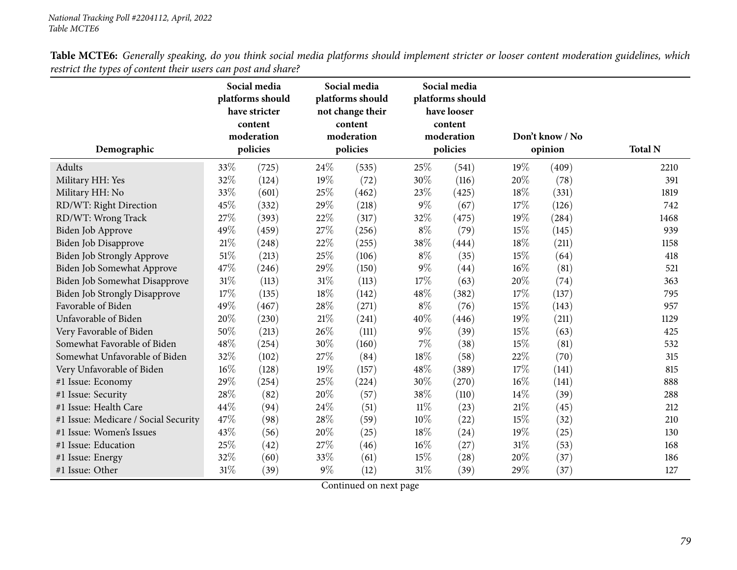| Table MCTE6: Generally speaking, do you think social media platforms should implement stricter or looser content moderation guidelines, which |  |
|-----------------------------------------------------------------------------------------------------------------------------------------------|--|
| restrict the types of content their users can post and share?                                                                                 |  |

|                                      | Social media<br>platforms should<br>have stricter<br>content<br>moderation |          |        | Social media<br>platforms should<br>not change their<br>content<br>moderation |          | Social media<br>platforms should<br>have looser<br>content<br>moderation |         | Don't know / No | <b>Total N</b> |  |
|--------------------------------------|----------------------------------------------------------------------------|----------|--------|-------------------------------------------------------------------------------|----------|--------------------------------------------------------------------------|---------|-----------------|----------------|--|
| Demographic                          |                                                                            | policies |        | policies                                                                      | policies |                                                                          | opinion |                 |                |  |
| Adults                               | 33%                                                                        | (725)    | 24%    | (535)                                                                         | 25%      | (541)                                                                    | 19%     | (409)           | 2210           |  |
| Military HH: Yes                     | 32%                                                                        | (124)    | 19%    | (72)                                                                          | 30%      | (116)                                                                    | 20%     | (78)            | 391            |  |
| Military HH: No                      | 33%                                                                        | (601)    | 25%    | (462)                                                                         | 23%      | (425)                                                                    | 18%     | (331)           | 1819           |  |
| RD/WT: Right Direction               | 45%                                                                        | (332)    | 29%    | (218)                                                                         | $9\%$    | (67)                                                                     | 17%     | (126)           | 742            |  |
| RD/WT: Wrong Track                   | 27%                                                                        | (393)    | 22%    | (317)                                                                         | 32%      | (475)                                                                    | 19%     | (284)           | 1468           |  |
| Biden Job Approve                    | 49%                                                                        | (459)    | 27%    | (256)                                                                         | $8\%$    | (79)                                                                     | 15%     | (145)           | 939            |  |
| Biden Job Disapprove                 | 21%                                                                        | (248)    | 22%    | (255)                                                                         | 38%      | (444)                                                                    | 18%     | (211)           | 1158           |  |
| Biden Job Strongly Approve           | 51%                                                                        | (213)    | 25%    | (106)                                                                         | $8\%$    | (35)                                                                     | 15%     | (64)            | 418            |  |
| Biden Job Somewhat Approve           | 47%                                                                        | (246)    | 29%    | (150)                                                                         | $9\%$    | (44)                                                                     | 16%     | (81)            | 521            |  |
| Biden Job Somewhat Disapprove        | 31%                                                                        | (113)    | $31\%$ | (113)                                                                         | 17%      | (63)                                                                     | 20%     | (74)            | 363            |  |
| <b>Biden Job Strongly Disapprove</b> | 17%                                                                        | (135)    | 18%    | (142)                                                                         | 48%      | (382)                                                                    | 17%     | (137)           | 795            |  |
| Favorable of Biden                   | 49%                                                                        | (467)    | 28\%   | (271)                                                                         | $8\%$    | (76)                                                                     | 15%     | (143)           | 957            |  |
| Unfavorable of Biden                 | 20%                                                                        | (230)    | $21\%$ | (241)                                                                         | 40%      | (446)                                                                    | 19%     | (211)           | 1129           |  |
| Very Favorable of Biden              | 50%                                                                        | (213)    | 26%    | (111)                                                                         | $9\%$    | (39)                                                                     | 15%     | (63)            | 425            |  |
| Somewhat Favorable of Biden          | 48%                                                                        | (254)    | 30%    | (160)                                                                         | 7%       | (38)                                                                     | 15%     | (81)            | 532            |  |
| Somewhat Unfavorable of Biden        | 32%                                                                        | (102)    | 27\%   | (84)                                                                          | $18\%$   | (58)                                                                     | 22%     | (70)            | 315            |  |
| Very Unfavorable of Biden            | 16%                                                                        | (128)    | 19%    | (157)                                                                         | 48%      | (389)                                                                    | 17%     | (141)           | 815            |  |
| #1 Issue: Economy                    | 29%                                                                        | (254)    | 25%    | (224)                                                                         | 30%      | (270)                                                                    | 16%     | (141)           | 888            |  |
| #1 Issue: Security                   | 28%                                                                        | (82)     | 20%    | (57)                                                                          | 38%      | (110)                                                                    | 14%     | (39)            | 288            |  |
| #1 Issue: Health Care                | 44%                                                                        | (94)     | 24%    | (51)                                                                          | $11\%$   | (23)                                                                     | 21%     | (45)            | 212            |  |
| #1 Issue: Medicare / Social Security | 47%                                                                        | (98)     | 28%    | (59)                                                                          | 10%      | (22)                                                                     | 15%     | (32)            | 210            |  |
| #1 Issue: Women's Issues             | 43%                                                                        | (56)     | 20%    | (25)                                                                          | 18%      | (24)                                                                     | 19%     | (25)            | 130            |  |
| #1 Issue: Education                  | 25%                                                                        | (42)     | 27\%   | (46)                                                                          | 16%      | (27)                                                                     | 31%     | (53)            | 168            |  |
| #1 Issue: Energy                     | 32%                                                                        | (60)     | 33%    | (61)                                                                          | 15%      | (28)                                                                     | 20%     | (37)            | 186            |  |
| #1 Issue: Other                      | 31%                                                                        | (39)     | $9\%$  | (12)                                                                          | 31%      | (39)                                                                     | 29%     | (37)            | 127            |  |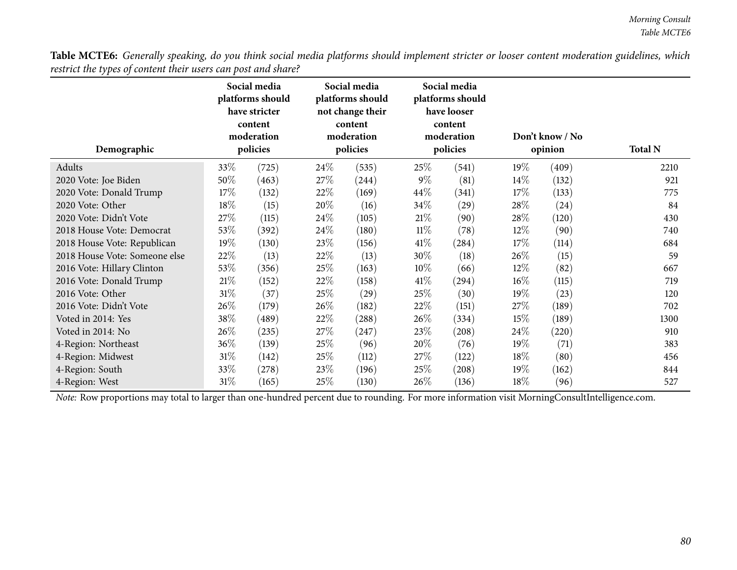**DemographicSocial media <sup>p</sup>latforms shouldhave stricter content moderationpoliciesSocial media <sup>p</sup>latforms should not change their content moderationpoliciesSocial media <sup>p</sup>latforms shouldhave looser content moderationpoliciesDon't know / Noopinion Total <sup>N</sup>**Adultss  $33\%$  (725)  $(24\%$   $(535)$   $25\%$   $(541)$   $19\%$   $(409)$  2210 921 <sup>2020</sup> Vote: Joe Bidenn 50% (463)  $27\%$  (244)  $9\%$  (81)  $14\%$  (132) 921 <sup>2020</sup> Vote: Donald Trump $p$  17% (132) 22% (169) 44% (341) 17% (133) 775 2020 Vote: Other 18% (15)  $20\%$  (16)  $34\%$  (29)  $28\%$  (24) 84 <sup>2020</sup> Vote: Didn't Vote <sup>27</sup>% (115) <sup>24</sup>% (105) <sup>21</sup>% (90) <sup>28</sup>% (120) <sup>430</sup>  $2018$  House Vote: Democrat  $53\%$  (392)  $24\%$  (180)  $11\%$  (78)  $12\%$  (90) 740<br> $2018$  House Vote: Republican  $19\%$  (130)  $23\%$  (156)  $41\%$  (284)  $17\%$  (114) 684 <sup>2018</sup> House Vote: Republican $\mathbf{n}$  19% (130) 23% (156) 41% (284) 17% (114) 684 2018 House Vote: Someone else  $22\%$   $(13)$   $22\%$   $(13)$   $30\%$   $(18)$   $26\%$   $(15)$  59<br>2016 Vote: Hillary Clinton  $53\%$   $(356)$   $25\%$   $(163)$   $10\%$   $(66)$   $12\%$   $(82)$   $(82)$  667 <sup>2016</sup> Vote: Hillary Clintonn 53% (356) 25% (163)  $10\%$  (66)  $12\%$  (82) 667 <sup>2016</sup> Vote: Donald Trump $p$  21% (152) 22% (158) 41% (294) 16% (115) 719 2016 Vote: Other 31<sup>%</sup> (37) 25% (29) 25% (30) 19% (23) 25% 120 <sup>2016</sup> Vote: Didn't Vote <sup>26</sup>% (179) <sup>26</sup>% (182) <sup>22</sup>% (151) <sup>27</sup>% (189) <sup>702</sup> Voted in 2014: Yes 38% (489) 22% (288) 26% (334) 15% (189) 1300 Voted in 2014: No $26\%$  (235) 27% (247) 23% (208) 24% (220) 910 4-Region: Northeast 36% (139) 25% (96) 20% (76) 19% (71) 383 4-Region: Midwest <sup>31</sup>% (142) <sup>25</sup>% (112) <sup>27</sup>% (122) <sup>18</sup>% (80) <sup>456</sup> 4-Region: Southh  $33\%$   $(278)$   $23\%$   $(196)$   $25\%$   $(208)$   $19\%$   $(162)$   $844$ 4-Region: West <sup>31</sup>% (165) <sup>25</sup>% (130) <sup>26</sup>% (136) <sup>18</sup>% (96) <sup>527</sup>

Table MCTE6: Generally speaking, do you think social media platforms should implement stricter or looser content moderation guidelines, which *restrict the types of content their users can post and share?*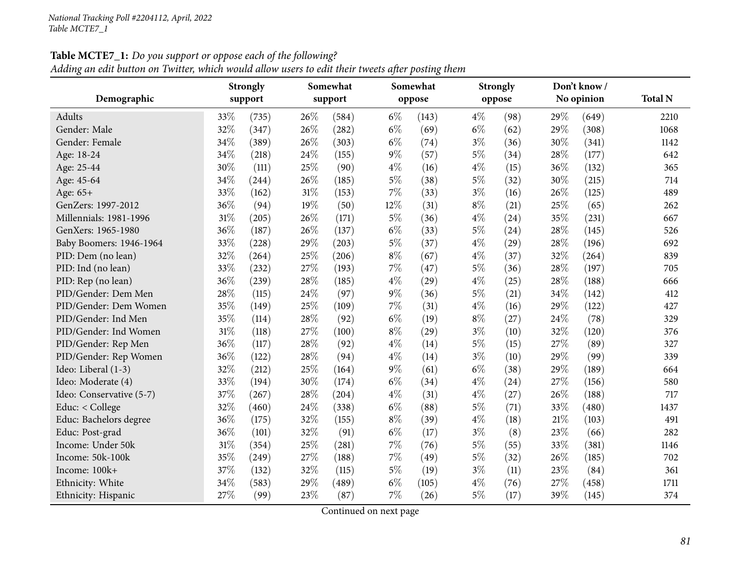|  | Adding an edit button on Twitter, which would allow users to edit their tweets after posting them |  |  |  |
|--|---------------------------------------------------------------------------------------------------|--|--|--|
|--|---------------------------------------------------------------------------------------------------|--|--|--|

|                          |     | <b>Strongly</b> |        | Somewhat |       | Somewhat |       | <b>Strongly</b> |     | Don't know / |                |
|--------------------------|-----|-----------------|--------|----------|-------|----------|-------|-----------------|-----|--------------|----------------|
| Demographic              |     | support         |        | support  |       | oppose   |       | oppose          |     | No opinion   | <b>Total N</b> |
| Adults                   | 33% | (735)           | 26%    | (584)    | $6\%$ | (143)    | $4\%$ | (98)            | 29% | (649)        | 2210           |
| Gender: Male             | 32% | (347)           | 26%    | (282)    | $6\%$ | (69)     | $6\%$ | (62)            | 29% | (308)        | 1068           |
| Gender: Female           | 34% | (389)           | 26%    | (303)    | $6\%$ | (74)     | $3\%$ | (36)            | 30% | (341)        | 1142           |
| Age: 18-24               | 34% | (218)           | 24%    | (155)    | $9\%$ | (57)     | $5\%$ | (34)            | 28% | (177)        | 642            |
| Age: 25-44               | 30% | (111)           | 25%    | (90)     | $4\%$ | (16)     | $4\%$ | (15)            | 36% | (132)        | 365            |
| Age: 45-64               | 34% | (244)           | 26%    | (185)    | $5\%$ | (38)     | $5\%$ | (32)            | 30% | (215)        | 714            |
| Age: 65+                 | 33% | (162)           | $31\%$ | (153)    | 7%    | (33)     | $3\%$ | (16)            | 26% | (125)        | 489            |
| GenZers: 1997-2012       | 36% | (94)            | 19%    | (50)     | 12%   | (31)     | $8\%$ | (21)            | 25% | (65)         | 262            |
| Millennials: 1981-1996   | 31% | (205)           | 26%    | (171)    | $5\%$ | (36)     | $4\%$ | (24)            | 35% | (231)        | 667            |
| GenXers: 1965-1980       | 36% | (187)           | 26%    | (137)    | $6\%$ | (33)     | $5\%$ | (24)            | 28% | (145)        | 526            |
| Baby Boomers: 1946-1964  | 33% | (228)           | 29%    | (203)    | $5\%$ | (37)     | $4\%$ | (29)            | 28% | (196)        | 692            |
| PID: Dem (no lean)       | 32% | (264)           | 25%    | (206)    | $8\%$ | (67)     | $4\%$ | (37)            | 32% | (264)        | 839            |
| PID: Ind (no lean)       | 33% | (232)           | 27%    | (193)    | 7%    | (47)     | $5\%$ | (36)            | 28% | (197)        | 705            |
| PID: Rep (no lean)       | 36% | (239)           | 28%    | (185)    | $4\%$ | (29)     | $4\%$ | (25)            | 28% | (188)        | 666            |
| PID/Gender: Dem Men      | 28% | (115)           | 24\%   | (97)     | $9\%$ | (36)     | $5\%$ | (21)            | 34% | (142)        | 412            |
| PID/Gender: Dem Women    | 35% | (149)           | 25%    | (109)    | $7\%$ | (31)     | $4\%$ | (16)            | 29% | (122)        | 427            |
| PID/Gender: Ind Men      | 35% | (114)           | 28\%   | (92)     | $6\%$ | (19)     | $8\%$ | (27)            | 24% | (78)         | 329            |
| PID/Gender: Ind Women    | 31% | (118)           | 27%    | (100)    | $8\%$ | (29)     | $3\%$ | (10)            | 32% | (120)        | 376            |
| PID/Gender: Rep Men      | 36% | (117)           | 28%    | (92)     | $4\%$ | (14)     | $5\%$ | (15)            | 27% | (89)         | 327            |
| PID/Gender: Rep Women    | 36% | (122)           | 28%    | (94)     | $4\%$ | (14)     | $3\%$ | (10)            | 29% | (99)         | 339            |
| Ideo: Liberal (1-3)      | 32% | (212)           | 25%    | (164)    | $9\%$ | (61)     | $6\%$ | (38)            | 29% | (189)        | 664            |
| Ideo: Moderate (4)       | 33% | (194)           | 30%    | (174)    | $6\%$ | (34)     | $4\%$ | (24)            | 27% | (156)        | 580            |
| Ideo: Conservative (5-7) | 37% | (267)           | 28%    | (204)    | $4\%$ | (31)     | $4\%$ | (27)            | 26% | (188)        | 717            |
| Educ: < College          | 32% | (460)           | 24\%   | (338)    | $6\%$ | (88)     | $5\%$ | (71)            | 33% | (480)        | 1437           |
| Educ: Bachelors degree   | 36% | (175)           | 32%    | (155)    | $8\%$ | (39)     | $4\%$ | (18)            | 21% | (103)        | 491            |
| Educ: Post-grad          | 36% | (101)           | 32%    | (91)     | $6\%$ | (17)     | $3\%$ | (8)             | 23% | (66)         | 282            |
| Income: Under 50k        | 31% | (354)           | 25%    | (281)    | $7\%$ | (76)     | $5\%$ | (55)            | 33% | (381)        | 1146           |
| Income: 50k-100k         | 35% | (249)           | 27%    | (188)    | 7%    | (49)     | $5\%$ | (32)            | 26% | (185)        | 702            |
| Income: 100k+            | 37% | (132)           | 32%    | (115)    | $5\%$ | (19)     | $3\%$ | (11)            | 23% | (84)         | 361            |
| Ethnicity: White         | 34% | (583)           | 29%    | (489)    | $6\%$ | (105)    | $4\%$ | (76)            | 27% | (458)        | 1711           |
| Ethnicity: Hispanic      | 27% | (99)            | 23%    | (87)     | $7\%$ | (26)     | $5\%$ | (17)            | 39% | (145)        | 374            |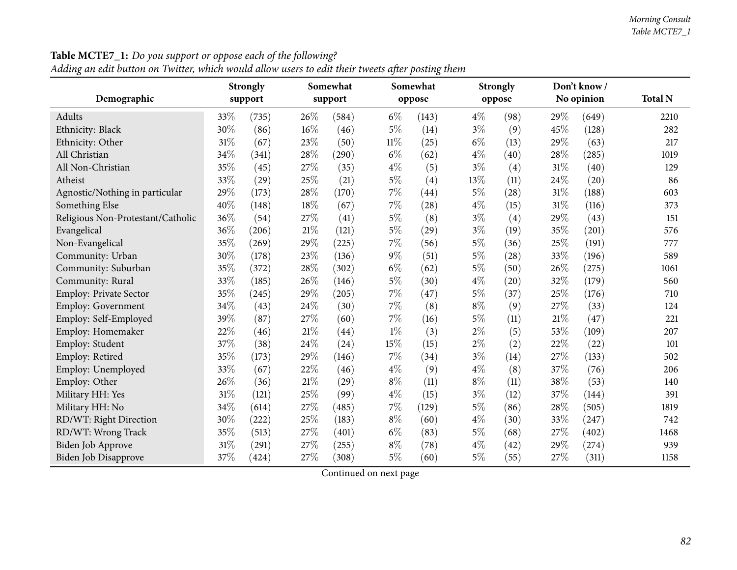| Demographic                       |        | <b>Strongly</b><br>support |        | Somewhat<br>support |        | Somewhat<br>oppose |       | <b>Strongly</b><br>oppose |     | Don't know/<br>No opinion | <b>Total N</b> |
|-----------------------------------|--------|----------------------------|--------|---------------------|--------|--------------------|-------|---------------------------|-----|---------------------------|----------------|
| Adults                            | 33%    | (735)                      | 26%    | (584)               | $6\%$  | (143)              | $4\%$ | (98)                      | 29% | (649)                     | 2210           |
| Ethnicity: Black                  | $30\%$ | (86)                       | $16\%$ | (46)                | $5\%$  | (14)               | $3\%$ | (9)                       | 45% | (128)                     | 282            |
| Ethnicity: Other                  | 31%    | (67)                       | 23%    | (50)                | $11\%$ | (25)               | $6\%$ | (13)                      | 29% | (63)                      | 217            |
| All Christian                     | 34%    | (341)                      | 28\%   | (290)               | $6\%$  | (62)               | $4\%$ | (40)                      | 28% | (285)                     | 1019           |
| All Non-Christian                 | 35%    | (45)                       | 27%    | (35)                | $4\%$  | (5)                | $3\%$ | (4)                       | 31% | (40)                      | 129            |
| Atheist                           | 33%    | (29)                       | 25%    | (21)                | $5\%$  | (4)                | 13%   | (11)                      | 24% | (20)                      | 86             |
| Agnostic/Nothing in particular    | 29%    | (173)                      | 28%    | (170)               | 7%     | (44)               | 5%    | (28)                      | 31% | (188)                     | 603            |
| Something Else                    | 40%    | (148)                      | $18\%$ | (67)                | $7\%$  | (28)               | $4\%$ | (15)                      | 31% | (116)                     | 373            |
| Religious Non-Protestant/Catholic | 36%    | (54)                       | 27%    | (41)                | $5\%$  | (8)                | $3\%$ | (4)                       | 29% | (43)                      | 151            |
| Evangelical                       | 36%    | (206)                      | $21\%$ | (121)               | $5\%$  | (29)               | $3\%$ | (19)                      | 35% | (201)                     | 576            |
| Non-Evangelical                   | 35%    | (269)                      | 29%    | (225)               | $7\%$  | (56)               | 5%    | (36)                      | 25% | (191)                     | 777            |
| Community: Urban                  | 30%    | (178)                      | 23%    | (136)               | $9\%$  | (51)               | 5%    | (28)                      | 33% | (196)                     | 589            |
| Community: Suburban               | 35%    | (372)                      | 28%    | (302)               | $6\%$  | (62)               | 5%    | (50)                      | 26% | (275)                     | 1061           |
| Community: Rural                  | 33%    | (185)                      | 26%    | (146)               | $5\%$  | (30)               | $4\%$ | (20)                      | 32% | (179)                     | 560            |
| Employ: Private Sector            | 35%    | (245)                      | 29%    | (205)               | $7\%$  | (47)               | 5%    | (37)                      | 25% | (176)                     | 710            |
| Employ: Government                | 34%    | (43)                       | 24\%   | (30)                | $7\%$  | (8)                | $8\%$ | (9)                       | 27% | (33)                      | 124            |
| Employ: Self-Employed             | 39%    | (87)                       | 27%    | (60)                | $7\%$  | (16)               | 5%    | (11)                      | 21% | (47)                      | 221            |
| Employ: Homemaker                 | 22%    | (46)                       | $21\%$ | $\left( 44\right)$  | $1\%$  | (3)                | $2\%$ | (5)                       | 53% | (109)                     | 207            |
| Employ: Student                   | 37%    | (38)                       | 24%    | (24)                | 15%    | (15)               | $2\%$ | (2)                       | 22% | (22)                      | 101            |
| Employ: Retired                   | 35%    | (173)                      | 29%    | (146)               | $7\%$  | (34)               | $3\%$ | (14)                      | 27% | (133)                     | 502            |
| Employ: Unemployed                | 33%    | (67)                       | $22\%$ | (46)                | $4\%$  | (9)                | $4\%$ | (8)                       | 37% | (76)                      | 206            |
| Employ: Other                     | 26%    | (36)                       | 21\%   | (29)                | $8\%$  | (11)               | $8\%$ | (11)                      | 38% | (53)                      | 140            |
| Military HH: Yes                  | 31%    | (121)                      | 25%    | (99)                | $4\%$  | (15)               | $3\%$ | (12)                      | 37% | (144)                     | 391            |
| Military HH: No                   | 34%    | (614)                      | 27%    | (485)               | 7%     | (129)              | 5%    | (86)                      | 28% | (505)                     | 1819           |
| RD/WT: Right Direction            | 30%    | (222)                      | 25%    | (183)               | $8\%$  | (60)               | $4\%$ | (30)                      | 33% | (247)                     | 742            |
| RD/WT: Wrong Track                | 35%    | (513)                      | $27\%$ | (401)               | $6\%$  | (83)               | $5\%$ | (68)                      | 27% | (402)                     | 1468           |
| Biden Job Approve                 | 31%    | (291)                      | 27%    | (255)               | $8\%$  | (78)               | $4\%$ | (42)                      | 29% | (274)                     | 939            |
| Biden Job Disapprove              | 37%    | (424)                      | $27\%$ | (308)               | $5\%$  | (60)               | 5%    | (55)                      | 27% | (311)                     | 1158           |

Adding an edit button on Twitter, which would allow users to edit their tweets after posting them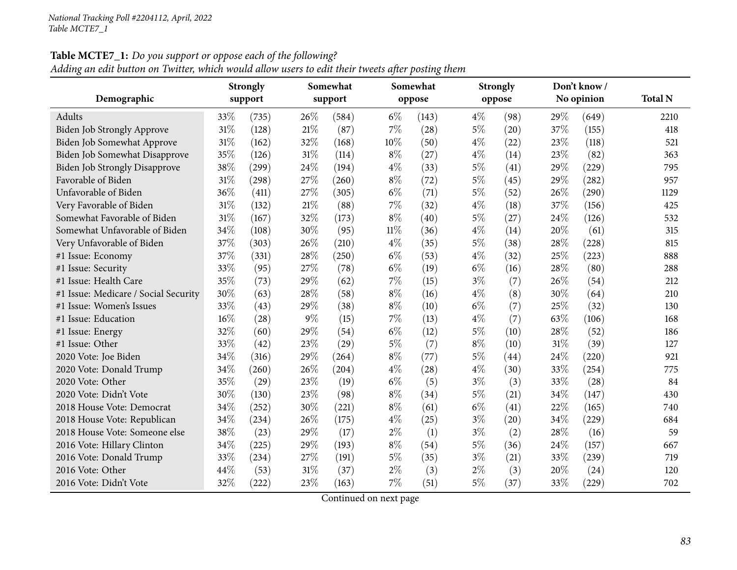| Adding an edit button on Twitter, which would allow users to edit their tweets after posting them |
|---------------------------------------------------------------------------------------------------|
|---------------------------------------------------------------------------------------------------|

|                                      | Somewhat<br><b>Strongly</b> |         |     |         | Somewhat |        | <b>Strongly</b> |        | Don't know/ |            |                |
|--------------------------------------|-----------------------------|---------|-----|---------|----------|--------|-----------------|--------|-------------|------------|----------------|
| Demographic                          |                             | support |     | support |          | oppose |                 | oppose |             | No opinion | <b>Total N</b> |
| Adults                               | 33%                         | (735)   | 26% | (584)   | $6\%$    | (143)  | $4\%$           | (98)   | 29%         | (649)      | 2210           |
| <b>Biden Job Strongly Approve</b>    | 31%                         | (128)   | 21% | (87)    | 7%       | (28)   | $5\%$           | (20)   | 37%         | (155)      | 418            |
| Biden Job Somewhat Approve           | 31%                         | (162)   | 32% | (168)   | 10%      | (50)   | $4\%$           | (22)   | 23%         | (118)      | 521            |
| Biden Job Somewhat Disapprove        | 35%                         | (126)   | 31% | (114)   | $8\%$    | (27)   | $4\%$           | (14)   | 23%         | (82)       | 363            |
| <b>Biden Job Strongly Disapprove</b> | 38%                         | (299)   | 24% | (194)   | $4\%$    | (33)   | $5\%$           | (41)   | 29%         | (229)      | 795            |
| Favorable of Biden                   | 31%                         | (298)   | 27% | (260)   | $8\%$    | (72)   | $5\%$           | (45)   | 29%         | (282)      | 957            |
| Unfavorable of Biden                 | 36%                         | (411)   | 27% | (305)   | $6\%$    | (71)   | $5\%$           | (52)   | 26%         | (290)      | 1129           |
| Very Favorable of Biden              | 31%                         | (132)   | 21% | (88)    | 7%       | (32)   | $4\%$           | (18)   | 37%         | (156)      | 425            |
| Somewhat Favorable of Biden          | 31%                         | (167)   | 32% | (173)   | $8\%$    | (40)   | $5\%$           | (27)   | 24%         | (126)      | 532            |
| Somewhat Unfavorable of Biden        | 34%                         | (108)   | 30% | (95)    | $11\%$   | (36)   | $4\%$           | (14)   | 20%         | (61)       | 315            |
| Very Unfavorable of Biden            | 37%                         | (303)   | 26% | (210)   | $4\%$    | (35)   | $5\%$           | (38)   | 28%         | (228)      | 815            |
| #1 Issue: Economy                    | 37%                         | (331)   | 28% | (250)   | $6\%$    | (53)   | $4\%$           | (32)   | 25%         | (223)      | 888            |
| #1 Issue: Security                   | 33%                         | (95)    | 27% | (78)    | $6\%$    | (19)   | $6\%$           | (16)   | 28%         | (80)       | 288            |
| #1 Issue: Health Care                | 35%                         | (73)    | 29% | (62)    | 7%       | (15)   | $3\%$           | (7)    | 26%         | (54)       | 212            |
| #1 Issue: Medicare / Social Security | 30%                         | (63)    | 28% | (58)    | $8\%$    | (16)   | $4\%$           | (8)    | 30%         | (64)       | 210            |
| #1 Issue: Women's Issues             | 33%                         | (43)    | 29% | (38)    | $8\%$    | (10)   | $6\%$           | (7)    | 25%         | (32)       | 130            |
| #1 Issue: Education                  | 16%                         | (28)    | 9%  | (15)    | 7%       | (13)   | $4\%$           | (7)    | 63%         | (106)      | 168            |
| #1 Issue: Energy                     | 32%                         | (60)    | 29% | (54)    | $6\%$    | (12)   | $5\%$           | (10)   | 28%         | (52)       | 186            |
| #1 Issue: Other                      | 33%                         | (42)    | 23% | (29)    | $5\%$    | (7)    | $8\%$           | (10)   | 31%         | (39)       | 127            |
| 2020 Vote: Joe Biden                 | 34%                         | (316)   | 29% | (264)   | $8\%$    | (77)   | $5\%$           | (44)   | 24%         | (220)      | 921            |
| 2020 Vote: Donald Trump              | 34%                         | (260)   | 26% | (204)   | $4\%$    | (28)   | $4\%$           | (30)   | 33%         | (254)      | 775            |
| 2020 Vote: Other                     | 35%                         | (29)    | 23% | (19)    | $6\%$    | (5)    | $3\%$           | (3)    | 33%         | (28)       | 84             |
| 2020 Vote: Didn't Vote               | 30%                         | (130)   | 23% | (98)    | $8\%$    | (34)   | 5%              | (21)   | 34%         | (147)      | 430            |
| 2018 House Vote: Democrat            | 34%                         | (252)   | 30% | (221)   | $8\%$    | (61)   | $6\%$           | (41)   | 22%         | (165)      | 740            |
| 2018 House Vote: Republican          | 34%                         | (234)   | 26% | (175)   | $4\%$    | (25)   | $3\%$           | (20)   | 34%         | (229)      | 684            |
| 2018 House Vote: Someone else        | 38%                         | (23)    | 29% | (17)    | $2\%$    | (1)    | $3\%$           | (2)    | 28%         | (16)       | 59             |
| 2016 Vote: Hillary Clinton           | 34%                         | (225)   | 29% | (193)   | $8\%$    | (54)   | $5\%$           | (36)   | 24%         | (157)      | 667            |
| 2016 Vote: Donald Trump              | 33%                         | (234)   | 27% | (191)   | $5\%$    | (35)   | $3\%$           | (21)   | 33%         | (239)      | 719            |
| 2016 Vote: Other                     | 44%                         | (53)    | 31% | (37)    | $2\%$    | (3)    | $2\%$           | (3)    | 20%         | (24)       | 120            |
| 2016 Vote: Didn't Vote               | 32%                         | (222)   | 23% | (163)   | 7%       | (51)   | $5\%$           | (37)   | 33%         | (229)      | 702            |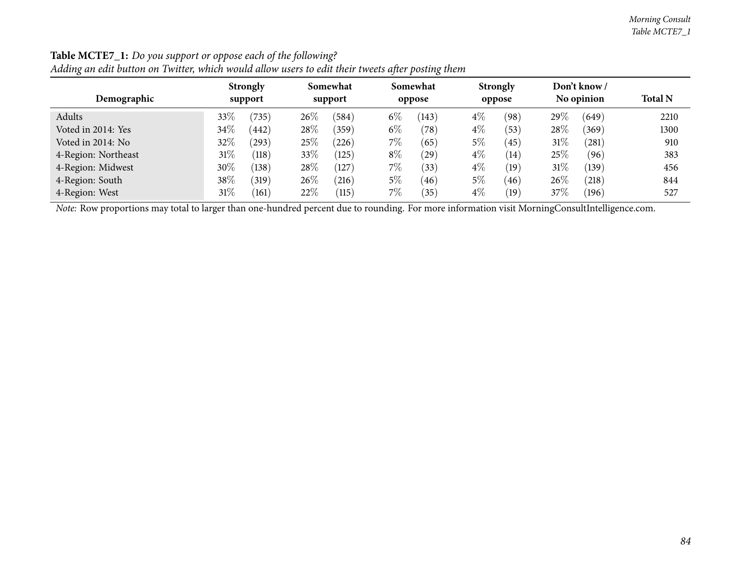|                     | <b>Strongly</b> | Somewhat        | Somewhat                | <b>Strongly</b> | Don't know /    |                |
|---------------------|-----------------|-----------------|-------------------------|-----------------|-----------------|----------------|
| Demographic         | support         | support         | oppose                  | oppose          | No opinion      | <b>Total N</b> |
| Adults              | $33\%$<br>(735) | $26\%$<br>(584) | $6\%$<br>(143)          | $4\%$<br>(98)   | $29\%$<br>(649) | 2210           |
| Voted in 2014: Yes  | $34\%$<br>(442) | 28\%<br>(359)   | $6\%$<br>$^{\prime}78)$ | $4\%$<br>(53)   | $28\%$<br>(369) | 1300           |
| Voted in 2014: No   | 32%<br>(293)    | 25\%<br>(226)   | 7%<br>(65)              | 5%<br>(45)      | $31\%$<br>(281) | 910            |
| 4-Region: Northeast | $31\%$<br>(118) | $33\%$<br>(125) | $8\%$<br>(29)           | $4\%$<br>(14)   | 25\%<br>(96)    | 383            |
| 4-Region: Midwest   | $30\%$<br>(138) | 28\%<br>(127)   | 7\%<br>(33)             | $4\%$<br>(19)   | $31\%$<br>(139) | 456            |
| 4-Region: South     | $38\%$<br>(319) | 26\%<br>(216)   | $5\%$<br>(46)           | $5\%$<br>(46)   | $26\%$<br>(218) | 844            |
| 4-Region: West      | 31%<br>(161)    | 22\%<br>(115)   | $7\%$<br>35             | $4\%$<br>(19)   | 37\%<br>(196)   | 527            |

#### **Table MCTE7\_1:** *Do you support or oppose each of the following?* Adding an edit button on Twitter which would allow users to edit their tweets after posting them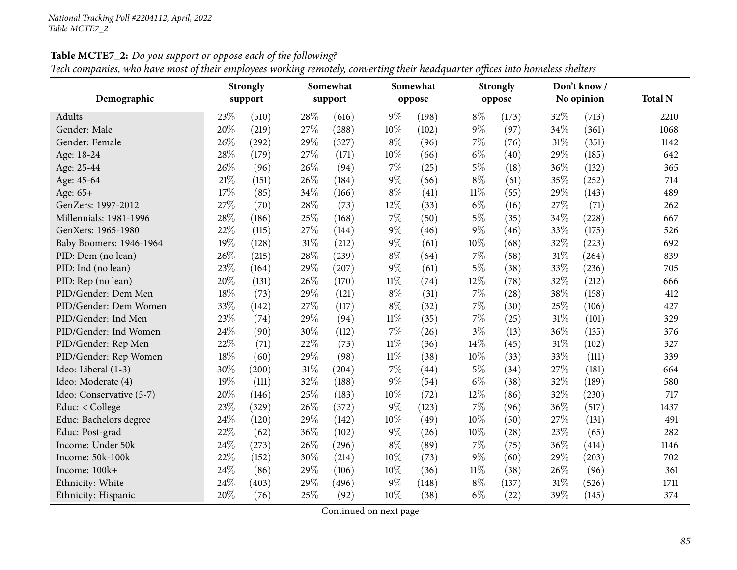|                          | <b>Strongly</b> |         |        | Somewhat |        | Somewhat |        | <b>Strongly</b> |        | Don't know / |                |
|--------------------------|-----------------|---------|--------|----------|--------|----------|--------|-----------------|--------|--------------|----------------|
| Demographic              |                 | support |        | support  |        | oppose   |        | oppose          |        | No opinion   | <b>Total N</b> |
| Adults                   | 23%             | (510)   | 28%    | (616)    | $9\%$  | (198)    | $8\%$  | (173)           | $32\%$ | (713)        | 2210           |
| Gender: Male             | 20%             | (219)   | 27%    | (288)    | 10%    | (102)    | $9\%$  | (97)            | 34%    | (361)        | 1068           |
| Gender: Female           | 26%             | (292)   | 29%    | (327)    | $8\%$  | (96)     | 7%     | (76)            | 31%    | (351)        | 1142           |
| Age: 18-24               | 28%             | (179)   | 27%    | (171)    | 10%    | (66)     | $6\%$  | (40)            | 29%    | (185)        | 642            |
| Age: 25-44               | 26%             | (96)    | 26%    | (94)     | $7\%$  | (25)     | $5\%$  | (18)            | 36%    | (132)        | 365            |
| Age: 45-64               | 21\%            | (151)   | 26%    | (184)    | $9\%$  | (66)     | $8\%$  | (61)            | 35%    | (252)        | 714            |
| Age: 65+                 | 17%             | (85)    | 34%    | (166)    | $8\%$  | (41)     | $11\%$ | (55)            | 29%    | (143)        | 489            |
| GenZers: 1997-2012       | 27%             | (70)    | 28%    | (73)     | 12%    | (33)     | $6\%$  | (16)            | 27%    | (71)         | 262            |
| Millennials: 1981-1996   | 28%             | (186)   | 25%    | (168)    | 7%     | (50)     | $5\%$  | (35)            | 34%    | (228)        | 667            |
| GenXers: 1965-1980       | 22%             | (115)   | 27%    | (144)    | $9\%$  | (46)     | $9\%$  | (46)            | 33%    | (175)        | 526            |
| Baby Boomers: 1946-1964  | 19%             | (128)   | 31%    | (212)    | $9\%$  | (61)     | 10%    | (68)            | 32%    | (223)        | 692            |
| PID: Dem (no lean)       | 26%             | (215)   | 28%    | (239)    | $8\%$  | (64)     | $7\%$  | (58)            | 31%    | (264)        | 839            |
| PID: Ind (no lean)       | 23%             | (164)   | 29%    | (207)    | $9\%$  | (61)     | $5\%$  | (38)            | 33%    | (236)        | 705            |
| PID: Rep (no lean)       | 20%             | (131)   | 26%    | (170)    | $11\%$ | (74)     | 12%    | (78)            | 32%    | (212)        | 666            |
| PID/Gender: Dem Men      | 18%             | (73)    | 29%    | (121)    | $8\%$  | (31)     | $7\%$  | (28)            | 38%    | (158)        | 412            |
| PID/Gender: Dem Women    | 33%             | (142)   | 27%    | (117)    | $8\%$  | (32)     | $7\%$  | (30)            | 25%    | (106)        | 427            |
| PID/Gender: Ind Men      | 23%             | (74)    | 29%    | (94)     | $11\%$ | (35)     | $7\%$  | (25)            | 31%    | (101)        | 329            |
| PID/Gender: Ind Women    | 24%             | (90)    | 30%    | (112)    | $7\%$  | (26)     | $3\%$  | (13)            | 36%    | (135)        | 376            |
| PID/Gender: Rep Men      | 22%             | (71)    | 22%    | (73)     | $11\%$ | (36)     | 14%    | (45)            | 31%    | (102)        | 327            |
| PID/Gender: Rep Women    | 18%             | (60)    | 29%    | (98)     | $11\%$ | (38)     | 10%    | (33)            | 33%    | (111)        | 339            |
| Ideo: Liberal (1-3)      | 30%             | (200)   | $31\%$ | (204)    | $7\%$  | (44)     | $5\%$  | (34)            | 27%    | (181)        | 664            |
| Ideo: Moderate (4)       | 19%             | (111)   | 32%    | (188)    | $9\%$  | (54)     | $6\%$  | (38)            | 32%    | (189)        | 580            |
| Ideo: Conservative (5-7) | 20%             | (146)   | 25%    | (183)    | 10%    | (72)     | 12%    | (86)            | 32%    | (230)        | 717            |
| Educ: < College          | 23%             | (329)   | 26%    | (372)    | 9%     | (123)    | 7%     | (96)            | 36%    | (517)        | 1437           |
| Educ: Bachelors degree   | 24%             | (120)   | 29%    | (142)    | 10%    | (49)     | 10%    | (50)            | 27%    | (131)        | 491            |
| Educ: Post-grad          | 22%             | (62)    | 36%    | (102)    | $9\%$  | (26)     | 10%    | (28)            | 23%    | (65)         | 282            |
| Income: Under 50k        | 24%             | (273)   | 26%    | (296)    | $8\%$  | (89)     | $7\%$  | (75)            | 36%    | (414)        | 1146           |
| Income: 50k-100k         | 22%             | (152)   | 30%    | (214)    | 10%    | (73)     | $9\%$  | (60)            | 29%    | (203)        | 702            |
| Income: 100k+            | 24%             | (86)    | 29%    | (106)    | 10%    | (36)     | $11\%$ | (38)            | 26\%   | (96)         | 361            |
| Ethnicity: White         | 24%             | (403)   | 29%    | (496)    | $9\%$  | (148)    | $8\%$  | (137)           | 31%    | (526)        | 1711           |
| Ethnicity: Hispanic      | 20%             | (76)    | 25%    | (92)     | 10%    | (38)     | $6\%$  | (22)            | 39%    | (145)        | 374            |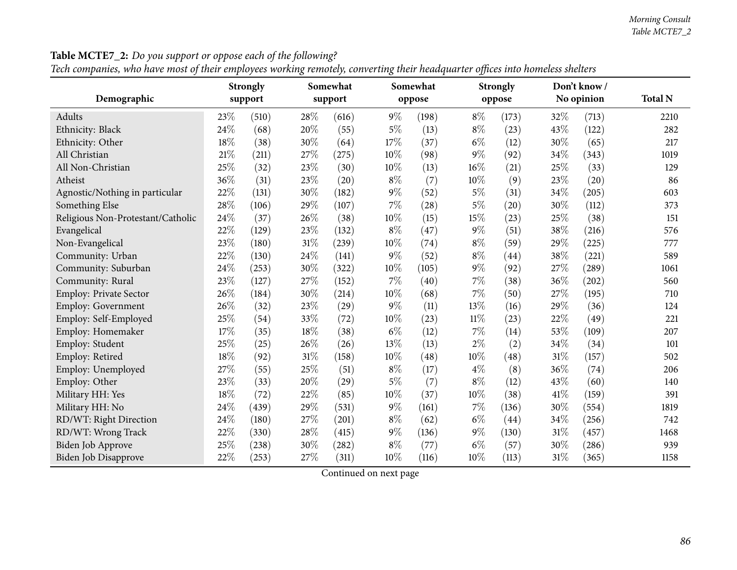|                                   |        | <b>Strongly</b> | $\circ$ | Somewhat           |        | Somewhat |        | <b>Strongly</b> |      | Don't know/ |                |
|-----------------------------------|--------|-----------------|---------|--------------------|--------|----------|--------|-----------------|------|-------------|----------------|
| Demographic                       |        | support         |         | support            |        | oppose   |        | oppose          |      | No opinion  | <b>Total N</b> |
| Adults                            | 23\%   | (510)           | 28\%    | (616)              | $9\%$  | (198)    | $8\%$  | (173)           | 32%  | (713)       | 2210           |
| Ethnicity: Black                  | 24%    | (68)            | 20%     | (55)               | $5\%$  | (13)     | $8\%$  | (23)            | 43%  | (122)       | 282            |
| Ethnicity: Other                  | 18%    | (38)            | 30%     | (64)               | 17%    | (37)     | $6\%$  | (12)            | 30%  | (65)        | 217            |
| All Christian                     | $21\%$ | (211)           | 27%     | (275)              | 10%    | (98)     | 9%     | (92)            | 34%  | (343)       | 1019           |
| All Non-Christian                 | 25%    | (32)            | $23\%$  | (30)               | 10%    | (13)     | 16%    | (21)            | 25%  | (33)        | 129            |
| Atheist                           | 36%    | (31)            | $23\%$  | (20)               | $8\%$  | (7)      | 10%    | (9)             | 23%  | (20)        | 86             |
| Agnostic/Nothing in particular    | 22%    | (131)           | 30%     | (182)              | $9\%$  | (52)     | $5\%$  | (31)            | 34%  | (205)       | 603            |
| Something Else                    | 28%    | (106)           | 29%     | (107)              | $7\%$  | (28)     | 5%     | (20)            | 30%  | (112)       | 373            |
| Religious Non-Protestant/Catholic | 24%    | (37)            | 26%     | (38)               | 10%    | (15)     | 15%    | (23)            | 25%  | (38)        | 151            |
| Evangelical                       | 22%    | (129)           | 23%     | (132)              | $8\%$  | (47)     | 9%     | (51)            | 38%  | (216)       | 576            |
| Non-Evangelical                   | 23%    | (180)           | $31\%$  | (239)              | $10\%$ | (74)     | $8\%$  | (59)            | 29%  | (225)       | 777            |
| Community: Urban                  | 22%    | (130)           | 24%     | (141)              | $9\%$  | (52)     | $8\%$  | (44)            | 38%  | (221)       | 589            |
| Community: Suburban               | 24%    | (253)           | 30%     | (322)              | 10%    | (105)    | $9\%$  | (92)            | 27%  | (289)       | 1061           |
| Community: Rural                  | 23%    | (127)           | 27%     | (152)              | $7\%$  | (40)     | 7%     | (38)            | 36%  | (202)       | 560            |
| Employ: Private Sector            | 26%    | (184)           | 30%     | (214)              | 10%    | (68)     | 7%     | (50)            | 27%  | (195)       | 710            |
| Employ: Government                | 26%    | (32)            | 23%     | $\left( 29\right)$ | $9\%$  | (11)     | 13%    | (16)            | 29%  | (36)        | 124            |
| Employ: Self-Employed             | 25%    | (54)            | 33%     | (72)               | 10%    | (23)     | $11\%$ | (23)            | 22%  | (49)        | 221            |
| Employ: Homemaker                 | 17%    | (35)            | $18\%$  | (38)               | $6\%$  | (12)     | 7%     | (14)            | 53%  | (109)       | 207            |
| Employ: Student                   | 25%    | (25)            | 26%     | (26)               | 13%    | (13)     | 2%     | (2)             | 34%  | (34)        | 101            |
| Employ: Retired                   | 18%    | (92)            | $31\%$  | (158)              | 10%    | (48)     | 10%    | (48)            | 31%  | (157)       | 502            |
| Employ: Unemployed                | 27%    | (55)            | $25\%$  | (51)               | $8\%$  | (17)     | $4\%$  | (8)             | 36%  | (74)        | 206            |
| Employ: Other                     | 23%    | (33)            | $20\%$  | $\left( 29\right)$ | $5\%$  | (7)      | $8\%$  | (12)            | 43%  | (60)        | 140            |
| Military HH: Yes                  | 18%    | (72)            | 22%     | (85)               | $10\%$ | (37)     | 10%    | (38)            | 41\% | (159)       | 391            |
| Military HH: No                   | 24%    | (439)           | 29%     | (531)              | $9\%$  | (161)    | 7%     | (136)           | 30%  | (554)       | 1819           |
| RD/WT: Right Direction            | 24%    | (180)           | 27%     | (201)              | $8\%$  | (62)     | $6\%$  | (44)            | 34%  | (256)       | 742            |
| RD/WT: Wrong Track                | 22%    | (330)           | 28%     | (415)              | $9\%$  | (136)    | $9\%$  | (130)           | 31%  | (457)       | 1468           |
| <b>Biden Job Approve</b>          | 25%    | (238)           | 30%     | (282)              | $8\%$  | (77)     | $6\%$  | (57)            | 30%  | (286)       | 939            |
| Biden Job Disapprove              | $22\%$ | (253)           | 27%     | (311)              | 10%    | (116)    | 10%    | (113)           | 31%  | (365)       | 1158           |

**Table MCTE7\_2:** *Do you support or oppose each of the following?*

Tech companies, who have most of their employees working remotely, converting their headquarter offices into homeless shelters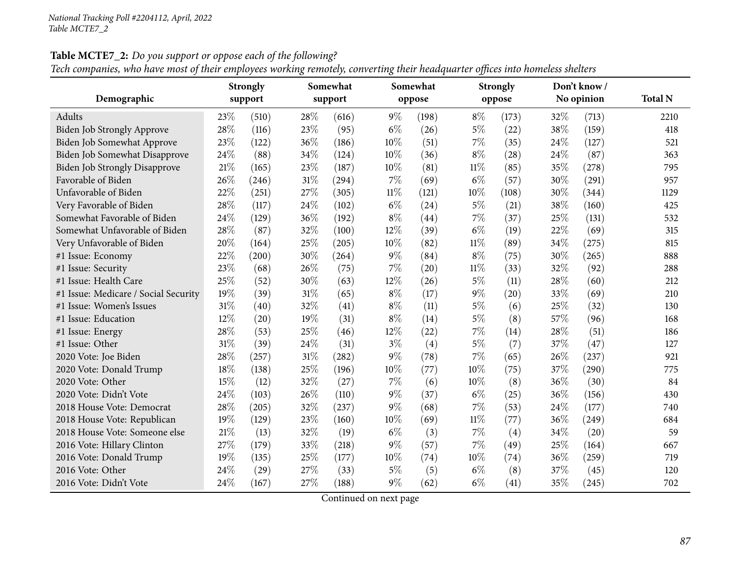|                                      | Somewhat<br><b>Strongly</b> |         |        |         | Somewhat |        | <b>Strongly</b> |        | Don't know / |            |                |
|--------------------------------------|-----------------------------|---------|--------|---------|----------|--------|-----------------|--------|--------------|------------|----------------|
| Demographic                          |                             | support |        | support |          | oppose |                 | oppose |              | No opinion | <b>Total N</b> |
| Adults                               | 23%                         | (510)   | 28\%   | (616)   | $9\%$    | (198)  | $8\%$           | (173)  | 32\%         | (713)      | 2210           |
| <b>Biden Job Strongly Approve</b>    | 28%                         | (116)   | 23%    | (95)    | $6\%$    | (26)   | $5\%$           | (22)   | 38%          | (159)      | 418            |
| Biden Job Somewhat Approve           | 23%                         | (122)   | 36%    | (186)   | 10%      | (51)   | 7%              | (35)   | 24%          | (127)      | 521            |
| Biden Job Somewhat Disapprove        | 24%                         | (88)    | 34%    | (124)   | 10%      | (36)   | $8\%$           | (28)   | 24\%         | (87)       | 363            |
| <b>Biden Job Strongly Disapprove</b> | 21\%                        | (165)   | 23%    | (187)   | 10%      | (81)   | $11\%$          | (85)   | 35%          | (278)      | 795            |
| Favorable of Biden                   | 26%                         | (246)   | $31\%$ | (294)   | $7\%$    | (69)   | $6\%$           | (57)   | 30%          | (291)      | 957            |
| Unfavorable of Biden                 | 22%                         | (251)   | 27%    | (305)   | $11\%$   | (121)  | $10\%$          | (108)  | 30%          | (344)      | 1129           |
| Very Favorable of Biden              | 28%                         | (117)   | 24%    | (102)   | $6\%$    | (24)   | $5\%$           | (21)   | 38%          | (160)      | 425            |
| Somewhat Favorable of Biden          | 24%                         | (129)   | 36%    | (192)   | $8\%$    | (44)   | 7%              | (37)   | 25%          | (131)      | 532            |
| Somewhat Unfavorable of Biden        | 28%                         | (87)    | 32%    | (100)   | 12%      | (39)   | $6\%$           | (19)   | 22%          | (69)       | 315            |
| Very Unfavorable of Biden            | 20%                         | (164)   | 25%    | (205)   | 10%      | (82)   | $11\%$          | (89)   | 34%          | (275)      | 815            |
| #1 Issue: Economy                    | 22%                         | (200)   | 30%    | (264)   | $9\%$    | (84)   | $8\%$           | (75)   | 30%          | (265)      | 888            |
| #1 Issue: Security                   | 23%                         | (68)    | 26%    | (75)    | $7\%$    | (20)   | 11%             | (33)   | 32%          | (92)       | 288            |
| #1 Issue: Health Care                | 25%                         | (52)    | 30%    | (63)    | 12%      | (26)   | $5\%$           | (11)   | 28%          | (60)       | 212            |
| #1 Issue: Medicare / Social Security | 19%                         | (39)    | 31%    | (65)    | $8\%$    | (17)   | $9\%$           | (20)   | 33%          | (69)       | 210            |
| #1 Issue: Women's Issues             | $31\%$                      | (40)    | 32%    | (41)    | $8\%$    | (11)   | $5\%$           | (6)    | 25%          | (32)       | 130            |
| #1 Issue: Education                  | 12%                         | (20)    | 19%    | (31)    | $8\%$    | (14)   | $5\%$           | (8)    | 57%          | (96)       | 168            |
| #1 Issue: Energy                     | 28%                         | (53)    | 25%    | (46)    | 12%      | (22)   | $7\%$           | (14)   | 28%          | (51)       | 186            |
| #1 Issue: Other                      | 31%                         | (39)    | 24%    | (31)    | $3\%$    | (4)    | $5\%$           | (7)    | 37\%         | (47)       | 127            |
| 2020 Vote: Joe Biden                 | 28%                         | (257)   | $31\%$ | (282)   | $9\%$    | (78)   | $7\%$           | (65)   | 26\%         | (237)      | 921            |
| 2020 Vote: Donald Trump              | 18%                         | (138)   | 25%    | (196)   | 10%      | (77)   | 10%             | (75)   | 37%          | (290)      | 775            |
| 2020 Vote: Other                     | 15%                         | (12)    | 32%    | (27)    | $7\%$    | (6)    | 10%             | (8)    | 36%          | (30)       | 84             |
| 2020 Vote: Didn't Vote               | 24%                         | (103)   | 26%    | (110)   | $9\%$    | (37)   | $6\%$           | (25)   | 36%          | (156)      | 430            |
| 2018 House Vote: Democrat            | 28%                         | (205)   | 32%    | (237)   | $9\%$    | (68)   | $7\%$           | (53)   | 24\%         | (177)      | 740            |
| 2018 House Vote: Republican          | 19%                         | (129)   | 23%    | (160)   | 10%      | (69)   | $11\%$          | (77)   | 36%          | (249)      | 684            |
| 2018 House Vote: Someone else        | 21%                         | (13)    | 32%    | (19)    | $6\%$    | (3)    | $7\%$           | (4)    | 34%          | (20)       | 59             |
| 2016 Vote: Hillary Clinton           | 27%                         | (179)   | 33%    | (218)   | $9\%$    | (57)   | $7\%$           | (49)   | 25%          | (164)      | 667            |
| 2016 Vote: Donald Trump              | 19%                         | (135)   | 25%    | (177)   | 10%      | (74)   | $10\%$          | (74)   | 36%          | (259)      | 719            |
| 2016 Vote: Other                     | 24%                         | (29)    | 27%    | (33)    | $5\%$    | (5)    | $6\%$           | (8)    | 37\%         | (45)       | 120            |
| 2016 Vote: Didn't Vote               | 24%                         | (167)   | 27%    | (188)   | $9\%$    | (62)   | $6\%$           | (41)   | 35%          | (245)      | 702            |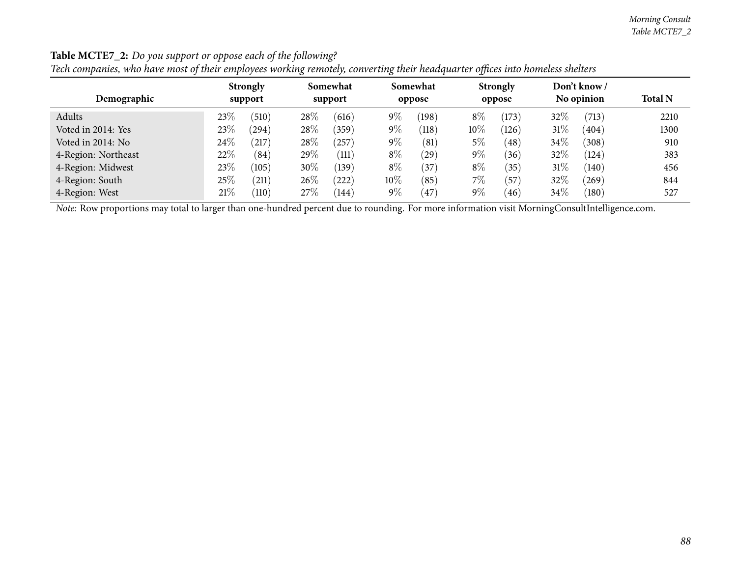#### *Morning Consult Table MCTE7\_2*

| Icen companies, who have most of their employees working remotely, converting their nealignment offices theo nomencs shelters |                 |                      |                                |                 |                   |                |  |  |  |  |  |  |  |
|-------------------------------------------------------------------------------------------------------------------------------|-----------------|----------------------|--------------------------------|-----------------|-------------------|----------------|--|--|--|--|--|--|--|
|                                                                                                                               | <b>Strongly</b> | Somewhat             | Somewhat                       | <b>Strongly</b> | Don't know/       |                |  |  |  |  |  |  |  |
| Demographic                                                                                                                   | support         | support              | oppose                         | oppose          | No opinion        | <b>Total N</b> |  |  |  |  |  |  |  |
| Adults                                                                                                                        | 23%<br>(510)    | $28\%$<br>(616)      | $9\%$<br>(198)                 | $8\%$<br>(173)  | 32%<br>(713)      | 2210           |  |  |  |  |  |  |  |
| Voted in 2014: Yes                                                                                                            | $23\%$<br>(294) | $28\%$<br>(359)      | $9\%$<br>$\langle 118 \rangle$ | $10\%$<br>(126) | 31%<br>(404)      | 1300           |  |  |  |  |  |  |  |
| Voted in 2014: No                                                                                                             | 24%<br>217      | $28\%$<br>$^{'}257)$ | $9\%$<br>$\left( 81\right)$    | 5%<br>(48)      | $34\%$<br>(308)   | 910            |  |  |  |  |  |  |  |
| 4-Region: Northeast                                                                                                           | 22\%<br>(84)    | 29\%<br>(111)        | $8\%$<br>$^{'}29)$             | $9\%$<br>(36)   | 32%<br>(124)      | 383            |  |  |  |  |  |  |  |
| 4-Region: Midwest                                                                                                             | 23%<br>(105)    | $30\%$<br>(139)      | $8\%$<br>$^{'}37$              | $8\%$<br>(35)   | 31%<br>(140)      | 456            |  |  |  |  |  |  |  |
| 4-Region: South                                                                                                               | $25\%$<br>(211) | 26\%<br>(222)        | 10%<br>(85)                    | $7\%$<br>(57)   | 32%<br>$^{(269)}$ | 844            |  |  |  |  |  |  |  |
| 4-Region: West                                                                                                                | 21%<br>(110)    | 27%<br>(144)         | $9\%$<br>47                    | $9\%$<br>(46)   | $34\%$<br>(180)   | 527            |  |  |  |  |  |  |  |

### **Table MCTE7\_2:** *Do you support or oppose each of the following?*

Tech companies, who have most of their emplovees working remotely, converting their headauarter offices into homeless shelters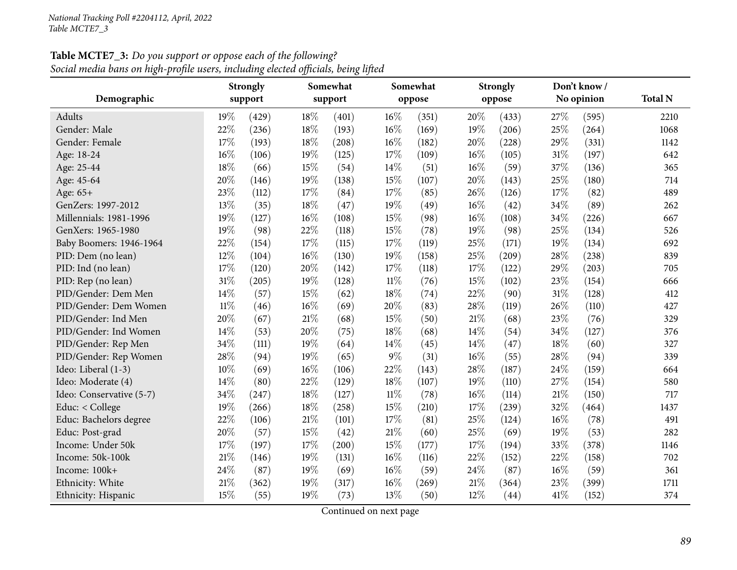| Demographic              | Somewhat<br><b>Strongly</b><br>support<br>support |       |     |       | Somewhat |        | <b>Strongly</b> |        | Don't know /<br>No opinion | <b>Total N</b> |      |
|--------------------------|---------------------------------------------------|-------|-----|-------|----------|--------|-----------------|--------|----------------------------|----------------|------|
|                          |                                                   |       |     |       |          | oppose |                 | oppose |                            |                |      |
| Adults                   | 19%                                               | (429) | 18% | (401) | 16%      | (351)  | 20%             | (433)  | 27%                        | (595)          | 2210 |
| Gender: Male             | 22%                                               | (236) | 18% | (193) | 16%      | (169)  | 19%             | (206)  | 25%                        | (264)          | 1068 |
| Gender: Female           | 17%                                               | (193) | 18% | (208) | 16%      | (182)  | 20%             | (228)  | 29%                        | (331)          | 1142 |
| Age: 18-24               | 16%                                               | (106) | 19% | (125) | 17%      | (109)  | $16\%$          | (105)  | 31%                        | (197)          | 642  |
| Age: 25-44               | 18%                                               | (66)  | 15% | (54)  | 14%      | (51)   | 16%             | (59)   | 37%                        | (136)          | 365  |
| Age: 45-64               | 20%                                               | (146) | 19% | (138) | 15%      | (107)  | 20%             | (143)  | 25%                        | (180)          | 714  |
| Age: 65+                 | 23%                                               | (112) | 17% | (84)  | 17%      | (85)   | 26%             | (126)  | 17%                        | (82)           | 489  |
| GenZers: 1997-2012       | 13%                                               | (35)  | 18% | (47)  | 19%      | (49)   | 16%             | (42)   | 34%                        | (89)           | 262  |
| Millennials: 1981-1996   | 19%                                               | (127) | 16% | (108) | 15%      | (98)   | 16%             | (108)  | 34%                        | (226)          | 667  |
| GenXers: 1965-1980       | 19%                                               | (98)  | 22% | (118) | 15%      | (78)   | 19%             | (98)   | 25%                        | (134)          | 526  |
| Baby Boomers: 1946-1964  | 22%                                               | (154) | 17% | (115) | 17%      | (119)  | 25%             | (171)  | 19%                        | (134)          | 692  |
| PID: Dem (no lean)       | 12%                                               | (104) | 16% | (130) | 19%      | (158)  | 25%             | (209)  | 28\%                       | (238)          | 839  |
| PID: Ind (no lean)       | 17%                                               | (120) | 20% | (142) | 17%      | (118)  | 17%             | (122)  | 29%                        | (203)          | 705  |
| PID: Rep (no lean)       | $31\%$                                            | (205) | 19% | (128) | $11\%$   | (76)   | 15%             | (102)  | 23%                        | (154)          | 666  |
| PID/Gender: Dem Men      | 14%                                               | (57)  | 15% | (62)  | 18%      | (74)   | 22%             | (90)   | 31%                        | (128)          | 412  |
| PID/Gender: Dem Women    | $11\%$                                            | (46)  | 16% | (69)  | 20%      | (83)   | 28%             | (119)  | 26%                        | (110)          | 427  |
| PID/Gender: Ind Men      | 20%                                               | (67)  | 21% | (68)  | 15%      | (50)   | 21%             | (68)   | 23%                        | (76)           | 329  |
| PID/Gender: Ind Women    | 14%                                               | (53)  | 20% | (75)  | 18%      | (68)   | 14%             | (54)   | 34%                        | (127)          | 376  |
| PID/Gender: Rep Men      | 34%                                               | (111) | 19% | (64)  | 14%      | (45)   | 14%             | (47)   | 18%                        | (60)           | 327  |
| PID/Gender: Rep Women    | 28%                                               | (94)  | 19% | (65)  | 9%       | (31)   | 16%             | (55)   | 28%                        | (94)           | 339  |
| Ideo: Liberal (1-3)      | 10%                                               | (69)  | 16% | (106) | 22%      | (143)  | 28%             | (187)  | 24%                        | (159)          | 664  |
| Ideo: Moderate (4)       | 14%                                               | (80)  | 22% | (129) | 18%      | (107)  | 19%             | (110)  | 27%                        | (154)          | 580  |
| Ideo: Conservative (5-7) | 34%                                               | (247) | 18% | (127) | $11\%$   | (78)   | 16%             | (114)  | 21%                        | (150)          | 717  |
| Educ: < College          | 19%                                               | (266) | 18% | (258) | 15%      | (210)  | 17%             | (239)  | 32%                        | (464)          | 1437 |
| Educ: Bachelors degree   | 22%                                               | (106) | 21% | (101) | 17%      | (81)   | 25%             | (124)  | 16%                        | (78)           | 491  |
| Educ: Post-grad          | 20%                                               | (57)  | 15% | (42)  | 21%      | (60)   | 25%             | (69)   | 19%                        | (53)           | 282  |
| Income: Under 50k        | 17%                                               | (197) | 17% | (200) | 15%      | (177)  | 17%             | (194)  | 33%                        | (378)          | 1146 |
| Income: 50k-100k         | 21%                                               | (146) | 19% | (131) | $16\%$   | (116)  | 22%             | (152)  | 22%                        | (158)          | 702  |
| Income: 100k+            | 24%                                               | (87)  | 19% | (69)  | 16%      | (59)   | 24%             | (87)   | $16\%$                     | (59)           | 361  |
| Ethnicity: White         | 21%                                               | (362) | 19% | (317) | 16%      | (269)  | 21%             | (364)  | 23%                        | (399)          | 1711 |
| Ethnicity: Hispanic      | 15%                                               | (55)  | 19% | (73)  | 13%      | (50)   | 12%             | (44)   | 41%                        | (152)          | 374  |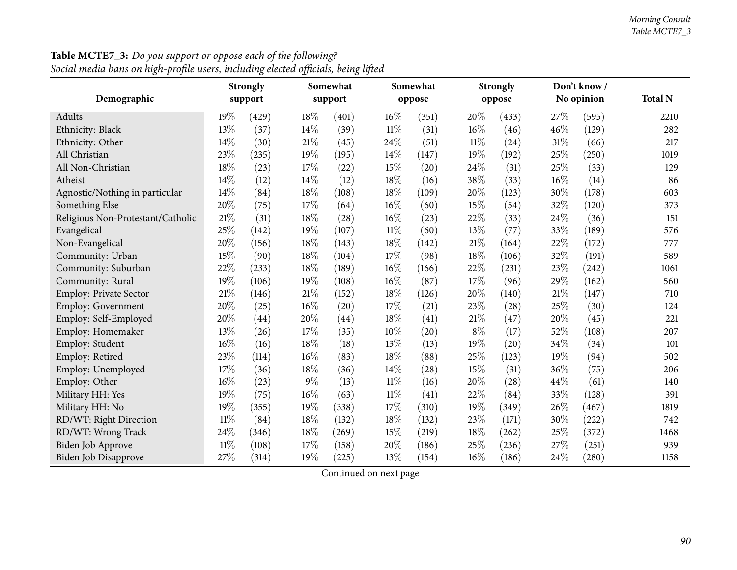|                                   | <b>Strongly</b> |         |        | Somewhat |        | Somewhat |        | <b>Strongly</b>    |     | Don't know/ |                |  |
|-----------------------------------|-----------------|---------|--------|----------|--------|----------|--------|--------------------|-----|-------------|----------------|--|
| Demographic                       |                 | support |        | support  |        | oppose   |        | oppose             |     | No opinion  | <b>Total N</b> |  |
| Adults                            | 19%             | (429)   | 18%    | (401)    | 16%    | (351)    | 20%    | (433)              | 27% | (595)       | 2210           |  |
| Ethnicity: Black                  | 13%             | (37)    | 14%    | (39)     | $11\%$ | (31)     | 16%    | (46)               | 46% | (129)       | 282            |  |
| Ethnicity: Other                  | 14%             | (30)    | $21\%$ | (45)     | 24%    | (51)     | $11\%$ | (24)               | 31% | (66)        | 217            |  |
| All Christian                     | 23%             | (235)   | 19%    | (195)    | 14\%   | (147)    | 19%    | (192)              | 25% | (250)       | 1019           |  |
| All Non-Christian                 | 18%             | (23)    | 17%    | (22)     | 15%    | (20)     | 24%    | (31)               | 25% | (33)        | 129            |  |
| Atheist                           | 14%             | (12)    | 14%    | (12)     | 18%    | (16)     | 38%    | (33)               | 16% | (14)        | 86             |  |
| Agnostic/Nothing in particular    | 14%             | (84)    | 18%    | (108)    | 18%    | (109)    | 20%    | (123)              | 30% | (178)       | 603            |  |
| Something Else                    | 20%             | (75)    | $17\%$ | (64)     | 16%    | (60)     | 15%    | (54)               | 32% | (120)       | 373            |  |
| Religious Non-Protestant/Catholic | 21%             | (31)    | 18%    | (28)     | 16%    | (23)     | 22%    | (33)               | 24% | (36)        | 151            |  |
| Evangelical                       | 25%             | (142)   | 19%    | (107)    | $11\%$ | (60)     | 13%    | (77)               | 33% | (189)       | 576            |  |
| Non-Evangelical                   | 20%             | (156)   | 18%    | (143)    | 18%    | (142)    | $21\%$ | (164)              | 22% | (172)       | 777            |  |
| Community: Urban                  | 15%             | (90)    | 18%    | (104)    | 17%    | (98)     | 18%    | (106)              | 32% | (191)       | 589            |  |
| Community: Suburban               | 22%             | (233)   | 18%    | (189)    | 16%    | (166)    | 22%    | (231)              | 23% | (242)       | 1061           |  |
| Community: Rural                  | 19%             | (106)   | 19%    | (108)    | 16%    | (87)     | 17%    | (96)               | 29% | (162)       | 560            |  |
| <b>Employ: Private Sector</b>     | 21%             | (146)   | $21\%$ | (152)    | 18%    | (126)    | 20%    | (140)              | 21% | (147)       | 710            |  |
| Employ: Government                | 20%             | (25)    | 16%    | (20)     | 17%    | (21)     | 23%    | (28)               | 25% | (30)        | 124            |  |
| Employ: Self-Employed             | 20%             | (44)    | 20%    | (44)     | 18%    | (41)     | $21\%$ | (47)               | 20% | (45)        | 221            |  |
| Employ: Homemaker                 | 13%             | (26)    | $17\%$ | (35)     | 10%    | (20)     | $8\%$  | (17)               | 52% | (108)       | 207            |  |
| Employ: Student                   | 16%             | (16)    | 18%    | (18)     | 13%    | (13)     | 19%    | $\left( 20\right)$ | 34% | (34)        | 101            |  |
| Employ: Retired                   | 23%             | (114)   | 16%    | (83)     | 18%    | (88)     | $25\%$ | (123)              | 19% | (94)        | 502            |  |
| Employ: Unemployed                | 17%             | (36)    | 18%    | (36)     | 14%    | (28)     | 15%    | (31)               | 36% | (75)        | 206            |  |
| Employ: Other                     | 16%             | (23)    | $9\%$  | (13)     | $11\%$ | (16)     | 20%    | (28)               | 44% | (61)        | 140            |  |
| Military HH: Yes                  | 19%             | (75)    | $16\%$ | (63)     | $11\%$ | (41)     | 22%    | (84)               | 33% | (128)       | 391            |  |
| Military HH: No                   | 19%             | (355)   | 19%    | (338)    | 17%    | (310)    | 19%    | (349)              | 26% | (467)       | 1819           |  |
| RD/WT: Right Direction            | $11\%$          | (84)    | 18%    | (132)    | 18%    | (132)    | 23%    | (171)              | 30% | (222)       | 742            |  |
| RD/WT: Wrong Track                | 24%             | (346)   | 18%    | (269)    | $15\%$ | (219)    | 18%    | (262)              | 25% | (372)       | 1468           |  |
| Biden Job Approve                 | $11\%$          | (108)   | 17%    | (158)    | 20%    | (186)    | 25%    | (236)              | 27% | (251)       | 939            |  |
| <b>Biden Job Disapprove</b>       | 27%             | (314)   | 19%    | (225)    | 13%    | (154)    | $16\%$ | (186)              | 24% | (280)       | 1158           |  |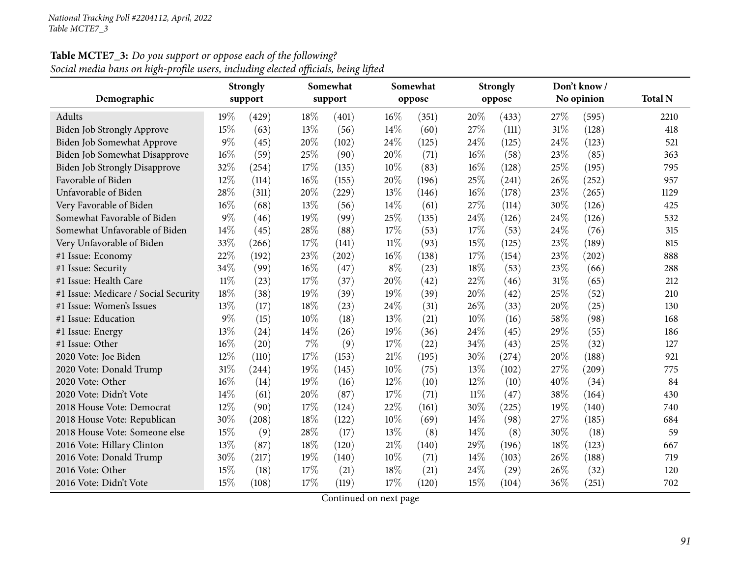|                                      | Somewhat<br><b>Strongly</b> |         |        | Somewhat |       | <b>Strongly</b> |        | Don't know / |      |            |                |
|--------------------------------------|-----------------------------|---------|--------|----------|-------|-----------------|--------|--------------|------|------------|----------------|
| Demographic                          |                             | support |        | support  |       | oppose          |        | oppose       |      | No opinion | <b>Total N</b> |
| Adults                               | $19\%$                      | (429)   | 18%    | (401)    | 16%   | (351)           | 20%    | (433)        | 27\% | (595)      | 2210           |
| <b>Biden Job Strongly Approve</b>    | 15%                         | (63)    | 13%    | (56)     | 14\%  | (60)            | 27%    | (111)        | 31%  | (128)      | 418            |
| Biden Job Somewhat Approve           | $9\%$                       | (45)    | 20%    | (102)    | 24%   | (125)           | 24%    | (125)        | 24%  | (123)      | 521            |
| Biden Job Somewhat Disapprove        | 16%                         | (59)    | 25%    | (90)     | 20%   | (71)            | $16\%$ | (58)         | 23%  | (85)       | 363            |
| <b>Biden Job Strongly Disapprove</b> | 32%                         | (254)   | 17%    | (135)    | 10%   | (83)            | 16%    | (128)        | 25%  | (195)      | 795            |
| Favorable of Biden                   | 12%                         | (114)   | 16%    | (155)    | 20%   | (196)           | 25%    | (241)        | 26\% | (252)      | 957            |
| Unfavorable of Biden                 | 28%                         | (311)   | 20%    | (229)    | 13%   | (146)           | 16%    | (178)        | 23%  | (265)      | 1129           |
| Very Favorable of Biden              | 16%                         | (68)    | 13%    | (56)     | 14\%  | (61)            | 27%    | (114)        | 30%  | (126)      | 425            |
| Somewhat Favorable of Biden          | $9\%$                       | (46)    | 19%    | (99)     | 25%   | (135)           | 24%    | (126)        | 24\% | (126)      | 532            |
| Somewhat Unfavorable of Biden        | 14%                         | (45)    | 28%    | (88)     | 17%   | (53)            | 17%    | (53)         | 24\% | (76)       | 315            |
| Very Unfavorable of Biden            | 33%                         | (266)   | 17%    | (141)    | 11%   | (93)            | 15%    | (125)        | 23%  | (189)      | 815            |
| #1 Issue: Economy                    | 22%                         | (192)   | 23%    | (202)    | 16%   | (138)           | 17%    | (154)        | 23%  | (202)      | 888            |
| #1 Issue: Security                   | 34%                         | (99)    | $16\%$ | (47)     | $8\%$ | (23)            | 18%    | (53)         | 23%  | (66)       | 288            |
| #1 Issue: Health Care                | $11\%$                      | (23)    | 17%    | (37)     | 20%   | (42)            | 22%    | (46)         | 31%  | (65)       | 212            |
| #1 Issue: Medicare / Social Security | 18%                         | (38)    | 19%    | (39)     | 19%   | (39)            | 20%    | (42)         | 25%  | (52)       | 210            |
| #1 Issue: Women's Issues             | 13%                         | (17)    | 18%    | (23)     | 24\%  | (31)            | 26\%   | (33)         | 20%  | (25)       | 130            |
| #1 Issue: Education                  | $9\%$                       | (15)    | $10\%$ | (18)     | 13%   | (21)            | 10%    | (16)         | 58%  | (98)       | 168            |
| #1 Issue: Energy                     | 13%                         | (24)    | 14\%   | (26)     | 19%   | (36)            | 24%    | (45)         | 29%  | (55)       | 186            |
| #1 Issue: Other                      | 16%                         | (20)    | $7\%$  | (9)      | 17%   | (22)            | 34\%   | (43)         | 25%  | (32)       | 127            |
| 2020 Vote: Joe Biden                 | 12%                         | (110)   | 17%    | (153)    | 21%   | (195)           | 30%    | (274)        | 20%  | (188)      | 921            |
| 2020 Vote: Donald Trump              | $31\%$                      | (244)   | 19%    | (145)    | 10%   | (75)            | 13%    | (102)        | 27%  | (209)      | 775            |
| 2020 Vote: Other                     | 16%                         | (14)    | 19%    | (16)     | 12%   | (10)            | 12\%   | (10)         | 40%  | (34)       | 84             |
| 2020 Vote: Didn't Vote               | 14%                         | (61)    | 20%    | (87)     | 17%   | (71)            | $11\%$ | (47)         | 38%  | (164)      | 430            |
| 2018 House Vote: Democrat            | 12%                         | (90)    | 17\%   | (124)    | 22%   | (161)           | 30%    | (225)        | 19%  | (140)      | 740            |
| 2018 House Vote: Republican          | 30%                         | (208)   | 18%    | (122)    | 10%   | (69)            | 14\%   | (98)         | 27%  | (185)      | 684            |
| 2018 House Vote: Someone else        | 15%                         | (9)     | 28%    | (17)     | 13%   | (8)             | 14%    | (8)          | 30%  | (18)       | 59             |
| 2016 Vote: Hillary Clinton           | 13%                         | (87)    | 18%    | (120)    | 21%   | (140)           | 29%    | (196)        | 18%  | (123)      | 667            |
| 2016 Vote: Donald Trump              | 30%                         | (217)   | 19%    | (140)    | 10%   | (71)            | 14\%   | (103)        | 26%  | (188)      | 719            |
| 2016 Vote: Other                     | 15%                         | (18)    | 17%    | (21)     | 18%   | (21)            | 24%    | (29)         | 26%  | (32)       | 120            |
| 2016 Vote: Didn't Vote               | 15%                         | (108)   | 17\%   | (119)    | 17%   | (120)           | 15%    | (104)        | 36%  | (251)      | 702            |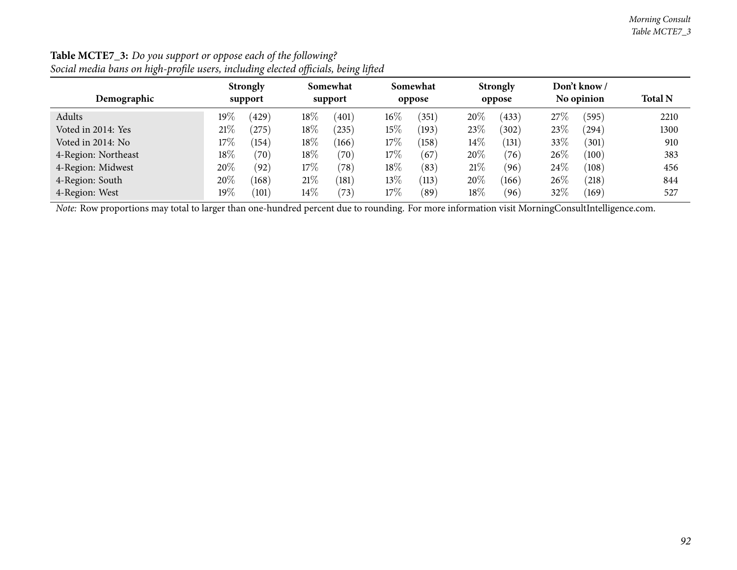| $\circ$             | $\circ$                    | $\prime$<br>$\bullet$ |                    |                           |                            |                |
|---------------------|----------------------------|-----------------------|--------------------|---------------------------|----------------------------|----------------|
| Demographic         | <b>Strongly</b><br>support | Somewhat<br>support   | Somewhat<br>oppose | <b>Strongly</b><br>oppose | Don't know /<br>No opinion | <b>Total N</b> |
| Adults              | 19 $\%$<br>(429)           | $18\%$<br>(401)       | $16\%$<br>(351)    | 20%<br>(433)              | 27\%<br>(595)              | 2210           |
| Voted in 2014: Yes  | 21%<br>$^{'}275$           | 18\%<br>$^{(235)}$    | $15\%$<br>(193)    | 23%<br>(302)              | 23%<br>$^{(294)}$          | 1300           |
| Voted in 2014: No   | $17\%$<br>(154)            | 18\%<br>(166)         | $17\%$<br>(158)    | $14\%$<br>(131)           | $33\%$<br>(301)            | 910            |
| 4-Region: Northeast | 18\%<br>(70)               | 18\%<br>(70)          | $17\%$<br>(67)     | 20%<br>(76)               | $26\%$<br>(100)            | 383            |
| 4-Region: Midwest   | 20%<br>(92)                | 17%<br>(78)           | 18%<br>(83)        | 21\%<br>(96)              | $24\%$<br>(108)            | 456            |
| 4-Region: South     | 20%<br>(168)               | 21%<br>(181)          | $13\%$<br>(113)    | 20%<br>(166)              | $26\%$<br>(218)            | 844            |
| 4-Region: West      | 19 $\%$<br>(101)           | $14\%$<br>(73)        | $17\%$<br>(89)     | $18\%$<br>(96)            | 32%<br>(169)               | 527            |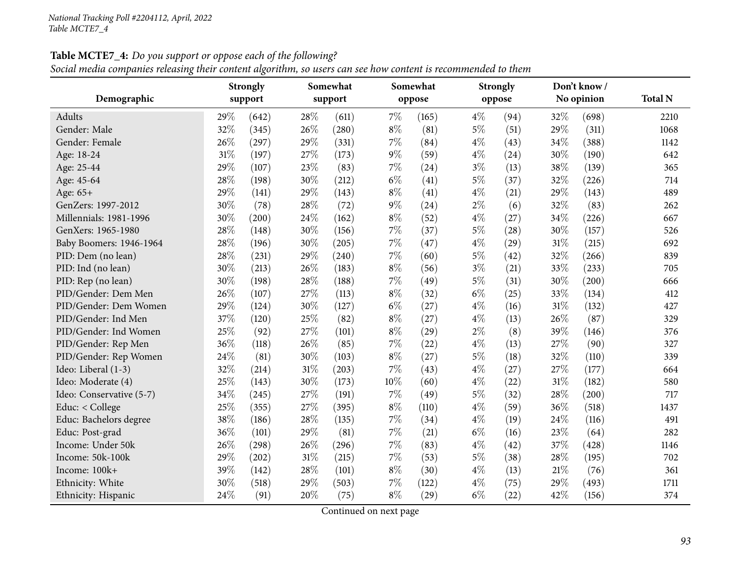Social media companies releasing their content algorithm, so users can see how content is recommended to them

| Demographic              | <b>Strongly</b><br>support |       | Somewhat<br>support |       |       | Somewhat<br>oppose |       | <b>Strongly</b><br>oppose |     | Don't know /<br>No opinion | <b>Total N</b> |
|--------------------------|----------------------------|-------|---------------------|-------|-------|--------------------|-------|---------------------------|-----|----------------------------|----------------|
|                          |                            |       |                     |       |       |                    |       |                           |     |                            |                |
| Adults                   | 29%                        | (642) | 28\%                | (611) | $7\%$ | (165)              | $4\%$ | (94)                      | 32% | (698)                      | 2210           |
| Gender: Male             | 32%                        | (345) | 26%                 | (280) | $8\%$ | (81)               | $5\%$ | (51)                      | 29% | (311)                      | 1068           |
| Gender: Female           | 26%                        | (297) | 29%                 | (331) | $7\%$ | (84)               | $4\%$ | (43)                      | 34% | (388)                      | 1142           |
| Age: 18-24               | 31%                        | (197) | 27%                 | (173) | $9\%$ | (59)               | $4\%$ | (24)                      | 30% | (190)                      | 642            |
| Age: 25-44               | 29%                        | (107) | 23%                 | (83)  | $7\%$ | (24)               | $3\%$ | (13)                      | 38% | (139)                      | 365            |
| Age: 45-64               | 28%                        | (198) | 30%                 | (212) | $6\%$ | (41)               | $5\%$ | (37)                      | 32% | (226)                      | 714            |
| Age: 65+                 | 29%                        | (141) | 29%                 | (143) | $8\%$ | (41)               | $4\%$ | (21)                      | 29% | (143)                      | 489            |
| GenZers: 1997-2012       | 30%                        | (78)  | 28%                 | (72)  | $9\%$ | (24)               | $2\%$ | (6)                       | 32% | (83)                       | 262            |
| Millennials: 1981-1996   | 30%                        | (200) | 24%                 | (162) | $8\%$ | (52)               | $4\%$ | (27)                      | 34% | (226)                      | 667            |
| GenXers: 1965-1980       | 28%                        | (148) | 30%                 | (156) | $7\%$ | (37)               | $5\%$ | (28)                      | 30% | (157)                      | 526            |
| Baby Boomers: 1946-1964  | 28%                        | (196) | 30%                 | (205) | $7\%$ | (47)               | $4\%$ | (29)                      | 31% | (215)                      | 692            |
| PID: Dem (no lean)       | 28%                        | (231) | 29%                 | (240) | $7\%$ | (60)               | $5\%$ | (42)                      | 32% | (266)                      | 839            |
| PID: Ind (no lean)       | 30%                        | (213) | 26%                 | (183) | $8\%$ | (56)               | $3\%$ | (21)                      | 33% | (233)                      | 705            |
| PID: Rep (no lean)       | 30%                        | (198) | 28%                 | (188) | $7\%$ | (49)               | $5\%$ | (31)                      | 30% | (200)                      | 666            |
| PID/Gender: Dem Men      | 26%                        | (107) | 27%                 | (113) | $8\%$ | (32)               | $6\%$ | (25)                      | 33% | (134)                      | 412            |
| PID/Gender: Dem Women    | 29%                        | (124) | 30%                 | (127) | $6\%$ | (27)               | $4\%$ | (16)                      | 31% | (132)                      | 427            |
| PID/Gender: Ind Men      | 37%                        | (120) | 25%                 | (82)  | $8\%$ | (27)               | $4\%$ | (13)                      | 26% | (87)                       | 329            |
| PID/Gender: Ind Women    | 25%                        | (92)  | 27%                 | (101) | $8\%$ | (29)               | $2\%$ | (8)                       | 39% | (146)                      | 376            |
| PID/Gender: Rep Men      | 36%                        | (118) | 26%                 | (85)  | $7\%$ | (22)               | $4\%$ | (13)                      | 27% | (90)                       | 327            |
| PID/Gender: Rep Women    | 24%                        | (81)  | 30%                 | (103) | $8\%$ | (27)               | $5\%$ | (18)                      | 32% | (110)                      | 339            |
| Ideo: Liberal (1-3)      | 32%                        | (214) | 31%                 | (203) | 7%    | (43)               | $4\%$ | (27)                      | 27% | (177)                      | 664            |
| Ideo: Moderate (4)       | 25%                        | (143) | 30%                 | (173) | 10%   | (60)               | $4\%$ | (22)                      | 31% | (182)                      | 580            |
| Ideo: Conservative (5-7) | 34%                        | (245) | 27%                 | (191) | $7\%$ | (49)               | $5\%$ | (32)                      | 28% | (200)                      | 717            |
| Educ: < College          | 25%                        | (355) | 27%                 | (395) | $8\%$ | (110)              | $4\%$ | (59)                      | 36% | (518)                      | 1437           |
| Educ: Bachelors degree   | 38%                        | (186) | 28%                 | (135) | 7%    | (34)               | $4\%$ | (19)                      | 24% | (116)                      | 491            |
| Educ: Post-grad          | 36%                        | (101) | 29%                 | (81)  | 7%    | (21)               | $6\%$ | (16)                      | 23% | (64)                       | 282            |
| Income: Under 50k        | 26%                        | (298) | 26%                 | (296) | 7%    | (83)               | $4\%$ | (42)                      | 37% | (428)                      | 1146           |
| Income: 50k-100k         | 29%                        | (202) | 31%                 | (215) | $7\%$ | (53)               | $5\%$ | (38)                      | 28% | (195)                      | 702            |
| Income: 100k+            | 39%                        | (142) | 28%                 | (101) | $8\%$ | (30)               | $4\%$ | (13)                      | 21% | (76)                       | 361            |
| Ethnicity: White         | 30%                        | (518) | 29%                 | (503) | $7\%$ | (122)              | $4\%$ | (75)                      | 29% | (493)                      | 1711           |
| Ethnicity: Hispanic      | 24\%                       | (91)  | 20%                 | (75)  | $8\%$ | (29)               | $6\%$ | (22)                      | 42% | (156)                      | 374            |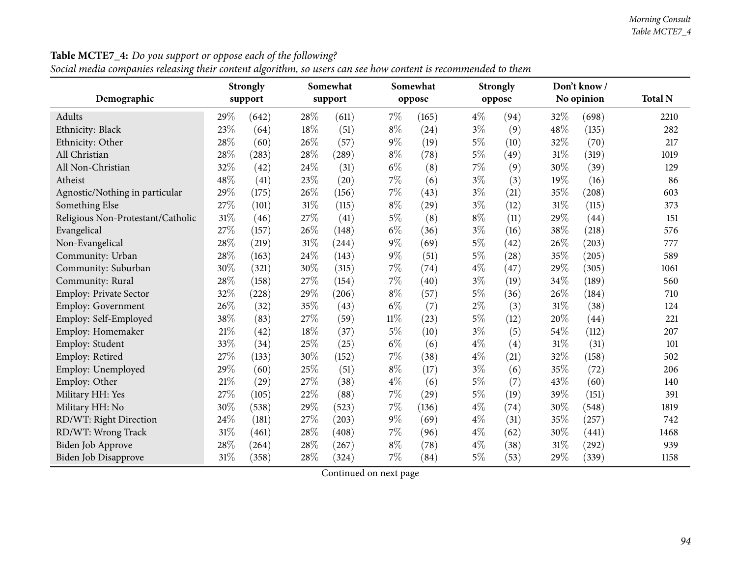|                                   |     | <b>Strongly</b> |        | Somewhat |        | Somewhat |       | <b>Strongly</b> |     | Don't know/ |                |
|-----------------------------------|-----|-----------------|--------|----------|--------|----------|-------|-----------------|-----|-------------|----------------|
| Demographic                       |     | support         |        | support  |        | oppose   |       | oppose          |     | No opinion  | <b>Total N</b> |
| Adults                            | 29% | (642)           | 28%    | (611)    | $7\%$  | (165)    | $4\%$ | (94)            | 32% | (698)       | 2210           |
| Ethnicity: Black                  | 23% | (64)            | 18%    | (51)     | $8\%$  | (24)     | $3\%$ | (9)             | 48% | (135)       | 282            |
| Ethnicity: Other                  | 28% | (60)            | 26%    | (57)     | $9\%$  | (19)     | $5\%$ | (10)            | 32% | (70)        | 217            |
| All Christian                     | 28% | (283)           | 28%    | (289)    | $8\%$  | (78)     | $5\%$ | (49)            | 31% | (319)       | 1019           |
| All Non-Christian                 | 32% | (42)            | 24%    | (31)     | $6\%$  | (8)      | 7%    | (9)             | 30% | (39)        | 129            |
| Atheist                           | 48% | (41)            | 23%    | (20)     | $7\%$  | (6)      | $3\%$ | (3)             | 19% | (16)        | 86             |
| Agnostic/Nothing in particular    | 29% | (175)           | 26%    | (156)    | $7\%$  | (43)     | $3\%$ | (21)            | 35% | (208)       | 603            |
| Something Else                    | 27% | (101)           | $31\%$ | (115)    | $8\%$  | (29)     | $3\%$ | (12)            | 31% | (115)       | 373            |
| Religious Non-Protestant/Catholic | 31% | (46)            | 27%    | (41)     | $5\%$  | (8)      | $8\%$ | (11)            | 29% | (44)        | 151            |
| Evangelical                       | 27% | (157)           | 26%    | (148)    | $6\%$  | (36)     | $3\%$ | (16)            | 38% | (218)       | 576            |
| Non-Evangelical                   | 28% | (219)           | $31\%$ | (244)    | $9\%$  | (69)     | $5\%$ | (42)            | 26% | (203)       | 777            |
| Community: Urban                  | 28% | (163)           | 24%    | (143)    | $9\%$  | (51)     | $5\%$ | (28)            | 35% | (205)       | 589            |
| Community: Suburban               | 30% | (321)           | 30%    | (315)    | $7\%$  | (74)     | $4\%$ | (47)            | 29% | (305)       | 1061           |
| Community: Rural                  | 28% | (158)           | 27%    | (154)    | $7\%$  | (40)     | $3\%$ | (19)            | 34% | (189)       | 560            |
| Employ: Private Sector            | 32% | (228)           | 29%    | (206)    | $8\%$  | (57)     | $5\%$ | (36)            | 26% | (184)       | 710            |
| Employ: Government                | 26% | (32)            | 35%    | (43)     | $6\%$  | (7)      | $2\%$ | (3)             | 31% | (38)        | 124            |
| Employ: Self-Employed             | 38% | (83)            | 27%    | (59)     | $11\%$ | (23)     | $5\%$ | (12)            | 20% | (44)        | 221            |
| Employ: Homemaker                 | 21% | (42)            | 18%    | (37)     | $5\%$  | (10)     | $3\%$ | (5)             | 54% | (112)       | 207            |
| Employ: Student                   | 33% | (34)            | 25%    | (25)     | $6\%$  | (6)      | $4\%$ | (4)             | 31% | (31)        | 101            |
| Employ: Retired                   | 27% | (133)           | 30%    | (152)    | $7\%$  | (38)     | $4\%$ | (21)            | 32% | (158)       | 502            |
| Employ: Unemployed                | 29% | (60)            | $25\%$ | (51)     | $8\%$  | (17)     | $3\%$ | (6)             | 35% | (72)        | 206            |
| Employ: Other                     | 21% | (29)            | 27%    | (38)     | $4\%$  | (6)      | $5\%$ | (7)             | 43% | (60)        | 140            |
| Military HH: Yes                  | 27% | (105)           | 22%    | (88)     | $7\%$  | (29)     | $5\%$ | (19)            | 39% | (151)       | 391            |
| Military HH: No                   | 30% | (538)           | 29%    | (523)    | $7\%$  | (136)    | $4\%$ | (74)            | 30% | (548)       | 1819           |
| RD/WT: Right Direction            | 24% | (181)           | 27%    | (203)    | $9\%$  | (69)     | $4\%$ | (31)            | 35% | (257)       | 742            |
| RD/WT: Wrong Track                | 31% | (461)           | 28%    | (408)    | 7%     | (96)     | $4\%$ | (62)            | 30% | (441)       | 1468           |
| Biden Job Approve                 | 28% | (264)           | 28%    | (267)    | $8\%$  | (78)     | $4\%$ | (38)            | 31% | (292)       | 939            |
| <b>Biden Job Disapprove</b>       | 31% | (358)           | 28%    | (324)    | $7\%$  | (84)     | $5\%$ | (53)            | 29% | (339)       | 1158           |

Social media companies releasing their content algorithm, so users can see how content is recommended to them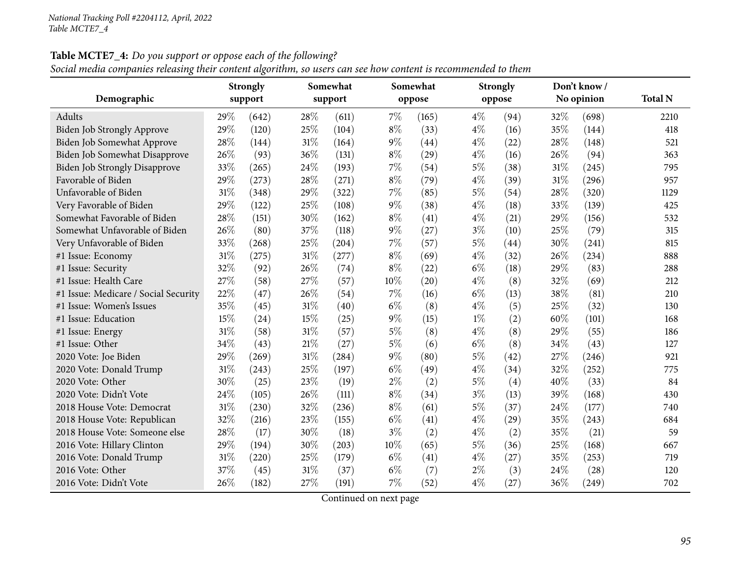Social media companies releasing their content algorithm, so users can see how content is recommended to them

|                                      | Somewhat<br><b>Strongly</b> |         |     | Somewhat |        | <b>Strongly</b> |       | Don't know / |      |            |                |
|--------------------------------------|-----------------------------|---------|-----|----------|--------|-----------------|-------|--------------|------|------------|----------------|
| Demographic                          |                             | support |     | support  |        | oppose          |       | oppose       |      | No opinion | <b>Total N</b> |
| Adults                               | 29%                         | (642)   | 28% | (611)    | $7\%$  | (165)           | $4\%$ | (94)         | 32%  | (698)      | 2210           |
| Biden Job Strongly Approve           | 29%                         | (120)   | 25% | (104)    | $8\%$  | (33)            | $4\%$ | (16)         | 35%  | (144)      | 418            |
| Biden Job Somewhat Approve           | 28%                         | (144)   | 31% | (164)    | $9\%$  | (44)            | $4\%$ | (22)         | 28%  | (148)      | 521            |
| Biden Job Somewhat Disapprove        | 26%                         | (93)    | 36% | (131)    | $8\%$  | (29)            | $4\%$ | (16)         | 26%  | (94)       | 363            |
| <b>Biden Job Strongly Disapprove</b> | 33%                         | (265)   | 24% | (193)    | 7%     | (54)            | $5\%$ | (38)         | 31%  | (245)      | 795            |
| Favorable of Biden                   | 29%                         | (273)   | 28% | (271)    | $8\%$  | (79)            | $4\%$ | (39)         | 31%  | (296)      | 957            |
| Unfavorable of Biden                 | 31%                         | (348)   | 29% | (322)    | 7%     | (85)            | $5\%$ | (54)         | 28%  | (320)      | 1129           |
| Very Favorable of Biden              | 29%                         | (122)   | 25% | (108)    | $9\%$  | (38)            | $4\%$ | (18)         | 33%  | (139)      | 425            |
| Somewhat Favorable of Biden          | 28%                         | (151)   | 30% | (162)    | $8\%$  | (41)            | $4\%$ | (21)         | 29%  | (156)      | 532            |
| Somewhat Unfavorable of Biden        | 26\%                        | (80)    | 37% | (118)    | $9\%$  | (27)            | $3\%$ | (10)         | 25%  | (79)       | 315            |
| Very Unfavorable of Biden            | 33%                         | (268)   | 25% | (204)    | 7%     | (57)            | $5\%$ | (44)         | 30%  | (241)      | 815            |
| #1 Issue: Economy                    | $31\%$                      | (275)   | 31% | (277)    | $8\%$  | (69)            | $4\%$ | (32)         | 26%  | (234)      | 888            |
| #1 Issue: Security                   | 32%                         | (92)    | 26% | (74)     | $8\%$  | (22)            | $6\%$ | (18)         | 29%  | (83)       | 288            |
| #1 Issue: Health Care                | 27%                         | (58)    | 27% | (57)     | 10%    | (20)            | $4\%$ | (8)          | 32%  | (69)       | 212            |
| #1 Issue: Medicare / Social Security | 22%                         | (47)    | 26% | (54)     | 7%     | (16)            | $6\%$ | (13)         | 38%  | (81)       | 210            |
| #1 Issue: Women's Issues             | 35%                         | (45)    | 31% | (40)     | $6\%$  | (8)             | $4\%$ | (5)          | 25%  | (32)       | 130            |
| #1 Issue: Education                  | 15%                         | (24)    | 15% | (25)     | $9\%$  | (15)            | $1\%$ | (2)          | 60%  | (101)      | 168            |
| #1 Issue: Energy                     | 31%                         | (58)    | 31% | (57)     | $5\%$  | (8)             | $4\%$ | (8)          | 29%  | (55)       | 186            |
| #1 Issue: Other                      | 34%                         | (43)    | 21% | (27)     | $5\%$  | (6)             | $6\%$ | (8)          | 34%  | (43)       | 127            |
| 2020 Vote: Joe Biden                 | 29%                         | (269)   | 31% | (284)    | $9\%$  | (80)            | $5\%$ | (42)         | 27%  | (246)      | 921            |
| 2020 Vote: Donald Trump              | 31%                         | (243)   | 25% | (197)    | $6\%$  | (49)            | $4\%$ | (34)         | 32%  | (252)      | 775            |
| 2020 Vote: Other                     | 30%                         | (25)    | 23% | (19)     | $2\%$  | (2)             | $5\%$ | (4)          | 40%  | (33)       | 84             |
| 2020 Vote: Didn't Vote               | 24%                         | (105)   | 26% | (111)    | $8\%$  | (34)            | $3\%$ | (13)         | 39%  | (168)      | 430            |
| 2018 House Vote: Democrat            | 31%                         | (230)   | 32% | (236)    | $8\%$  | (61)            | $5\%$ | (37)         | 24\% | (177)      | 740            |
| 2018 House Vote: Republican          | 32%                         | (216)   | 23% | (155)    | $6\%$  | (41)            | $4\%$ | (29)         | 35%  | (243)      | 684            |
| 2018 House Vote: Someone else        | 28%                         | (17)    | 30% | (18)     | $3\%$  | (2)             | $4\%$ | (2)          | 35%  | (21)       | 59             |
| 2016 Vote: Hillary Clinton           | 29%                         | (194)   | 30% | (203)    | $10\%$ | (65)            | $5\%$ | (36)         | 25%  | (168)      | 667            |
| 2016 Vote: Donald Trump              | 31%                         | (220)   | 25% | (179)    | $6\%$  | (41)            | $4\%$ | (27)         | 35%  | (253)      | 719            |
| 2016 Vote: Other                     | 37%                         | (45)    | 31% | (37)     | $6\%$  | (7)             | $2\%$ | (3)          | 24\% | (28)       | 120            |
| 2016 Vote: Didn't Vote               | 26%                         | (182)   | 27% | (191)    | 7%     | (52)            | $4\%$ | (27)         | 36%  | (249)      | 702            |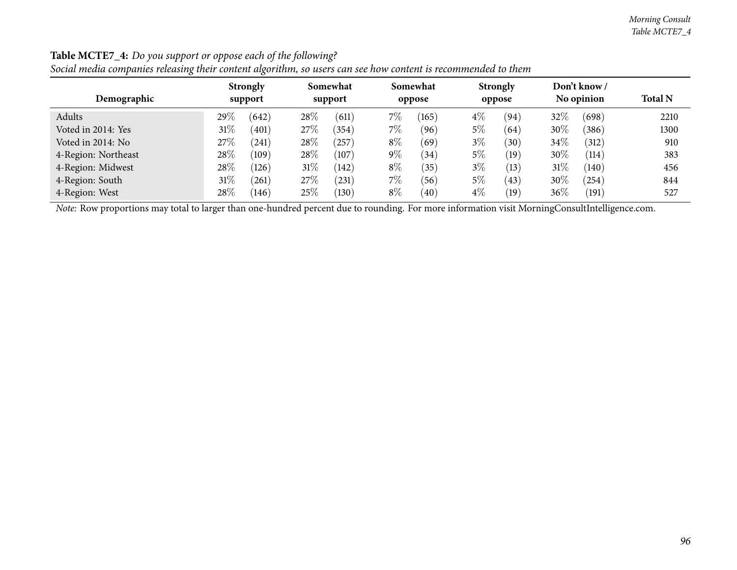| Demographic         | <b>Strongly</b><br>support | Somewhat<br>support  | Somewhat<br>oppose          | <b>Strongly</b><br>oppose | Don't know /<br>No opinion | <b>Total N</b> |
|---------------------|----------------------------|----------------------|-----------------------------|---------------------------|----------------------------|----------------|
| Adults              | 29\%<br>(642)              | 28\%<br>(611)        | 7%<br>(165)                 | $4\%$<br>(94)             | 32\%<br>(698)              | 2210           |
| Voted in 2014: Yes  | $31\%$<br>(401)            | $27\%$<br>(354)      | $7\%$<br>(96)               | $5\%$<br>(64)             | 30%<br>(386)               | 1300           |
| Voted in 2014: No   | 27\%<br>(241)              | $28\%$<br>$^{'}257)$ | $8\%$<br>(69)               | $3\%$<br>(30)             | $34\%$<br>(312)            | 910            |
| 4-Region: Northeast | 28\%<br>(109)              | $28\%$<br>(107)      | $9\%$<br>(34)               | $5\%$<br>(19)             | 30\%<br>(114)              | 383            |
| 4-Region: Midwest   | 28\%<br>(126)              | $31\%$<br>(142)      | $8\%$<br>(35)               | $3\%$<br>(13)             | 31\%<br>(140)              | 456            |
| 4-Region: South     | $31\%$<br>261              | $27\%$<br>(231)      | $7\%$<br>(56)               | $5\%$<br>(43)             | 30\%<br>(254)              | 844            |
| 4-Region: West      | $28\%$<br>(146)            | $25\%$<br>(130)      | $8\%$<br>$\left( 40\right)$ | $4\%$<br>(19)             | $36\%$<br>(191)            | 527            |

Social media companies releasing their content algorithm, so users can see how content is recommended to them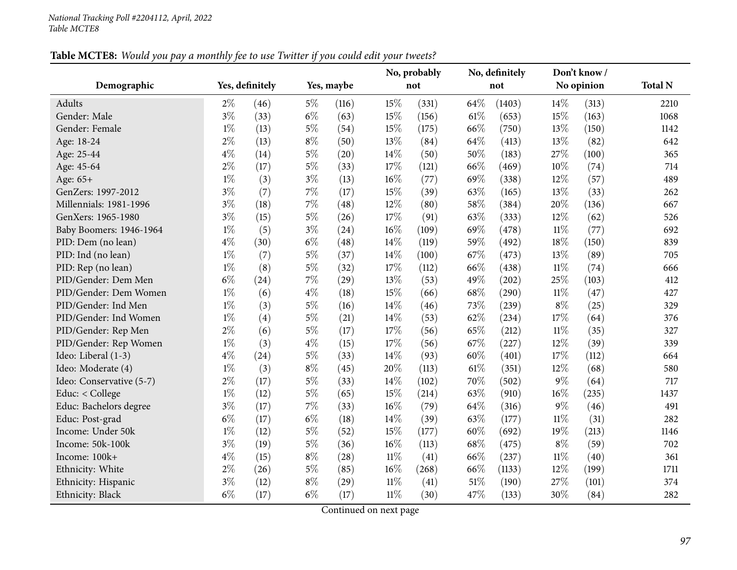|                          |       |                 |       |            |        | No, probably |      | No, definitely |        | Don't know / |                |
|--------------------------|-------|-----------------|-------|------------|--------|--------------|------|----------------|--------|--------------|----------------|
| Demographic              |       | Yes, definitely |       | Yes, maybe |        | not          |      | not            |        | No opinion   | <b>Total N</b> |
| Adults                   | $2\%$ | (46)            | $5\%$ | (116)      | 15%    | (331)        | 64\% | (1403)         | 14\%   | (313)        | 2210           |
| Gender: Male             | $3\%$ | (33)            | $6\%$ | (63)       | 15%    | (156)        | 61%  | (653)          | 15%    | (163)        | 1068           |
| Gender: Female           | $1\%$ | (13)            | $5\%$ | (54)       | 15%    | (175)        | 66%  | (750)          | 13%    | (150)        | 1142           |
| Age: 18-24               | $2\%$ | (13)            | $8\%$ | (50)       | 13%    | (84)         | 64%  | (413)          | 13%    | (82)         | 642            |
| Age: 25-44               | $4\%$ | (14)            | $5\%$ | (20)       | 14%    | (50)         | 50%  | (183)          | 27%    | (100)        | 365            |
| Age: 45-64               | $2\%$ | (17)            | $5\%$ | (33)       | 17%    | (121)        | 66%  | (469)          | 10%    | (74)         | 714            |
| Age: 65+                 | $1\%$ | (3)             | $3\%$ | (13)       | 16%    | (77)         | 69%  | (338)          | 12%    | (57)         | 489            |
| GenZers: 1997-2012       | $3\%$ | (7)             | 7%    | (17)       | 15%    | (39)         | 63%  | (165)          | 13%    | (33)         | 262            |
| Millennials: 1981-1996   | $3\%$ | (18)            | 7%    | (48)       | 12%    | (80)         | 58%  | (384)          | 20%    | (136)        | 667            |
| GenXers: 1965-1980       | $3\%$ | (15)            | $5\%$ | (26)       | 17%    | (91)         | 63%  | (333)          | 12%    | (62)         | 526            |
| Baby Boomers: 1946-1964  | $1\%$ | (5)             | $3\%$ | (24)       | 16%    | (109)        | 69%  | (478)          | $11\%$ | (77)         | 692            |
| PID: Dem (no lean)       | $4\%$ | (30)            | $6\%$ | (48)       | 14%    | (119)        | 59%  | (492)          | 18%    | (150)        | 839            |
| PID: Ind (no lean)       | $1\%$ | (7)             | $5\%$ | (37)       | 14%    | (100)        | 67%  | (473)          | 13%    | (89)         | 705            |
| PID: Rep (no lean)       | $1\%$ | (8)             | $5\%$ | (32)       | 17%    | (112)        | 66%  | (438)          | $11\%$ | (74)         | 666            |
| PID/Gender: Dem Men      | $6\%$ | (24)            | $7\%$ | (29)       | 13%    | (53)         | 49%  | (202)          | 25%    | (103)        | 412            |
| PID/Gender: Dem Women    | $1\%$ | (6)             | $4\%$ | (18)       | 15%    | (66)         | 68%  | (290)          | $11\%$ | (47)         | 427            |
| PID/Gender: Ind Men      | $1\%$ | (3)             | $5\%$ | (16)       | 14%    | (46)         | 73%  | (239)          | $8\%$  | (25)         | 329            |
| PID/Gender: Ind Women    | $1\%$ | (4)             | $5\%$ | (21)       | 14%    | (53)         | 62%  | (234)          | 17%    | (64)         | 376            |
| PID/Gender: Rep Men      | $2\%$ | (6)             | $5\%$ | (17)       | 17%    | (56)         | 65%  | (212)          | $11\%$ | (35)         | 327            |
| PID/Gender: Rep Women    | $1\%$ | (3)             | $4\%$ | (15)       | 17%    | (56)         | 67%  | (227)          | 12%    | (39)         | 339            |
| Ideo: Liberal (1-3)      | $4\%$ | (24)            | $5\%$ | (33)       | 14%    | (93)         | 60%  | (401)          | 17%    | (112)        | 664            |
| Ideo: Moderate (4)       | $1\%$ | (3)             | $8\%$ | (45)       | 20%    | (113)        | 61%  | (351)          | 12%    | (68)         | 580            |
| Ideo: Conservative (5-7) | $2\%$ | (17)            | $5\%$ | (33)       | 14%    | (102)        | 70%  | (502)          | $9\%$  | (64)         | 717            |
| Educ: < College          | $1\%$ | (12)            | $5\%$ | (65)       | 15%    | (214)        | 63%  | (910)          | 16%    | (235)        | 1437           |
| Educ: Bachelors degree   | $3\%$ | (17)            | $7\%$ | (33)       | 16%    | (79)         | 64%  | (316)          | $9\%$  | (46)         | 491            |
| Educ: Post-grad          | $6\%$ | (17)            | $6\%$ | (18)       | 14%    | (39)         | 63%  | (177)          | $11\%$ | (31)         | 282            |
| Income: Under 50k        | $1\%$ | (12)            | $5\%$ | (52)       | 15%    | (177)        | 60%  | (692)          | 19%    | (213)        | 1146           |
| Income: 50k-100k         | $3\%$ | (19)            | $5\%$ | (36)       | 16%    | (113)        | 68%  | (475)          | $8\%$  | (59)         | 702            |
| Income: 100k+            | $4\%$ | (15)            | $8\%$ | (28)       | $11\%$ | (41)         | 66%  | (237)          | $11\%$ | (40)         | 361            |
| Ethnicity: White         | $2\%$ | (26)            | $5\%$ | (85)       | 16%    | (268)        | 66%  | (1133)         | 12%    | (199)        | 1711           |
| Ethnicity: Hispanic      | $3\%$ | (12)            | $8\%$ | (29)       | $11\%$ | (41)         | 51%  | (190)          | 27\%   | (101)        | 374            |
| Ethnicity: Black         | $6\%$ | (17)            | $6\%$ | (17)       | $11\%$ | (30)         | 47%  | (133)          | 30%    | (84)         | 282            |

Table MCTE8: Would you pay a monthly fee to use Twitter if you could edit your tweets?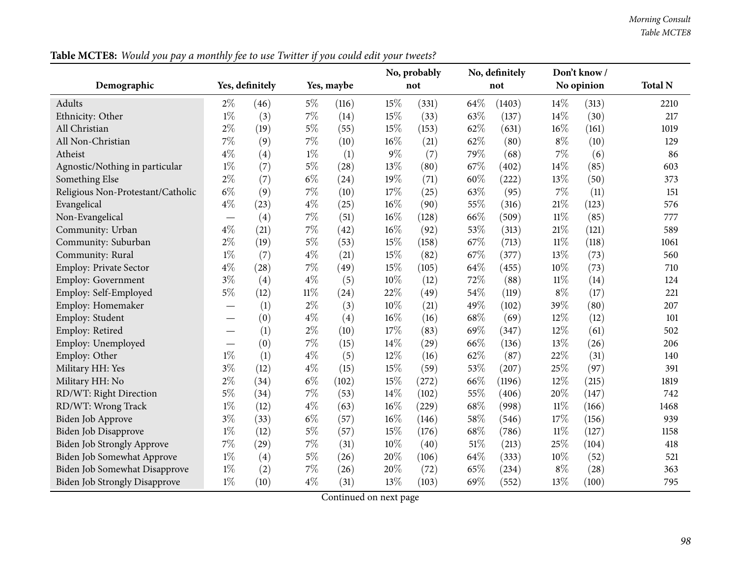|                                      |       |                    |        |            |     | No, probably |        | No, definitely |        | Don't know / |                |
|--------------------------------------|-------|--------------------|--------|------------|-----|--------------|--------|----------------|--------|--------------|----------------|
| Demographic                          |       | Yes, definitely    |        | Yes, maybe |     | not          |        | not            |        | No opinion   | <b>Total N</b> |
| Adults                               | $2\%$ | (46)               | $5\%$  | (116)      | 15% | (331)        | 64\%   | (1403)         | 14\%   | (313)        | 2210           |
| Ethnicity: Other                     | $1\%$ | (3)                | $7\%$  | (14)       | 15% | (33)         | 63%    | (137)          | 14%    | (30)         | 217            |
| All Christian                        | $2\%$ | (19)               | $5\%$  | (55)       | 15% | (153)        | 62%    | (631)          | 16%    | (161)        | 1019           |
| All Non-Christian                    | $7\%$ | (9)                | $7\%$  | (10)       | 16% | (21)         | 62%    | (80)           | $8\%$  | (10)         | 129            |
| Atheist                              | $4\%$ | (4)                | $1\%$  | (1)        | 9%  | (7)          | 79%    | (68)           | $7\%$  | (6)          | 86             |
| Agnostic/Nothing in particular       | $1\%$ | (7)                | $5\%$  | (28)       | 13% | (80)         | 67%    | (402)          | 14%    | (85)         | 603            |
| Something Else                       | $2\%$ | (7)                | $6\%$  | (24)       | 19% | (71)         | 60%    | (222)          | 13%    | (50)         | 373            |
| Religious Non-Protestant/Catholic    | $6\%$ | (9)                | $7\%$  | (10)       | 17% | (25)         | 63%    | (95)           | $7\%$  | (11)         | 151            |
| Evangelical                          | $4\%$ | (23)               | $4\%$  | (25)       | 16% | (90)         | 55%    | (316)          | 21%    | (123)        | 576            |
| Non-Evangelical                      |       | (4)                | $7\%$  | (51)       | 16% | (128)        | 66\%   | (509)          | $11\%$ | (85)         | 777            |
| Community: Urban                     | $4\%$ | (21)               | $7\%$  | (42)       | 16% | (92)         | 53%    | (313)          | $21\%$ | (121)        | 589            |
| Community: Suburban                  | $2\%$ | (19)               | $5\%$  | (53)       | 15% | (158)        | 67%    | (713)          | $11\%$ | (118)        | 1061           |
| Community: Rural                     | $1\%$ | (7)                | $4\%$  | (21)       | 15% | (82)         | 67%    | (377)          | 13%    | (73)         | 560            |
| <b>Employ: Private Sector</b>        | $4\%$ | (28)               | $7\%$  | (49)       | 15% | (105)        | 64%    | (455)          | 10%    | (73)         | 710            |
| Employ: Government                   | $3\%$ | (4)                | $4\%$  | (5)        | 10% | (12)         | $72\%$ | (88)           | $11\%$ | (14)         | 124            |
| Employ: Self-Employed                | $5\%$ | (12)               | $11\%$ | (24)       | 22% | (49)         | 54%    | (119)          | $8\%$  | (17)         | 221            |
| Employ: Homemaker                    |       | (1)                | $2\%$  | (3)        | 10% | (21)         | 49%    | (102)          | 39%    | (80)         | 207            |
| Employ: Student                      |       | (0)                | $4\%$  | (4)        | 16% | (16)         | 68%    | (69)           | 12%    | (12)         | 101            |
| Employ: Retired                      |       | (1)                | $2\%$  | (10)       | 17% | (83)         | 69%    | (347)          | 12%    | (61)         | 502            |
| Employ: Unemployed                   |       | (0)                | $7\%$  | (15)       | 14% | (29)         | 66%    | (136)          | 13%    | (26)         | 206            |
| Employ: Other                        | $1\%$ | (1)                | $4\%$  | (5)        | 12% | (16)         | 62%    | (87)           | 22%    | (31)         | 140            |
| Military HH: Yes                     | $3\%$ | (12)               | $4\%$  | (15)       | 15% | (59)         | 53%    | (207)          | 25%    | (97)         | 391            |
| Military HH: No                      | $2\%$ | (34)               | $6\%$  | (102)      | 15% | (272)        | 66%    | (1196)         | 12%    | (215)        | 1819           |
| RD/WT: Right Direction               | $5\%$ | (34)               | $7\%$  | (53)       | 14% | (102)        | 55%    | (406)          | 20%    | (147)        | 742            |
| RD/WT: Wrong Track                   | $1\%$ | (12)               | $4\%$  | (63)       | 16% | (229)        | 68\%   | (998)          | $11\%$ | (166)        | 1468           |
| Biden Job Approve                    | $3\%$ | (33)               | $6\%$  | (57)       | 16% | (146)        | 58%    | (546)          | 17%    | (156)        | 939            |
| <b>Biden Job Disapprove</b>          | $1\%$ | (12)               | $5\%$  | (57)       | 15% | (176)        | 68%    | (786)          | $11\%$ | (127)        | 1158           |
| <b>Biden Job Strongly Approve</b>    | $7\%$ | $\left( 29\right)$ | $7\%$  | (31)       | 10% | (40)         | 51\%   | (213)          | 25%    | (104)        | 418            |
| Biden Job Somewhat Approve           | $1\%$ | (4)                | $5\%$  | (26)       | 20% | (106)        | 64%    | (333)          | 10%    | (52)         | 521            |
| Biden Job Somewhat Disapprove        | $1\%$ | (2)                | $7\%$  | (26)       | 20% | (72)         | 65%    | (234)          | $8\%$  | (28)         | 363            |
| <b>Biden Job Strongly Disapprove</b> | $1\%$ | (10)               | $4\%$  | (31)       | 13% | (103)        | 69%    | (552)          | 13%    | (100)        | 795            |

Table MCTE8: Would you pay a monthly fee to use Twitter if you could edit your tweets?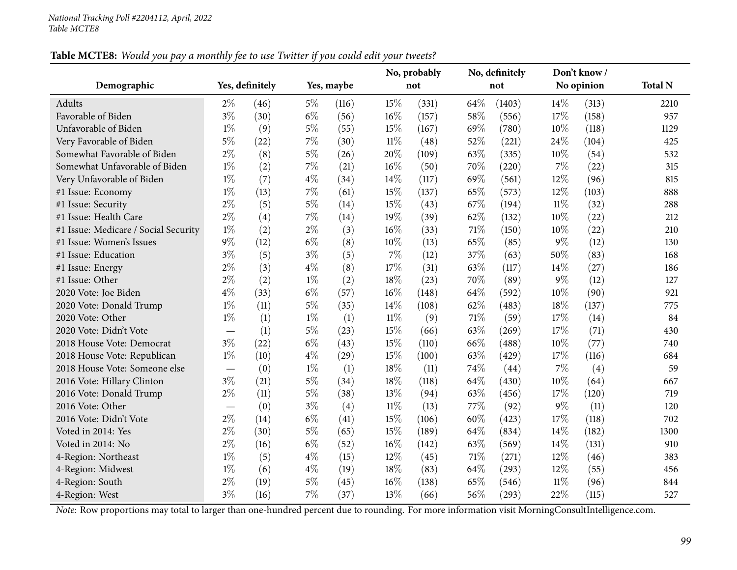|                                      |                                  |                 |       |            |        | No, probably |     | No, definitely |        | Don't know / |                |
|--------------------------------------|----------------------------------|-----------------|-------|------------|--------|--------------|-----|----------------|--------|--------------|----------------|
| Demographic                          |                                  | Yes, definitely |       | Yes, maybe |        | not          |     | not            |        | No opinion   | <b>Total N</b> |
| Adults                               | $2\%$                            | (46)            | $5\%$ | (116)      | 15%    | (331)        | 64% | (1403)         | 14%    | (313)        | 2210           |
| Favorable of Biden                   | $3\%$                            | (30)            | $6\%$ | (56)       | 16%    | (157)        | 58% | (556)          | 17%    | (158)        | 957            |
| Unfavorable of Biden                 | $1\%$                            | (9)             | $5\%$ | (55)       | 15%    | (167)        | 69% | (780)          | 10%    | (118)        | 1129           |
| Very Favorable of Biden              | $5\%$                            | (22)            | $7\%$ | (30)       | $11\%$ | (48)         | 52% | (221)          | 24%    | (104)        | 425            |
| Somewhat Favorable of Biden          | $2\%$                            | (8)             | $5\%$ | (26)       | 20%    | (109)        | 63% | (335)          | $10\%$ | (54)         | 532            |
| Somewhat Unfavorable of Biden        | $1\%$                            | (2)             | $7\%$ | (21)       | $16\%$ | (50)         | 70% | (220)          | 7%     | (22)         | 315            |
| Very Unfavorable of Biden            | $1\%$                            | (7)             | $4\%$ | (34)       | 14\%   | (117)        | 69% | (561)          | 12%    | (96)         | 815            |
| #1 Issue: Economy                    | $1\%$                            | (13)            | 7%    | (61)       | 15%    | (137)        | 65% | (573)          | 12%    | (103)        | 888            |
| #1 Issue: Security                   | $2\%$                            | (5)             | $5\%$ | (14)       | 15%    | (43)         | 67% | (194)          | $11\%$ | (32)         | 288            |
| #1 Issue: Health Care                | $2\%$                            | (4)             | $7\%$ | (14)       | 19%    | (39)         | 62% | (132)          | 10%    | (22)         | 212            |
| #1 Issue: Medicare / Social Security | $1\%$                            | (2)             | $2\%$ | (3)        | 16%    | (33)         | 71% | (150)          | 10%    | (22)         | 210            |
| #1 Issue: Women's Issues             | $9\%$                            | (12)            | $6\%$ | (8)        | 10%    | (13)         | 65% | (85)           | $9\%$  | (12)         | 130            |
| #1 Issue: Education                  | $3\%$                            | (5)             | $3\%$ | (5)        | 7%     | (12)         | 37% | (63)           | 50%    | (83)         | 168            |
| #1 Issue: Energy                     | $2\%$                            | (3)             | $4\%$ | (8)        | 17%    | (31)         | 63% | (117)          | 14%    | (27)         | 186            |
| #1 Issue: Other                      | $2\%$                            | (2)             | $1\%$ | (2)        | 18%    | (23)         | 70% | (89)           | $9\%$  | (12)         | 127            |
| 2020 Vote: Joe Biden                 | $4\%$                            | (33)            | $6\%$ | (57)       | 16%    | (148)        | 64% | (592)          | 10%    | (90)         | 921            |
| 2020 Vote: Donald Trump              | $1\%$                            | (11)            | $5\%$ | (35)       | 14\%   | (108)        | 62% | (483)          | 18\%   | (137)        | 775            |
| 2020 Vote: Other                     | $1\%$                            | (1)             | $1\%$ | (1)        | $11\%$ | (9)          | 71% | (59)           | 17%    | (14)         | 84             |
| 2020 Vote: Didn't Vote               | $\overbrace{\phantom{12322111}}$ | (1)             | $5\%$ | (23)       | 15%    | (66)         | 63% | (269)          | 17%    | (71)         | 430            |
| 2018 House Vote: Democrat            | $3\%$                            | (22)            | $6\%$ | (43)       | 15%    | (110)        | 66% | (488)          | 10%    | (77)         | 740            |
| 2018 House Vote: Republican          | $1\%$                            | (10)            | $4\%$ | (29)       | 15%    | (100)        | 63% | (429)          | 17%    | (116)        | 684            |
| 2018 House Vote: Someone else        |                                  | (0)             | $1\%$ | (1)        | 18%    | (11)         | 74% | (44)           | 7%     | (4)          | 59             |
| 2016 Vote: Hillary Clinton           | $3\%$                            | (21)            | $5\%$ | (34)       | 18%    | (118)        | 64% | (430)          | 10%    | (64)         | 667            |
| 2016 Vote: Donald Trump              | $2\%$                            | (11)            | $5\%$ | (38)       | 13%    | (94)         | 63% | (456)          | 17%    | (120)        | 719            |
| 2016 Vote: Other                     |                                  | (0)             | $3\%$ | (4)        | $11\%$ | (13)         | 77% | (92)           | $9\%$  | (11)         | 120            |
| 2016 Vote: Didn't Vote               | $2\%$                            | (14)            | $6\%$ | (41)       | 15%    | (106)        | 60% | (423)          | 17%    | (118)        | 702            |
| Voted in 2014: Yes                   | $2\%$                            | (30)            | $5\%$ | (65)       | 15%    | (189)        | 64% | (834)          | 14%    | (182)        | 1300           |
| Voted in 2014: No                    | $2\%$                            | (16)            | $6\%$ | (52)       | 16%    | (142)        | 63% | (569)          | 14%    | (131)        | 910            |
| 4-Region: Northeast                  | $1\%$                            | (5)             | $4\%$ | (15)       | 12%    | (45)         | 71% | (271)          | 12%    | (46)         | 383            |
| 4-Region: Midwest                    | $1\%$                            | (6)             | $4\%$ | (19)       | 18%    | (83)         | 64% | (293)          | 12%    | (55)         | 456            |
| 4-Region: South                      | $2\%$                            | (19)            | $5\%$ | (45)       | 16%    | (138)        | 65% | (546)          | $11\%$ | (96)         | 844            |
| 4-Region: West                       | $3\%$                            | (16)            | $7\%$ | (37)       | 13%    | (66)         | 56% | (293)          | 22%    | (115)        | 527            |

### Table MCTE8: Would you pay a monthly fee to use Twitter if you could edit your tweets?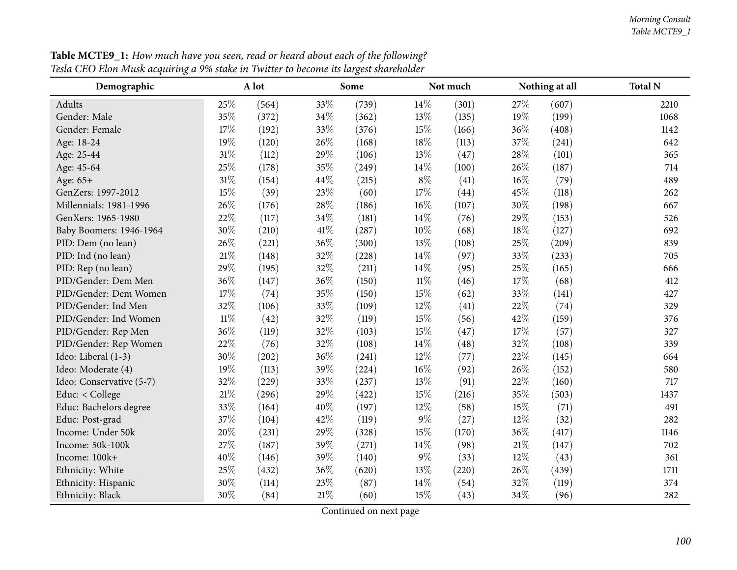#### *Morning Consult Table MCTE9\_1*

| Demographic              |        | A lot |      | Some  |        | Not much |        | Nothing at all | <b>Total N</b> |
|--------------------------|--------|-------|------|-------|--------|----------|--------|----------------|----------------|
| Adults                   | 25%    | (564) | 33%  | (739) | 14\%   | (301)    | 27%    | (607)          | 2210           |
| Gender: Male             | 35%    | (372) | 34%  | (362) | 13%    | (135)    | 19%    | (199)          | 1068           |
| Gender: Female           | 17%    | (192) | 33%  | (376) | 15%    | (166)    | 36%    | (408)          | 1142           |
| Age: 18-24               | 19%    | (120) | 26%  | (168) | 18%    | (113)    | 37%    | (241)          | 642            |
| Age: 25-44               | 31%    | (112) | 29%  | (106) | 13%    | (47)     | 28%    | (101)          | 365            |
| Age: 45-64               | 25%    | (178) | 35%  | (249) | 14%    | (100)    | 26%    | (187)          | 714            |
| Age: 65+                 | 31%    | (154) | 44%  | (215) | $8\%$  | (41)     | $16\%$ | (79)           | 489            |
| GenZers: 1997-2012       | 15%    | (39)  | 23%  | (60)  | 17%    | (44)     | 45%    | (118)          | 262            |
| Millennials: 1981-1996   | 26%    | (176) | 28%  | (186) | 16%    | (107)    | 30%    | (198)          | 667            |
| GenXers: 1965-1980       | 22%    | (117) | 34%  | (181) | 14\%   | (76)     | 29%    | (153)          | 526            |
| Baby Boomers: 1946-1964  | 30%    | (210) | 41\% | (287) | $10\%$ | (68)     | 18%    | (127)          | 692            |
| PID: Dem (no lean)       | 26%    | (221) | 36%  | (300) | 13%    | (108)    | 25%    | (209)          | 839            |
| PID: Ind (no lean)       | 21%    | (148) | 32%  | (228) | 14%    | (97)     | 33%    | (233)          | 705            |
| PID: Rep (no lean)       | 29%    | (195) | 32%  | (211) | 14%    | (95)     | 25%    | (165)          | 666            |
| PID/Gender: Dem Men      | 36%    | (147) | 36%  | (150) | $11\%$ | (46)     | 17%    | (68)           | 412            |
| PID/Gender: Dem Women    | 17%    | (74)  | 35%  | (150) | 15%    | (62)     | 33%    | (141)          | 427            |
| PID/Gender: Ind Men      | 32%    | (106) | 33%  | (109) | 12%    | (41)     | 22%    | (74)           | 329            |
| PID/Gender: Ind Women    | $11\%$ | (42)  | 32%  | (119) | 15%    | (56)     | 42%    | (159)          | 376            |
| PID/Gender: Rep Men      | 36%    | (119) | 32%  | (103) | 15%    | (47)     | 17%    | (57)           | 327            |
| PID/Gender: Rep Women    | 22%    | (76)  | 32%  | (108) | 14%    | (48)     | 32%    | (108)          | 339            |
| Ideo: Liberal (1-3)      | 30%    | (202) | 36%  | (241) | 12%    | (77)     | 22%    | (145)          | 664            |
| Ideo: Moderate (4)       | 19%    | (113) | 39%  | (224) | $16\%$ | (92)     | 26%    | (152)          | 580            |
| Ideo: Conservative (5-7) | 32%    | (229) | 33%  | (237) | 13%    | (91)     | 22%    | (160)          | 717            |
| Educ: < College          | $21\%$ | (296) | 29%  | (422) | 15%    | (216)    | 35%    | (503)          | 1437           |
| Educ: Bachelors degree   | 33%    | (164) | 40%  | (197) | 12%    | (58)     | 15%    | (71)           | 491            |
| Educ: Post-grad          | 37%    | (104) | 42%  | (119) | $9\%$  | (27)     | 12%    | (32)           | 282            |
| Income: Under 50k        | 20%    | (231) | 29%  | (328) | 15%    | (170)    | 36%    | (417)          | 1146           |
| Income: 50k-100k         | 27%    | (187) | 39%  | (271) | 14%    | (98)     | 21%    | (147)          | 702            |
| Income: 100k+            | 40%    | (146) | 39%  | (140) | $9\%$  | (33)     | 12%    | (43)           | 361            |
| Ethnicity: White         | 25%    | (432) | 36%  | (620) | 13%    | (220)    | 26\%   | (439)          | 1711           |
| Ethnicity: Hispanic      | 30%    | (114) | 23%  | (87)  | 14\%   | (54)     | 32%    | (119)          | 374            |
| Ethnicity: Black         | 30%    | (84)  | 21%  | (60)  | 15%    | (43)     | 34%    | (96)           | 282            |

Table MCTE9\_1: How much have you seen, read or heard about each of the following? Tesla CEO Elon Musk acquiring a 9% stake in Twitter to become its largest shareholder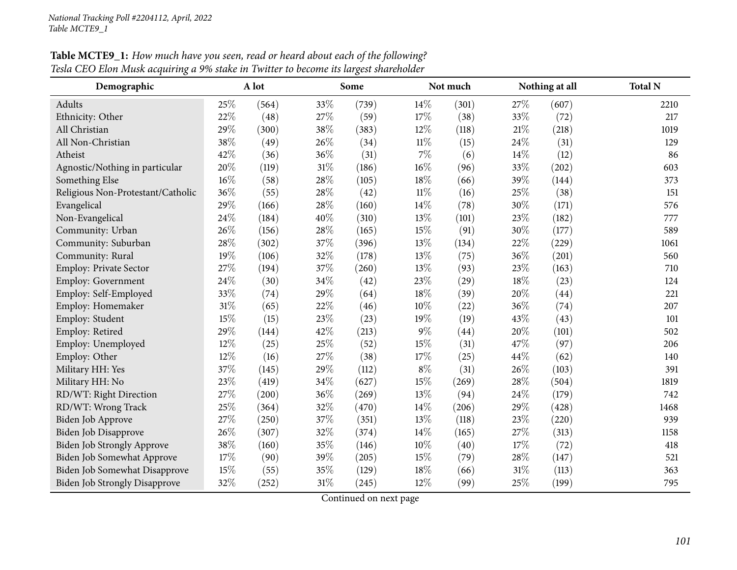| Demographic                          |        | A lot |     | Some  |        | Not much | Nothing at all |       | <b>Total N</b> |
|--------------------------------------|--------|-------|-----|-------|--------|----------|----------------|-------|----------------|
| Adults                               | 25%    | (564) | 33% | (739) | $14\%$ | (301)    | 27%            | (607) | 2210           |
| Ethnicity: Other                     | 22%    | (48)  | 27% | (59)  | 17%    | (38)     | 33%            | (72)  | 217            |
| All Christian                        | 29%    | (300) | 38% | (383) | $12\%$ | (118)    | 21%            | (218) | 1019           |
| All Non-Christian                    | 38%    | (49)  | 26% | (34)  | $11\%$ | (15)     | 24%            | (31)  | 129            |
| Atheist                              | 42%    | (36)  | 36% | (31)  | $7\%$  | (6)      | 14%            | (12)  | 86             |
| Agnostic/Nothing in particular       | 20%    | (119) | 31% | (186) | 16%    | (96)     | 33%            | (202) | 603            |
| Something Else                       | $16\%$ | (58)  | 28% | (105) | 18%    | (66)     | 39%            | (144) | 373            |
| Religious Non-Protestant/Catholic    | 36%    | (55)  | 28% | (42)  | $11\%$ | (16)     | 25%            | (38)  | 151            |
| Evangelical                          | 29%    | (166) | 28% | (160) | 14%    | (78)     | 30%            | (171) | 576            |
| Non-Evangelical                      | 24\%   | (184) | 40% | (310) | 13%    | (101)    | 23%            | (182) | 777            |
| Community: Urban                     | 26%    | (156) | 28% | (165) | 15%    | (91)     | 30%            | (177) | 589            |
| Community: Suburban                  | 28%    | (302) | 37% | (396) | 13%    | (134)    | 22%            | (229) | 1061           |
| Community: Rural                     | 19%    | (106) | 32% | (178) | 13\%   | (75)     | 36%            | (201) | 560            |
| Employ: Private Sector               | 27%    | (194) | 37% | (260) | 13%    | (93)     | 23%            | (163) | 710            |
| Employ: Government                   | 24\%   | (30)  | 34% | (42)  | 23%    | (29)     | 18%            | (23)  | 124            |
| Employ: Self-Employed                | 33%    | (74)  | 29% | (64)  | 18%    | (39)     | 20%            | (44)  | 221            |
| Employ: Homemaker                    | $31\%$ | (65)  | 22% | (46)  | 10%    | (22)     | 36%            | (74)  | 207            |
| Employ: Student                      | 15%    | (15)  | 23% | (23)  | 19%    | (19)     | 43%            | (43)  | 101            |
| Employ: Retired                      | 29%    | (144) | 42% | (213) | 9%     | (44)     | 20%            | (101) | 502            |
| Employ: Unemployed                   | 12%    | (25)  | 25% | (52)  | 15%    | (31)     | 47%            | (97)  | 206            |
| Employ: Other                        | 12%    | (16)  | 27% | (38)  | 17%    | (25)     | 44%            | (62)  | 140            |
| Military HH: Yes                     | 37%    | (145) | 29% | (112) | $8\%$  | (31)     | 26%            | (103) | 391            |
| Military HH: No                      | 23%    | (419) | 34% | (627) | 15%    | (269)    | 28%            | (504) | 1819           |
| RD/WT: Right Direction               | 27%    | (200) | 36% | (269) | 13%    | (94)     | 24%            | (179) | 742            |
| RD/WT: Wrong Track                   | 25%    | (364) | 32% | (470) | 14%    | (206)    | 29%            | (428) | 1468           |
| Biden Job Approve                    | 27\%   | (250) | 37% | (351) | 13%    | (118)    | 23%            | (220) | 939            |
| Biden Job Disapprove                 | 26%    | (307) | 32% | (374) | 14\%   | (165)    | 27%            | (313) | 1158           |
| Biden Job Strongly Approve           | 38%    | (160) | 35% | (146) | 10%    | (40)     | 17%            | (72)  | 418            |
| Biden Job Somewhat Approve           | 17%    | (90)  | 39% | (205) | 15%    | (79)     | 28%            | (147) | 521            |
| Biden Job Somewhat Disapprove        | 15%    | (55)  | 35% | (129) | 18%    | (66)     | 31%            | (113) | 363            |
| <b>Biden Job Strongly Disapprove</b> | 32%    | (252) | 31% | (245) | 12%    | (99)     | 25%            | (199) | 795            |

Table MCTE9\_1: How much have you seen, read or heard about each of the following? Tesla CEO Elon Musk acquiring a 9% stake in Twitter to become its largest shareholder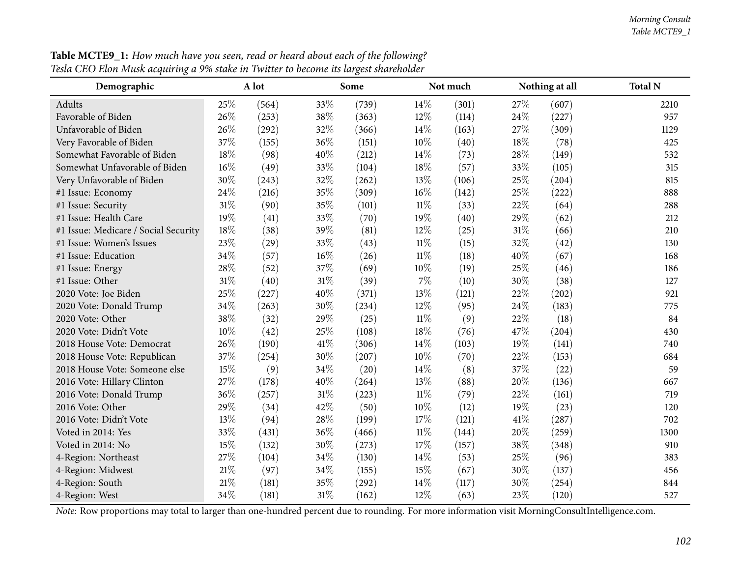#### *Morning Consult Table MCTE9\_1*

| Demographic                          |        | A lot |      | Some  |        | Not much | Nothing at all |       | <b>Total N</b> |
|--------------------------------------|--------|-------|------|-------|--------|----------|----------------|-------|----------------|
| Adults                               | 25\%   | (564) | 33%  | (739) | 14%    | (301)    | 27%            | (607) | 2210           |
| Favorable of Biden                   | 26\%   | (253) | 38%  | (363) | 12%    | (114)    | 24%            | (227) | 957            |
| Unfavorable of Biden                 | 26%    | (292) | 32%  | (366) | 14%    | (163)    | 27%            | (309) | 1129           |
| Very Favorable of Biden              | 37%    | (155) | 36%  | (151) | 10%    | (40)     | 18%            | (78)  | 425            |
| Somewhat Favorable of Biden          | 18%    | (98)  | 40%  | (212) | 14\%   | (73)     | 28%            | (149) | 532            |
| Somewhat Unfavorable of Biden        | 16%    | (49)  | 33%  | (104) | 18%    | (57)     | 33%            | (105) | 315            |
| Very Unfavorable of Biden            | 30%    | (243) | 32%  | (262) | 13%    | (106)    | 25%            | (204) | 815            |
| #1 Issue: Economy                    | 24\%   | (216) | 35%  | (309) | 16%    | (142)    | 25%            | (222) | 888            |
| #1 Issue: Security                   | 31%    | (90)  | 35%  | (101) | $11\%$ | (33)     | 22%            | (64)  | 288            |
| #1 Issue: Health Care                | 19%    | (41)  | 33%  | (70)  | 19%    | (40)     | 29%            | (62)  | 212            |
| #1 Issue: Medicare / Social Security | 18%    | (38)  | 39%  | (81)  | 12%    | (25)     | 31%            | (66)  | 210            |
| #1 Issue: Women's Issues             | 23%    | (29)  | 33%  | (43)  | $11\%$ | (15)     | 32%            | (42)  | 130            |
| #1 Issue: Education                  | 34\%   | (57)  | 16%  | (26)  | $11\%$ | (18)     | 40%            | (67)  | 168            |
| #1 Issue: Energy                     | 28\%   | (52)  | 37%  | (69)  | 10%    | (19)     | 25%            | (46)  | 186            |
| #1 Issue: Other                      | $31\%$ | (40)  | 31%  | (39)  | 7%     | (10)     | 30%            | (38)  | 127            |
| 2020 Vote: Joe Biden                 | 25%    | (227) | 40%  | (371) | 13%    | (121)    | $22\%$         | (202) | 921            |
| 2020 Vote: Donald Trump              | 34%    | (263) | 30%  | (234) | 12%    | (95)     | 24%            | (183) | 775            |
| 2020 Vote: Other                     | 38%    | (32)  | 29%  | (25)  | $11\%$ | (9)      | 22%            | (18)  | 84             |
| 2020 Vote: Didn't Vote               | 10%    | (42)  | 25%  | (108) | 18%    | (76)     | 47%            | (204) | 430            |
| 2018 House Vote: Democrat            | 26%    | (190) | 41\% | (306) | 14%    | (103)    | 19%            | (141) | 740            |
| 2018 House Vote: Republican          | 37%    | (254) | 30%  | (207) | 10%    | (70)     | 22%            | (153) | 684            |
| 2018 House Vote: Someone else        | 15%    | (9)   | 34%  | (20)  | 14\%   | (8)      | 37%            | (22)  | 59             |
| 2016 Vote: Hillary Clinton           | 27\%   | (178) | 40%  | (264) | 13%    | (88)     | 20%            | (136) | 667            |
| 2016 Vote: Donald Trump              | 36%    | (257) | 31%  | (223) | $11\%$ | (79)     | 22%            | (161) | 719            |
| 2016 Vote: Other                     | 29%    | (34)  | 42%  | (50)  | 10%    | (12)     | 19%            | (23)  | 120            |
| 2016 Vote: Didn't Vote               | 13%    | (94)  | 28%  | (199) | 17\%   | (121)    | 41\%           | (287) | 702            |
| Voted in 2014: Yes                   | 33%    | (431) | 36%  | (466) | $11\%$ | (144)    | 20%            | (259) | 1300           |
| Voted in 2014: No                    | 15%    | (132) | 30%  | (273) | 17%    | (157)    | 38%            | (348) | 910            |
| 4-Region: Northeast                  | 27%    | (104) | 34%  | (130) | 14\%   | (53)     | 25%            | (96)  | 383            |
| 4-Region: Midwest                    | $21\%$ | (97)  | 34%  | (155) | 15%    | (67)     | 30%            | (137) | 456            |
| 4-Region: South                      | $21\%$ | (181) | 35%  | (292) | 14%    | (117)    | 30%            | (254) | 844            |
| 4-Region: West                       | 34%    | (181) | 31%  | (162) | 12%    | (63)     | 23%            | (120) | 527            |

Table MCTE9\_1: How much have you seen, read or heard about each of the following? Tesla CEO Elon Musk acquiring a 9% stake in Twitter to become its largest shareholder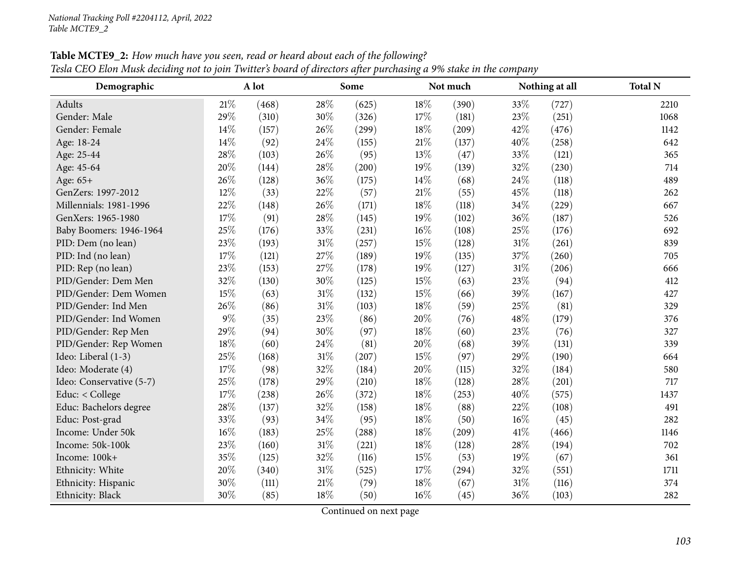| Demographic              |     | A lot |        | Some  |        | Not much |        | Nothing at all | <b>Total N</b> |
|--------------------------|-----|-------|--------|-------|--------|----------|--------|----------------|----------------|
| Adults                   | 21% | (468) | 28%    | (625) | 18%    | (390)    | 33%    | (727)          | 2210           |
| Gender: Male             | 29% | (310) | 30%    | (326) | 17%    | (181)    | 23%    | (251)          | 1068           |
| Gender: Female           | 14% | (157) | 26%    | (299) | 18%    | (209)    | 42%    | (476)          | 1142           |
| Age: 18-24               | 14% | (92)  | 24%    | (155) | 21%    | (137)    | 40%    | (258)          | 642            |
| Age: 25-44               | 28% | (103) | 26%    | (95)  | $13\%$ | (47)     | 33%    | (121)          | 365            |
| Age: 45-64               | 20% | (144) | 28%    | (200) | 19%    | (139)    | 32%    | (230)          | 714            |
| Age: 65+                 | 26% | (128) | 36%    | (175) | 14%    | (68)     | 24%    | (118)          | 489            |
| GenZers: 1997-2012       | 12% | (33)  | 22%    | (57)  | $21\%$ | (55)     | 45%    | (118)          | 262            |
| Millennials: 1981-1996   | 22% | (148) | 26%    | (171) | 18%    | (118)    | 34%    | (229)          | 667            |
| GenXers: 1965-1980       | 17% | (91)  | 28%    | (145) | $19\%$ | (102)    | 36%    | (187)          | 526            |
| Baby Boomers: 1946-1964  | 25% | (176) | 33%    | (231) | 16%    | (108)    | 25%    | (176)          | 692            |
| PID: Dem (no lean)       | 23% | (193) | 31%    | (257) | 15%    | (128)    | $31\%$ | (261)          | 839            |
| PID: Ind (no lean)       | 17% | (121) | 27%    | (189) | 19%    | (135)    | 37%    | (260)          | 705            |
| PID: Rep (no lean)       | 23% | (153) | 27%    | (178) | 19%    | (127)    | $31\%$ | (206)          | 666            |
| PID/Gender: Dem Men      | 32% | (130) | 30%    | (125) | 15%    | (63)     | 23%    | (94)           | 412            |
| PID/Gender: Dem Women    | 15% | (63)  | 31%    | (132) | 15%    | (66)     | 39%    | (167)          | 427            |
| PID/Gender: Ind Men      | 26% | (86)  | 31%    | (103) | 18%    | (59)     | 25%    | (81)           | 329            |
| PID/Gender: Ind Women    | 9%  | (35)  | 23%    | (86)  | 20%    | (76)     | 48%    | (179)          | 376            |
| PID/Gender: Rep Men      | 29% | (94)  | 30%    | (97)  | 18%    | (60)     | 23%    | (76)           | 327            |
| PID/Gender: Rep Women    | 18% | (60)  | 24%    | (81)  | 20%    | (68)     | 39%    | (131)          | 339            |
| Ideo: Liberal (1-3)      | 25% | (168) | 31%    | (207) | 15%    | (97)     | 29%    | (190)          | 664            |
| Ideo: Moderate (4)       | 17% | (98)  | 32%    | (184) | 20%    | (115)    | 32%    | (184)          | 580            |
| Ideo: Conservative (5-7) | 25% | (178) | 29%    | (210) | 18%    | (128)    | 28%    | (201)          | 717            |
| Educ: < College          | 17% | (238) | 26%    | (372) | 18%    | (253)    | 40%    | (575)          | 1437           |
| Educ: Bachelors degree   | 28% | (137) | 32%    | (158) | 18%    | (88)     | 22%    | (108)          | 491            |
| Educ: Post-grad          | 33% | (93)  | 34%    | (95)  | 18%    | (50)     | 16%    | (45)           | 282            |
| Income: Under 50k        | 16% | (183) | 25%    | (288) | 18%    | (209)    | 41\%   | (466)          | 1146           |
| Income: 50k-100k         | 23% | (160) | 31%    | (221) | 18%    | (128)    | 28%    | (194)          | 702            |
| Income: 100k+            | 35% | (125) | 32%    | (116) | 15%    | (53)     | 19%    | (67)           | 361            |
| Ethnicity: White         | 20% | (340) | $31\%$ | (525) | 17%    | (294)    | 32%    | (551)          | 1711           |
| Ethnicity: Hispanic      | 30% | (111) | 21%    | (79)  | 18%    | (67)     | $31\%$ | (116)          | 374            |
| Ethnicity: Black         | 30% | (85)  | 18%    | (50)  | 16%    | (45)     | 36%    | (103)          | 282            |

Table MCTE9\_2: How much have you seen, read or heard about each of the following? Tesla CEO Elon Musk deciding not to join Twitter's board of directors after purchasing a 9% stake in the company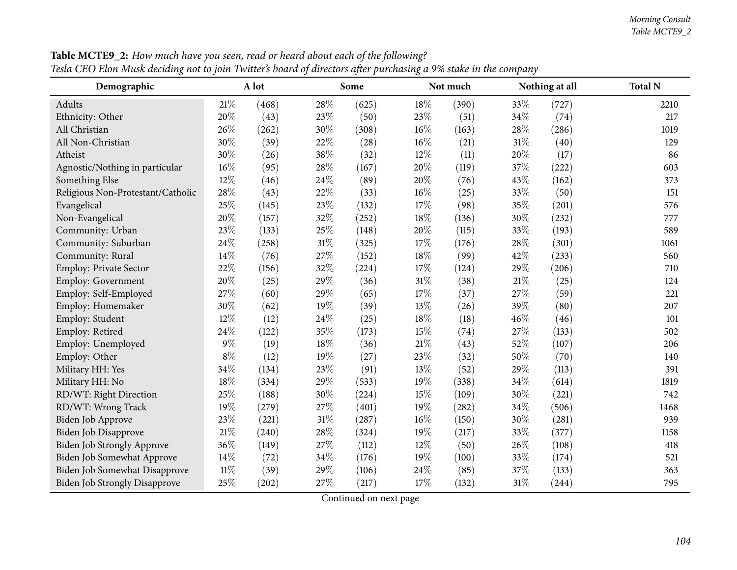| Demographic                          | A lot  |       |        | Some  |        | Not much |        | Nothing at all | <b>Total N</b> |
|--------------------------------------|--------|-------|--------|-------|--------|----------|--------|----------------|----------------|
| Adults                               | 21%    | (468) | 28%    | (625) | 18%    | (390)    | 33%    | (727)          | 2210           |
| Ethnicity: Other                     | 20%    | (43)  | 23%    | (50)  | 23%    | (51)     | 34%    | (74)           | 217            |
| All Christian                        | 26%    | (262) | 30%    | (308) | 16%    | (163)    | 28%    | (286)          | 1019           |
| All Non-Christian                    | 30%    | (39)  | 22%    | (28)  | 16%    | (21)     | 31%    | (40)           | 129            |
| Atheist                              | 30%    | (26)  | 38%    | (32)  | 12%    | (11)     | 20%    | (17)           | 86             |
| Agnostic/Nothing in particular       | 16%    | (95)  | 28%    | (167) | $20\%$ | (119)    | 37%    | (222)          | 603            |
| Something Else                       | 12%    | (46)  | 24%    | (89)  | 20%    | (76)     | 43%    | (162)          | 373            |
| Religious Non-Protestant/Catholic    | 28%    | (43)  | 22%    | (33)  | 16%    | (25)     | 33%    | (50)           | 151            |
| Evangelical                          | 25%    | (145) | 23%    | (132) | 17%    | (98)     | 35%    | (201)          | 576            |
| Non-Evangelical                      | 20%    | (157) | 32%    | (252) | 18%    | (136)    | 30%    | (232)          | 777            |
| Community: Urban                     | 23%    | (133) | 25%    | (148) | 20%    | (115)    | 33%    | (193)          | 589            |
| Community: Suburban                  | 24%    | (258) | $31\%$ | (325) | 17%    | (176)    | 28%    | (301)          | 1061           |
| Community: Rural                     | 14%    | (76)  | 27%    | (152) | 18%    | (99)     | 42%    | (233)          | 560            |
| Employ: Private Sector               | 22%    | (156) | 32%    | (224) | 17%    | (124)    | 29%    | (206)          | 710            |
| Employ: Government                   | 20%    | (25)  | 29%    | (36)  | $31\%$ | (38)     | $21\%$ | (25)           | 124            |
| Employ: Self-Employed                | 27\%   | (60)  | 29%    | (65)  | 17%    | (37)     | 27%    | (59)           | 221            |
| Employ: Homemaker                    | 30%    | (62)  | 19%    | (39)  | 13%    | (26)     | 39%    | (80)           | 207            |
| Employ: Student                      | $12\%$ | (12)  | 24%    | (25)  | 18%    | (18)     | 46%    | (46)           | 101            |
| Employ: Retired                      | 24%    | (122) | 35%    | (173) | 15%    | (74)     | 27%    | (133)          | 502            |
| Employ: Unemployed                   | $9\%$  | (19)  | 18%    | (36)  | 21%    | (43)     | 52%    | (107)          | 206            |
| Employ: Other                        | $8\%$  | (12)  | 19%    | (27)  | 23%    | (32)     | 50%    | (70)           | 140            |
| Military HH: Yes                     | 34%    | (134) | 23%    | (91)  | 13%    | (52)     | 29%    | (113)          | 391            |
| Military HH: No                      | 18%    | (334) | 29%    | (533) | 19%    | (338)    | 34%    | (614)          | 1819           |
| RD/WT: Right Direction               | 25%    | (188) | 30%    | (224) | 15%    | (109)    | 30%    | (221)          | 742            |
| RD/WT: Wrong Track                   | 19%    | (279) | 27%    | (401) | 19%    | (282)    | 34%    | (506)          | 1468           |
| Biden Job Approve                    | 23%    | (221) | 31%    | (287) | 16%    | (150)    | 30%    | (281)          | 939            |
| Biden Job Disapprove                 | 21%    | (240) | 28%    | (324) | 19%    | (217)    | 33%    | (377)          | 1158           |
| Biden Job Strongly Approve           | 36%    | (149) | 27%    | (112) | 12%    | (50)     | 26%    | (108)          | 418            |
| Biden Job Somewhat Approve           | 14%    | (72)  | 34%    | (176) | 19%    | (100)    | 33%    | (174)          | 521            |
| Biden Job Somewhat Disapprove        | $11\%$ | (39)  | 29%    | (106) | 24\%   | (85)     | 37%    | (133)          | 363            |
| <b>Biden Job Strongly Disapprove</b> | 25%    | (202) | 27%    | (217) | 17%    | (132)    | 31%    | (244)          | 795            |

Table MCTE9\_2: How much have you seen, read or heard about each of the following? Tesla CEO Elon Musk deciding not to join Twitter's board of directors after purchasing a 9% stake in the company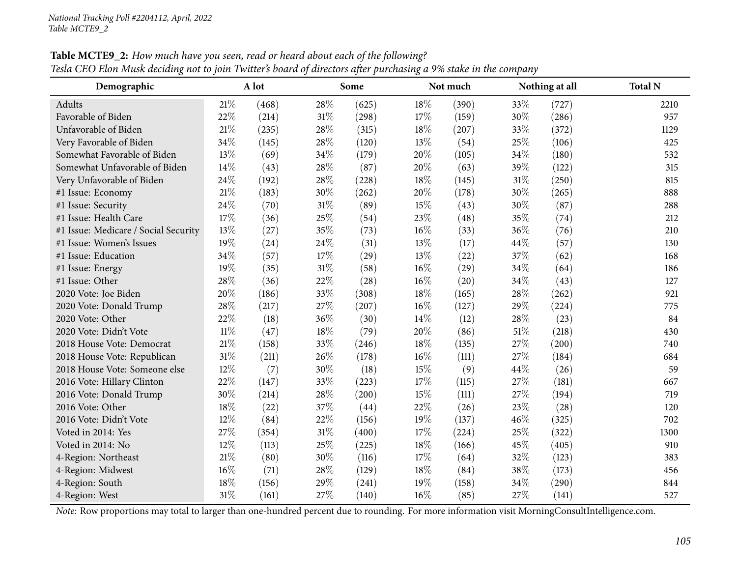| Demographic                          | A lot  |       |     | Some  |     | Not much |     | Nothing at all | <b>Total N</b> |
|--------------------------------------|--------|-------|-----|-------|-----|----------|-----|----------------|----------------|
| Adults                               | 21%    | (468) | 28% | (625) | 18% | (390)    | 33% | (727)          | 2210           |
| Favorable of Biden                   | 22%    | (214) | 31% | (298) | 17% | (159)    | 30% | (286)          | 957            |
| Unfavorable of Biden                 | 21%    | (235) | 28% | (315) | 18% | (207)    | 33% | (372)          | 1129           |
| Very Favorable of Biden              | 34%    | (145) | 28% | (120) | 13% | (54)     | 25% | (106)          | 425            |
| Somewhat Favorable of Biden          | 13%    | (69)  | 34% | (179) | 20% | (105)    | 34% | (180)          | 532            |
| Somewhat Unfavorable of Biden        | 14\%   | (43)  | 28% | (87)  | 20% | (63)     | 39% | (122)          | 315            |
| Very Unfavorable of Biden            | 24%    | (192) | 28% | (228) | 18% | (145)    | 31% | (250)          | 815            |
| #1 Issue: Economy                    | $21\%$ | (183) | 30% | (262) | 20% | (178)    | 30% | (265)          | 888            |
| #1 Issue: Security                   | 24%    | (70)  | 31% | (89)  | 15% | (43)     | 30% | (87)           | 288            |
| #1 Issue: Health Care                | 17%    | (36)  | 25% | (54)  | 23% | (48)     | 35% | (74)           | 212            |
| #1 Issue: Medicare / Social Security | 13%    | (27)  | 35% | (73)  | 16% | (33)     | 36% | (76)           | 210            |
| #1 Issue: Women's Issues             | 19%    | (24)  | 24% | (31)  | 13% | (17)     | 44% | (57)           | 130            |
| #1 Issue: Education                  | 34%    | (57)  | 17% | (29)  | 13% | (22)     | 37% | (62)           | 168            |
| #1 Issue: Energy                     | 19%    | (35)  | 31% | (58)  | 16% | (29)     | 34% | (64)           | 186            |
| #1 Issue: Other                      | 28%    | (36)  | 22% | (28)  | 16% | (20)     | 34% | (43)           | 127            |
| 2020 Vote: Joe Biden                 | 20%    | (186) | 33% | (308) | 18% | (165)    | 28% | (262)          | 921            |
| 2020 Vote: Donald Trump              | 28%    | (217) | 27% | (207) | 16% | (127)    | 29% | (224)          | 775            |
| 2020 Vote: Other                     | 22%    | (18)  | 36% | (30)  | 14% | (12)     | 28% | (23)           | 84             |
| 2020 Vote: Didn't Vote               | 11%    | (47)  | 18% | (79)  | 20% | (86)     | 51% | (218)          | 430            |
| 2018 House Vote: Democrat            | 21%    | (158) | 33% | (246) | 18% | (135)    | 27% | (200)          | 740            |
| 2018 House Vote: Republican          | $31\%$ | (211) | 26% | (178) | 16% | (111)    | 27% | (184)          | 684            |
| 2018 House Vote: Someone else        | $12\%$ | (7)   | 30% | (18)  | 15% | (9)      | 44% | (26)           | 59             |
| 2016 Vote: Hillary Clinton           | 22%    | (147) | 33% | (223) | 17% | (115)    | 27% | (181)          | 667            |
| 2016 Vote: Donald Trump              | 30%    | (214) | 28% | (200) | 15% | (111)    | 27% | (194)          | 719            |
| 2016 Vote: Other                     | 18%    | (22)  | 37% | (44)  | 22% | (26)     | 23% | (28)           | 120            |
| 2016 Vote: Didn't Vote               | 12%    | (84)  | 22% | (156) | 19% | (137)    | 46% | (325)          | 702            |
| Voted in 2014: Yes                   | 27\%   | (354) | 31% | (400) | 17% | (224)    | 25% | (322)          | 1300           |
| Voted in 2014: No                    | 12%    | (113) | 25% | (225) | 18% | (166)    | 45% | (405)          | 910            |
| 4-Region: Northeast                  | $21\%$ | (80)  | 30% | (116) | 17% | (64)     | 32% | (123)          | 383            |
| 4-Region: Midwest                    | 16%    | (71)  | 28% | (129) | 18% | (84)     | 38% | (173)          | 456            |
| 4-Region: South                      | 18%    | (156) | 29% | (241) | 19% | (158)    | 34% | (290)          | 844            |
| 4-Region: West                       | 31%    | (161) | 27% | (140) | 16% | (85)     | 27% | (141)          | 527            |

Table MCTE9\_2: How much have you seen, read or heard about each of the following? Tesla CEO Elon Musk deciding not to join Twitter's board of directors after purchasing a 9% stake in the company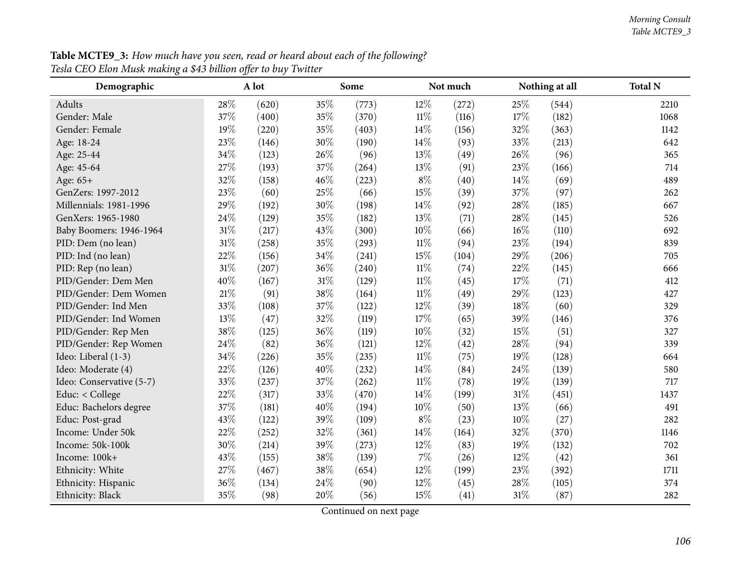| <b>Table MCTE9_3:</b> How much have you seen, read or heard about each of the following? |  |
|------------------------------------------------------------------------------------------|--|
| Tesla CEO Elon Musk making a \$43 billion offer to buy Twitter                           |  |

| Demographic              |      | A lot |     | Some  |        | Not much |        | Nothing at all | <b>Total N</b> |
|--------------------------|------|-------|-----|-------|--------|----------|--------|----------------|----------------|
| Adults                   | 28\% | (620) | 35% | (773) | 12%    | (272)    | 25%    | (544)          | 2210           |
| Gender: Male             | 37%  | (400) | 35% | (370) | $11\%$ | (116)    | 17%    | (182)          | 1068           |
| Gender: Female           | 19%  | (220) | 35% | (403) | 14%    | (156)    | 32%    | (363)          | 1142           |
| Age: 18-24               | 23%  | (146) | 30% | (190) | 14%    | (93)     | 33%    | (213)          | 642            |
| Age: 25-44               | 34%  | (123) | 26% | (96)  | 13%    | (49)     | 26%    | (96)           | 365            |
| Age: 45-64               | 27%  | (193) | 37% | (264) | 13%    | (91)     | 23%    | (166)          | 714            |
| Age: $65+$               | 32%  | (158) | 46% | (223) | $8\%$  | (40)     | 14%    | (69)           | 489            |
| GenZers: 1997-2012       | 23%  | (60)  | 25% | (66)  | 15%    | (39)     | 37%    | (97)           | 262            |
| Millennials: 1981-1996   | 29%  | (192) | 30% | (198) | 14%    | (92)     | 28%    | (185)          | 667            |
| GenXers: 1965-1980       | 24%  | (129) | 35% | (182) | 13%    | (71)     | 28%    | (145)          | 526            |
| Baby Boomers: 1946-1964  | 31%  | (217) | 43% | (300) | 10%    | (66)     | 16%    | (110)          | 692            |
| PID: Dem (no lean)       | 31%  | (258) | 35% | (293) | $11\%$ | (94)     | 23%    | (194)          | 839            |
| PID: Ind (no lean)       | 22%  | (156) | 34% | (241) | 15%    | (104)    | 29%    | (206)          | 705            |
| PID: Rep (no lean)       | 31%  | (207) | 36% | (240) | $11\%$ | (74)     | 22%    | (145)          | 666            |
| PID/Gender: Dem Men      | 40%  | (167) | 31% | (129) | $11\%$ | (45)     | 17%    | (71)           | 412            |
| PID/Gender: Dem Women    | 21%  | (91)  | 38% | (164) | $11\%$ | (49)     | 29%    | (123)          | 427            |
| PID/Gender: Ind Men      | 33%  | (108) | 37% | (122) | 12%    | (39)     | 18%    | (60)           | 329            |
| PID/Gender: Ind Women    | 13%  | (47)  | 32% | (119) | 17%    | (65)     | 39%    | (146)          | 376            |
| PID/Gender: Rep Men      | 38%  | (125) | 36% | (119) | 10%    | (32)     | 15%    | (51)           | 327            |
| PID/Gender: Rep Women    | 24%  | (82)  | 36% | (121) | 12%    | (42)     | 28%    | (94)           | 339            |
| Ideo: Liberal (1-3)      | 34%  | (226) | 35% | (235) | $11\%$ | (75)     | 19%    | (128)          | 664            |
| Ideo: Moderate (4)       | 22%  | (126) | 40% | (232) | 14%    | (84)     | 24\%   | (139)          | 580            |
| Ideo: Conservative (5-7) | 33%  | (237) | 37% | (262) | $11\%$ | (78)     | 19%    | (139)          | 717            |
| Educ: < College          | 22%  | (317) | 33% | (470) | 14%    | (199)    | $31\%$ | (451)          | 1437           |
| Educ: Bachelors degree   | 37%  | (181) | 40% | (194) | 10%    | (50)     | 13%    | (66)           | 491            |
| Educ: Post-grad          | 43%  | (122) | 39% | (109) | $8\%$  | (23)     | 10%    | (27)           | 282            |
| Income: Under 50k        | 22%  | (252) | 32% | (361) | 14%    | (164)    | 32%    | (370)          | 1146           |
| Income: 50k-100k         | 30%  | (214) | 39% | (273) | 12%    | (83)     | 19%    | (132)          | 702            |
| Income: 100k+            | 43%  | (155) | 38% | (139) | 7%     | (26)     | 12%    | (42)           | 361            |
| Ethnicity: White         | 27%  | (467) | 38% | (654) | 12%    | (199)    | 23%    | (392)          | 1711           |
| Ethnicity: Hispanic      | 36%  | (134) | 24% | (90)  | 12%    | (45)     | 28%    | (105)          | 374            |
| Ethnicity: Black         | 35%  | (98)  | 20% | (56)  | 15%    | (41)     | $31\%$ | (87)           | 282            |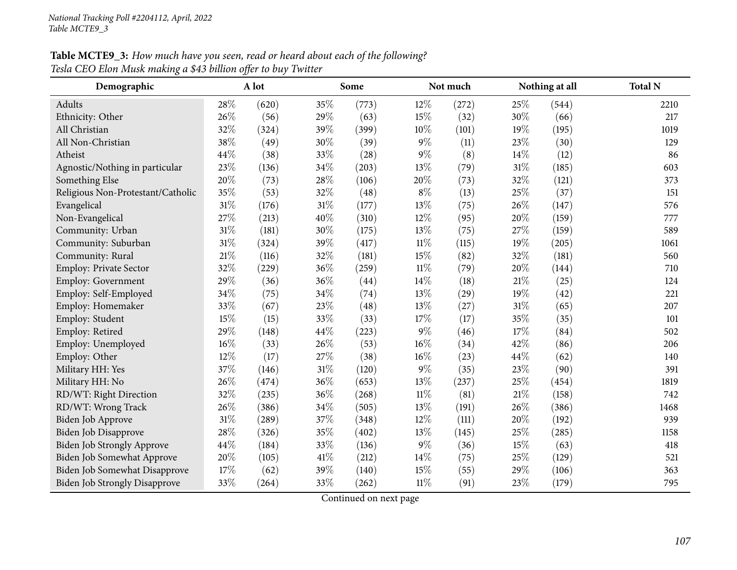## **Table MCTE9\_3:** How much have you seen, read or heard about each of the following? *Tesla CEO Elon Musk making <sup>a</sup> \$43 billion offer to buy Twitter*

| Demographic                          |        | A lot |        | Some  |        | Not much           |     | Nothing at all | <b>Total N</b> |
|--------------------------------------|--------|-------|--------|-------|--------|--------------------|-----|----------------|----------------|
| Adults                               | 28%    | (620) | 35%    | (773) | $12\%$ | (272)              | 25% | (544)          | 2210           |
| Ethnicity: Other                     | 26%    | (56)  | 29%    | (63)  | $15\%$ | (32)               | 30% | (66)           | 217            |
| All Christian                        | 32%    | (324) | 39%    | (399) | 10%    | (101)              | 19% | (195)          | 1019           |
| All Non-Christian                    | 38%    | (49)  | 30%    | (39)  | $9\%$  | (11)               | 23% | (30)           | 129            |
| Atheist                              | 44%    | (38)  | 33%    | (28)  | $9\%$  | (8)                | 14% | (12)           | 86             |
| Agnostic/Nothing in particular       | 23%    | (136) | 34%    | (203) | 13%    | (79)               | 31% | (185)          | 603            |
| Something Else                       | 20%    | (73)  | 28%    | (106) | 20%    | (73)               | 32% | (121)          | 373            |
| Religious Non-Protestant/Catholic    | 35%    | (53)  | 32%    | (48)  | $8\%$  | (13)               | 25% | (37)           | 151            |
| Evangelical                          | $31\%$ | (176) | 31%    | (177) | 13%    | (75)               | 26% | (147)          | 576            |
| Non-Evangelical                      | 27%    | (213) | 40%    | (310) | 12%    | (95)               | 20% | (159)          | 777            |
| Community: Urban                     | 31%    | (181) | 30%    | (175) | 13%    | (75)               | 27% | (159)          | 589            |
| Community: Suburban                  | 31%    | (324) | 39%    | (417) | $11\%$ | (115)              | 19% | (205)          | 1061           |
| Community: Rural                     | 21\%   | (116) | 32%    | (181) | 15%    | (82)               | 32% | (181)          | 560            |
| Employ: Private Sector               | 32%    | (229) | 36%    | (259) | $11\%$ | (79)               | 20% | (144)          | 710            |
| Employ: Government                   | 29%    | (36)  | 36%    | (44)  | 14%    | (18)               | 21% | (25)           | 124            |
| Employ: Self-Employed                | 34%    | (75)  | 34%    | (74)  | 13%    | $\left( 29\right)$ | 19% | (42)           | 221            |
| Employ: Homemaker                    | 33%    | (67)  | 23%    | (48)  | 13%    | (27)               | 31% | (65)           | 207            |
| Employ: Student                      | 15%    | (15)  | 33%    | (33)  | 17%    | (17)               | 35% | (35)           | 101            |
| Employ: Retired                      | 29%    | (148) | 44%    | (223) | 9%     | (46)               | 17% | (84)           | 502            |
| Employ: Unemployed                   | $16\%$ | (33)  | 26%    | (53)  | 16%    | (34)               | 42% | (86)           | 206            |
| Employ: Other                        | 12%    | (17)  | 27%    | (38)  | $16\%$ | (23)               | 44% | (62)           | 140            |
| Military HH: Yes                     | 37%    | (146) | $31\%$ | (120) | $9\%$  | (35)               | 23% | (90)           | 391            |
| Military HH: No                      | 26%    | (474) | 36%    | (653) | 13%    | (237)              | 25% | (454)          | 1819           |
| RD/WT: Right Direction               | 32%    | (235) | 36%    | (268) | $11\%$ | (81)               | 21% | (158)          | 742            |
| RD/WT: Wrong Track                   | 26%    | (386) | 34%    | (505) | 13%    | (191)              | 26% | (386)          | 1468           |
| Biden Job Approve                    | $31\%$ | (289) | 37%    | (348) | 12%    | (111)              | 20% | (192)          | 939            |
| Biden Job Disapprove                 | 28%    | (326) | 35%    | (402) | 13%    | (145)              | 25% | (285)          | 1158           |
| Biden Job Strongly Approve           | 44%    | (184) | 33%    | (136) | 9%     | (36)               | 15% | (63)           | 418            |
| Biden Job Somewhat Approve           | 20%    | (105) | 41\%   | (212) | 14%    | (75)               | 25% | (129)          | 521            |
| Biden Job Somewhat Disapprove        | 17%    | (62)  | 39%    | (140) | 15%    | (55)               | 29% | (106)          | 363            |
| <b>Biden Job Strongly Disapprove</b> | 33%    | (264) | 33%    | (262) | $11\%$ | (91)               | 23% | (179)          | 795            |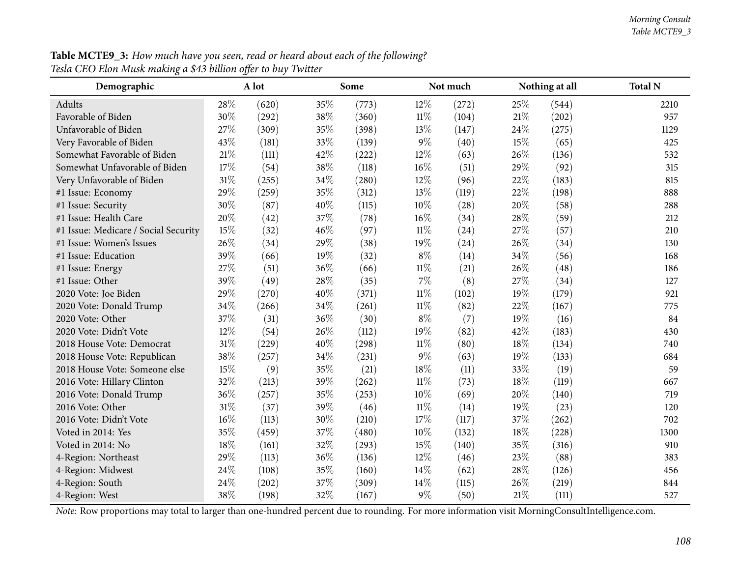| Table MCTE9_3: How much have you seen, read or heard about each of the following? |  |
|-----------------------------------------------------------------------------------|--|
| Tesla CEO Elon Musk making a \$43 billion offer to buy Twitter                    |  |

| Demographic                          |     | A lot |     | Some  |        | Not much |        | Nothing at all | <b>Total N</b> |
|--------------------------------------|-----|-------|-----|-------|--------|----------|--------|----------------|----------------|
| Adults                               | 28% | (620) | 35% | (773) | 12%    | (272)    | 25%    | (544)          | 2210           |
| Favorable of Biden                   | 30% | (292) | 38% | (360) | $11\%$ | (104)    | 21%    | (202)          | 957            |
| Unfavorable of Biden                 | 27% | (309) | 35% | (398) | 13%    | (147)    | 24\%   | (275)          | 1129           |
| Very Favorable of Biden              | 43% | (181) | 33% | (139) | $9\%$  | (40)     | 15%    | (65)           | 425            |
| Somewhat Favorable of Biden          | 21% | (111) | 42% | (222) | 12%    | (63)     | 26%    | (136)          | 532            |
| Somewhat Unfavorable of Biden        | 17% | (54)  | 38% | (118) | 16%    | (51)     | 29%    | (92)           | 315            |
| Very Unfavorable of Biden            | 31% | (255) | 34% | (280) | 12%    | (96)     | 22%    | (183)          | 815            |
| #1 Issue: Economy                    | 29% | (259) | 35% | (312) | 13%    | (119)    | 22%    | (198)          | 888            |
| #1 Issue: Security                   | 30% | (87)  | 40% | (115) | 10%    | (28)     | 20%    | (58)           | 288            |
| #1 Issue: Health Care                | 20% | (42)  | 37% | (78)  | 16%    | (34)     | 28%    | (59)           | 212            |
| #1 Issue: Medicare / Social Security | 15% | (32)  | 46% | (97)  | $11\%$ | (24)     | 27%    | (57)           | 210            |
| #1 Issue: Women's Issues             | 26% | (34)  | 29% | (38)  | 19%    | (24)     | 26%    | (34)           | 130            |
| #1 Issue: Education                  | 39% | (66)  | 19% | (32)  | $8\%$  | (14)     | 34%    | (56)           | 168            |
| #1 Issue: Energy                     | 27% | (51)  | 36% | (66)  | $11\%$ | (21)     | 26%    | (48)           | 186            |
| #1 Issue: Other                      | 39% | (49)  | 28% | (35)  | 7%     | (8)      | 27%    | (34)           | 127            |
| 2020 Vote: Joe Biden                 | 29% | (270) | 40% | (371) | $11\%$ | (102)    | 19%    | (179)          | 921            |
| 2020 Vote: Donald Trump              | 34% | (266) | 34% | (261) | $11\%$ | (82)     | 22%    | (167)          | 775            |
| 2020 Vote: Other                     | 37% | (31)  | 36% | (30)  | $8\%$  | (7)      | 19%    | (16)           | 84             |
| 2020 Vote: Didn't Vote               | 12% | (54)  | 26% | (112) | 19%    | (82)     | 42%    | (183)          | 430            |
| 2018 House Vote: Democrat            | 31% | (229) | 40% | (298) | $11\%$ | (80)     | 18%    | (134)          | 740            |
| 2018 House Vote: Republican          | 38% | (257) | 34% | (231) | $9\%$  | (63)     | 19%    | (133)          | 684            |
| 2018 House Vote: Someone else        | 15% | (9)   | 35% | (21)  | 18%    | (11)     | 33%    | (19)           | 59             |
| 2016 Vote: Hillary Clinton           | 32% | (213) | 39% | (262) | $11\%$ | (73)     | 18%    | (119)          | 667            |
| 2016 Vote: Donald Trump              | 36% | (257) | 35% | (253) | 10%    | (69)     | 20%    | (140)          | 719            |
| 2016 Vote: Other                     | 31% | (37)  | 39% | (46)  | $11\%$ | (14)     | 19%    | (23)           | 120            |
| 2016 Vote: Didn't Vote               | 16% | (113) | 30% | (210) | 17%    | (117)    | 37%    | (262)          | 702            |
| Voted in 2014: Yes                   | 35% | (459) | 37% | (480) | 10%    | (132)    | 18%    | (228)          | 1300           |
| Voted in 2014: No                    | 18% | (161) | 32% | (293) | 15%    | (140)    | 35%    | (316)          | 910            |
| 4-Region: Northeast                  | 29% | (113) | 36% | (136) | 12%    | (46)     | 23%    | (88)           | 383            |
| 4-Region: Midwest                    | 24% | (108) | 35% | (160) | 14%    | (62)     | 28%    | (126)          | 456            |
| 4-Region: South                      | 24% | (202) | 37% | (309) | 14%    | (115)    | 26%    | (219)          | 844            |
| 4-Region: West                       | 38% | (198) | 32% | (167) | $9\%$  | (50)     | $21\%$ | (111)          | 527            |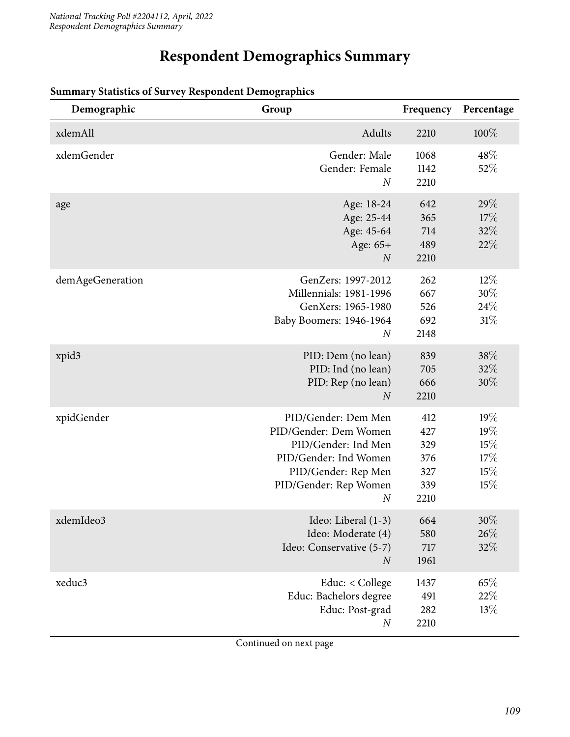## **Respondent Demographics Summary**

| Demographic       | Group                                                                                                                                                            | Frequency                                      | Percentage                             |
|-------------------|------------------------------------------------------------------------------------------------------------------------------------------------------------------|------------------------------------------------|----------------------------------------|
| xdemAll           | Adults                                                                                                                                                           | 2210                                           | $100\%$                                |
| xdemGender        | Gender: Male<br>Gender: Female<br>$\overline{N}$                                                                                                                 | 1068<br>1142<br>2210                           | 48\%<br>52%                            |
| age               | Age: 18-24<br>Age: 25-44<br>Age: 45-64<br>Age: 65+<br>$\overline{N}$                                                                                             | 642<br>365<br>714<br>489<br>2210               | 29%<br>17%<br>32%<br>22%               |
| demAgeGeneration  | GenZers: 1997-2012<br><b>Millennials: 1981-1996</b><br>GenXers: 1965-1980<br>Baby Boomers: 1946-1964<br>$\boldsymbol{N}$                                         | 262<br>667<br>526<br>692<br>2148               | $12\%$<br>30%<br>24\%<br>31%           |
| xpid <sub>3</sub> | PID: Dem (no lean)<br>PID: Ind (no lean)<br>PID: Rep (no lean)<br>$\overline{N}$                                                                                 | 839<br>705<br>666<br>2210                      | 38%<br>32%<br>30%                      |
| xpidGender        | PID/Gender: Dem Men<br>PID/Gender: Dem Women<br>PID/Gender: Ind Men<br>PID/Gender: Ind Women<br>PID/Gender: Rep Men<br>PID/Gender: Rep Women<br>$\boldsymbol{N}$ | 412<br>427<br>329<br>376<br>327<br>339<br>2210 | 19%<br>19%<br>15%<br>17%<br>15%<br>15% |
| xdemIdeo3         | Ideo: Liberal (1-3)<br>Ideo: Moderate (4)<br>Ideo: Conservative (5-7)<br>$\boldsymbol{N}$                                                                        | 664<br>580<br>717<br>1961                      | $30\%$<br>26%<br>32%                   |
| xeduc3            | Educ: < College<br>Educ: Bachelors degree<br>Educ: Post-grad<br>$\boldsymbol{N}$                                                                                 | 1437<br>491<br>282<br>2210                     | 65%<br>22%<br>13%                      |

#### **Summary Statistics of Survey Respondent Demographics**

Continued on next page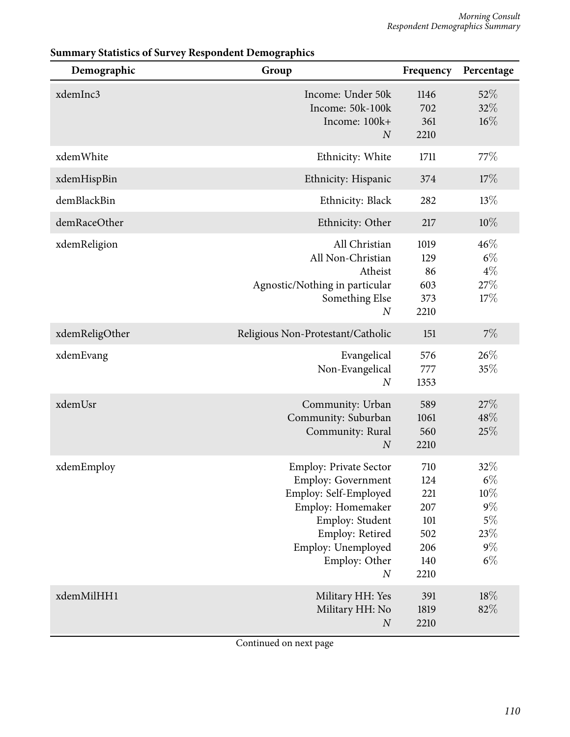| Demographic    | Group                                                                                                                                                                                                     | Frequency                                                    | Percentage                                                           |
|----------------|-----------------------------------------------------------------------------------------------------------------------------------------------------------------------------------------------------------|--------------------------------------------------------------|----------------------------------------------------------------------|
| xdemInc3       | Income: Under 50k<br>Income: 50k-100k<br>Income: 100k+<br>$\overline{N}$                                                                                                                                  | 1146<br>702<br>361<br>2210                                   | 52%<br>32%<br>16%                                                    |
| xdemWhite      | Ethnicity: White                                                                                                                                                                                          | 1711                                                         | 77\%                                                                 |
| xdemHispBin    | Ethnicity: Hispanic                                                                                                                                                                                       | 374                                                          | 17%                                                                  |
| demBlackBin    | Ethnicity: Black                                                                                                                                                                                          | 282                                                          | 13%                                                                  |
| demRaceOther   | Ethnicity: Other                                                                                                                                                                                          | 217                                                          | 10%                                                                  |
| xdemReligion   | All Christian<br>All Non-Christian<br>Atheist<br>Agnostic/Nothing in particular<br>Something Else<br>$\boldsymbol{N}$                                                                                     | 1019<br>129<br>86<br>603<br>373<br>2210                      | 46%<br>$6\%$<br>$4\%$<br>27%<br>17%                                  |
| xdemReligOther | Religious Non-Protestant/Catholic                                                                                                                                                                         | 151                                                          | 7%                                                                   |
| xdemEvang      | Evangelical<br>Non-Evangelical<br>$\boldsymbol{N}$                                                                                                                                                        | 576<br>777<br>1353                                           | 26%<br>35%                                                           |
| xdemUsr        | Community: Urban<br>Community: Suburban<br>Community: Rural<br>$\boldsymbol{N}$                                                                                                                           | 589<br>1061<br>560<br>2210                                   | 27\%<br>48%<br>25%                                                   |
| xdemEmploy     | <b>Employ: Private Sector</b><br><b>Employ: Government</b><br>Employ: Self-Employed<br>Employ: Homemaker<br>Employ: Student<br>Employ: Retired<br>Employ: Unemployed<br>Employ: Other<br>$\boldsymbol{N}$ | 710<br>124<br>221<br>207<br>101<br>502<br>206<br>140<br>2210 | 32%<br>$6\%$<br>$10\%$<br>$9\%$<br>$5\%$<br>$23\%$<br>$9\%$<br>$6\%$ |
| xdemMilHH1     | Military HH: Yes<br>Military HH: No<br>$\boldsymbol{N}$                                                                                                                                                   | 391<br>1819<br>2210                                          | 18%<br>82%                                                           |

#### **Summary Statistics of Survey Respondent Demographics**

Continued on next page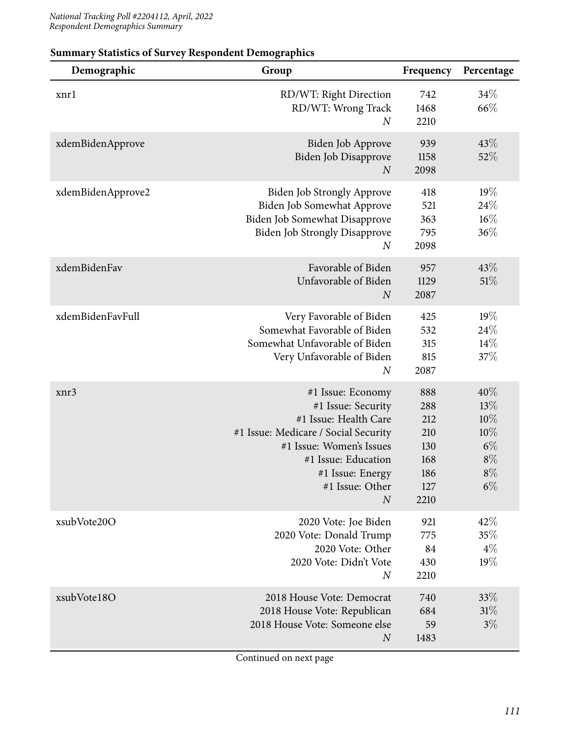| Demographic       | Group                                                                                                                                                                                                                  | Frequency                                                    | Percentage                                                   |
|-------------------|------------------------------------------------------------------------------------------------------------------------------------------------------------------------------------------------------------------------|--------------------------------------------------------------|--------------------------------------------------------------|
| xnrl              | RD/WT: Right Direction<br>RD/WT: Wrong Track<br>$\boldsymbol{N}$                                                                                                                                                       | 742<br>1468<br>2210                                          | 34%<br>66%                                                   |
| xdemBidenApprove  | Biden Job Approve<br>Biden Job Disapprove<br>$\boldsymbol{N}$                                                                                                                                                          | 939<br>1158<br>2098                                          | 43%<br>52%                                                   |
| xdemBidenApprove2 | <b>Biden Job Strongly Approve</b><br>Biden Job Somewhat Approve<br>Biden Job Somewhat Disapprove<br><b>Biden Job Strongly Disapprove</b><br>$\boldsymbol{N}$                                                           | 418<br>521<br>363<br>795<br>2098                             | 19%<br>24%<br>$16\%$<br>36%                                  |
| xdemBidenFav      | Favorable of Biden<br>Unfavorable of Biden<br>$\boldsymbol{N}$                                                                                                                                                         | 957<br>1129<br>2087                                          | 43\%<br>51\%                                                 |
| xdemBidenFavFull  | Very Favorable of Biden<br>Somewhat Favorable of Biden<br>Somewhat Unfavorable of Biden<br>Very Unfavorable of Biden<br>$\boldsymbol{N}$                                                                               | 425<br>532<br>315<br>815<br>2087                             | 19%<br>24\%<br>14%<br>37%                                    |
| xnr3              | #1 Issue: Economy<br>#1 Issue: Security<br>#1 Issue: Health Care<br>#1 Issue: Medicare / Social Security<br>#1 Issue: Women's Issues<br>#1 Issue: Education<br>#1 Issue: Energy<br>#1 Issue: Other<br>$\boldsymbol{N}$ | 888<br>288<br>212<br>210<br>130<br>168<br>186<br>127<br>2210 | 40%<br>13%<br>10%<br>10%<br>$6\%$<br>$8\%$<br>$8\%$<br>$6\%$ |
| xsubVote20O       | 2020 Vote: Joe Biden<br>2020 Vote: Donald Trump<br>2020 Vote: Other<br>2020 Vote: Didn't Vote<br>$\boldsymbol{N}$                                                                                                      | 921<br>775<br>84<br>430<br>2210                              | 42%<br>35%<br>$4\%$<br>19%                                   |
| xsubVote18O       | 2018 House Vote: Democrat<br>2018 House Vote: Republican<br>2018 House Vote: Someone else<br>$\boldsymbol{N}$                                                                                                          | 740<br>684<br>59<br>1483                                     | 33\%<br>31%<br>$3\%$                                         |

### **Summary Statistics of Survey Respondent Demographics**

Continued on next page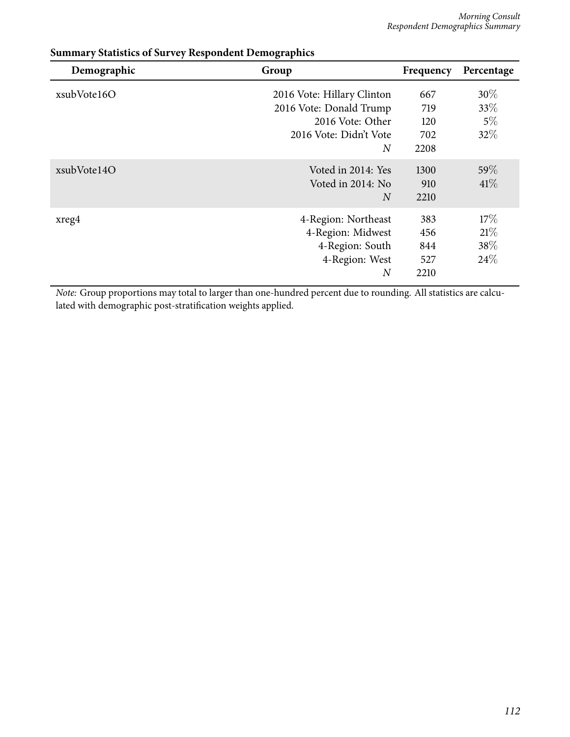| Demographic | Group                      | Frequency | Percentage |
|-------------|----------------------------|-----------|------------|
| xsubVote16O | 2016 Vote: Hillary Clinton | 667       | 30%        |
|             | 2016 Vote: Donald Trump    | 719       | 33\%       |
|             | 2016 Vote: Other           | 120       | $5\%$      |
|             | 2016 Vote: Didn't Vote     | 702       | 32%        |
|             | $\overline{N}$             | 2208      |            |
| xsubVote14O | Voted in 2014: Yes         | 1300      | 59\%       |
|             | Voted in 2014: No          | 910       | $41\%$     |
|             | $\overline{N}$             | 2210      |            |
| xreg4       | 4-Region: Northeast        | 383       | 17%        |
|             | 4-Region: Midwest          | 456       | 21%        |
|             | 4-Region: South            | 844       | 38\%       |
|             | 4-Region: West             | 527       | 24\%       |
|             | $\overline{N}$             | 2210      |            |

#### **Summary Statistics of Survey Respondent Demographics**

*Note:* Group proportions may total to larger than one-hundred percent due to rounding. All statistics are calculated with demographic post-stratification weights applied.